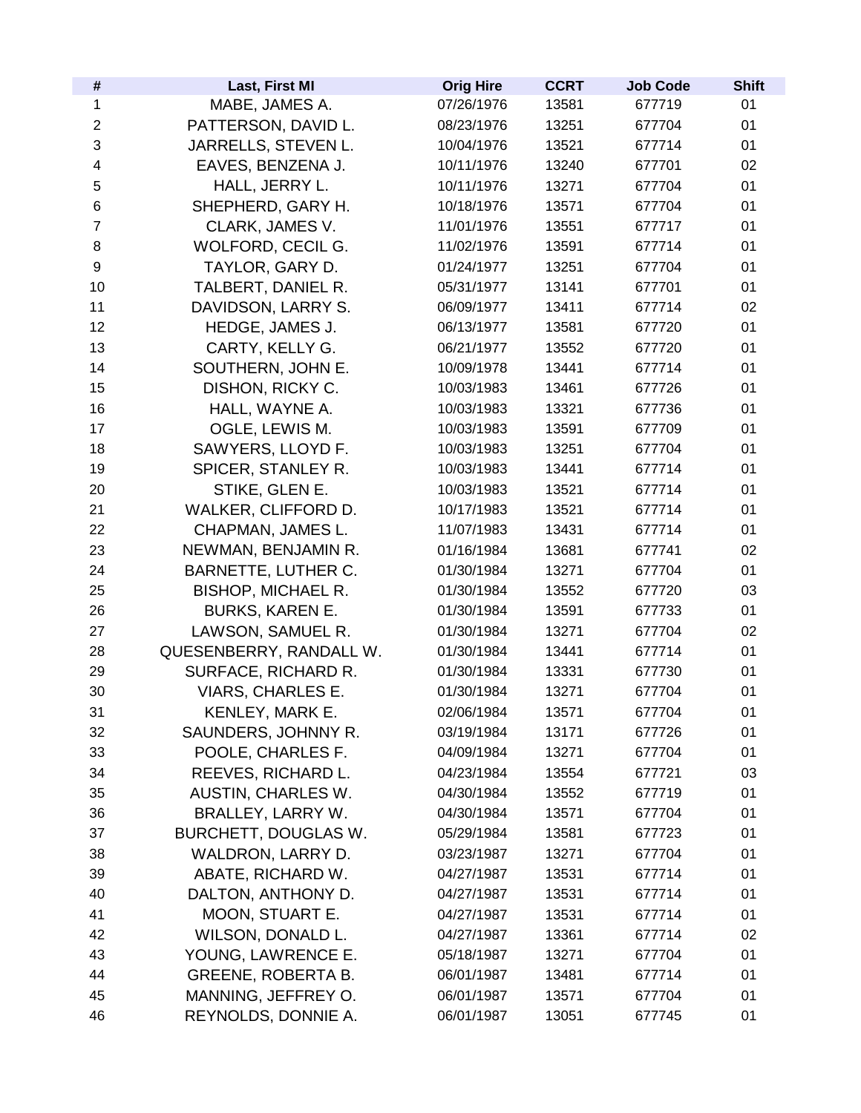| #                | Last, First MI              | <b>Orig Hire</b> | <b>CCRT</b> | <b>Job Code</b> | <b>Shift</b> |
|------------------|-----------------------------|------------------|-------------|-----------------|--------------|
| 1                | MABE, JAMES A.              | 07/26/1976       | 13581       | 677719          | 01           |
| 2                | PATTERSON, DAVID L.         | 08/23/1976       | 13251       | 677704          | 01           |
| 3                | JARRELLS, STEVEN L.         | 10/04/1976       | 13521       | 677714          | 01           |
| 4                | EAVES, BENZENA J.           | 10/11/1976       | 13240       | 677701          | 02           |
| 5                | HALL, JERRY L.              | 10/11/1976       | 13271       | 677704          | 01           |
| 6                | SHEPHERD, GARY H.           | 10/18/1976       | 13571       | 677704          | 01           |
| $\overline{7}$   | CLARK, JAMES V.             | 11/01/1976       | 13551       | 677717          | 01           |
| 8                | WOLFORD, CECIL G.           | 11/02/1976       | 13591       | 677714          | 01           |
| $\boldsymbol{9}$ | TAYLOR, GARY D.             | 01/24/1977       | 13251       | 677704          | 01           |
| 10               | TALBERT, DANIEL R.          | 05/31/1977       | 13141       | 677701          | 01           |
| 11               | DAVIDSON, LARRY S.          | 06/09/1977       | 13411       | 677714          | 02           |
| 12               | HEDGE, JAMES J.             | 06/13/1977       | 13581       | 677720          | 01           |
| 13               | CARTY, KELLY G.             | 06/21/1977       | 13552       | 677720          | 01           |
| 14               | SOUTHERN, JOHN E.           | 10/09/1978       | 13441       | 677714          | 01           |
| 15               | DISHON, RICKY C.            | 10/03/1983       | 13461       | 677726          | 01           |
| 16               | HALL, WAYNE A.              | 10/03/1983       | 13321       | 677736          | 01           |
| 17               | OGLE, LEWIS M.              | 10/03/1983       | 13591       | 677709          | 01           |
| 18               | SAWYERS, LLOYD F.           | 10/03/1983       | 13251       | 677704          | 01           |
| 19               | SPICER, STANLEY R.          | 10/03/1983       | 13441       | 677714          | 01           |
| 20               | STIKE, GLEN E.              | 10/03/1983       | 13521       | 677714          | 01           |
| 21               | WALKER, CLIFFORD D.         | 10/17/1983       | 13521       | 677714          | 01           |
| 22               | CHAPMAN, JAMES L.           | 11/07/1983       | 13431       | 677714          | 01           |
| 23               | NEWMAN, BENJAMIN R.         | 01/16/1984       | 13681       | 677741          | 02           |
| 24               | <b>BARNETTE, LUTHER C.</b>  | 01/30/1984       | 13271       | 677704          | 01           |
| 25               | <b>BISHOP, MICHAEL R.</b>   | 01/30/1984       | 13552       | 677720          | 03           |
| 26               | <b>BURKS, KAREN E.</b>      | 01/30/1984       | 13591       | 677733          | 01           |
| 27               | LAWSON, SAMUEL R.           | 01/30/1984       | 13271       | 677704          | 02           |
| 28               | QUESENBERRY, RANDALL W.     | 01/30/1984       | 13441       | 677714          | 01           |
| 29               | SURFACE, RICHARD R.         | 01/30/1984       | 13331       | 677730          | 01           |
| 30               | <b>VIARS, CHARLES E.</b>    | 01/30/1984       | 13271       | 677704          | 01           |
| 31               | KENLEY, MARK E.             | 02/06/1984       | 13571       | 677704          | 01           |
| 32               | SAUNDERS, JOHNNY R.         | 03/19/1984       | 13171       | 677726          | 01           |
| 33               | POOLE, CHARLES F.           | 04/09/1984       | 13271       | 677704          | 01           |
| 34               | REEVES, RICHARD L.          | 04/23/1984       | 13554       | 677721          | 03           |
| 35               | <b>AUSTIN, CHARLES W.</b>   | 04/30/1984       | 13552       | 677719          | 01           |
| 36               | <b>BRALLEY, LARRY W.</b>    | 04/30/1984       | 13571       | 677704          | 01           |
| 37               | <b>BURCHETT, DOUGLAS W.</b> | 05/29/1984       | 13581       | 677723          | 01           |
| 38               | WALDRON, LARRY D.           | 03/23/1987       | 13271       | 677704          | 01           |
| 39               | ABATE, RICHARD W.           | 04/27/1987       | 13531       | 677714          | 01           |
| 40               | DALTON, ANTHONY D.          | 04/27/1987       | 13531       | 677714          | 01           |
| 41               | MOON, STUART E.             | 04/27/1987       | 13531       | 677714          | 01           |
| 42               | WILSON, DONALD L.           | 04/27/1987       | 13361       | 677714          | 02           |
| 43               | YOUNG, LAWRENCE E.          | 05/18/1987       | 13271       | 677704          | 01           |
| 44               | <b>GREENE, ROBERTA B.</b>   | 06/01/1987       | 13481       | 677714          | 01           |
| 45               | MANNING, JEFFREY O.         | 06/01/1987       | 13571       | 677704          | 01           |
| 46               | REYNOLDS, DONNIE A.         | 06/01/1987       | 13051       | 677745          | 01           |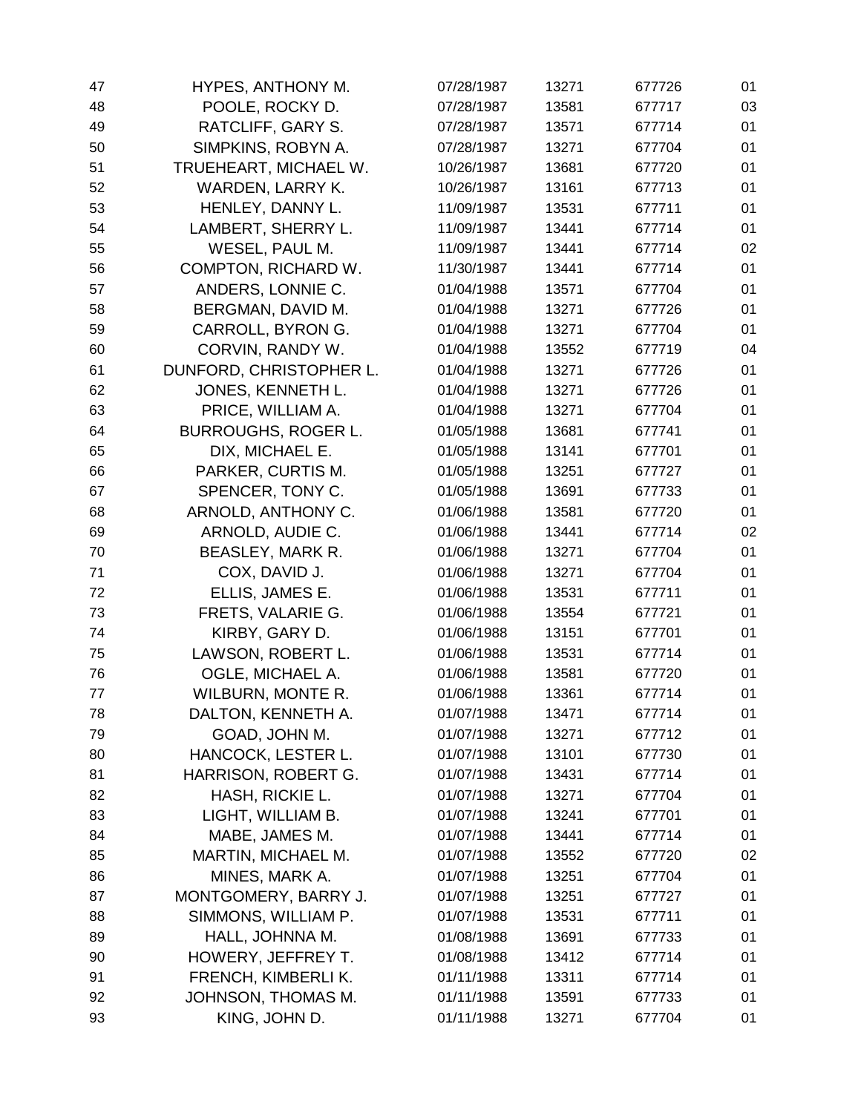| 47 | HYPES, ANTHONY M.          | 07/28/1987 | 13271 | 677726 | 01 |
|----|----------------------------|------------|-------|--------|----|
| 48 | POOLE, ROCKY D.            | 07/28/1987 | 13581 | 677717 | 03 |
| 49 | RATCLIFF, GARY S.          | 07/28/1987 | 13571 | 677714 | 01 |
| 50 | SIMPKINS, ROBYN A.         | 07/28/1987 | 13271 | 677704 | 01 |
| 51 | TRUEHEART, MICHAEL W.      | 10/26/1987 | 13681 | 677720 | 01 |
| 52 | WARDEN, LARRY K.           | 10/26/1987 | 13161 | 677713 | 01 |
| 53 | HENLEY, DANNY L.           | 11/09/1987 | 13531 | 677711 | 01 |
| 54 | LAMBERT, SHERRY L.         | 11/09/1987 | 13441 | 677714 | 01 |
| 55 | WESEL, PAUL M.             | 11/09/1987 | 13441 | 677714 | 02 |
| 56 | COMPTON, RICHARD W.        | 11/30/1987 | 13441 | 677714 | 01 |
| 57 | ANDERS, LONNIE C.          | 01/04/1988 | 13571 | 677704 | 01 |
| 58 | BERGMAN, DAVID M.          | 01/04/1988 | 13271 | 677726 | 01 |
| 59 | CARROLL, BYRON G.          | 01/04/1988 | 13271 | 677704 | 01 |
| 60 | CORVIN, RANDY W.           | 01/04/1988 | 13552 | 677719 | 04 |
| 61 | DUNFORD, CHRISTOPHER L.    | 01/04/1988 | 13271 | 677726 | 01 |
| 62 | JONES, KENNETH L.          | 01/04/1988 | 13271 | 677726 | 01 |
| 63 | PRICE, WILLIAM A.          | 01/04/1988 | 13271 | 677704 | 01 |
| 64 | <b>BURROUGHS, ROGER L.</b> | 01/05/1988 | 13681 | 677741 | 01 |
| 65 | DIX, MICHAEL E.            | 01/05/1988 | 13141 | 677701 | 01 |
| 66 | PARKER, CURTIS M.          | 01/05/1988 | 13251 | 677727 | 01 |
| 67 | SPENCER, TONY C.           | 01/05/1988 | 13691 | 677733 | 01 |
| 68 | ARNOLD, ANTHONY C.         | 01/06/1988 | 13581 | 677720 | 01 |
| 69 | ARNOLD, AUDIE C.           | 01/06/1988 | 13441 | 677714 | 02 |
| 70 | BEASLEY, MARK R.           | 01/06/1988 | 13271 | 677704 | 01 |
| 71 | COX, DAVID J.              | 01/06/1988 | 13271 | 677704 | 01 |
| 72 | ELLIS, JAMES E.            | 01/06/1988 | 13531 | 677711 | 01 |
| 73 | FRETS, VALARIE G.          | 01/06/1988 | 13554 | 677721 | 01 |
| 74 | KIRBY, GARY D.             | 01/06/1988 | 13151 | 677701 | 01 |
| 75 | LAWSON, ROBERT L.          | 01/06/1988 | 13531 | 677714 | 01 |
| 76 | OGLE, MICHAEL A.           | 01/06/1988 | 13581 | 677720 | 01 |
| 77 | <b>WILBURN, MONTE R.</b>   | 01/06/1988 | 13361 | 677714 | 01 |
| 78 | DALTON, KENNETH A.         | 01/07/1988 | 13471 | 677714 | 01 |
| 79 | GOAD, JOHN M.              | 01/07/1988 | 13271 | 677712 | 01 |
| 80 | HANCOCK, LESTER L.         | 01/07/1988 | 13101 | 677730 | 01 |
| 81 | HARRISON, ROBERT G.        | 01/07/1988 | 13431 | 677714 | 01 |
| 82 | HASH, RICKIE L.            | 01/07/1988 | 13271 | 677704 | 01 |
| 83 | LIGHT, WILLIAM B.          | 01/07/1988 | 13241 | 677701 | 01 |
| 84 | MABE, JAMES M.             | 01/07/1988 | 13441 | 677714 | 01 |
| 85 | MARTIN, MICHAEL M.         | 01/07/1988 | 13552 | 677720 | 02 |
| 86 | MINES, MARK A.             | 01/07/1988 | 13251 | 677704 | 01 |
| 87 | MONTGOMERY, BARRY J.       | 01/07/1988 | 13251 | 677727 | 01 |
| 88 | SIMMONS, WILLIAM P.        | 01/07/1988 | 13531 | 677711 | 01 |
| 89 | HALL, JOHNNA M.            | 01/08/1988 | 13691 | 677733 | 01 |
| 90 | HOWERY, JEFFREY T.         | 01/08/1988 | 13412 | 677714 | 01 |
| 91 | FRENCH, KIMBERLI K.        | 01/11/1988 | 13311 | 677714 | 01 |
| 92 | JOHNSON, THOMAS M.         | 01/11/1988 | 13591 | 677733 | 01 |
| 93 | KING, JOHN D.              | 01/11/1988 | 13271 | 677704 | 01 |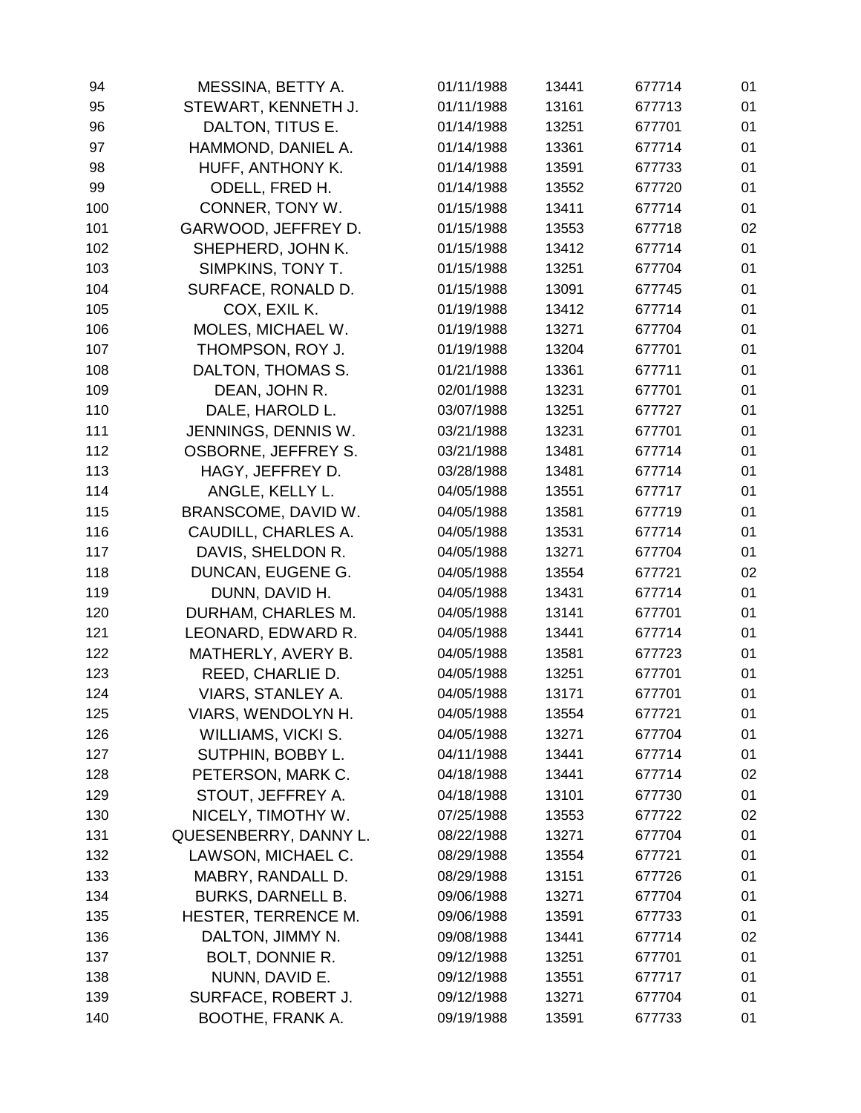| 94  | MESSINA, BETTY A.        | 01/11/1988 | 13441 | 677714 | 01 |
|-----|--------------------------|------------|-------|--------|----|
| 95  | STEWART, KENNETH J.      | 01/11/1988 | 13161 | 677713 | 01 |
| 96  | DALTON, TITUS E.         | 01/14/1988 | 13251 | 677701 | 01 |
| 97  | HAMMOND, DANIEL A.       | 01/14/1988 | 13361 | 677714 | 01 |
| 98  | HUFF, ANTHONY K.         | 01/14/1988 | 13591 | 677733 | 01 |
| 99  | ODELL, FRED H.           | 01/14/1988 | 13552 | 677720 | 01 |
| 100 | CONNER, TONY W.          | 01/15/1988 | 13411 | 677714 | 01 |
| 101 | GARWOOD, JEFFREY D.      | 01/15/1988 | 13553 | 677718 | 02 |
| 102 | SHEPHERD, JOHN K.        | 01/15/1988 | 13412 | 677714 | 01 |
| 103 | SIMPKINS, TONY T.        | 01/15/1988 | 13251 | 677704 | 01 |
| 104 | SURFACE, RONALD D.       | 01/15/1988 | 13091 | 677745 | 01 |
| 105 | COX, EXIL K.             | 01/19/1988 | 13412 | 677714 | 01 |
| 106 | MOLES, MICHAEL W.        | 01/19/1988 | 13271 | 677704 | 01 |
| 107 | THOMPSON, ROY J.         | 01/19/1988 | 13204 | 677701 | 01 |
| 108 | DALTON, THOMAS S.        | 01/21/1988 | 13361 | 677711 | 01 |
| 109 | DEAN, JOHN R.            | 02/01/1988 | 13231 | 677701 | 01 |
| 110 | DALE, HAROLD L.          | 03/07/1988 | 13251 | 677727 | 01 |
| 111 | JENNINGS, DENNIS W.      | 03/21/1988 | 13231 | 677701 | 01 |
| 112 | OSBORNE, JEFFREY S.      | 03/21/1988 | 13481 | 677714 | 01 |
| 113 | HAGY, JEFFREY D.         | 03/28/1988 | 13481 | 677714 | 01 |
| 114 | ANGLE, KELLY L.          | 04/05/1988 | 13551 | 677717 | 01 |
| 115 | BRANSCOME, DAVID W.      | 04/05/1988 | 13581 | 677719 | 01 |
| 116 | CAUDILL, CHARLES A.      | 04/05/1988 | 13531 | 677714 | 01 |
| 117 | DAVIS, SHELDON R.        | 04/05/1988 | 13271 | 677704 | 01 |
| 118 | DUNCAN, EUGENE G.        | 04/05/1988 | 13554 | 677721 | 02 |
| 119 | DUNN, DAVID H.           | 04/05/1988 | 13431 | 677714 | 01 |
| 120 | DURHAM, CHARLES M.       | 04/05/1988 | 13141 | 677701 | 01 |
| 121 | LEONARD, EDWARD R.       | 04/05/1988 | 13441 | 677714 | 01 |
| 122 | MATHERLY, AVERY B.       | 04/05/1988 | 13581 | 677723 | 01 |
| 123 | REED, CHARLIE D.         | 04/05/1988 | 13251 | 677701 | 01 |
| 124 | VIARS, STANLEY A.        | 04/05/1988 | 13171 | 677701 | 01 |
| 125 | VIARS, WENDOLYN H.       | 04/05/1988 | 13554 | 677721 | 01 |
| 126 | WILLIAMS, VICKI S.       | 04/05/1988 | 13271 | 677704 | 01 |
| 127 | SUTPHIN, BOBBY L.        | 04/11/1988 | 13441 | 677714 | 01 |
| 128 | PETERSON, MARK C.        | 04/18/1988 | 13441 | 677714 | 02 |
| 129 | STOUT, JEFFREY A.        | 04/18/1988 | 13101 | 677730 | 01 |
| 130 | NICELY, TIMOTHY W.       | 07/25/1988 | 13553 | 677722 | 02 |
| 131 | QUESENBERRY, DANNY L.    | 08/22/1988 | 13271 | 677704 | 01 |
| 132 | LAWSON, MICHAEL C.       | 08/29/1988 | 13554 | 677721 | 01 |
| 133 | MABRY, RANDALL D.        | 08/29/1988 | 13151 | 677726 | 01 |
| 134 | <b>BURKS, DARNELL B.</b> | 09/06/1988 | 13271 | 677704 | 01 |
| 135 | HESTER, TERRENCE M.      | 09/06/1988 | 13591 | 677733 | 01 |
| 136 | DALTON, JIMMY N.         | 09/08/1988 | 13441 | 677714 | 02 |
| 137 | BOLT, DONNIE R.          | 09/12/1988 | 13251 | 677701 | 01 |
| 138 | NUNN, DAVID E.           | 09/12/1988 | 13551 | 677717 | 01 |
| 139 | SURFACE, ROBERT J.       | 09/12/1988 | 13271 | 677704 | 01 |
| 140 | <b>BOOTHE, FRANK A.</b>  | 09/19/1988 | 13591 | 677733 | 01 |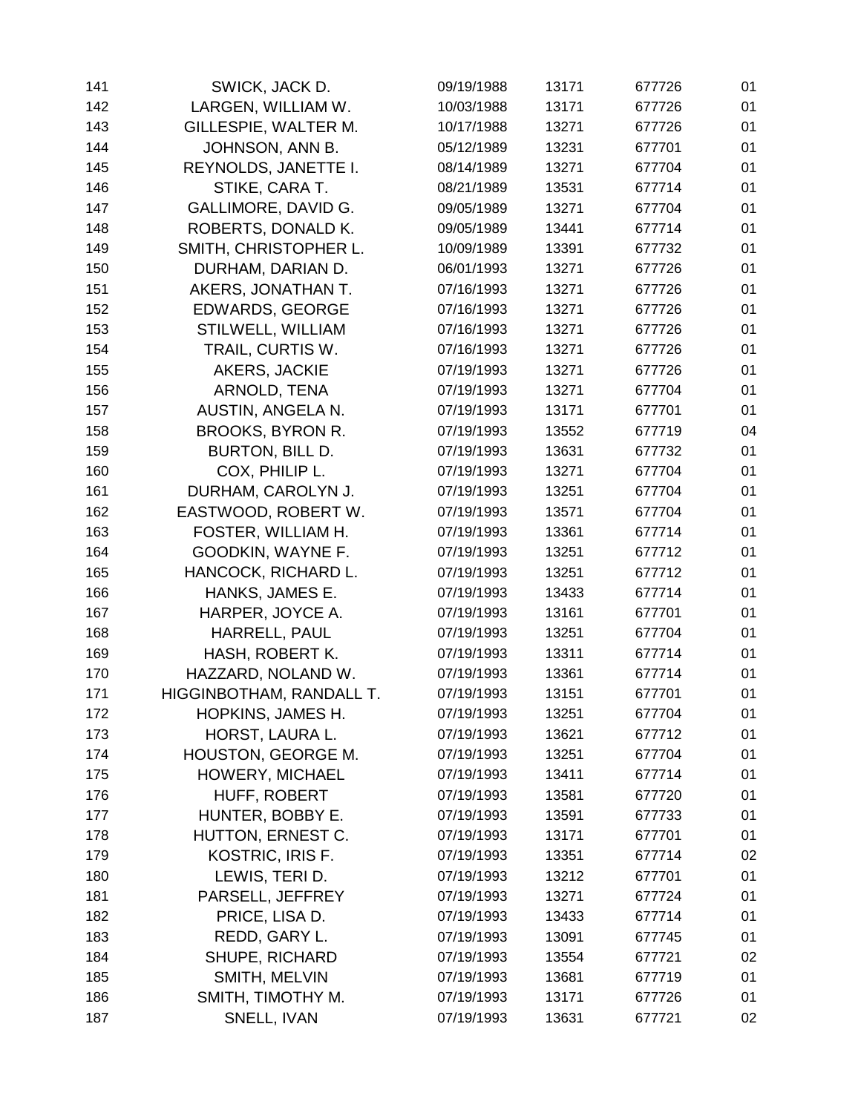| 141 | SWICK, JACK D.            | 09/19/1988 | 13171 | 677726 | 01 |
|-----|---------------------------|------------|-------|--------|----|
| 142 | LARGEN, WILLIAM W.        | 10/03/1988 | 13171 | 677726 | 01 |
| 143 | GILLESPIE, WALTER M.      | 10/17/1988 | 13271 | 677726 | 01 |
| 144 | JOHNSON, ANN B.           | 05/12/1989 | 13231 | 677701 | 01 |
| 145 | REYNOLDS, JANETTE I.      | 08/14/1989 | 13271 | 677704 | 01 |
| 146 | STIKE, CARA T.            | 08/21/1989 | 13531 | 677714 | 01 |
| 147 | GALLIMORE, DAVID G.       | 09/05/1989 | 13271 | 677704 | 01 |
| 148 | ROBERTS, DONALD K.        | 09/05/1989 | 13441 | 677714 | 01 |
| 149 | SMITH, CHRISTOPHER L.     | 10/09/1989 | 13391 | 677732 | 01 |
| 150 | DURHAM, DARIAN D.         | 06/01/1993 | 13271 | 677726 | 01 |
| 151 | AKERS, JONATHAN T.        | 07/16/1993 | 13271 | 677726 | 01 |
| 152 | <b>EDWARDS, GEORGE</b>    | 07/16/1993 | 13271 | 677726 | 01 |
| 153 | STILWELL, WILLIAM         | 07/16/1993 | 13271 | 677726 | 01 |
| 154 | TRAIL, CURTIS W.          | 07/16/1993 | 13271 | 677726 | 01 |
| 155 | AKERS, JACKIE             | 07/19/1993 | 13271 | 677726 | 01 |
| 156 | ARNOLD, TENA              | 07/19/1993 | 13271 | 677704 | 01 |
| 157 | AUSTIN, ANGELA N.         | 07/19/1993 | 13171 | 677701 | 01 |
| 158 | <b>BROOKS, BYRON R.</b>   | 07/19/1993 | 13552 | 677719 | 04 |
| 159 | BURTON, BILL D.           | 07/19/1993 | 13631 | 677732 | 01 |
| 160 | COX, PHILIP L.            | 07/19/1993 | 13271 | 677704 | 01 |
| 161 | DURHAM, CAROLYN J.        | 07/19/1993 | 13251 | 677704 | 01 |
| 162 | EASTWOOD, ROBERT W.       | 07/19/1993 | 13571 | 677704 | 01 |
| 163 | FOSTER, WILLIAM H.        | 07/19/1993 | 13361 | 677714 | 01 |
| 164 | GOODKIN, WAYNE F.         | 07/19/1993 | 13251 | 677712 | 01 |
| 165 | HANCOCK, RICHARD L.       | 07/19/1993 | 13251 | 677712 | 01 |
| 166 | HANKS, JAMES E.           | 07/19/1993 | 13433 | 677714 | 01 |
| 167 | HARPER, JOYCE A.          | 07/19/1993 | 13161 | 677701 | 01 |
| 168 | HARRELL, PAUL             | 07/19/1993 | 13251 | 677704 | 01 |
| 169 | HASH, ROBERT K.           | 07/19/1993 | 13311 | 677714 | 01 |
| 170 | HAZZARD, NOLAND W.        | 07/19/1993 | 13361 | 677714 | 01 |
| 171 | HIGGINBOTHAM, RANDALL T.  | 07/19/1993 | 13151 | 677701 | 01 |
| 172 | HOPKINS, JAMES H.         | 07/19/1993 | 13251 | 677704 | 01 |
| 173 | HORST, LAURA L.           | 07/19/1993 | 13621 | 677712 | 01 |
| 174 | <b>HOUSTON, GEORGE M.</b> | 07/19/1993 | 13251 | 677704 | 01 |
| 175 | HOWERY, MICHAEL           | 07/19/1993 | 13411 | 677714 | 01 |
| 176 | HUFF, ROBERT              | 07/19/1993 | 13581 | 677720 | 01 |
| 177 | HUNTER, BOBBY E.          | 07/19/1993 | 13591 | 677733 | 01 |
| 178 | HUTTON, ERNEST C.         | 07/19/1993 | 13171 | 677701 | 01 |
| 179 | KOSTRIC, IRIS F.          | 07/19/1993 | 13351 | 677714 | 02 |
| 180 | LEWIS, TERI D.            | 07/19/1993 | 13212 | 677701 | 01 |
| 181 | PARSELL, JEFFREY          | 07/19/1993 | 13271 | 677724 | 01 |
| 182 | PRICE, LISA D.            | 07/19/1993 | 13433 | 677714 | 01 |
| 183 | REDD, GARY L.             | 07/19/1993 | 13091 | 677745 | 01 |
| 184 | <b>SHUPE, RICHARD</b>     | 07/19/1993 | 13554 | 677721 | 02 |
| 185 | SMITH, MELVIN             | 07/19/1993 | 13681 | 677719 | 01 |
| 186 | SMITH, TIMOTHY M.         | 07/19/1993 | 13171 | 677726 | 01 |
| 187 | SNELL, IVAN               | 07/19/1993 | 13631 | 677721 | 02 |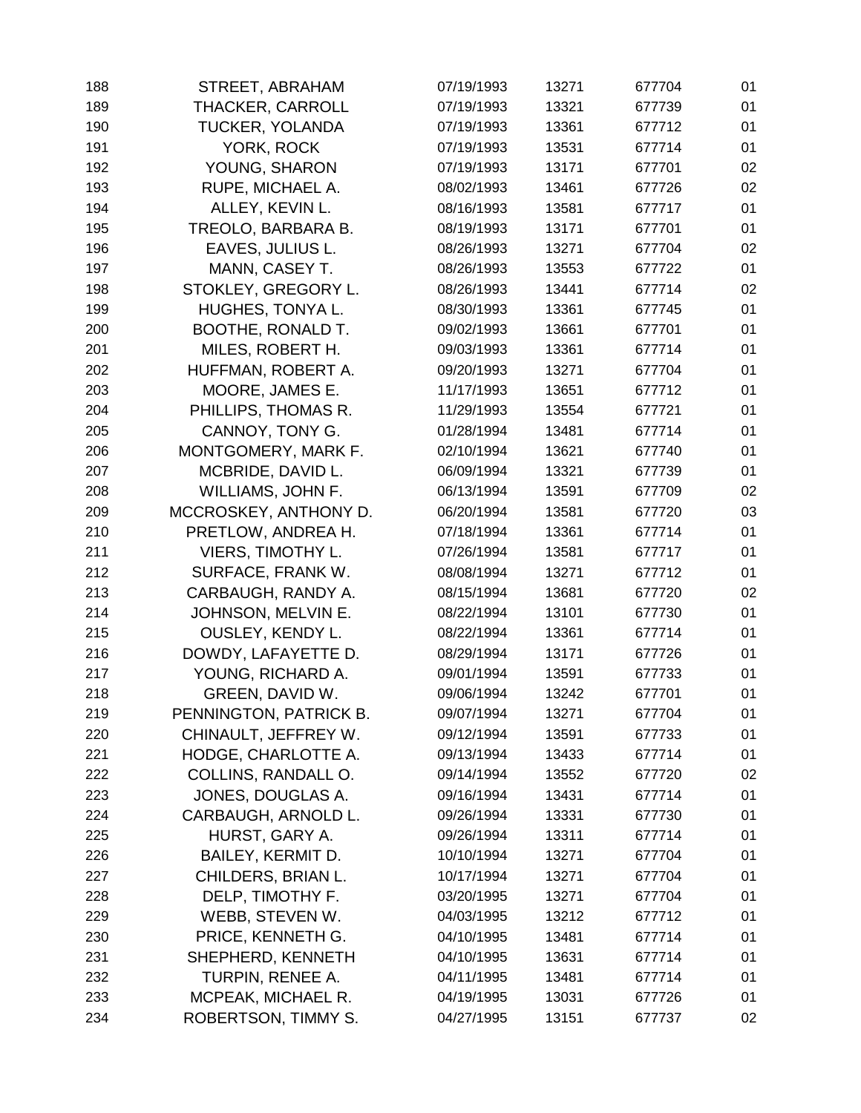| 188 | STREET, ABRAHAM          | 07/19/1993 | 13271 | 677704 | 01 |
|-----|--------------------------|------------|-------|--------|----|
| 189 | <b>THACKER, CARROLL</b>  | 07/19/1993 | 13321 | 677739 | 01 |
| 190 | TUCKER, YOLANDA          | 07/19/1993 | 13361 | 677712 | 01 |
| 191 | YORK, ROCK               | 07/19/1993 | 13531 | 677714 | 01 |
| 192 | YOUNG, SHARON            | 07/19/1993 | 13171 | 677701 | 02 |
| 193 | RUPE, MICHAEL A.         | 08/02/1993 | 13461 | 677726 | 02 |
| 194 | ALLEY, KEVIN L.          | 08/16/1993 | 13581 | 677717 | 01 |
| 195 | TREOLO, BARBARA B.       | 08/19/1993 | 13171 | 677701 | 01 |
| 196 | EAVES, JULIUS L.         | 08/26/1993 | 13271 | 677704 | 02 |
| 197 | MANN, CASEY T.           | 08/26/1993 | 13553 | 677722 | 01 |
| 198 | STOKLEY, GREGORY L.      | 08/26/1993 | 13441 | 677714 | 02 |
| 199 | HUGHES, TONYA L.         | 08/30/1993 | 13361 | 677745 | 01 |
| 200 | BOOTHE, RONALD T.        | 09/02/1993 | 13661 | 677701 | 01 |
| 201 | MILES, ROBERT H.         | 09/03/1993 | 13361 | 677714 | 01 |
| 202 | HUFFMAN, ROBERT A.       | 09/20/1993 | 13271 | 677704 | 01 |
| 203 | MOORE, JAMES E.          | 11/17/1993 | 13651 | 677712 | 01 |
| 204 | PHILLIPS, THOMAS R.      | 11/29/1993 | 13554 | 677721 | 01 |
| 205 | CANNOY, TONY G.          | 01/28/1994 | 13481 | 677714 | 01 |
| 206 | MONTGOMERY, MARK F.      | 02/10/1994 | 13621 | 677740 | 01 |
| 207 | MCBRIDE, DAVID L.        | 06/09/1994 | 13321 | 677739 | 01 |
| 208 | WILLIAMS, JOHN F.        | 06/13/1994 | 13591 | 677709 | 02 |
| 209 | MCCROSKEY, ANTHONY D.    | 06/20/1994 | 13581 | 677720 | 03 |
| 210 | PRETLOW, ANDREA H.       | 07/18/1994 | 13361 | 677714 | 01 |
| 211 | <b>VIERS, TIMOTHY L.</b> | 07/26/1994 | 13581 | 677717 | 01 |
| 212 | SURFACE, FRANK W.        | 08/08/1994 | 13271 | 677712 | 01 |
| 213 | CARBAUGH, RANDY A.       | 08/15/1994 | 13681 | 677720 | 02 |
| 214 | JOHNSON, MELVIN E.       | 08/22/1994 | 13101 | 677730 | 01 |
| 215 | <b>OUSLEY, KENDY L.</b>  | 08/22/1994 | 13361 | 677714 | 01 |
| 216 | DOWDY, LAFAYETTE D.      | 08/29/1994 | 13171 | 677726 | 01 |
| 217 | YOUNG, RICHARD A.        | 09/01/1994 | 13591 | 677733 | 01 |
| 218 | GREEN, DAVID W.          | 09/06/1994 | 13242 | 677701 | 01 |
| 219 | PENNINGTON, PATRICK B.   | 09/07/1994 | 13271 | 677704 | 01 |
| 220 | CHINAULT, JEFFREY W.     | 09/12/1994 | 13591 | 677733 | 01 |
| 221 | HODGE, CHARLOTTE A.      | 09/13/1994 | 13433 | 677714 | 01 |
| 222 | COLLINS, RANDALL O.      | 09/14/1994 | 13552 | 677720 | 02 |
| 223 | JONES, DOUGLAS A.        | 09/16/1994 | 13431 | 677714 | 01 |
| 224 | CARBAUGH, ARNOLD L.      | 09/26/1994 | 13331 | 677730 | 01 |
| 225 | HURST, GARY A.           | 09/26/1994 | 13311 | 677714 | 01 |
| 226 | BAILEY, KERMIT D.        | 10/10/1994 | 13271 | 677704 | 01 |
| 227 | CHILDERS, BRIAN L.       | 10/17/1994 | 13271 | 677704 | 01 |
| 228 | DELP, TIMOTHY F.         | 03/20/1995 | 13271 | 677704 | 01 |
| 229 | WEBB, STEVEN W.          | 04/03/1995 | 13212 | 677712 | 01 |
| 230 | PRICE, KENNETH G.        | 04/10/1995 | 13481 | 677714 | 01 |
| 231 | SHEPHERD, KENNETH        | 04/10/1995 | 13631 | 677714 | 01 |
| 232 | TURPIN, RENEE A.         | 04/11/1995 | 13481 | 677714 | 01 |
| 233 | MCPEAK, MICHAEL R.       | 04/19/1995 | 13031 | 677726 | 01 |
| 234 | ROBERTSON, TIMMY S.      | 04/27/1995 | 13151 | 677737 | 02 |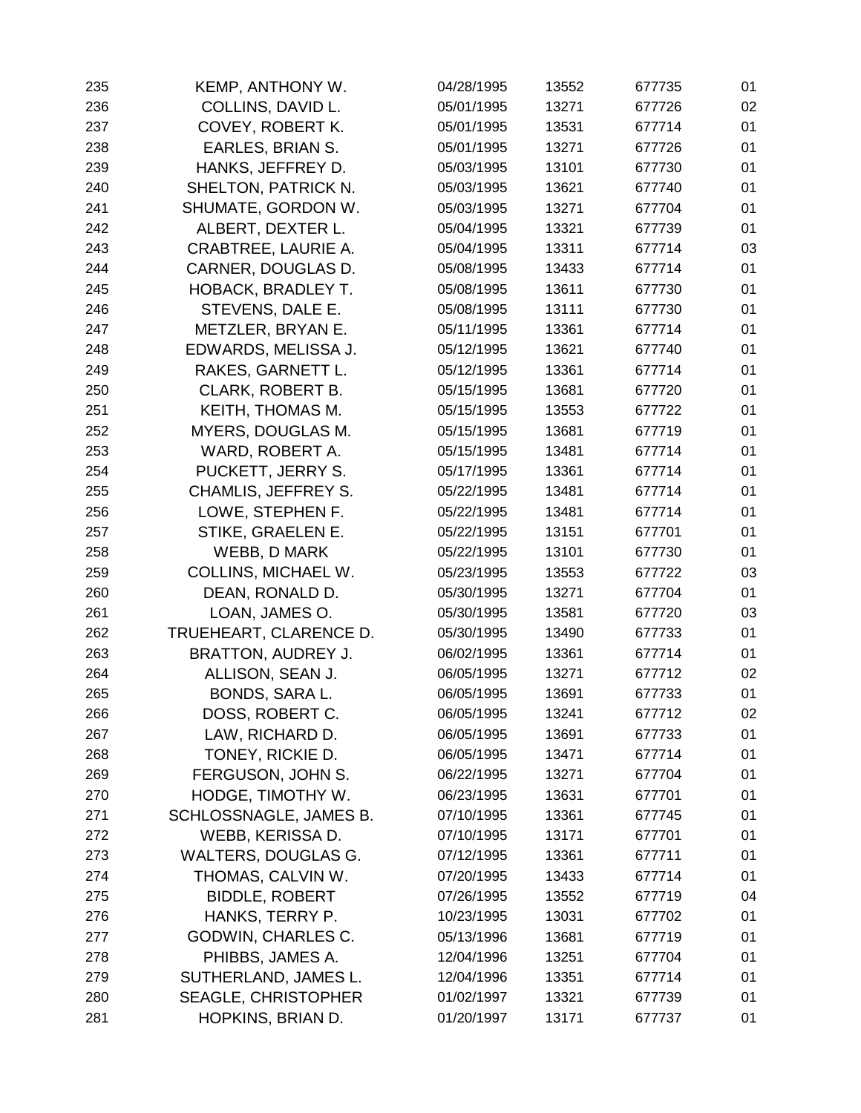| 235 | KEMP, ANTHONY W.           | 04/28/1995 | 13552 | 677735 | 01 |
|-----|----------------------------|------------|-------|--------|----|
| 236 | COLLINS, DAVID L.          | 05/01/1995 | 13271 | 677726 | 02 |
| 237 | COVEY, ROBERT K.           | 05/01/1995 | 13531 | 677714 | 01 |
| 238 | EARLES, BRIAN S.           | 05/01/1995 | 13271 | 677726 | 01 |
| 239 | HANKS, JEFFREY D.          | 05/03/1995 | 13101 | 677730 | 01 |
| 240 | SHELTON, PATRICK N.        | 05/03/1995 | 13621 | 677740 | 01 |
| 241 | SHUMATE, GORDON W.         | 05/03/1995 | 13271 | 677704 | 01 |
| 242 | ALBERT, DEXTER L.          | 05/04/1995 | 13321 | 677739 | 01 |
| 243 | CRABTREE, LAURIE A.        | 05/04/1995 | 13311 | 677714 | 03 |
| 244 | CARNER, DOUGLAS D.         | 05/08/1995 | 13433 | 677714 | 01 |
| 245 | <b>HOBACK, BRADLEY T.</b>  | 05/08/1995 | 13611 | 677730 | 01 |
| 246 | STEVENS, DALE E.           | 05/08/1995 | 13111 | 677730 | 01 |
| 247 | METZLER, BRYAN E.          | 05/11/1995 | 13361 | 677714 | 01 |
| 248 | EDWARDS, MELISSA J.        | 05/12/1995 | 13621 | 677740 | 01 |
| 249 | RAKES, GARNETT L.          | 05/12/1995 | 13361 | 677714 | 01 |
| 250 | <b>CLARK, ROBERT B.</b>    | 05/15/1995 | 13681 | 677720 | 01 |
| 251 | KEITH, THOMAS M.           | 05/15/1995 | 13553 | 677722 | 01 |
| 252 | <b>MYERS, DOUGLAS M.</b>   | 05/15/1995 | 13681 | 677719 | 01 |
| 253 | WARD, ROBERT A.            | 05/15/1995 | 13481 | 677714 | 01 |
| 254 | PUCKETT, JERRY S.          | 05/17/1995 | 13361 | 677714 | 01 |
| 255 | CHAMLIS, JEFFREY S.        | 05/22/1995 | 13481 | 677714 | 01 |
| 256 | LOWE, STEPHEN F.           | 05/22/1995 | 13481 | 677714 | 01 |
| 257 | STIKE, GRAELEN E.          | 05/22/1995 | 13151 | 677701 | 01 |
| 258 | <b>WEBB, D MARK</b>        | 05/22/1995 | 13101 | 677730 | 01 |
| 259 | COLLINS, MICHAEL W.        | 05/23/1995 | 13553 | 677722 | 03 |
| 260 | DEAN, RONALD D.            | 05/30/1995 | 13271 | 677704 | 01 |
| 261 | LOAN, JAMES O.             | 05/30/1995 | 13581 | 677720 | 03 |
| 262 | TRUEHEART, CLARENCE D.     | 05/30/1995 | 13490 | 677733 | 01 |
| 263 | BRATTON, AUDREY J.         | 06/02/1995 | 13361 | 677714 | 01 |
| 264 | ALLISON, SEAN J.           | 06/05/1995 | 13271 | 677712 | 02 |
| 265 | BONDS, SARA L.             | 06/05/1995 | 13691 | 677733 | 01 |
| 266 | DOSS, ROBERT C.            | 06/05/1995 | 13241 | 677712 | 02 |
| 267 | LAW, RICHARD D.            | 06/05/1995 | 13691 | 677733 | 01 |
| 268 | TONEY, RICKIE D.           | 06/05/1995 | 13471 | 677714 | 01 |
| 269 | FERGUSON, JOHN S.          | 06/22/1995 | 13271 | 677704 | 01 |
| 270 | HODGE, TIMOTHY W.          | 06/23/1995 | 13631 | 677701 | 01 |
| 271 | SCHLOSSNAGLE, JAMES B.     | 07/10/1995 | 13361 | 677745 | 01 |
| 272 | WEBB, KERISSA D.           | 07/10/1995 | 13171 | 677701 | 01 |
| 273 | WALTERS, DOUGLAS G.        | 07/12/1995 | 13361 | 677711 | 01 |
| 274 | THOMAS, CALVIN W.          | 07/20/1995 | 13433 | 677714 | 01 |
| 275 | <b>BIDDLE, ROBERT</b>      | 07/26/1995 | 13552 | 677719 | 04 |
| 276 | HANKS, TERRY P.            | 10/23/1995 | 13031 | 677702 | 01 |
| 277 | GODWIN, CHARLES C.         | 05/13/1996 | 13681 | 677719 | 01 |
| 278 | PHIBBS, JAMES A.           | 12/04/1996 | 13251 | 677704 | 01 |
| 279 | SUTHERLAND, JAMES L.       | 12/04/1996 | 13351 | 677714 | 01 |
| 280 | <b>SEAGLE, CHRISTOPHER</b> | 01/02/1997 | 13321 | 677739 | 01 |
| 281 | HOPKINS, BRIAN D.          | 01/20/1997 | 13171 | 677737 | 01 |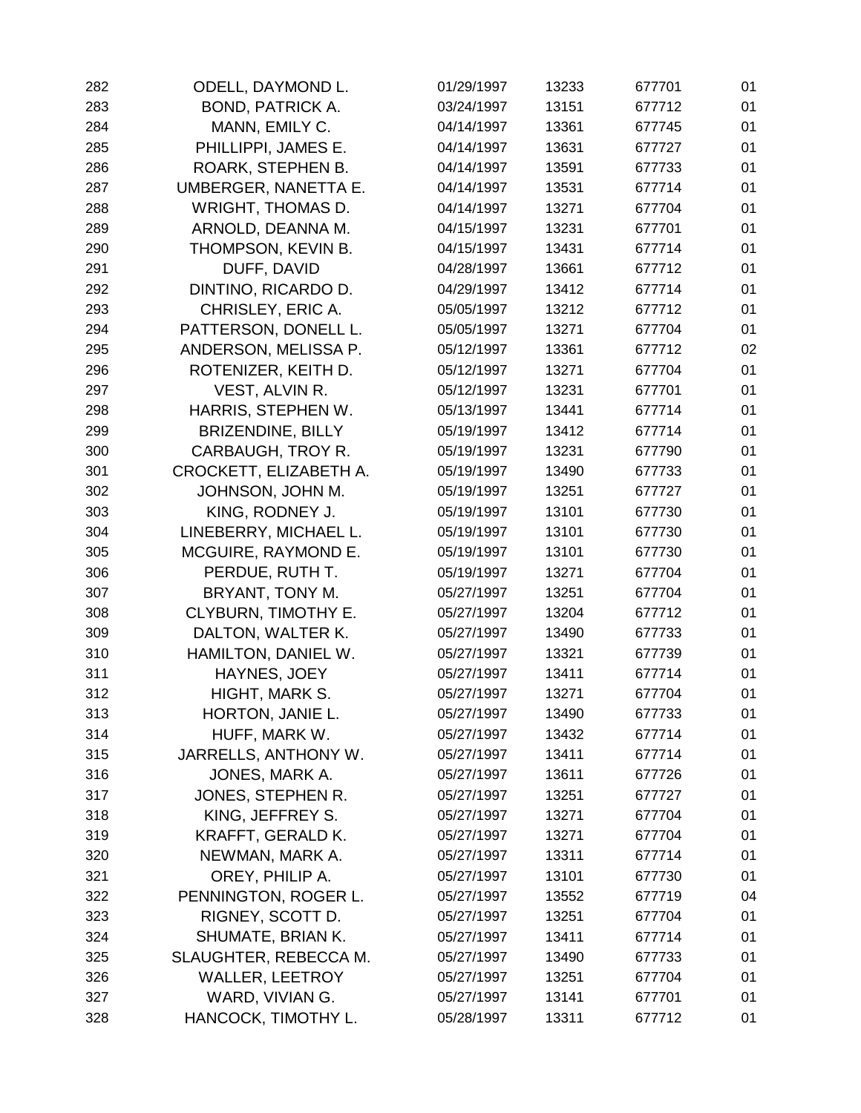| 282 | ODELL, DAYMOND L.          | 01/29/1997 | 13233 | 677701 | 01 |
|-----|----------------------------|------------|-------|--------|----|
| 283 | <b>BOND, PATRICK A.</b>    | 03/24/1997 | 13151 | 677712 | 01 |
| 284 | MANN, EMILY C.             | 04/14/1997 | 13361 | 677745 | 01 |
| 285 | PHILLIPPI, JAMES E.        | 04/14/1997 | 13631 | 677727 | 01 |
| 286 | ROARK, STEPHEN B.          | 04/14/1997 | 13591 | 677733 | 01 |
| 287 | UMBERGER, NANETTA E.       | 04/14/1997 | 13531 | 677714 | 01 |
| 288 | <b>WRIGHT, THOMAS D.</b>   | 04/14/1997 | 13271 | 677704 | 01 |
| 289 | ARNOLD, DEANNA M.          | 04/15/1997 | 13231 | 677701 | 01 |
| 290 | THOMPSON, KEVIN B.         | 04/15/1997 | 13431 | 677714 | 01 |
| 291 | DUFF, DAVID                | 04/28/1997 | 13661 | 677712 | 01 |
| 292 | DINTINO, RICARDO D.        | 04/29/1997 | 13412 | 677714 | 01 |
| 293 | CHRISLEY, ERIC A.          | 05/05/1997 | 13212 | 677712 | 01 |
| 294 | PATTERSON, DONELL L.       | 05/05/1997 | 13271 | 677704 | 01 |
| 295 | ANDERSON, MELISSA P.       | 05/12/1997 | 13361 | 677712 | 02 |
| 296 | ROTENIZER, KEITH D.        | 05/12/1997 | 13271 | 677704 | 01 |
| 297 | VEST, ALVIN R.             | 05/12/1997 | 13231 | 677701 | 01 |
| 298 | HARRIS, STEPHEN W.         | 05/13/1997 | 13441 | 677714 | 01 |
| 299 | <b>BRIZENDINE, BILLY</b>   | 05/19/1997 | 13412 | 677714 | 01 |
| 300 | CARBAUGH, TROY R.          | 05/19/1997 | 13231 | 677790 | 01 |
| 301 | CROCKETT, ELIZABETH A.     | 05/19/1997 | 13490 | 677733 | 01 |
| 302 | JOHNSON, JOHN M.           | 05/19/1997 | 13251 | 677727 | 01 |
| 303 | KING, RODNEY J.            | 05/19/1997 | 13101 | 677730 | 01 |
| 304 | LINEBERRY, MICHAEL L.      | 05/19/1997 | 13101 | 677730 | 01 |
| 305 | MCGUIRE, RAYMOND E.        | 05/19/1997 | 13101 | 677730 | 01 |
| 306 | PERDUE, RUTH T.            | 05/19/1997 | 13271 | 677704 | 01 |
| 307 | BRYANT, TONY M.            | 05/27/1997 | 13251 | 677704 | 01 |
| 308 | <b>CLYBURN, TIMOTHY E.</b> | 05/27/1997 | 13204 | 677712 | 01 |
| 309 | DALTON, WALTER K.          | 05/27/1997 | 13490 | 677733 | 01 |
| 310 | HAMILTON, DANIEL W.        | 05/27/1997 | 13321 | 677739 | 01 |
| 311 | HAYNES, JOEY               | 05/27/1997 | 13411 | 677714 | 01 |
| 312 | HIGHT, MARK S.             | 05/27/1997 | 13271 | 677704 | 01 |
| 313 | HORTON, JANIE L.           | 05/27/1997 | 13490 | 677733 | 01 |
| 314 | HUFF, MARK W.              | 05/27/1997 | 13432 | 677714 | 01 |
| 315 | JARRELLS, ANTHONY W.       | 05/27/1997 | 13411 | 677714 | 01 |
| 316 | JONES, MARK A.             | 05/27/1997 | 13611 | 677726 | 01 |
| 317 | JONES, STEPHEN R.          | 05/27/1997 | 13251 | 677727 | 01 |
| 318 | KING, JEFFREY S.           | 05/27/1997 | 13271 | 677704 | 01 |
| 319 | KRAFFT, GERALD K.          | 05/27/1997 | 13271 | 677704 | 01 |
| 320 | NEWMAN, MARK A.            | 05/27/1997 | 13311 | 677714 | 01 |
| 321 | OREY, PHILIP A.            | 05/27/1997 | 13101 | 677730 | 01 |
| 322 | PENNINGTON, ROGER L.       | 05/27/1997 | 13552 | 677719 | 04 |
| 323 | RIGNEY, SCOTT D.           | 05/27/1997 | 13251 | 677704 | 01 |
| 324 | SHUMATE, BRIAN K.          | 05/27/1997 | 13411 | 677714 | 01 |
| 325 | SLAUGHTER, REBECCA M.      | 05/27/1997 | 13490 | 677733 | 01 |
| 326 | <b>WALLER, LEETROY</b>     | 05/27/1997 | 13251 | 677704 | 01 |
| 327 | WARD, VIVIAN G.            | 05/27/1997 | 13141 | 677701 | 01 |
| 328 | HANCOCK, TIMOTHY L.        | 05/28/1997 | 13311 | 677712 | 01 |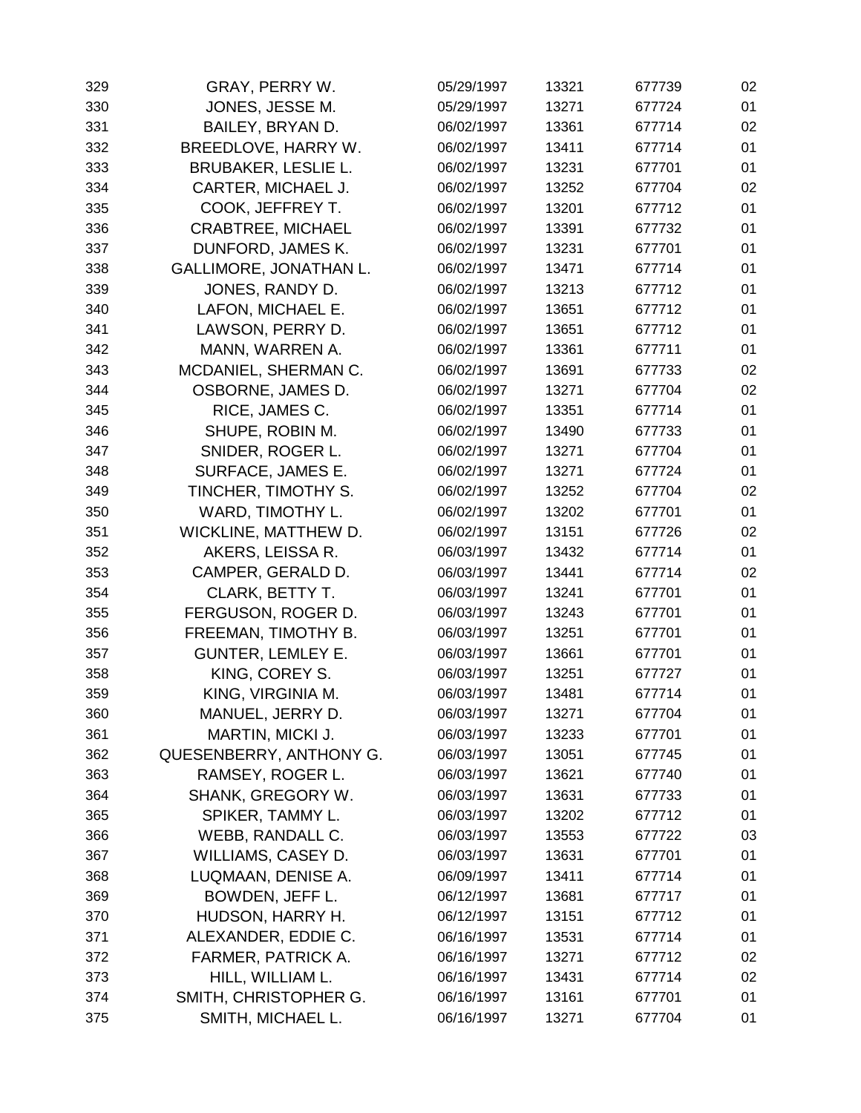| 329 | GRAY, PERRY W.                | 05/29/1997 | 13321 | 677739 | 02 |
|-----|-------------------------------|------------|-------|--------|----|
| 330 | JONES, JESSE M.               | 05/29/1997 | 13271 | 677724 | 01 |
| 331 | BAILEY, BRYAN D.              | 06/02/1997 | 13361 | 677714 | 02 |
| 332 | BREEDLOVE, HARRY W.           | 06/02/1997 | 13411 | 677714 | 01 |
| 333 | <b>BRUBAKER, LESLIE L.</b>    | 06/02/1997 | 13231 | 677701 | 01 |
| 334 | CARTER, MICHAEL J.            | 06/02/1997 | 13252 | 677704 | 02 |
| 335 | COOK, JEFFREY T.              | 06/02/1997 | 13201 | 677712 | 01 |
| 336 | <b>CRABTREE, MICHAEL</b>      | 06/02/1997 | 13391 | 677732 | 01 |
| 337 | DUNFORD, JAMES K.             | 06/02/1997 | 13231 | 677701 | 01 |
| 338 | <b>GALLIMORE, JONATHAN L.</b> | 06/02/1997 | 13471 | 677714 | 01 |
| 339 | JONES, RANDY D.               | 06/02/1997 | 13213 | 677712 | 01 |
| 340 | LAFON, MICHAEL E.             | 06/02/1997 | 13651 | 677712 | 01 |
| 341 | LAWSON, PERRY D.              | 06/02/1997 | 13651 | 677712 | 01 |
| 342 | MANN, WARREN A.               | 06/02/1997 | 13361 | 677711 | 01 |
| 343 | MCDANIEL, SHERMAN C.          | 06/02/1997 | 13691 | 677733 | 02 |
| 344 | OSBORNE, JAMES D.             | 06/02/1997 | 13271 | 677704 | 02 |
| 345 | RICE, JAMES C.                | 06/02/1997 | 13351 | 677714 | 01 |
| 346 | SHUPE, ROBIN M.               | 06/02/1997 | 13490 | 677733 | 01 |
| 347 | SNIDER, ROGER L.              | 06/02/1997 | 13271 | 677704 | 01 |
| 348 | SURFACE, JAMES E.             | 06/02/1997 | 13271 | 677724 | 01 |
| 349 | TINCHER, TIMOTHY S.           | 06/02/1997 | 13252 | 677704 | 02 |
| 350 | WARD, TIMOTHY L.              | 06/02/1997 | 13202 | 677701 | 01 |
| 351 | WICKLINE, MATTHEW D.          | 06/02/1997 | 13151 | 677726 | 02 |
| 352 | AKERS, LEISSA R.              | 06/03/1997 | 13432 | 677714 | 01 |
| 353 | CAMPER, GERALD D.             | 06/03/1997 | 13441 | 677714 | 02 |
| 354 | <b>CLARK, BETTY T.</b>        | 06/03/1997 | 13241 | 677701 | 01 |
| 355 | FERGUSON, ROGER D.            | 06/03/1997 | 13243 | 677701 | 01 |
| 356 | FREEMAN, TIMOTHY B.           | 06/03/1997 | 13251 | 677701 | 01 |
| 357 | <b>GUNTER, LEMLEY E.</b>      | 06/03/1997 | 13661 | 677701 | 01 |
| 358 | KING, COREY S.                | 06/03/1997 | 13251 | 677727 | 01 |
| 359 | KING, VIRGINIA M.             | 06/03/1997 | 13481 | 677714 | 01 |
| 360 | MANUEL, JERRY D.              | 06/03/1997 | 13271 | 677704 | 01 |
| 361 | MARTIN, MICKI J.              | 06/03/1997 | 13233 | 677701 | 01 |
| 362 | QUESENBERRY, ANTHONY G.       | 06/03/1997 | 13051 | 677745 | 01 |
| 363 | RAMSEY, ROGER L.              | 06/03/1997 | 13621 | 677740 | 01 |
| 364 | SHANK, GREGORY W.             | 06/03/1997 | 13631 | 677733 | 01 |
| 365 | SPIKER, TAMMY L.              | 06/03/1997 | 13202 | 677712 | 01 |
| 366 | WEBB, RANDALL C.              | 06/03/1997 | 13553 | 677722 | 03 |
| 367 | WILLIAMS, CASEY D.            | 06/03/1997 | 13631 | 677701 | 01 |
| 368 | LUQMAAN, DENISE A.            | 06/09/1997 | 13411 | 677714 | 01 |
| 369 | BOWDEN, JEFF L.               | 06/12/1997 | 13681 | 677717 | 01 |
| 370 | HUDSON, HARRY H.              | 06/12/1997 | 13151 | 677712 | 01 |
| 371 | ALEXANDER, EDDIE C.           | 06/16/1997 | 13531 | 677714 | 01 |
| 372 | FARMER, PATRICK A.            | 06/16/1997 | 13271 | 677712 | 02 |
| 373 | HILL, WILLIAM L.              | 06/16/1997 | 13431 | 677714 | 02 |
| 374 | SMITH, CHRISTOPHER G.         | 06/16/1997 | 13161 | 677701 | 01 |
| 375 | SMITH, MICHAEL L.             | 06/16/1997 | 13271 | 677704 | 01 |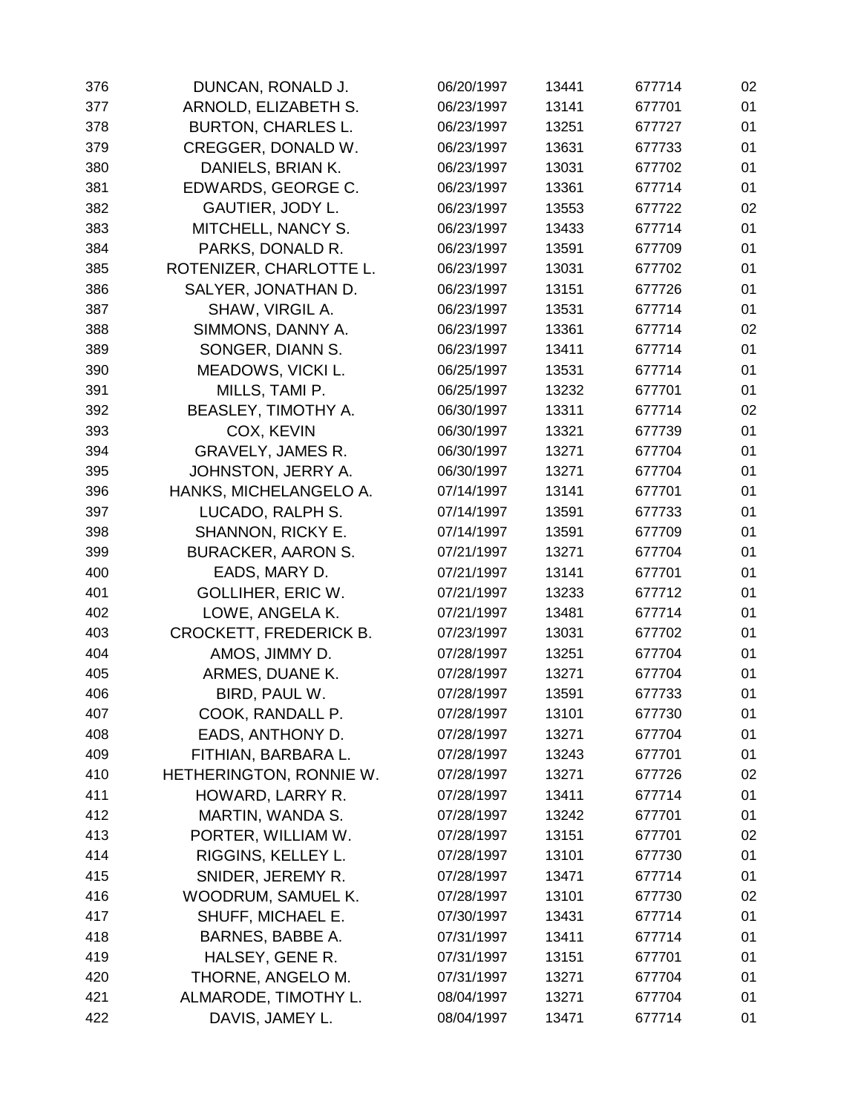| 376 | DUNCAN, RONALD J.          | 06/20/1997 | 13441 | 677714 | 02 |
|-----|----------------------------|------------|-------|--------|----|
| 377 | ARNOLD, ELIZABETH S.       | 06/23/1997 | 13141 | 677701 | 01 |
| 378 | <b>BURTON, CHARLES L.</b>  | 06/23/1997 | 13251 | 677727 | 01 |
| 379 | CREGGER, DONALD W.         | 06/23/1997 | 13631 | 677733 | 01 |
| 380 | DANIELS, BRIAN K.          | 06/23/1997 | 13031 | 677702 | 01 |
| 381 | EDWARDS, GEORGE C.         | 06/23/1997 | 13361 | 677714 | 01 |
| 382 | GAUTIER, JODY L.           | 06/23/1997 | 13553 | 677722 | 02 |
| 383 | MITCHELL, NANCY S.         | 06/23/1997 | 13433 | 677714 | 01 |
| 384 | PARKS, DONALD R.           | 06/23/1997 | 13591 | 677709 | 01 |
| 385 | ROTENIZER, CHARLOTTE L.    | 06/23/1997 | 13031 | 677702 | 01 |
| 386 | SALYER, JONATHAN D.        | 06/23/1997 | 13151 | 677726 | 01 |
| 387 | SHAW, VIRGIL A.            | 06/23/1997 | 13531 | 677714 | 01 |
| 388 | SIMMONS, DANNY A.          | 06/23/1997 | 13361 | 677714 | 02 |
| 389 | SONGER, DIANN S.           | 06/23/1997 | 13411 | 677714 | 01 |
| 390 | MEADOWS, VICKI L.          | 06/25/1997 | 13531 | 677714 | 01 |
| 391 | MILLS, TAMI P.             | 06/25/1997 | 13232 | 677701 | 01 |
| 392 | <b>BEASLEY, TIMOTHY A.</b> | 06/30/1997 | 13311 | 677714 | 02 |
| 393 | COX, KEVIN                 | 06/30/1997 | 13321 | 677739 | 01 |
| 394 | <b>GRAVELY, JAMES R.</b>   | 06/30/1997 | 13271 | 677704 | 01 |
| 395 | JOHNSTON, JERRY A.         | 06/30/1997 | 13271 | 677704 | 01 |
| 396 | HANKS, MICHELANGELO A.     | 07/14/1997 | 13141 | 677701 | 01 |
| 397 | LUCADO, RALPH S.           | 07/14/1997 | 13591 | 677733 | 01 |
| 398 | SHANNON, RICKY E.          | 07/14/1997 | 13591 | 677709 | 01 |
| 399 | <b>BURACKER, AARON S.</b>  | 07/21/1997 | 13271 | 677704 | 01 |
| 400 | EADS, MARY D.              | 07/21/1997 | 13141 | 677701 | 01 |
| 401 | <b>GOLLIHER, ERIC W.</b>   | 07/21/1997 | 13233 | 677712 | 01 |
| 402 | LOWE, ANGELA K.            | 07/21/1997 | 13481 | 677714 | 01 |
| 403 | CROCKETT, FREDERICK B.     | 07/23/1997 | 13031 | 677702 | 01 |
| 404 | AMOS, JIMMY D.             | 07/28/1997 | 13251 | 677704 | 01 |
| 405 | ARMES, DUANE K.            | 07/28/1997 | 13271 | 677704 | 01 |
| 406 | BIRD, PAUL W.              | 07/28/1997 | 13591 | 677733 | 01 |
| 407 | COOK, RANDALL P.           | 07/28/1997 | 13101 | 677730 | 01 |
| 408 | EADS, ANTHONY D.           | 07/28/1997 | 13271 | 677704 | 01 |
| 409 | FITHIAN, BARBARA L.        | 07/28/1997 | 13243 | 677701 | 01 |
| 410 | HETHERINGTON, RONNIE W.    | 07/28/1997 | 13271 | 677726 | 02 |
| 411 | HOWARD, LARRY R.           | 07/28/1997 | 13411 | 677714 | 01 |
| 412 | <b>MARTIN, WANDA S.</b>    | 07/28/1997 | 13242 | 677701 | 01 |
| 413 | PORTER, WILLIAM W.         | 07/28/1997 | 13151 | 677701 | 02 |
| 414 | RIGGINS, KELLEY L.         | 07/28/1997 | 13101 | 677730 | 01 |
| 415 | SNIDER, JEREMY R.          | 07/28/1997 | 13471 | 677714 | 01 |
| 416 | WOODRUM, SAMUEL K.         | 07/28/1997 | 13101 | 677730 | 02 |
| 417 | SHUFF, MICHAEL E.          | 07/30/1997 | 13431 | 677714 | 01 |
| 418 | BARNES, BABBE A.           | 07/31/1997 | 13411 | 677714 | 01 |
| 419 | HALSEY, GENE R.            | 07/31/1997 | 13151 | 677701 | 01 |
| 420 | THORNE, ANGELO M.          | 07/31/1997 | 13271 | 677704 | 01 |
| 421 | ALMARODE, TIMOTHY L.       | 08/04/1997 | 13271 | 677704 | 01 |
| 422 | DAVIS, JAMEY L.            | 08/04/1997 | 13471 | 677714 | 01 |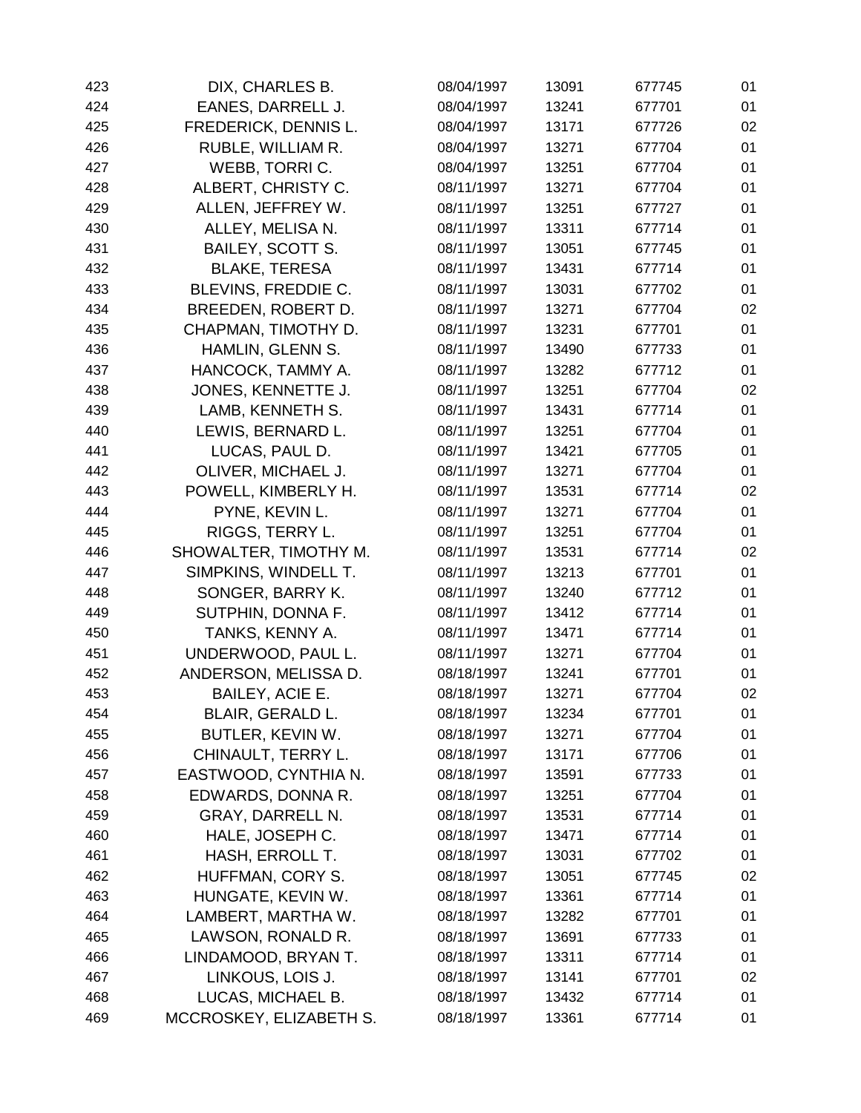| 423 | DIX, CHARLES B.         | 08/04/1997 | 13091 | 677745 | 01 |
|-----|-------------------------|------------|-------|--------|----|
| 424 | EANES, DARRELL J.       | 08/04/1997 | 13241 | 677701 | 01 |
| 425 | FREDERICK, DENNIS L.    | 08/04/1997 | 13171 | 677726 | 02 |
| 426 | RUBLE, WILLIAM R.       | 08/04/1997 | 13271 | 677704 | 01 |
| 427 | WEBB, TORRIC.           | 08/04/1997 | 13251 | 677704 | 01 |
| 428 | ALBERT, CHRISTY C.      | 08/11/1997 | 13271 | 677704 | 01 |
| 429 | ALLEN, JEFFREY W.       | 08/11/1997 | 13251 | 677727 | 01 |
| 430 | ALLEY, MELISA N.        | 08/11/1997 | 13311 | 677714 | 01 |
| 431 | <b>BAILEY, SCOTT S.</b> | 08/11/1997 | 13051 | 677745 | 01 |
| 432 | <b>BLAKE, TERESA</b>    | 08/11/1997 | 13431 | 677714 | 01 |
| 433 | BLEVINS, FREDDIE C.     | 08/11/1997 | 13031 | 677702 | 01 |
| 434 | BREEDEN, ROBERT D.      | 08/11/1997 | 13271 | 677704 | 02 |
| 435 | CHAPMAN, TIMOTHY D.     | 08/11/1997 | 13231 | 677701 | 01 |
| 436 | HAMLIN, GLENN S.        | 08/11/1997 | 13490 | 677733 | 01 |
| 437 | HANCOCK, TAMMY A.       | 08/11/1997 | 13282 | 677712 | 01 |
| 438 | JONES, KENNETTE J.      | 08/11/1997 | 13251 | 677704 | 02 |
| 439 | LAMB, KENNETH S.        | 08/11/1997 | 13431 | 677714 | 01 |
| 440 | LEWIS, BERNARD L.       | 08/11/1997 | 13251 | 677704 | 01 |
| 441 | LUCAS, PAUL D.          | 08/11/1997 | 13421 | 677705 | 01 |
| 442 | OLIVER, MICHAEL J.      | 08/11/1997 | 13271 | 677704 | 01 |
| 443 | POWELL, KIMBERLY H.     | 08/11/1997 | 13531 | 677714 | 02 |
| 444 | PYNE, KEVIN L.          | 08/11/1997 | 13271 | 677704 | 01 |
| 445 | RIGGS, TERRY L.         | 08/11/1997 | 13251 | 677704 | 01 |
| 446 | SHOWALTER, TIMOTHY M.   | 08/11/1997 | 13531 | 677714 | 02 |
| 447 | SIMPKINS, WINDELL T.    | 08/11/1997 | 13213 | 677701 | 01 |
| 448 | SONGER, BARRY K.        | 08/11/1997 | 13240 | 677712 | 01 |
| 449 | SUTPHIN, DONNA F.       | 08/11/1997 | 13412 | 677714 | 01 |
| 450 | TANKS, KENNY A.         | 08/11/1997 | 13471 | 677714 | 01 |
| 451 | UNDERWOOD, PAUL L.      | 08/11/1997 | 13271 | 677704 | 01 |
| 452 | ANDERSON, MELISSA D.    | 08/18/1997 | 13241 | 677701 | 01 |
| 453 | BAILEY, ACIE E.         | 08/18/1997 | 13271 | 677704 | 02 |
| 454 | BLAIR, GERALD L.        | 08/18/1997 | 13234 | 677701 | 01 |
| 455 | BUTLER, KEVIN W.        | 08/18/1997 | 13271 | 677704 | 01 |
| 456 | CHINAULT, TERRY L.      | 08/18/1997 | 13171 | 677706 | 01 |
| 457 | EASTWOOD, CYNTHIA N.    | 08/18/1997 | 13591 | 677733 | 01 |
| 458 | EDWARDS, DONNA R.       | 08/18/1997 | 13251 | 677704 | 01 |
| 459 | <b>GRAY, DARRELL N.</b> | 08/18/1997 | 13531 | 677714 | 01 |
| 460 | HALE, JOSEPH C.         | 08/18/1997 | 13471 | 677714 | 01 |
| 461 | HASH, ERROLL T.         | 08/18/1997 | 13031 | 677702 | 01 |
| 462 | HUFFMAN, CORY S.        | 08/18/1997 | 13051 | 677745 | 02 |
| 463 | HUNGATE, KEVIN W.       | 08/18/1997 | 13361 | 677714 | 01 |
| 464 | LAMBERT, MARTHA W.      | 08/18/1997 | 13282 | 677701 | 01 |
| 465 | LAWSON, RONALD R.       | 08/18/1997 | 13691 | 677733 | 01 |
| 466 | LINDAMOOD, BRYAN T.     | 08/18/1997 | 13311 | 677714 | 01 |
| 467 | LINKOUS, LOIS J.        | 08/18/1997 | 13141 | 677701 | 02 |
| 468 | LUCAS, MICHAEL B.       | 08/18/1997 | 13432 | 677714 | 01 |
| 469 | MCCROSKEY, ELIZABETH S. | 08/18/1997 | 13361 | 677714 | 01 |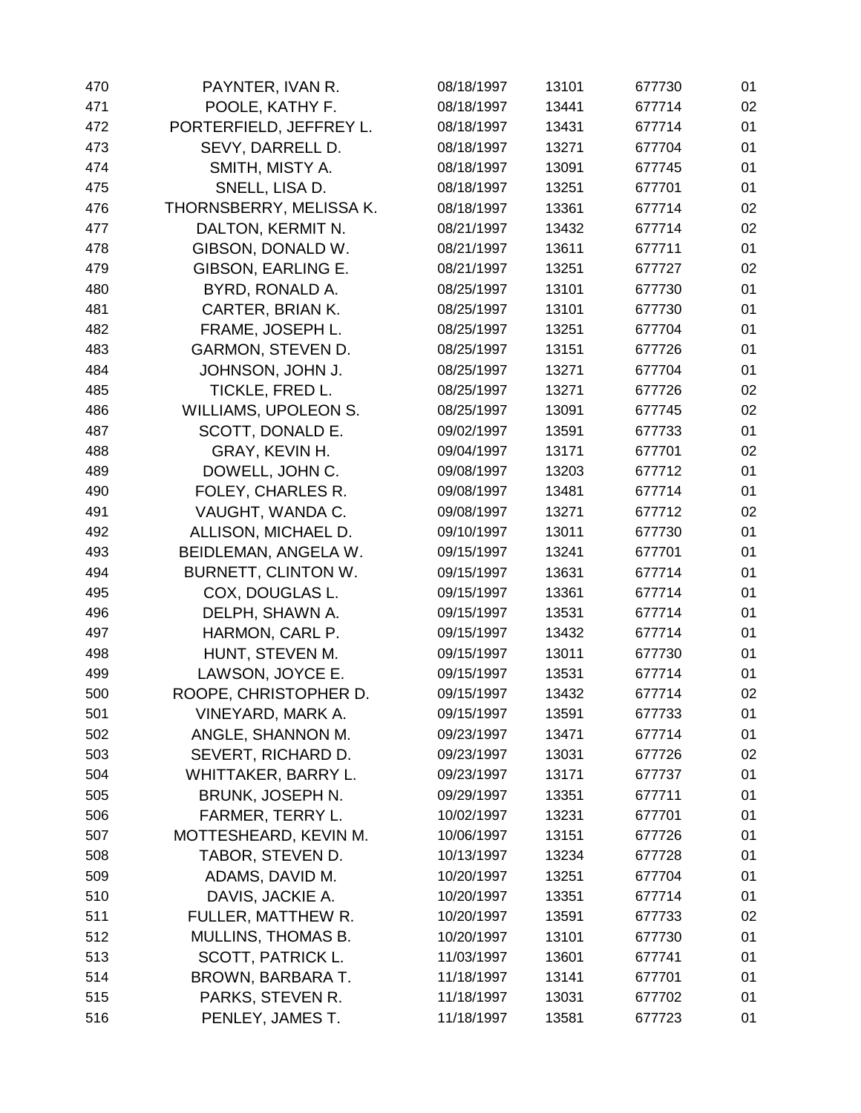| 470 | PAYNTER, IVAN R.            | 08/18/1997 | 13101 | 677730 | 01 |
|-----|-----------------------------|------------|-------|--------|----|
| 471 | POOLE, KATHY F.             | 08/18/1997 | 13441 | 677714 | 02 |
| 472 | PORTERFIELD, JEFFREY L.     | 08/18/1997 | 13431 | 677714 | 01 |
| 473 | SEVY, DARRELL D.            | 08/18/1997 | 13271 | 677704 | 01 |
| 474 | SMITH, MISTY A.             | 08/18/1997 | 13091 | 677745 | 01 |
| 475 | SNELL, LISA D.              | 08/18/1997 | 13251 | 677701 | 01 |
| 476 | THORNSBERRY, MELISSA K.     | 08/18/1997 | 13361 | 677714 | 02 |
| 477 | DALTON, KERMIT N.           | 08/21/1997 | 13432 | 677714 | 02 |
| 478 | GIBSON, DONALD W.           | 08/21/1997 | 13611 | 677711 | 01 |
| 479 | GIBSON, EARLING E.          | 08/21/1997 | 13251 | 677727 | 02 |
| 480 | BYRD, RONALD A.             | 08/25/1997 | 13101 | 677730 | 01 |
| 481 | CARTER, BRIAN K.            | 08/25/1997 | 13101 | 677730 | 01 |
| 482 | FRAME, JOSEPH L.            | 08/25/1997 | 13251 | 677704 | 01 |
| 483 | <b>GARMON, STEVEN D.</b>    | 08/25/1997 | 13151 | 677726 | 01 |
| 484 | JOHNSON, JOHN J.            | 08/25/1997 | 13271 | 677704 | 01 |
| 485 | TICKLE, FRED L.             | 08/25/1997 | 13271 | 677726 | 02 |
| 486 | <b>WILLIAMS, UPOLEON S.</b> | 08/25/1997 | 13091 | 677745 | 02 |
| 487 | SCOTT, DONALD E.            | 09/02/1997 | 13591 | 677733 | 01 |
| 488 | GRAY, KEVIN H.              | 09/04/1997 | 13171 | 677701 | 02 |
| 489 | DOWELL, JOHN C.             | 09/08/1997 | 13203 | 677712 | 01 |
| 490 | FOLEY, CHARLES R.           | 09/08/1997 | 13481 | 677714 | 01 |
| 491 | VAUGHT, WANDA C.            | 09/08/1997 | 13271 | 677712 | 02 |
| 492 | ALLISON, MICHAEL D.         | 09/10/1997 | 13011 | 677730 | 01 |
| 493 | BEIDLEMAN, ANGELA W.        | 09/15/1997 | 13241 | 677701 | 01 |
| 494 | BURNETT, CLINTON W.         | 09/15/1997 | 13631 | 677714 | 01 |
| 495 | COX, DOUGLAS L.             | 09/15/1997 | 13361 | 677714 | 01 |
| 496 | DELPH, SHAWN A.             | 09/15/1997 | 13531 | 677714 | 01 |
| 497 | HARMON, CARL P.             | 09/15/1997 | 13432 | 677714 | 01 |
| 498 | HUNT, STEVEN M.             | 09/15/1997 | 13011 | 677730 | 01 |
| 499 | LAWSON, JOYCE E.            | 09/15/1997 | 13531 | 677714 | 01 |
| 500 | ROOPE, CHRISTOPHER D.       | 09/15/1997 | 13432 | 677714 | 02 |
| 501 | VINEYARD, MARK A.           | 09/15/1997 | 13591 | 677733 | 01 |
| 502 | ANGLE, SHANNON M.           | 09/23/1997 | 13471 | 677714 | 01 |
| 503 | SEVERT, RICHARD D.          | 09/23/1997 | 13031 | 677726 | 02 |
| 504 | WHITTAKER, BARRY L.         | 09/23/1997 | 13171 | 677737 | 01 |
| 505 | BRUNK, JOSEPH N.            | 09/29/1997 | 13351 | 677711 | 01 |
| 506 | FARMER, TERRY L.            | 10/02/1997 | 13231 | 677701 | 01 |
| 507 | MOTTESHEARD, KEVIN M.       | 10/06/1997 | 13151 | 677726 | 01 |
| 508 | TABOR, STEVEN D.            | 10/13/1997 | 13234 | 677728 | 01 |
| 509 | ADAMS, DAVID M.             | 10/20/1997 | 13251 | 677704 | 01 |
| 510 | DAVIS, JACKIE A.            | 10/20/1997 | 13351 | 677714 | 01 |
| 511 | FULLER, MATTHEW R.          | 10/20/1997 | 13591 | 677733 | 02 |
| 512 | MULLINS, THOMAS B.          | 10/20/1997 | 13101 | 677730 | 01 |
| 513 | SCOTT, PATRICK L.           | 11/03/1997 | 13601 | 677741 | 01 |
| 514 | BROWN, BARBARA T.           | 11/18/1997 | 13141 | 677701 | 01 |
| 515 | PARKS, STEVEN R.            | 11/18/1997 | 13031 | 677702 | 01 |
| 516 | PENLEY, JAMES T.            | 11/18/1997 | 13581 | 677723 | 01 |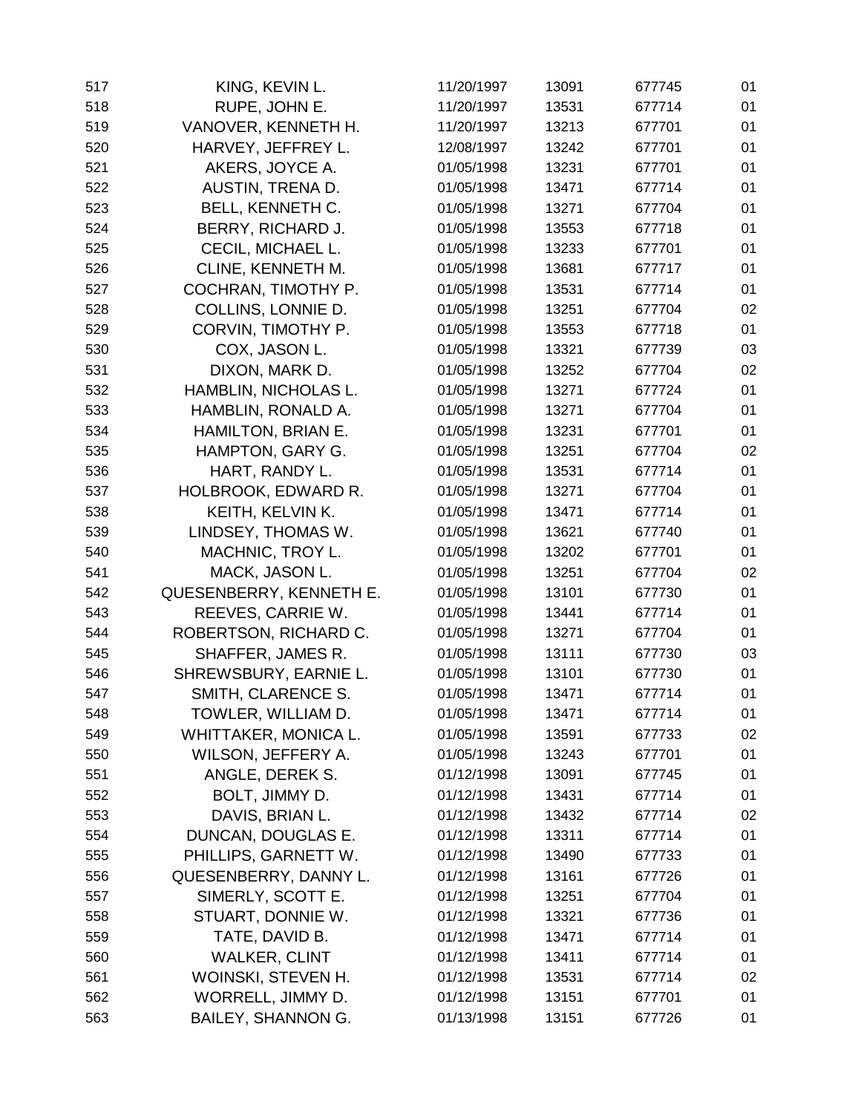| 517 | KING, KEVIN L.            | 11/20/1997 | 13091 | 677745 | 01 |
|-----|---------------------------|------------|-------|--------|----|
| 518 | RUPE, JOHN E.             | 11/20/1997 | 13531 | 677714 | 01 |
| 519 | VANOVER, KENNETH H.       | 11/20/1997 | 13213 | 677701 | 01 |
| 520 | HARVEY, JEFFREY L.        | 12/08/1997 | 13242 | 677701 | 01 |
| 521 | AKERS, JOYCE A.           | 01/05/1998 | 13231 | 677701 | 01 |
| 522 | AUSTIN, TRENA D.          | 01/05/1998 | 13471 | 677714 | 01 |
| 523 | BELL, KENNETH C.          | 01/05/1998 | 13271 | 677704 | 01 |
| 524 | BERRY, RICHARD J.         | 01/05/1998 | 13553 | 677718 | 01 |
| 525 | CECIL, MICHAEL L.         | 01/05/1998 | 13233 | 677701 | 01 |
| 526 | CLINE, KENNETH M.         | 01/05/1998 | 13681 | 677717 | 01 |
| 527 | COCHRAN, TIMOTHY P.       | 01/05/1998 | 13531 | 677714 | 01 |
| 528 | COLLINS, LONNIE D.        | 01/05/1998 | 13251 | 677704 | 02 |
| 529 | CORVIN, TIMOTHY P.        | 01/05/1998 | 13553 | 677718 | 01 |
| 530 | COX, JASON L.             | 01/05/1998 | 13321 | 677739 | 03 |
| 531 | DIXON, MARK D.            | 01/05/1998 | 13252 | 677704 | 02 |
| 532 | HAMBLIN, NICHOLAS L.      | 01/05/1998 | 13271 | 677724 | 01 |
| 533 | HAMBLIN, RONALD A.        | 01/05/1998 | 13271 | 677704 | 01 |
| 534 | HAMILTON, BRIAN E.        | 01/05/1998 | 13231 | 677701 | 01 |
| 535 | HAMPTON, GARY G.          | 01/05/1998 | 13251 | 677704 | 02 |
| 536 | HART, RANDY L.            | 01/05/1998 | 13531 | 677714 | 01 |
| 537 | HOLBROOK, EDWARD R.       | 01/05/1998 | 13271 | 677704 | 01 |
| 538 | KEITH, KELVIN K.          | 01/05/1998 | 13471 | 677714 | 01 |
| 539 | LINDSEY, THOMAS W.        | 01/05/1998 | 13621 | 677740 | 01 |
| 540 | MACHNIC, TROY L.          | 01/05/1998 | 13202 | 677701 | 01 |
| 541 | MACK, JASON L.            | 01/05/1998 | 13251 | 677704 | 02 |
| 542 | QUESENBERRY, KENNETH E.   | 01/05/1998 | 13101 | 677730 | 01 |
| 543 | REEVES, CARRIE W.         | 01/05/1998 | 13441 | 677714 | 01 |
| 544 | ROBERTSON, RICHARD C.     | 01/05/1998 | 13271 | 677704 | 01 |
| 545 | SHAFFER, JAMES R.         | 01/05/1998 | 13111 | 677730 | 03 |
| 546 | SHREWSBURY, EARNIE L.     | 01/05/1998 | 13101 | 677730 | 01 |
| 547 | SMITH, CLARENCE S.        | 01/05/1998 | 13471 | 677714 | 01 |
| 548 | TOWLER, WILLIAM D.        | 01/05/1998 | 13471 | 677714 | 01 |
| 549 | WHITTAKER, MONICA L.      | 01/05/1998 | 13591 | 677733 | 02 |
| 550 | WILSON, JEFFERY A.        | 01/05/1998 | 13243 | 677701 | 01 |
| 551 | ANGLE, DEREK S.           | 01/12/1998 | 13091 | 677745 | 01 |
| 552 | BOLT, JIMMY D.            | 01/12/1998 | 13431 | 677714 | 01 |
| 553 | DAVIS, BRIAN L.           | 01/12/1998 | 13432 | 677714 | 02 |
| 554 | DUNCAN, DOUGLAS E.        | 01/12/1998 | 13311 | 677714 | 01 |
| 555 | PHILLIPS, GARNETT W.      | 01/12/1998 | 13490 | 677733 | 01 |
| 556 | QUESENBERRY, DANNY L.     | 01/12/1998 | 13161 | 677726 | 01 |
| 557 | SIMERLY, SCOTT E.         | 01/12/1998 | 13251 | 677704 | 01 |
| 558 | STUART, DONNIE W.         | 01/12/1998 | 13321 | 677736 | 01 |
| 559 | TATE, DAVID B.            | 01/12/1998 | 13471 | 677714 | 01 |
| 560 | <b>WALKER, CLINT</b>      | 01/12/1998 | 13411 | 677714 | 01 |
| 561 | WOINSKI, STEVEN H.        | 01/12/1998 | 13531 | 677714 | 02 |
| 562 | WORRELL, JIMMY D.         | 01/12/1998 | 13151 | 677701 | 01 |
| 563 | <b>BAILEY, SHANNON G.</b> | 01/13/1998 | 13151 | 677726 | 01 |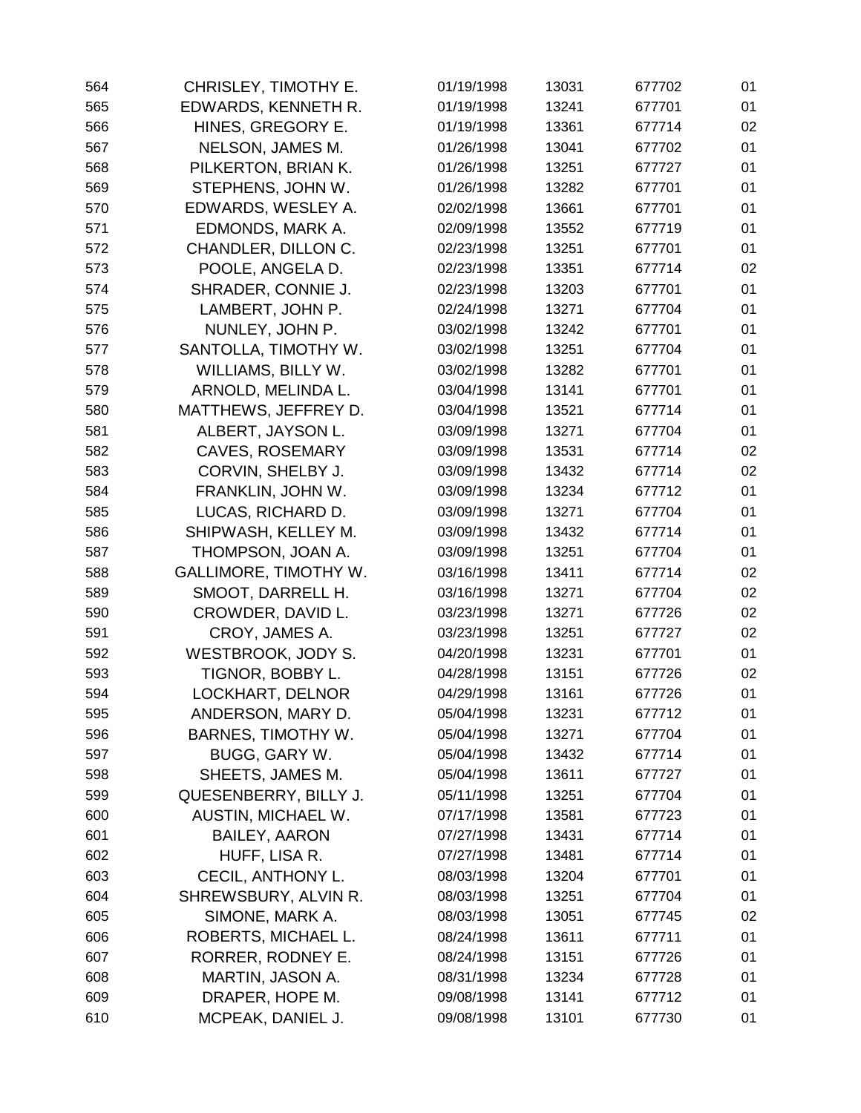| 564 | CHRISLEY, TIMOTHY E.         | 01/19/1998 | 13031 | 677702 | 01 |
|-----|------------------------------|------------|-------|--------|----|
| 565 | EDWARDS, KENNETH R.          | 01/19/1998 | 13241 | 677701 | 01 |
| 566 | HINES, GREGORY E.            | 01/19/1998 | 13361 | 677714 | 02 |
| 567 | NELSON, JAMES M.             | 01/26/1998 | 13041 | 677702 | 01 |
| 568 | PILKERTON, BRIAN K.          | 01/26/1998 | 13251 | 677727 | 01 |
| 569 | STEPHENS, JOHN W.            | 01/26/1998 | 13282 | 677701 | 01 |
| 570 | EDWARDS, WESLEY A.           | 02/02/1998 | 13661 | 677701 | 01 |
| 571 | EDMONDS, MARK A.             | 02/09/1998 | 13552 | 677719 | 01 |
| 572 | CHANDLER, DILLON C.          | 02/23/1998 | 13251 | 677701 | 01 |
| 573 | POOLE, ANGELA D.             | 02/23/1998 | 13351 | 677714 | 02 |
| 574 | SHRADER, CONNIE J.           | 02/23/1998 | 13203 | 677701 | 01 |
| 575 | LAMBERT, JOHN P.             | 02/24/1998 | 13271 | 677704 | 01 |
| 576 | NUNLEY, JOHN P.              | 03/02/1998 | 13242 | 677701 | 01 |
| 577 | SANTOLLA, TIMOTHY W.         | 03/02/1998 | 13251 | 677704 | 01 |
| 578 | WILLIAMS, BILLY W.           | 03/02/1998 | 13282 | 677701 | 01 |
| 579 | ARNOLD, MELINDA L.           | 03/04/1998 | 13141 | 677701 | 01 |
| 580 | MATTHEWS, JEFFREY D.         | 03/04/1998 | 13521 | 677714 | 01 |
| 581 | ALBERT, JAYSON L.            | 03/09/1998 | 13271 | 677704 | 01 |
| 582 | <b>CAVES, ROSEMARY</b>       | 03/09/1998 | 13531 | 677714 | 02 |
| 583 | CORVIN, SHELBY J.            | 03/09/1998 | 13432 | 677714 | 02 |
| 584 | FRANKLIN, JOHN W.            | 03/09/1998 | 13234 | 677712 | 01 |
| 585 | LUCAS, RICHARD D.            | 03/09/1998 | 13271 | 677704 | 01 |
| 586 | SHIPWASH, KELLEY M.          | 03/09/1998 | 13432 | 677714 | 01 |
| 587 | THOMPSON, JOAN A.            | 03/09/1998 | 13251 | 677704 | 01 |
| 588 | <b>GALLIMORE, TIMOTHY W.</b> | 03/16/1998 | 13411 | 677714 | 02 |
| 589 | SMOOT, DARRELL H.            | 03/16/1998 | 13271 | 677704 | 02 |
| 590 | CROWDER, DAVID L.            | 03/23/1998 | 13271 | 677726 | 02 |
| 591 | CROY, JAMES A.               | 03/23/1998 | 13251 | 677727 | 02 |
| 592 | WESTBROOK, JODY S.           | 04/20/1998 | 13231 | 677701 | 01 |
| 593 | TIGNOR, BOBBY L.             | 04/28/1998 | 13151 | 677726 | 02 |
| 594 | LOCKHART, DELNOR             | 04/29/1998 | 13161 | 677726 | 01 |
| 595 | ANDERSON, MARY D.            | 05/04/1998 | 13231 | 677712 | 01 |
| 596 | <b>BARNES, TIMOTHY W.</b>    | 05/04/1998 | 13271 | 677704 | 01 |
| 597 | BUGG, GARY W.                | 05/04/1998 | 13432 | 677714 | 01 |
| 598 | SHEETS, JAMES M.             | 05/04/1998 | 13611 | 677727 | 01 |
| 599 | QUESENBERRY, BILLY J.        | 05/11/1998 | 13251 | 677704 | 01 |
| 600 | AUSTIN, MICHAEL W.           | 07/17/1998 | 13581 | 677723 | 01 |
| 601 | <b>BAILEY, AARON</b>         | 07/27/1998 | 13431 | 677714 | 01 |
| 602 | HUFF, LISA R.                | 07/27/1998 | 13481 | 677714 | 01 |
| 603 | CECIL, ANTHONY L.            | 08/03/1998 | 13204 | 677701 | 01 |
| 604 | SHREWSBURY, ALVIN R.         | 08/03/1998 | 13251 | 677704 | 01 |
| 605 | SIMONE, MARK A.              | 08/03/1998 | 13051 | 677745 | 02 |
| 606 | ROBERTS, MICHAEL L.          | 08/24/1998 | 13611 | 677711 | 01 |
| 607 | RORRER, RODNEY E.            | 08/24/1998 | 13151 | 677726 | 01 |
| 608 | MARTIN, JASON A.             | 08/31/1998 | 13234 | 677728 | 01 |
| 609 | DRAPER, HOPE M.              | 09/08/1998 | 13141 | 677712 | 01 |
| 610 | MCPEAK, DANIEL J.            | 09/08/1998 | 13101 | 677730 | 01 |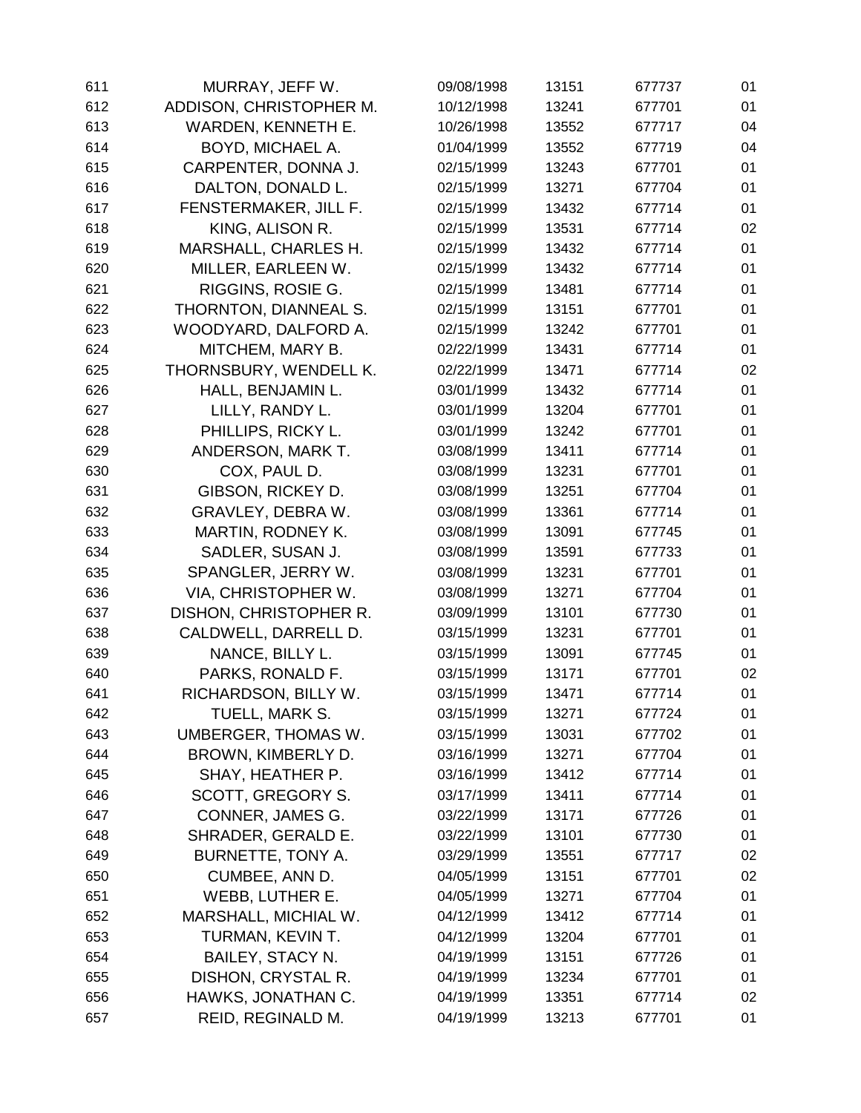| 611 | MURRAY, JEFF W.         | 09/08/1998 | 13151 | 677737 | 01 |
|-----|-------------------------|------------|-------|--------|----|
| 612 | ADDISON, CHRISTOPHER M. | 10/12/1998 | 13241 | 677701 | 01 |
| 613 | WARDEN, KENNETH E.      | 10/26/1998 | 13552 | 677717 | 04 |
| 614 | BOYD, MICHAEL A.        | 01/04/1999 | 13552 | 677719 | 04 |
| 615 | CARPENTER, DONNA J.     | 02/15/1999 | 13243 | 677701 | 01 |
| 616 | DALTON, DONALD L.       | 02/15/1999 | 13271 | 677704 | 01 |
| 617 | FENSTERMAKER, JILL F.   | 02/15/1999 | 13432 | 677714 | 01 |
| 618 | KING, ALISON R.         | 02/15/1999 | 13531 | 677714 | 02 |
| 619 | MARSHALL, CHARLES H.    | 02/15/1999 | 13432 | 677714 | 01 |
| 620 | MILLER, EARLEEN W.      | 02/15/1999 | 13432 | 677714 | 01 |
| 621 | RIGGINS, ROSIE G.       | 02/15/1999 | 13481 | 677714 | 01 |
| 622 | THORNTON, DIANNEAL S.   | 02/15/1999 | 13151 | 677701 | 01 |
| 623 | WOODYARD, DALFORD A.    | 02/15/1999 | 13242 | 677701 | 01 |
| 624 | MITCHEM, MARY B.        | 02/22/1999 | 13431 | 677714 | 01 |
| 625 | THORNSBURY, WENDELL K.  | 02/22/1999 | 13471 | 677714 | 02 |
| 626 | HALL, BENJAMIN L.       | 03/01/1999 | 13432 | 677714 | 01 |
| 627 | LILLY, RANDY L.         | 03/01/1999 | 13204 | 677701 | 01 |
| 628 | PHILLIPS, RICKY L.      | 03/01/1999 | 13242 | 677701 | 01 |
| 629 | ANDERSON, MARK T.       | 03/08/1999 | 13411 | 677714 | 01 |
| 630 | COX, PAUL D.            | 03/08/1999 | 13231 | 677701 | 01 |
| 631 | GIBSON, RICKEY D.       | 03/08/1999 | 13251 | 677704 | 01 |
| 632 | GRAVLEY, DEBRA W.       | 03/08/1999 | 13361 | 677714 | 01 |
| 633 | MARTIN, RODNEY K.       | 03/08/1999 | 13091 | 677745 | 01 |
| 634 | SADLER, SUSAN J.        | 03/08/1999 | 13591 | 677733 | 01 |
| 635 | SPANGLER, JERRY W.      | 03/08/1999 | 13231 | 677701 | 01 |
| 636 | VIA, CHRISTOPHER W.     | 03/08/1999 | 13271 | 677704 | 01 |
| 637 | DISHON, CHRISTOPHER R.  | 03/09/1999 | 13101 | 677730 | 01 |
| 638 | CALDWELL, DARRELL D.    | 03/15/1999 | 13231 | 677701 | 01 |
| 639 | NANCE, BILLY L.         | 03/15/1999 | 13091 | 677745 | 01 |
| 640 | PARKS, RONALD F.        | 03/15/1999 | 13171 | 677701 | 02 |
| 641 | RICHARDSON, BILLY W.    | 03/15/1999 | 13471 | 677714 | 01 |
| 642 | TUELL, MARK S.          | 03/15/1999 | 13271 | 677724 | 01 |
| 643 | UMBERGER, THOMAS W.     | 03/15/1999 | 13031 | 677702 | 01 |
| 644 | BROWN, KIMBERLY D.      | 03/16/1999 | 13271 | 677704 | 01 |
| 645 | SHAY, HEATHER P.        | 03/16/1999 | 13412 | 677714 | 01 |
| 646 | SCOTT, GREGORY S.       | 03/17/1999 | 13411 | 677714 | 01 |
| 647 | CONNER, JAMES G.        | 03/22/1999 | 13171 | 677726 | 01 |
| 648 | SHRADER, GERALD E.      | 03/22/1999 | 13101 | 677730 | 01 |
| 649 | BURNETTE, TONY A.       | 03/29/1999 | 13551 | 677717 | 02 |
| 650 | CUMBEE, ANN D.          | 04/05/1999 | 13151 | 677701 | 02 |
| 651 | WEBB, LUTHER E.         | 04/05/1999 | 13271 | 677704 | 01 |
| 652 | MARSHALL, MICHIAL W.    | 04/12/1999 | 13412 | 677714 | 01 |
| 653 | TURMAN, KEVIN T.        | 04/12/1999 | 13204 | 677701 | 01 |
| 654 | <b>BAILEY, STACY N.</b> | 04/19/1999 | 13151 | 677726 | 01 |
| 655 | DISHON, CRYSTAL R.      | 04/19/1999 | 13234 | 677701 | 01 |
| 656 | HAWKS, JONATHAN C.      | 04/19/1999 | 13351 | 677714 | 02 |
| 657 | REID, REGINALD M.       | 04/19/1999 | 13213 | 677701 | 01 |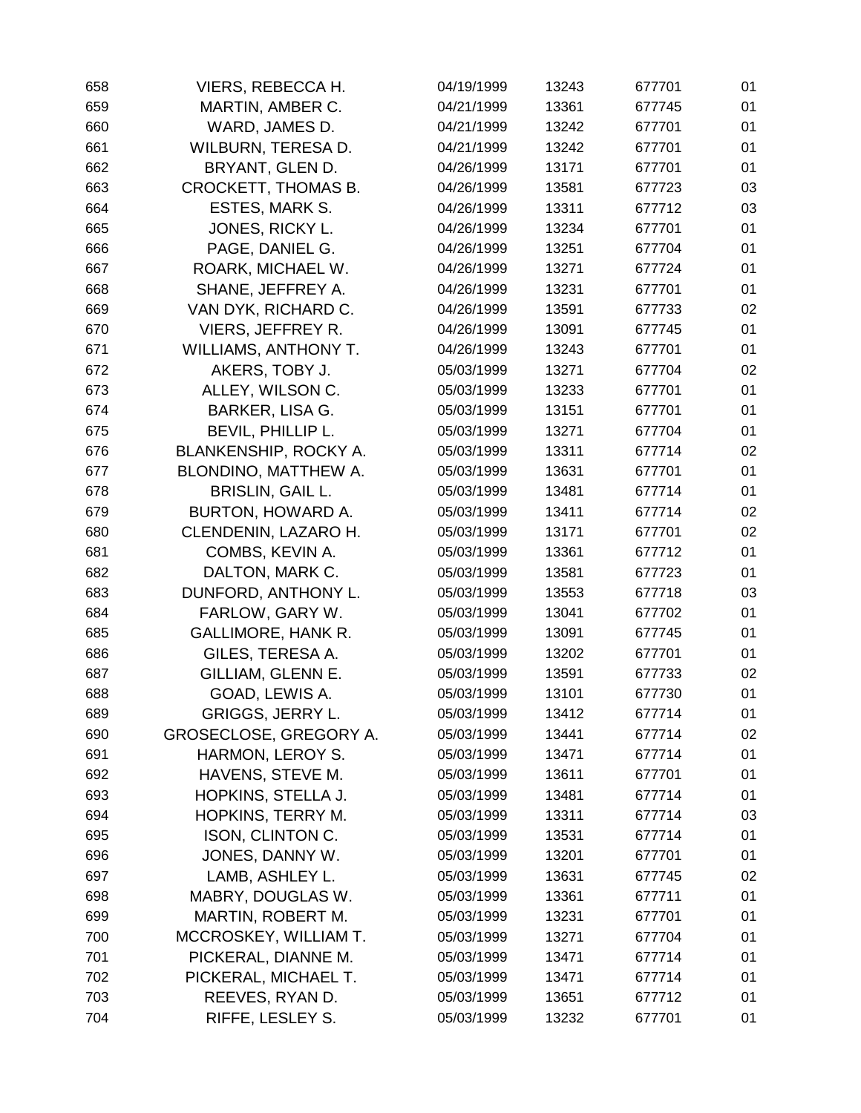| 658 | VIERS, REBECCA H.           | 04/19/1999 | 13243 | 677701 | 01 |
|-----|-----------------------------|------------|-------|--------|----|
| 659 | MARTIN, AMBER C.            | 04/21/1999 | 13361 | 677745 | 01 |
| 660 | WARD, JAMES D.              | 04/21/1999 | 13242 | 677701 | 01 |
| 661 | WILBURN, TERESA D.          | 04/21/1999 | 13242 | 677701 | 01 |
| 662 | BRYANT, GLEN D.             | 04/26/1999 | 13171 | 677701 | 01 |
| 663 | CROCKETT, THOMAS B.         | 04/26/1999 | 13581 | 677723 | 03 |
| 664 | ESTES, MARK S.              | 04/26/1999 | 13311 | 677712 | 03 |
| 665 | JONES, RICKY L.             | 04/26/1999 | 13234 | 677701 | 01 |
| 666 | PAGE, DANIEL G.             | 04/26/1999 | 13251 | 677704 | 01 |
| 667 | ROARK, MICHAEL W.           | 04/26/1999 | 13271 | 677724 | 01 |
| 668 | SHANE, JEFFREY A.           | 04/26/1999 | 13231 | 677701 | 01 |
| 669 | VAN DYK, RICHARD C.         | 04/26/1999 | 13591 | 677733 | 02 |
| 670 | VIERS, JEFFREY R.           | 04/26/1999 | 13091 | 677745 | 01 |
| 671 | <b>WILLIAMS, ANTHONY T.</b> | 04/26/1999 | 13243 | 677701 | 01 |
| 672 | AKERS, TOBY J.              | 05/03/1999 | 13271 | 677704 | 02 |
| 673 | ALLEY, WILSON C.            | 05/03/1999 | 13233 | 677701 | 01 |
| 674 | <b>BARKER, LISA G.</b>      | 05/03/1999 | 13151 | 677701 | 01 |
| 675 | BEVIL, PHILLIP L.           | 05/03/1999 | 13271 | 677704 | 01 |
| 676 | BLANKENSHIP, ROCKY A.       | 05/03/1999 | 13311 | 677714 | 02 |
| 677 | BLONDINO, MATTHEW A.        | 05/03/1999 | 13631 | 677701 | 01 |
| 678 | <b>BRISLIN, GAIL L.</b>     | 05/03/1999 | 13481 | 677714 | 01 |
| 679 | BURTON, HOWARD A.           | 05/03/1999 | 13411 | 677714 | 02 |
| 680 | CLENDENIN, LAZARO H.        | 05/03/1999 | 13171 | 677701 | 02 |
| 681 | COMBS, KEVIN A.             | 05/03/1999 | 13361 | 677712 | 01 |
| 682 | DALTON, MARK C.             | 05/03/1999 | 13581 | 677723 | 01 |
| 683 | DUNFORD, ANTHONY L.         | 05/03/1999 | 13553 | 677718 | 03 |
| 684 | FARLOW, GARY W.             | 05/03/1999 | 13041 | 677702 | 01 |
| 685 | <b>GALLIMORE, HANK R.</b>   | 05/03/1999 | 13091 | 677745 | 01 |
| 686 | GILES, TERESA A.            | 05/03/1999 | 13202 | 677701 | 01 |
| 687 | GILLIAM, GLENN E.           | 05/03/1999 | 13591 | 677733 | 02 |
| 688 | GOAD, LEWIS A.              | 05/03/1999 | 13101 | 677730 | 01 |
| 689 | GRIGGS, JERRY L.            | 05/03/1999 | 13412 | 677714 | 01 |
| 690 | GROSECLOSE, GREGORY A.      | 05/03/1999 | 13441 | 677714 | 02 |
| 691 | HARMON, LEROY S.            | 05/03/1999 | 13471 | 677714 | 01 |
| 692 | HAVENS, STEVE M.            | 05/03/1999 | 13611 | 677701 | 01 |
| 693 | HOPKINS, STELLA J.          | 05/03/1999 | 13481 | 677714 | 01 |
| 694 | HOPKINS, TERRY M.           | 05/03/1999 | 13311 | 677714 | 03 |
| 695 | ISON, CLINTON C.            | 05/03/1999 | 13531 | 677714 | 01 |
| 696 | JONES, DANNY W.             | 05/03/1999 | 13201 | 677701 | 01 |
| 697 | LAMB, ASHLEY L.             | 05/03/1999 | 13631 | 677745 | 02 |
| 698 | MABRY, DOUGLAS W.           | 05/03/1999 | 13361 | 677711 | 01 |
| 699 | MARTIN, ROBERT M.           | 05/03/1999 | 13231 | 677701 | 01 |
| 700 | MCCROSKEY, WILLIAM T.       | 05/03/1999 | 13271 | 677704 | 01 |
| 701 | PICKERAL, DIANNE M.         | 05/03/1999 | 13471 | 677714 | 01 |
| 702 | PICKERAL, MICHAEL T.        | 05/03/1999 | 13471 | 677714 | 01 |
| 703 | REEVES, RYAN D.             | 05/03/1999 | 13651 | 677712 | 01 |
| 704 | RIFFE, LESLEY S.            | 05/03/1999 | 13232 | 677701 | 01 |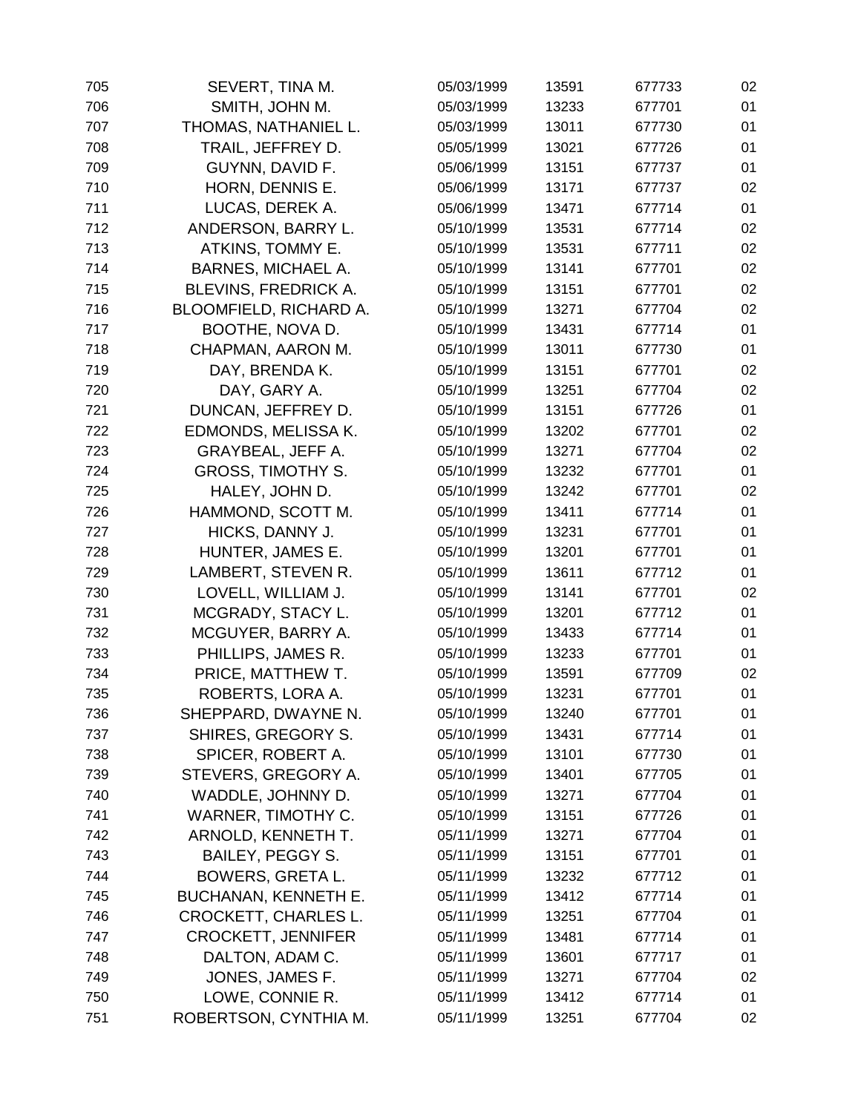| 705 | SEVERT, TINA M.             | 05/03/1999 | 13591 | 677733 | 02 |
|-----|-----------------------------|------------|-------|--------|----|
| 706 | SMITH, JOHN M.              | 05/03/1999 | 13233 | 677701 | 01 |
| 707 | THOMAS, NATHANIEL L.        | 05/03/1999 | 13011 | 677730 | 01 |
| 708 | TRAIL, JEFFREY D.           | 05/05/1999 | 13021 | 677726 | 01 |
| 709 | GUYNN, DAVID F.             | 05/06/1999 | 13151 | 677737 | 01 |
| 710 | HORN, DENNIS E.             | 05/06/1999 | 13171 | 677737 | 02 |
| 711 | LUCAS, DEREK A.             | 05/06/1999 | 13471 | 677714 | 01 |
| 712 | ANDERSON, BARRY L.          | 05/10/1999 | 13531 | 677714 | 02 |
| 713 | ATKINS, TOMMY E.            | 05/10/1999 | 13531 | 677711 | 02 |
| 714 | <b>BARNES, MICHAEL A.</b>   | 05/10/1999 | 13141 | 677701 | 02 |
| 715 | BLEVINS, FREDRICK A.        | 05/10/1999 | 13151 | 677701 | 02 |
| 716 | BLOOMFIELD, RICHARD A.      | 05/10/1999 | 13271 | 677704 | 02 |
| 717 | BOOTHE, NOVA D.             | 05/10/1999 | 13431 | 677714 | 01 |
| 718 | CHAPMAN, AARON M.           | 05/10/1999 | 13011 | 677730 | 01 |
| 719 | DAY, BRENDA K.              | 05/10/1999 | 13151 | 677701 | 02 |
| 720 | DAY, GARY A.                | 05/10/1999 | 13251 | 677704 | 02 |
| 721 | DUNCAN, JEFFREY D.          | 05/10/1999 | 13151 | 677726 | 01 |
| 722 | EDMONDS, MELISSA K.         | 05/10/1999 | 13202 | 677701 | 02 |
| 723 | GRAYBEAL, JEFF A.           | 05/10/1999 | 13271 | 677704 | 02 |
| 724 | <b>GROSS, TIMOTHY S.</b>    | 05/10/1999 | 13232 | 677701 | 01 |
| 725 | HALEY, JOHN D.              | 05/10/1999 | 13242 | 677701 | 02 |
| 726 | HAMMOND, SCOTT M.           | 05/10/1999 | 13411 | 677714 | 01 |
| 727 | HICKS, DANNY J.             | 05/10/1999 | 13231 | 677701 | 01 |
| 728 | HUNTER, JAMES E.            | 05/10/1999 | 13201 | 677701 | 01 |
| 729 | LAMBERT, STEVEN R.          | 05/10/1999 | 13611 | 677712 | 01 |
| 730 | LOVELL, WILLIAM J.          | 05/10/1999 | 13141 | 677701 | 02 |
| 731 | MCGRADY, STACY L.           | 05/10/1999 | 13201 | 677712 | 01 |
| 732 | MCGUYER, BARRY A.           | 05/10/1999 | 13433 | 677714 | 01 |
| 733 | PHILLIPS, JAMES R.          | 05/10/1999 | 13233 | 677701 | 01 |
| 734 | PRICE, MATTHEW T.           | 05/10/1999 | 13591 | 677709 | 02 |
| 735 | ROBERTS, LORA A.            | 05/10/1999 | 13231 | 677701 | 01 |
| 736 | SHEPPARD, DWAYNE N.         | 05/10/1999 | 13240 | 677701 | 01 |
| 737 | SHIRES, GREGORY S.          | 05/10/1999 | 13431 | 677714 | 01 |
| 738 | SPICER, ROBERT A.           | 05/10/1999 | 13101 | 677730 | 01 |
| 739 | STEVERS, GREGORY A.         | 05/10/1999 | 13401 | 677705 | 01 |
| 740 | WADDLE, JOHNNY D.           | 05/10/1999 | 13271 | 677704 | 01 |
| 741 | WARNER, TIMOTHY C.          | 05/10/1999 | 13151 | 677726 | 01 |
| 742 | ARNOLD, KENNETH T.          | 05/11/1999 | 13271 | 677704 | 01 |
| 743 | <b>BAILEY, PEGGY S.</b>     | 05/11/1999 | 13151 | 677701 | 01 |
| 744 | <b>BOWERS, GRETA L.</b>     | 05/11/1999 | 13232 | 677712 | 01 |
| 745 | <b>BUCHANAN, KENNETH E.</b> | 05/11/1999 | 13412 | 677714 | 01 |
| 746 | <b>CROCKETT, CHARLES L.</b> | 05/11/1999 | 13251 | 677704 | 01 |
| 747 | <b>CROCKETT, JENNIFER</b>   | 05/11/1999 | 13481 | 677714 | 01 |
| 748 | DALTON, ADAM C.             | 05/11/1999 | 13601 | 677717 | 01 |
| 749 | JONES, JAMES F.             | 05/11/1999 | 13271 | 677704 | 02 |
| 750 | LOWE, CONNIE R.             | 05/11/1999 | 13412 | 677714 | 01 |
| 751 | ROBERTSON, CYNTHIA M.       | 05/11/1999 | 13251 | 677704 | 02 |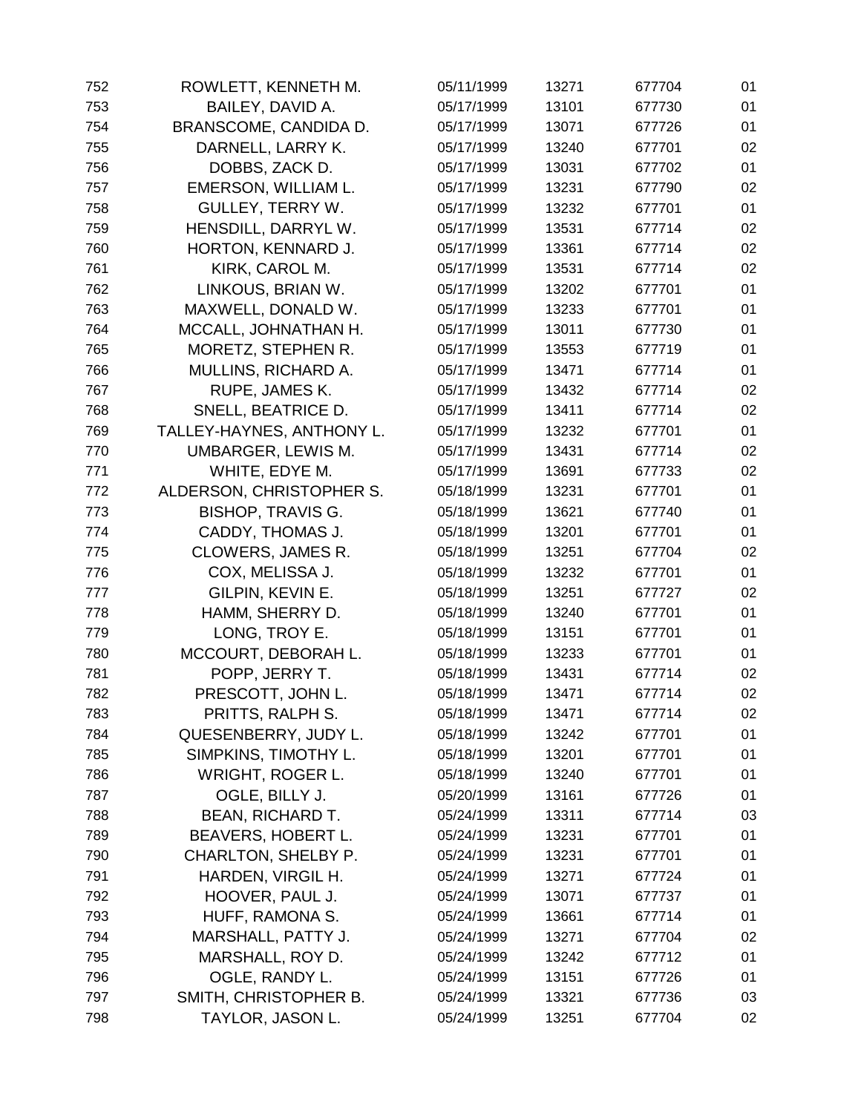| 752 | ROWLETT, KENNETH M.       | 05/11/1999 | 13271 | 677704 | 01 |
|-----|---------------------------|------------|-------|--------|----|
| 753 | BAILEY, DAVID A.          | 05/17/1999 | 13101 | 677730 | 01 |
| 754 | BRANSCOME, CANDIDA D.     | 05/17/1999 | 13071 | 677726 | 01 |
| 755 | DARNELL, LARRY K.         | 05/17/1999 | 13240 | 677701 | 02 |
| 756 | DOBBS, ZACK D.            | 05/17/1999 | 13031 | 677702 | 01 |
| 757 | EMERSON, WILLIAM L.       | 05/17/1999 | 13231 | 677790 | 02 |
| 758 | GULLEY, TERRY W.          | 05/17/1999 | 13232 | 677701 | 01 |
| 759 | HENSDILL, DARRYL W.       | 05/17/1999 | 13531 | 677714 | 02 |
| 760 | HORTON, KENNARD J.        | 05/17/1999 | 13361 | 677714 | 02 |
| 761 | KIRK, CAROL M.            | 05/17/1999 | 13531 | 677714 | 02 |
| 762 | LINKOUS, BRIAN W.         | 05/17/1999 | 13202 | 677701 | 01 |
| 763 | MAXWELL, DONALD W.        | 05/17/1999 | 13233 | 677701 | 01 |
| 764 | MCCALL, JOHNATHAN H.      | 05/17/1999 | 13011 | 677730 | 01 |
| 765 | MORETZ, STEPHEN R.        | 05/17/1999 | 13553 | 677719 | 01 |
| 766 | MULLINS, RICHARD A.       | 05/17/1999 | 13471 | 677714 | 01 |
| 767 | RUPE, JAMES K.            | 05/17/1999 | 13432 | 677714 | 02 |
| 768 | SNELL, BEATRICE D.        | 05/17/1999 | 13411 | 677714 | 02 |
| 769 | TALLEY-HAYNES, ANTHONY L. | 05/17/1999 | 13232 | 677701 | 01 |
| 770 | UMBARGER, LEWIS M.        | 05/17/1999 | 13431 | 677714 | 02 |
| 771 | WHITE, EDYE M.            | 05/17/1999 | 13691 | 677733 | 02 |
| 772 | ALDERSON, CHRISTOPHER S.  | 05/18/1999 | 13231 | 677701 | 01 |
| 773 | <b>BISHOP, TRAVIS G.</b>  | 05/18/1999 | 13621 | 677740 | 01 |
| 774 | CADDY, THOMAS J.          | 05/18/1999 | 13201 | 677701 | 01 |
| 775 | <b>CLOWERS, JAMES R.</b>  | 05/18/1999 | 13251 | 677704 | 02 |
| 776 | COX, MELISSA J.           | 05/18/1999 | 13232 | 677701 | 01 |
| 777 | GILPIN, KEVIN E.          | 05/18/1999 | 13251 | 677727 | 02 |
| 778 | HAMM, SHERRY D.           | 05/18/1999 | 13240 | 677701 | 01 |
| 779 | LONG, TROY E.             | 05/18/1999 | 13151 | 677701 | 01 |
| 780 | MCCOURT, DEBORAH L.       | 05/18/1999 | 13233 | 677701 | 01 |
| 781 | POPP, JERRY T.            | 05/18/1999 | 13431 | 677714 | 02 |
| 782 | PRESCOTT, JOHN L.         | 05/18/1999 | 13471 | 677714 | 02 |
| 783 | PRITTS, RALPH S.          | 05/18/1999 | 13471 | 677714 | 02 |
| 784 | QUESENBERRY, JUDY L.      | 05/18/1999 | 13242 | 677701 | 01 |
| 785 | SIMPKINS, TIMOTHY L.      | 05/18/1999 | 13201 | 677701 | 01 |
| 786 | <b>WRIGHT, ROGER L.</b>   | 05/18/1999 | 13240 | 677701 | 01 |
| 787 | OGLE, BILLY J.            | 05/20/1999 | 13161 | 677726 | 01 |
| 788 | <b>BEAN, RICHARD T.</b>   | 05/24/1999 | 13311 | 677714 | 03 |
| 789 | BEAVERS, HOBERT L.        | 05/24/1999 | 13231 | 677701 | 01 |
| 790 | CHARLTON, SHELBY P.       | 05/24/1999 | 13231 | 677701 | 01 |
| 791 | HARDEN, VIRGIL H.         | 05/24/1999 | 13271 | 677724 | 01 |
| 792 | HOOVER, PAUL J.           | 05/24/1999 | 13071 | 677737 | 01 |
| 793 | HUFF, RAMONA S.           | 05/24/1999 | 13661 | 677714 | 01 |
| 794 | MARSHALL, PATTY J.        | 05/24/1999 | 13271 | 677704 | 02 |
| 795 | MARSHALL, ROY D.          | 05/24/1999 | 13242 | 677712 | 01 |
| 796 | OGLE, RANDY L.            | 05/24/1999 | 13151 | 677726 | 01 |
| 797 | SMITH, CHRISTOPHER B.     | 05/24/1999 | 13321 | 677736 | 03 |
| 798 | TAYLOR, JASON L.          | 05/24/1999 | 13251 | 677704 | 02 |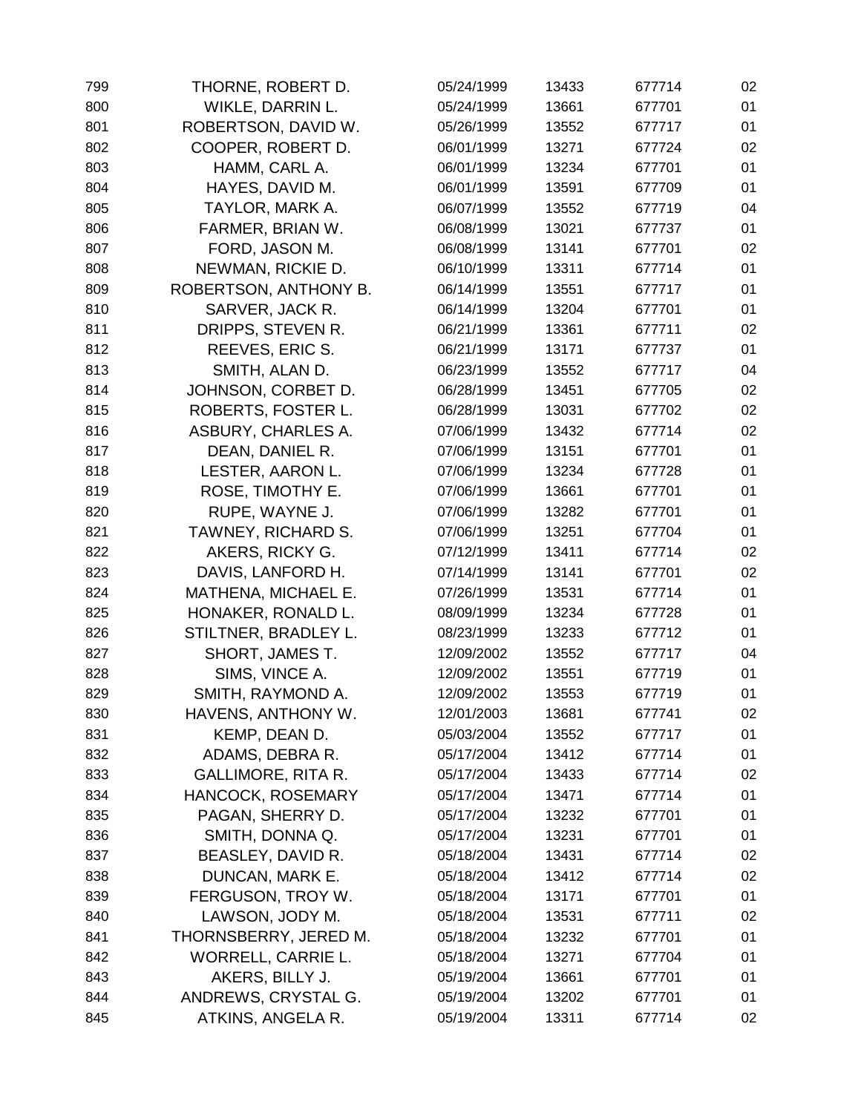| 799 | THORNE, ROBERT D.         | 05/24/1999 | 13433 | 677714 | 02 |
|-----|---------------------------|------------|-------|--------|----|
| 800 | WIKLE, DARRIN L.          | 05/24/1999 | 13661 | 677701 | 01 |
| 801 | ROBERTSON, DAVID W.       | 05/26/1999 | 13552 | 677717 | 01 |
| 802 | COOPER, ROBERT D.         | 06/01/1999 | 13271 | 677724 | 02 |
| 803 | HAMM, CARL A.             | 06/01/1999 | 13234 | 677701 | 01 |
| 804 | HAYES, DAVID M.           | 06/01/1999 | 13591 | 677709 | 01 |
| 805 | TAYLOR, MARK A.           | 06/07/1999 | 13552 | 677719 | 04 |
| 806 | FARMER, BRIAN W.          | 06/08/1999 | 13021 | 677737 | 01 |
| 807 | FORD, JASON M.            | 06/08/1999 | 13141 | 677701 | 02 |
| 808 | NEWMAN, RICKIE D.         | 06/10/1999 | 13311 | 677714 | 01 |
| 809 | ROBERTSON, ANTHONY B.     | 06/14/1999 | 13551 | 677717 | 01 |
| 810 | SARVER, JACK R.           | 06/14/1999 | 13204 | 677701 | 01 |
| 811 | DRIPPS, STEVEN R.         | 06/21/1999 | 13361 | 677711 | 02 |
| 812 | REEVES, ERIC S.           | 06/21/1999 | 13171 | 677737 | 01 |
| 813 | SMITH, ALAN D.            | 06/23/1999 | 13552 | 677717 | 04 |
| 814 | JOHNSON, CORBET D.        | 06/28/1999 | 13451 | 677705 | 02 |
| 815 | ROBERTS, FOSTER L.        | 06/28/1999 | 13031 | 677702 | 02 |
| 816 | ASBURY, CHARLES A.        | 07/06/1999 | 13432 | 677714 | 02 |
| 817 | DEAN, DANIEL R.           | 07/06/1999 | 13151 | 677701 | 01 |
| 818 | LESTER, AARON L.          | 07/06/1999 | 13234 | 677728 | 01 |
| 819 | ROSE, TIMOTHY E.          | 07/06/1999 | 13661 | 677701 | 01 |
| 820 | RUPE, WAYNE J.            | 07/06/1999 | 13282 | 677701 | 01 |
| 821 | <b>TAWNEY, RICHARD S.</b> | 07/06/1999 | 13251 | 677704 | 01 |
| 822 | AKERS, RICKY G.           | 07/12/1999 | 13411 | 677714 | 02 |
| 823 | DAVIS, LANFORD H.         | 07/14/1999 | 13141 | 677701 | 02 |
| 824 | MATHENA, MICHAEL E.       | 07/26/1999 | 13531 | 677714 | 01 |
| 825 | HONAKER, RONALD L.        | 08/09/1999 | 13234 | 677728 | 01 |
| 826 | STILTNER, BRADLEY L.      | 08/23/1999 | 13233 | 677712 | 01 |
| 827 | SHORT, JAMES T.           | 12/09/2002 | 13552 | 677717 | 04 |
| 828 | SIMS, VINCE A.            | 12/09/2002 | 13551 | 677719 | 01 |
| 829 | SMITH, RAYMOND A.         | 12/09/2002 | 13553 | 677719 | 01 |
| 830 | HAVENS, ANTHONY W.        | 12/01/2003 | 13681 | 677741 | 02 |
| 831 | KEMP, DEAN D.             | 05/03/2004 | 13552 | 677717 | 01 |
| 832 | ADAMS, DEBRA R.           | 05/17/2004 | 13412 | 677714 | 01 |
| 833 | <b>GALLIMORE, RITA R.</b> | 05/17/2004 | 13433 | 677714 | 02 |
| 834 | HANCOCK, ROSEMARY         | 05/17/2004 | 13471 | 677714 | 01 |
| 835 | PAGAN, SHERRY D.          | 05/17/2004 | 13232 | 677701 | 01 |
| 836 | SMITH, DONNA Q.           | 05/17/2004 | 13231 | 677701 | 01 |
| 837 | BEASLEY, DAVID R.         | 05/18/2004 | 13431 | 677714 | 02 |
| 838 | DUNCAN, MARK E.           | 05/18/2004 | 13412 | 677714 | 02 |
| 839 | FERGUSON, TROY W.         | 05/18/2004 | 13171 | 677701 | 01 |
| 840 | LAWSON, JODY M.           | 05/18/2004 | 13531 | 677711 | 02 |
| 841 | THORNSBERRY, JERED M.     | 05/18/2004 | 13232 | 677701 | 01 |
| 842 | WORRELL, CARRIE L.        | 05/18/2004 | 13271 | 677704 | 01 |
| 843 | AKERS, BILLY J.           | 05/19/2004 | 13661 | 677701 | 01 |
| 844 | ANDREWS, CRYSTAL G.       | 05/19/2004 | 13202 | 677701 | 01 |
| 845 | ATKINS, ANGELA R.         | 05/19/2004 | 13311 | 677714 | 02 |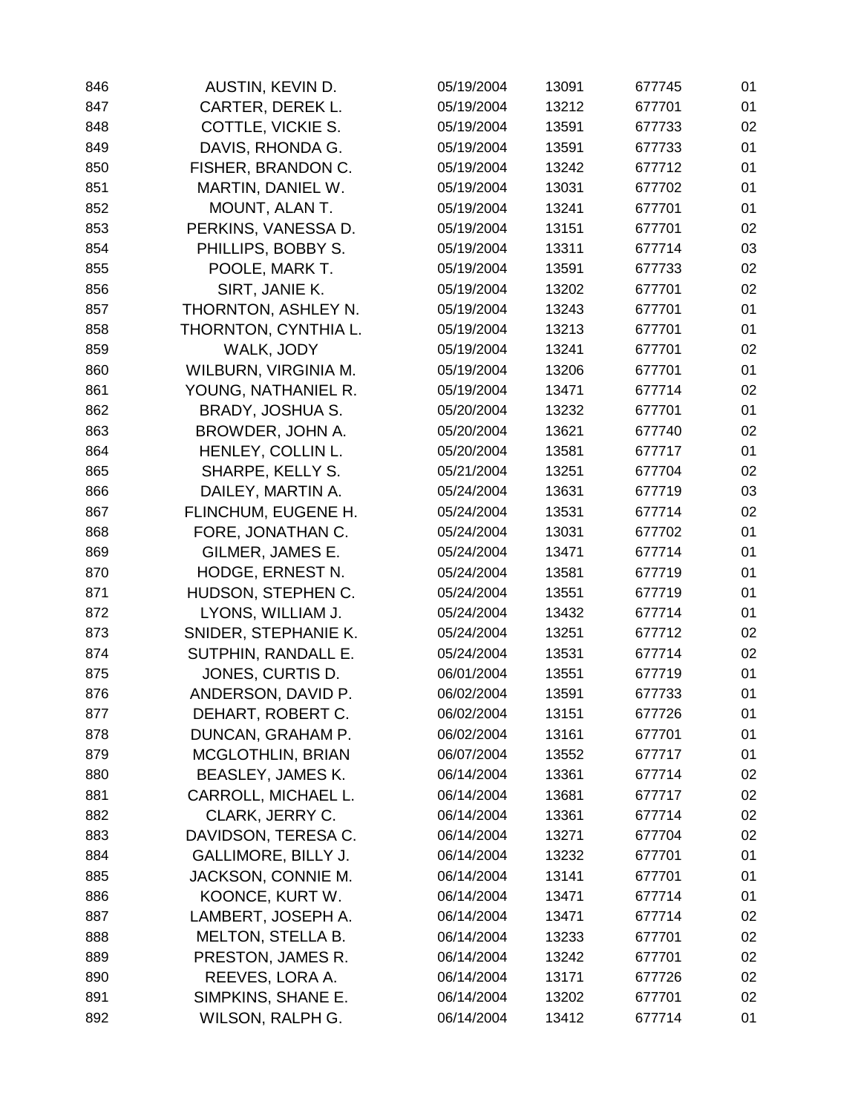| 846 | AUSTIN, KEVIN D.          | 05/19/2004 | 13091 | 677745 | 01 |
|-----|---------------------------|------------|-------|--------|----|
| 847 | CARTER, DEREK L.          | 05/19/2004 | 13212 | 677701 | 01 |
| 848 | COTTLE, VICKIE S.         | 05/19/2004 | 13591 | 677733 | 02 |
| 849 | DAVIS, RHONDA G.          | 05/19/2004 | 13591 | 677733 | 01 |
| 850 | FISHER, BRANDON C.        | 05/19/2004 | 13242 | 677712 | 01 |
| 851 | MARTIN, DANIEL W.         | 05/19/2004 | 13031 | 677702 | 01 |
| 852 | MOUNT, ALAN T.            | 05/19/2004 | 13241 | 677701 | 01 |
| 853 | PERKINS, VANESSA D.       | 05/19/2004 | 13151 | 677701 | 02 |
| 854 | PHILLIPS, BOBBY S.        | 05/19/2004 | 13311 | 677714 | 03 |
| 855 | POOLE, MARK T.            | 05/19/2004 | 13591 | 677733 | 02 |
| 856 | SIRT, JANIE K.            | 05/19/2004 | 13202 | 677701 | 02 |
| 857 | THORNTON, ASHLEY N.       | 05/19/2004 | 13243 | 677701 | 01 |
| 858 | THORNTON, CYNTHIA L.      | 05/19/2004 | 13213 | 677701 | 01 |
| 859 | WALK, JODY                | 05/19/2004 | 13241 | 677701 | 02 |
| 860 | WILBURN, VIRGINIA M.      | 05/19/2004 | 13206 | 677701 | 01 |
| 861 | YOUNG, NATHANIEL R.       | 05/19/2004 | 13471 | 677714 | 02 |
| 862 | BRADY, JOSHUA S.          | 05/20/2004 | 13232 | 677701 | 01 |
| 863 | BROWDER, JOHN A.          | 05/20/2004 | 13621 | 677740 | 02 |
| 864 | HENLEY, COLLIN L.         | 05/20/2004 | 13581 | 677717 | 01 |
| 865 | SHARPE, KELLY S.          | 05/21/2004 | 13251 | 677704 | 02 |
| 866 | DAILEY, MARTIN A.         | 05/24/2004 | 13631 | 677719 | 03 |
| 867 | FLINCHUM, EUGENE H.       | 05/24/2004 | 13531 | 677714 | 02 |
| 868 | FORE, JONATHAN C.         | 05/24/2004 | 13031 | 677702 | 01 |
| 869 | GILMER, JAMES E.          | 05/24/2004 | 13471 | 677714 | 01 |
| 870 | HODGE, ERNEST N.          | 05/24/2004 | 13581 | 677719 | 01 |
| 871 | HUDSON, STEPHEN C.        | 05/24/2004 | 13551 | 677719 | 01 |
| 872 | LYONS, WILLIAM J.         | 05/24/2004 | 13432 | 677714 | 01 |
| 873 | SNIDER, STEPHANIE K.      | 05/24/2004 | 13251 | 677712 | 02 |
| 874 | SUTPHIN, RANDALL E.       | 05/24/2004 | 13531 | 677714 | 02 |
| 875 | JONES, CURTIS D.          | 06/01/2004 | 13551 | 677719 | 01 |
| 876 | ANDERSON, DAVID P.        | 06/02/2004 | 13591 | 677733 | 01 |
| 877 | DEHART, ROBERT C.         | 06/02/2004 | 13151 | 677726 | 01 |
| 878 | DUNCAN, GRAHAM P.         | 06/02/2004 | 13161 | 677701 | 01 |
| 879 | <b>MCGLOTHLIN, BRIAN</b>  | 06/07/2004 | 13552 | 677717 | 01 |
| 880 | <b>BEASLEY, JAMES K.</b>  | 06/14/2004 | 13361 | 677714 | 02 |
| 881 | CARROLL, MICHAEL L.       | 06/14/2004 | 13681 | 677717 | 02 |
| 882 | CLARK, JERRY C.           | 06/14/2004 | 13361 | 677714 | 02 |
| 883 | DAVIDSON, TERESA C.       | 06/14/2004 | 13271 | 677704 | 02 |
| 884 | GALLIMORE, BILLY J.       | 06/14/2004 | 13232 | 677701 | 01 |
| 885 | <b>JACKSON, CONNIE M.</b> | 06/14/2004 | 13141 | 677701 | 01 |
| 886 | KOONCE, KURT W.           | 06/14/2004 | 13471 | 677714 | 01 |
| 887 | LAMBERT, JOSEPH A.        | 06/14/2004 | 13471 | 677714 | 02 |
| 888 | <b>MELTON, STELLA B.</b>  | 06/14/2004 | 13233 | 677701 | 02 |
| 889 | PRESTON, JAMES R.         | 06/14/2004 | 13242 | 677701 | 02 |
| 890 | REEVES, LORA A.           | 06/14/2004 | 13171 | 677726 | 02 |
| 891 | SIMPKINS, SHANE E.        | 06/14/2004 | 13202 | 677701 | 02 |
| 892 | WILSON, RALPH G.          | 06/14/2004 | 13412 | 677714 | 01 |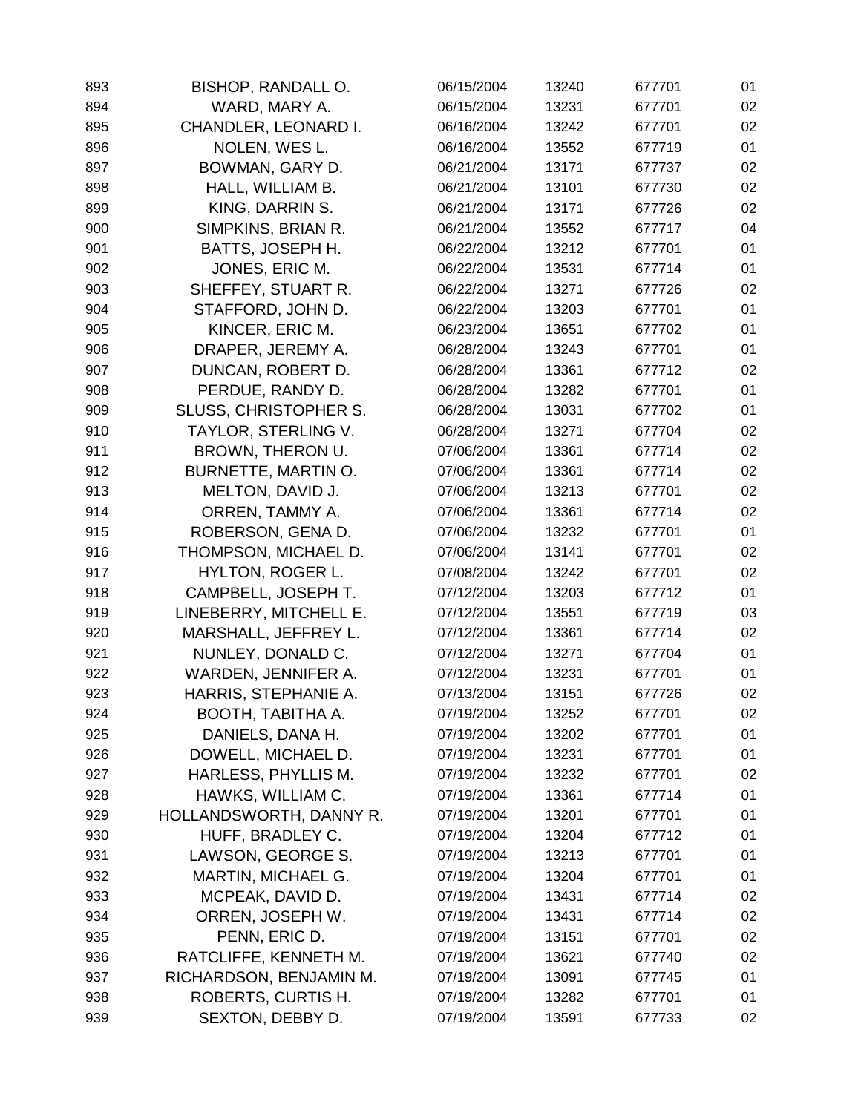| 893 | <b>BISHOP, RANDALL O.</b>    | 06/15/2004 | 13240 | 677701 | 01 |
|-----|------------------------------|------------|-------|--------|----|
| 894 | WARD, MARY A.                | 06/15/2004 | 13231 | 677701 | 02 |
| 895 | CHANDLER, LEONARD I.         | 06/16/2004 | 13242 | 677701 | 02 |
| 896 | NOLEN, WES L.                | 06/16/2004 | 13552 | 677719 | 01 |
| 897 | BOWMAN, GARY D.              | 06/21/2004 | 13171 | 677737 | 02 |
| 898 | HALL, WILLIAM B.             | 06/21/2004 | 13101 | 677730 | 02 |
| 899 | KING, DARRIN S.              | 06/21/2004 | 13171 | 677726 | 02 |
| 900 | SIMPKINS, BRIAN R.           | 06/21/2004 | 13552 | 677717 | 04 |
| 901 | BATTS, JOSEPH H.             | 06/22/2004 | 13212 | 677701 | 01 |
| 902 | JONES, ERIC M.               | 06/22/2004 | 13531 | 677714 | 01 |
| 903 | SHEFFEY, STUART R.           | 06/22/2004 | 13271 | 677726 | 02 |
| 904 | STAFFORD, JOHN D.            | 06/22/2004 | 13203 | 677701 | 01 |
| 905 | KINCER, ERIC M.              | 06/23/2004 | 13651 | 677702 | 01 |
| 906 | DRAPER, JEREMY A.            | 06/28/2004 | 13243 | 677701 | 01 |
| 907 | DUNCAN, ROBERT D.            | 06/28/2004 | 13361 | 677712 | 02 |
| 908 | PERDUE, RANDY D.             | 06/28/2004 | 13282 | 677701 | 01 |
| 909 | <b>SLUSS, CHRISTOPHER S.</b> | 06/28/2004 | 13031 | 677702 | 01 |
| 910 | TAYLOR, STERLING V.          | 06/28/2004 | 13271 | 677704 | 02 |
| 911 | BROWN, THERON U.             | 07/06/2004 | 13361 | 677714 | 02 |
| 912 | BURNETTE, MARTIN O.          | 07/06/2004 | 13361 | 677714 | 02 |
| 913 | MELTON, DAVID J.             | 07/06/2004 | 13213 | 677701 | 02 |
| 914 | ORREN, TAMMY A.              | 07/06/2004 | 13361 | 677714 | 02 |
| 915 | ROBERSON, GENA D.            | 07/06/2004 | 13232 | 677701 | 01 |
| 916 | THOMPSON, MICHAEL D.         | 07/06/2004 | 13141 | 677701 | 02 |
| 917 | <b>HYLTON, ROGER L.</b>      | 07/08/2004 | 13242 | 677701 | 02 |
| 918 | CAMPBELL, JOSEPH T.          | 07/12/2004 | 13203 | 677712 | 01 |
| 919 | LINEBERRY, MITCHELL E.       | 07/12/2004 | 13551 | 677719 | 03 |
| 920 | MARSHALL, JEFFREY L.         | 07/12/2004 | 13361 | 677714 | 02 |
| 921 | NUNLEY, DONALD C.            | 07/12/2004 | 13271 | 677704 | 01 |
| 922 | WARDEN, JENNIFER A.          | 07/12/2004 | 13231 | 677701 | 01 |
| 923 | HARRIS, STEPHANIE A.         | 07/13/2004 | 13151 | 677726 | 02 |
| 924 | BOOTH, TABITHA A.            | 07/19/2004 | 13252 | 677701 | 02 |
| 925 | DANIELS, DANA H.             | 07/19/2004 | 13202 | 677701 | 01 |
| 926 | DOWELL, MICHAEL D.           | 07/19/2004 | 13231 | 677701 | 01 |
| 927 | HARLESS, PHYLLIS M.          | 07/19/2004 | 13232 | 677701 | 02 |
| 928 | HAWKS, WILLIAM C.            | 07/19/2004 | 13361 | 677714 | 01 |
| 929 | HOLLANDSWORTH, DANNY R.      | 07/19/2004 | 13201 | 677701 | 01 |
| 930 | HUFF, BRADLEY C.             | 07/19/2004 | 13204 | 677712 | 01 |
| 931 | LAWSON, GEORGE S.            | 07/19/2004 | 13213 | 677701 | 01 |
| 932 | MARTIN, MICHAEL G.           | 07/19/2004 | 13204 | 677701 | 01 |
| 933 | MCPEAK, DAVID D.             | 07/19/2004 | 13431 | 677714 | 02 |
| 934 | ORREN, JOSEPH W.             | 07/19/2004 | 13431 | 677714 | 02 |
| 935 | PENN, ERIC D.                | 07/19/2004 | 13151 | 677701 | 02 |
| 936 | RATCLIFFE, KENNETH M.        | 07/19/2004 | 13621 | 677740 | 02 |
| 937 | RICHARDSON, BENJAMIN M.      | 07/19/2004 | 13091 | 677745 | 01 |
| 938 | ROBERTS, CURTIS H.           | 07/19/2004 | 13282 | 677701 | 01 |
| 939 | SEXTON, DEBBY D.             | 07/19/2004 | 13591 | 677733 | 02 |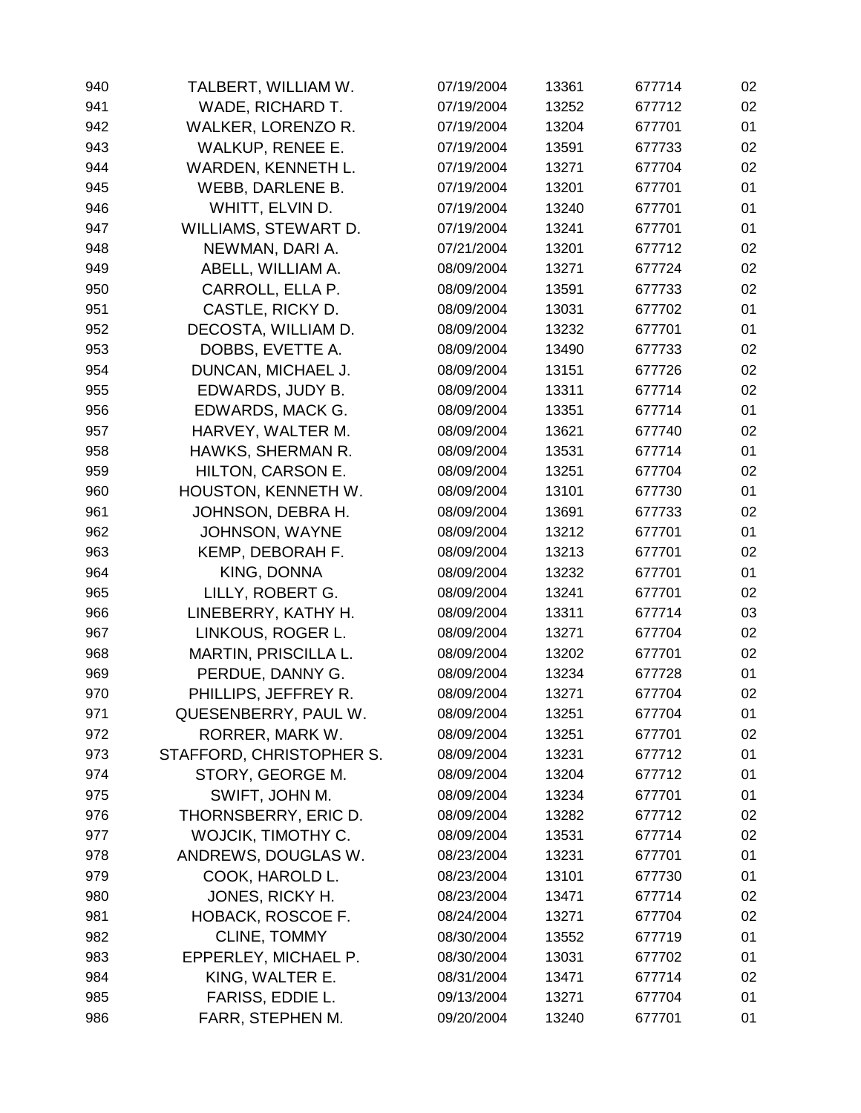| 940 | TALBERT, WILLIAM W.         | 07/19/2004 | 13361 | 677714 | 02 |
|-----|-----------------------------|------------|-------|--------|----|
| 941 | WADE, RICHARD T.            | 07/19/2004 | 13252 | 677712 | 02 |
| 942 | WALKER, LORENZO R.          | 07/19/2004 | 13204 | 677701 | 01 |
| 943 | <b>WALKUP, RENEE E.</b>     | 07/19/2004 | 13591 | 677733 | 02 |
| 944 | WARDEN, KENNETH L.          | 07/19/2004 | 13271 | 677704 | 02 |
| 945 | WEBB, DARLENE B.            | 07/19/2004 | 13201 | 677701 | 01 |
| 946 | WHITT, ELVIN D.             | 07/19/2004 | 13240 | 677701 | 01 |
| 947 | WILLIAMS, STEWART D.        | 07/19/2004 | 13241 | 677701 | 01 |
| 948 | NEWMAN, DARI A.             | 07/21/2004 | 13201 | 677712 | 02 |
| 949 | ABELL, WILLIAM A.           | 08/09/2004 | 13271 | 677724 | 02 |
| 950 | CARROLL, ELLA P.            | 08/09/2004 | 13591 | 677733 | 02 |
| 951 | CASTLE, RICKY D.            | 08/09/2004 | 13031 | 677702 | 01 |
| 952 | DECOSTA, WILLIAM D.         | 08/09/2004 | 13232 | 677701 | 01 |
| 953 | DOBBS, EVETTE A.            | 08/09/2004 | 13490 | 677733 | 02 |
| 954 | DUNCAN, MICHAEL J.          | 08/09/2004 | 13151 | 677726 | 02 |
| 955 | EDWARDS, JUDY B.            | 08/09/2004 | 13311 | 677714 | 02 |
| 956 | EDWARDS, MACK G.            | 08/09/2004 | 13351 | 677714 | 01 |
| 957 | HARVEY, WALTER M.           | 08/09/2004 | 13621 | 677740 | 02 |
| 958 | HAWKS, SHERMAN R.           | 08/09/2004 | 13531 | 677714 | 01 |
| 959 | HILTON, CARSON E.           | 08/09/2004 | 13251 | 677704 | 02 |
| 960 | HOUSTON, KENNETH W.         | 08/09/2004 | 13101 | 677730 | 01 |
| 961 | JOHNSON, DEBRA H.           | 08/09/2004 | 13691 | 677733 | 02 |
| 962 | <b>JOHNSON, WAYNE</b>       | 08/09/2004 | 13212 | 677701 | 01 |
| 963 | KEMP, DEBORAH F.            | 08/09/2004 | 13213 | 677701 | 02 |
| 964 | KING, DONNA                 | 08/09/2004 | 13232 | 677701 | 01 |
| 965 | LILLY, ROBERT G.            | 08/09/2004 | 13241 | 677701 | 02 |
| 966 | LINEBERRY, KATHY H.         | 08/09/2004 | 13311 | 677714 | 03 |
| 967 | LINKOUS, ROGER L.           | 08/09/2004 | 13271 | 677704 | 02 |
| 968 | <b>MARTIN, PRISCILLA L.</b> | 08/09/2004 | 13202 | 677701 | 02 |
| 969 | PERDUE, DANNY G.            | 08/09/2004 | 13234 | 677728 | 01 |
| 970 | PHILLIPS, JEFFREY R.        | 08/09/2004 | 13271 | 677704 | 02 |
| 971 | QUESENBERRY, PAUL W.        | 08/09/2004 | 13251 | 677704 | 01 |
| 972 | RORRER, MARK W.             | 08/09/2004 | 13251 | 677701 | 02 |
| 973 | STAFFORD, CHRISTOPHER S.    | 08/09/2004 | 13231 | 677712 | 01 |
| 974 | STORY, GEORGE M.            | 08/09/2004 | 13204 | 677712 | 01 |
| 975 | SWIFT, JOHN M.              | 08/09/2004 | 13234 | 677701 | 01 |
| 976 | THORNSBERRY, ERIC D.        | 08/09/2004 | 13282 | 677712 | 02 |
| 977 | WOJCIK, TIMOTHY C.          | 08/09/2004 | 13531 | 677714 | 02 |
| 978 | ANDREWS, DOUGLAS W.         | 08/23/2004 | 13231 | 677701 | 01 |
| 979 | COOK, HAROLD L.             | 08/23/2004 | 13101 | 677730 | 01 |
| 980 | JONES, RICKY H.             | 08/23/2004 | 13471 | 677714 | 02 |
| 981 | HOBACK, ROSCOE F.           | 08/24/2004 | 13271 | 677704 | 02 |
| 982 | CLINE, TOMMY                | 08/30/2004 | 13552 | 677719 | 01 |
| 983 | EPPERLEY, MICHAEL P.        | 08/30/2004 | 13031 | 677702 | 01 |
| 984 | KING, WALTER E.             | 08/31/2004 | 13471 | 677714 | 02 |
| 985 | FARISS, EDDIE L.            | 09/13/2004 | 13271 | 677704 | 01 |
| 986 | FARR, STEPHEN M.            | 09/20/2004 | 13240 | 677701 | 01 |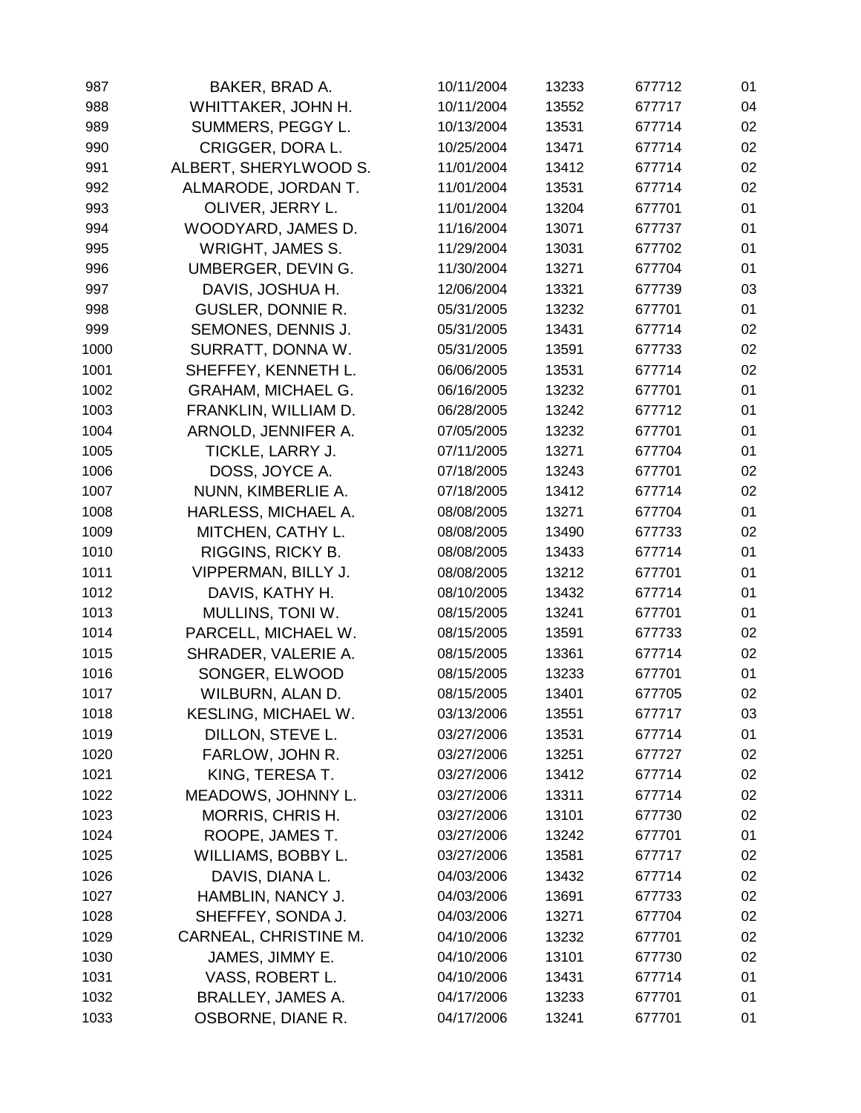| 987  | BAKER, BRAD A.            | 10/11/2004 | 13233 | 677712 | 01 |
|------|---------------------------|------------|-------|--------|----|
| 988  | WHITTAKER, JOHN H.        | 10/11/2004 | 13552 | 677717 | 04 |
| 989  | SUMMERS, PEGGY L.         | 10/13/2004 | 13531 | 677714 | 02 |
| 990  | CRIGGER, DORA L.          | 10/25/2004 | 13471 | 677714 | 02 |
| 991  | ALBERT, SHERYLWOOD S.     | 11/01/2004 | 13412 | 677714 | 02 |
| 992  | ALMARODE, JORDAN T.       | 11/01/2004 | 13531 | 677714 | 02 |
| 993  | OLIVER, JERRY L.          | 11/01/2004 | 13204 | 677701 | 01 |
| 994  | WOODYARD, JAMES D.        | 11/16/2004 | 13071 | 677737 | 01 |
| 995  | <b>WRIGHT, JAMES S.</b>   | 11/29/2004 | 13031 | 677702 | 01 |
| 996  | UMBERGER, DEVIN G.        | 11/30/2004 | 13271 | 677704 | 01 |
| 997  | DAVIS, JOSHUA H.          | 12/06/2004 | 13321 | 677739 | 03 |
| 998  | <b>GUSLER, DONNIE R.</b>  | 05/31/2005 | 13232 | 677701 | 01 |
| 999  | SEMONES, DENNIS J.        | 05/31/2005 | 13431 | 677714 | 02 |
| 1000 | SURRATT, DONNA W.         | 05/31/2005 | 13591 | 677733 | 02 |
| 1001 | SHEFFEY, KENNETH L.       | 06/06/2005 | 13531 | 677714 | 02 |
| 1002 | <b>GRAHAM, MICHAEL G.</b> | 06/16/2005 | 13232 | 677701 | 01 |
| 1003 | FRANKLIN, WILLIAM D.      | 06/28/2005 | 13242 | 677712 | 01 |
| 1004 | ARNOLD, JENNIFER A.       | 07/05/2005 | 13232 | 677701 | 01 |
| 1005 | TICKLE, LARRY J.          | 07/11/2005 | 13271 | 677704 | 01 |
| 1006 | DOSS, JOYCE A.            | 07/18/2005 | 13243 | 677701 | 02 |
| 1007 | NUNN, KIMBERLIE A.        | 07/18/2005 | 13412 | 677714 | 02 |
| 1008 | HARLESS, MICHAEL A.       | 08/08/2005 | 13271 | 677704 | 01 |
| 1009 | MITCHEN, CATHY L.         | 08/08/2005 | 13490 | 677733 | 02 |
| 1010 | RIGGINS, RICKY B.         | 08/08/2005 | 13433 | 677714 | 01 |
| 1011 | VIPPERMAN, BILLY J.       | 08/08/2005 | 13212 | 677701 | 01 |
| 1012 | DAVIS, KATHY H.           | 08/10/2005 | 13432 | 677714 | 01 |
| 1013 | MULLINS, TONI W.          | 08/15/2005 | 13241 | 677701 | 01 |
| 1014 | PARCELL, MICHAEL W.       | 08/15/2005 | 13591 | 677733 | 02 |
| 1015 | SHRADER, VALERIE A.       | 08/15/2005 | 13361 | 677714 | 02 |
| 1016 | SONGER, ELWOOD            | 08/15/2005 | 13233 | 677701 | 01 |
| 1017 | WILBURN, ALAN D.          | 08/15/2005 | 13401 | 677705 | 02 |
| 1018 | KESLING, MICHAEL W.       | 03/13/2006 | 13551 | 677717 | 03 |
| 1019 | DILLON, STEVE L.          | 03/27/2006 | 13531 | 677714 | 01 |
| 1020 | FARLOW, JOHN R.           | 03/27/2006 | 13251 | 677727 | 02 |
| 1021 | KING, TERESA T.           | 03/27/2006 | 13412 | 677714 | 02 |
| 1022 | MEADOWS, JOHNNY L.        | 03/27/2006 | 13311 | 677714 | 02 |
| 1023 | MORRIS, CHRIS H.          | 03/27/2006 | 13101 | 677730 | 02 |
| 1024 | ROOPE, JAMES T.           | 03/27/2006 | 13242 | 677701 | 01 |
| 1025 | WILLIAMS, BOBBY L.        | 03/27/2006 | 13581 | 677717 | 02 |
| 1026 | DAVIS, DIANA L.           | 04/03/2006 | 13432 | 677714 | 02 |
| 1027 | HAMBLIN, NANCY J.         | 04/03/2006 | 13691 | 677733 | 02 |
| 1028 | SHEFFEY, SONDA J.         | 04/03/2006 | 13271 | 677704 | 02 |
| 1029 | CARNEAL, CHRISTINE M.     | 04/10/2006 | 13232 | 677701 | 02 |
| 1030 | JAMES, JIMMY E.           | 04/10/2006 | 13101 | 677730 | 02 |
| 1031 | VASS, ROBERT L.           | 04/10/2006 | 13431 | 677714 | 01 |
| 1032 | BRALLEY, JAMES A.         | 04/17/2006 | 13233 | 677701 | 01 |
| 1033 | OSBORNE, DIANE R.         | 04/17/2006 | 13241 | 677701 | 01 |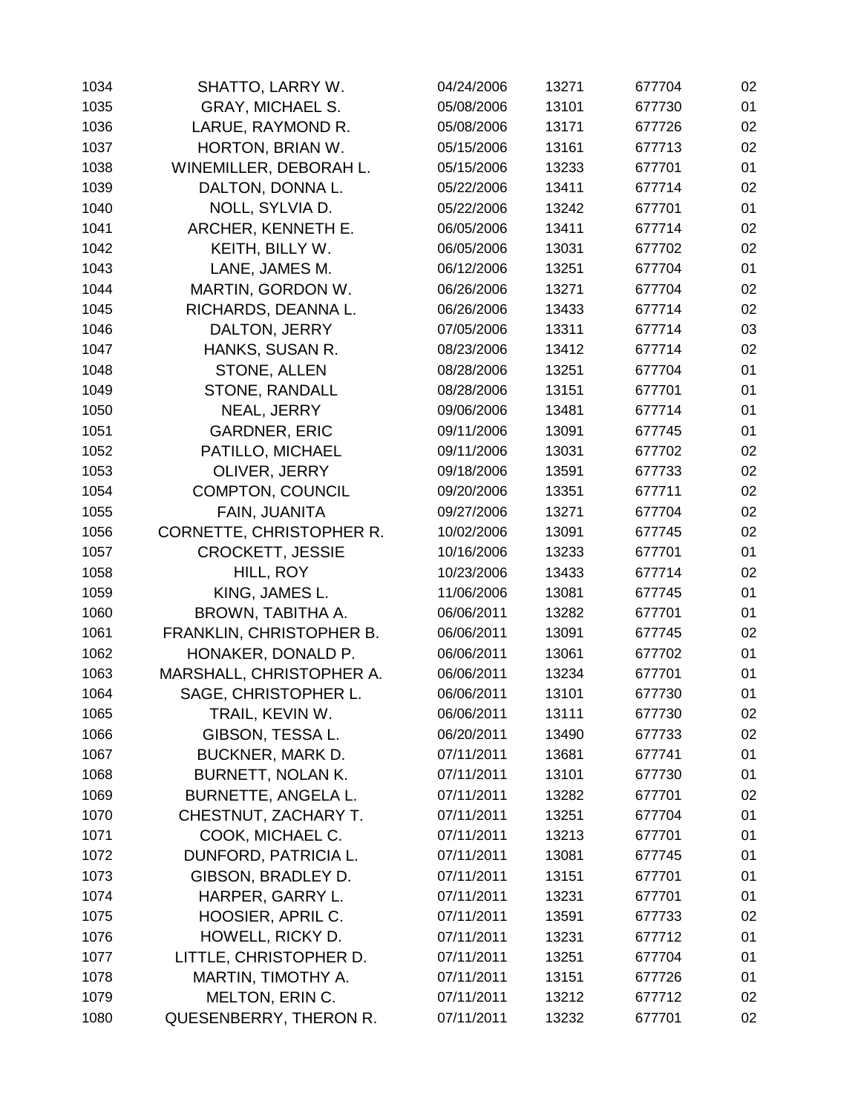| 1034 | SHATTO, LARRY W.           | 04/24/2006 | 13271 | 677704 | 02 |
|------|----------------------------|------------|-------|--------|----|
| 1035 | <b>GRAY, MICHAEL S.</b>    | 05/08/2006 | 13101 | 677730 | 01 |
| 1036 | LARUE, RAYMOND R.          | 05/08/2006 | 13171 | 677726 | 02 |
| 1037 | HORTON, BRIAN W.           | 05/15/2006 | 13161 | 677713 | 02 |
| 1038 | WINEMILLER, DEBORAH L.     | 05/15/2006 | 13233 | 677701 | 01 |
| 1039 | DALTON, DONNA L.           | 05/22/2006 | 13411 | 677714 | 02 |
| 1040 | NOLL, SYLVIA D.            | 05/22/2006 | 13242 | 677701 | 01 |
| 1041 | ARCHER, KENNETH E.         | 06/05/2006 | 13411 | 677714 | 02 |
| 1042 | KEITH, BILLY W.            | 06/05/2006 | 13031 | 677702 | 02 |
| 1043 | LANE, JAMES M.             | 06/12/2006 | 13251 | 677704 | 01 |
| 1044 | MARTIN, GORDON W.          | 06/26/2006 | 13271 | 677704 | 02 |
| 1045 | RICHARDS, DEANNA L.        | 06/26/2006 | 13433 | 677714 | 02 |
| 1046 | DALTON, JERRY              | 07/05/2006 | 13311 | 677714 | 03 |
| 1047 | HANKS, SUSAN R.            | 08/23/2006 | 13412 | 677714 | 02 |
| 1048 | STONE, ALLEN               | 08/28/2006 | 13251 | 677704 | 01 |
| 1049 | STONE, RANDALL             | 08/28/2006 | 13151 | 677701 | 01 |
| 1050 | NEAL, JERRY                | 09/06/2006 | 13481 | 677714 | 01 |
| 1051 | <b>GARDNER, ERIC</b>       | 09/11/2006 | 13091 | 677745 | 01 |
| 1052 | PATILLO, MICHAEL           | 09/11/2006 | 13031 | 677702 | 02 |
| 1053 | OLIVER, JERRY              | 09/18/2006 | 13591 | 677733 | 02 |
| 1054 | <b>COMPTON, COUNCIL</b>    | 09/20/2006 | 13351 | 677711 | 02 |
| 1055 | FAIN, JUANITA              | 09/27/2006 | 13271 | 677704 | 02 |
| 1056 | CORNETTE, CHRISTOPHER R.   | 10/02/2006 | 13091 | 677745 | 02 |
| 1057 | <b>CROCKETT, JESSIE</b>    | 10/16/2006 | 13233 | 677701 | 01 |
| 1058 | HILL, ROY                  | 10/23/2006 | 13433 | 677714 | 02 |
| 1059 | KING, JAMES L.             | 11/06/2006 | 13081 | 677745 | 01 |
| 1060 | BROWN, TABITHA A.          | 06/06/2011 | 13282 | 677701 | 01 |
| 1061 | FRANKLIN, CHRISTOPHER B.   | 06/06/2011 | 13091 | 677745 | 02 |
| 1062 | HONAKER, DONALD P.         | 06/06/2011 | 13061 | 677702 | 01 |
| 1063 | MARSHALL, CHRISTOPHER A.   | 06/06/2011 | 13234 | 677701 | 01 |
| 1064 | SAGE, CHRISTOPHER L.       | 06/06/2011 | 13101 | 677730 | 01 |
| 1065 | TRAIL, KEVIN W.            | 06/06/2011 | 13111 | 677730 | 02 |
| 1066 | GIBSON, TESSA L.           | 06/20/2011 | 13490 | 677733 | 02 |
| 1067 | <b>BUCKNER, MARK D.</b>    | 07/11/2011 | 13681 | 677741 | 01 |
| 1068 | <b>BURNETT, NOLAN K.</b>   | 07/11/2011 | 13101 | 677730 | 01 |
| 1069 | <b>BURNETTE, ANGELA L.</b> | 07/11/2011 | 13282 | 677701 | 02 |
| 1070 | CHESTNUT, ZACHARY T.       | 07/11/2011 | 13251 | 677704 | 01 |
| 1071 | COOK, MICHAEL C.           | 07/11/2011 | 13213 | 677701 | 01 |
| 1072 | DUNFORD, PATRICIA L.       | 07/11/2011 | 13081 | 677745 | 01 |
| 1073 | GIBSON, BRADLEY D.         | 07/11/2011 | 13151 | 677701 | 01 |
| 1074 | HARPER, GARRY L.           | 07/11/2011 | 13231 | 677701 | 01 |
| 1075 | HOOSIER, APRIL C.          | 07/11/2011 | 13591 | 677733 | 02 |
| 1076 | HOWELL, RICKY D.           | 07/11/2011 | 13231 | 677712 | 01 |
| 1077 | LITTLE, CHRISTOPHER D.     | 07/11/2011 | 13251 | 677704 | 01 |
| 1078 | MARTIN, TIMOTHY A.         | 07/11/2011 | 13151 | 677726 | 01 |
| 1079 | MELTON, ERIN C.            | 07/11/2011 | 13212 | 677712 | 02 |
| 1080 | QUESENBERRY, THERON R.     | 07/11/2011 | 13232 | 677701 | 02 |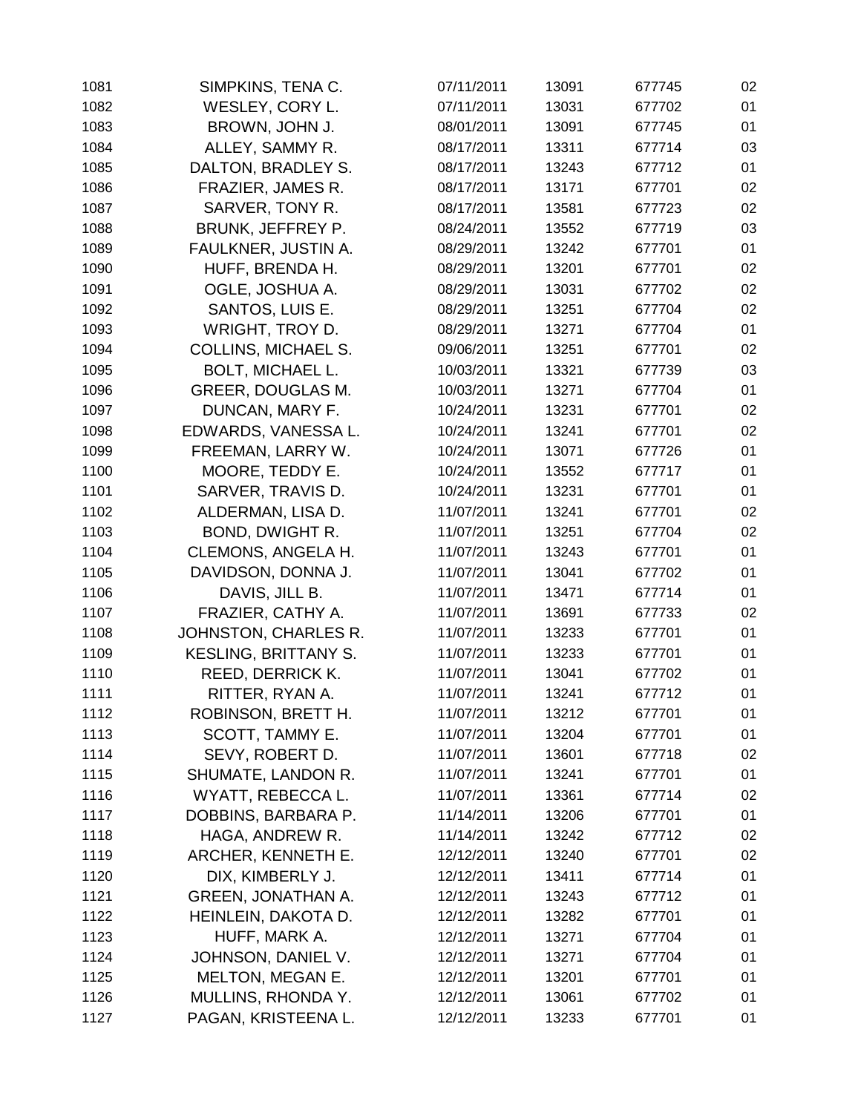| 1081 | SIMPKINS, TENA C.           | 07/11/2011 | 13091 | 677745 | 02 |
|------|-----------------------------|------------|-------|--------|----|
| 1082 | WESLEY, CORY L.             | 07/11/2011 | 13031 | 677702 | 01 |
| 1083 | BROWN, JOHN J.              | 08/01/2011 | 13091 | 677745 | 01 |
| 1084 | ALLEY, SAMMY R.             | 08/17/2011 | 13311 | 677714 | 03 |
| 1085 | DALTON, BRADLEY S.          | 08/17/2011 | 13243 | 677712 | 01 |
| 1086 | FRAZIER, JAMES R.           | 08/17/2011 | 13171 | 677701 | 02 |
| 1087 | SARVER, TONY R.             | 08/17/2011 | 13581 | 677723 | 02 |
| 1088 | BRUNK, JEFFREY P.           | 08/24/2011 | 13552 | 677719 | 03 |
| 1089 | FAULKNER, JUSTIN A.         | 08/29/2011 | 13242 | 677701 | 01 |
| 1090 | HUFF, BRENDA H.             | 08/29/2011 | 13201 | 677701 | 02 |
| 1091 | OGLE, JOSHUA A.             | 08/29/2011 | 13031 | 677702 | 02 |
| 1092 | SANTOS, LUIS E.             | 08/29/2011 | 13251 | 677704 | 02 |
| 1093 | WRIGHT, TROY D.             | 08/29/2011 | 13271 | 677704 | 01 |
| 1094 | <b>COLLINS, MICHAEL S.</b>  | 09/06/2011 | 13251 | 677701 | 02 |
| 1095 | <b>BOLT, MICHAEL L.</b>     | 10/03/2011 | 13321 | 677739 | 03 |
| 1096 | <b>GREER, DOUGLAS M.</b>    | 10/03/2011 | 13271 | 677704 | 01 |
| 1097 | DUNCAN, MARY F.             | 10/24/2011 | 13231 | 677701 | 02 |
| 1098 | EDWARDS, VANESSA L.         | 10/24/2011 | 13241 | 677701 | 02 |
| 1099 | FREEMAN, LARRY W.           | 10/24/2011 | 13071 | 677726 | 01 |
| 1100 | MOORE, TEDDY E.             | 10/24/2011 | 13552 | 677717 | 01 |
| 1101 | SARVER, TRAVIS D.           | 10/24/2011 | 13231 | 677701 | 01 |
| 1102 | ALDERMAN, LISA D.           | 11/07/2011 | 13241 | 677701 | 02 |
| 1103 | BOND, DWIGHT R.             | 11/07/2011 | 13251 | 677704 | 02 |
| 1104 | CLEMONS, ANGELA H.          | 11/07/2011 | 13243 | 677701 | 01 |
| 1105 | DAVIDSON, DONNA J.          | 11/07/2011 | 13041 | 677702 | 01 |
| 1106 | DAVIS, JILL B.              | 11/07/2011 | 13471 | 677714 | 01 |
| 1107 | FRAZIER, CATHY A.           | 11/07/2011 | 13691 | 677733 | 02 |
| 1108 | JOHNSTON, CHARLES R.        | 11/07/2011 | 13233 | 677701 | 01 |
| 1109 | <b>KESLING, BRITTANY S.</b> | 11/07/2011 | 13233 | 677701 | 01 |
| 1110 | REED, DERRICK K.            | 11/07/2011 | 13041 | 677702 | 01 |
| 1111 | RITTER, RYAN A.             | 11/07/2011 | 13241 | 677712 | 01 |
| 1112 | ROBINSON, BRETT H.          | 11/07/2011 | 13212 | 677701 | 01 |
| 1113 | SCOTT, TAMMY E.             | 11/07/2011 | 13204 | 677701 | 01 |
| 1114 | SEVY, ROBERT D.             | 11/07/2011 | 13601 | 677718 | 02 |
| 1115 | SHUMATE, LANDON R.          | 11/07/2011 | 13241 | 677701 | 01 |
| 1116 | WYATT, REBECCA L.           | 11/07/2011 | 13361 | 677714 | 02 |
| 1117 | DOBBINS, BARBARA P.         | 11/14/2011 | 13206 | 677701 | 01 |
| 1118 | HAGA, ANDREW R.             | 11/14/2011 | 13242 | 677712 | 02 |
| 1119 | ARCHER, KENNETH E.          | 12/12/2011 | 13240 | 677701 | 02 |
| 1120 | DIX, KIMBERLY J.            | 12/12/2011 | 13411 | 677714 | 01 |
| 1121 | <b>GREEN, JONATHAN A.</b>   | 12/12/2011 | 13243 | 677712 | 01 |
| 1122 | HEINLEIN, DAKOTA D.         | 12/12/2011 | 13282 | 677701 | 01 |
| 1123 | HUFF, MARK A.               | 12/12/2011 | 13271 | 677704 | 01 |
| 1124 | JOHNSON, DANIEL V.          | 12/12/2011 | 13271 | 677704 | 01 |
| 1125 | MELTON, MEGAN E.            | 12/12/2011 | 13201 | 677701 | 01 |
| 1126 | MULLINS, RHONDA Y.          | 12/12/2011 | 13061 | 677702 | 01 |
| 1127 | PAGAN, KRISTEENA L.         | 12/12/2011 | 13233 | 677701 | 01 |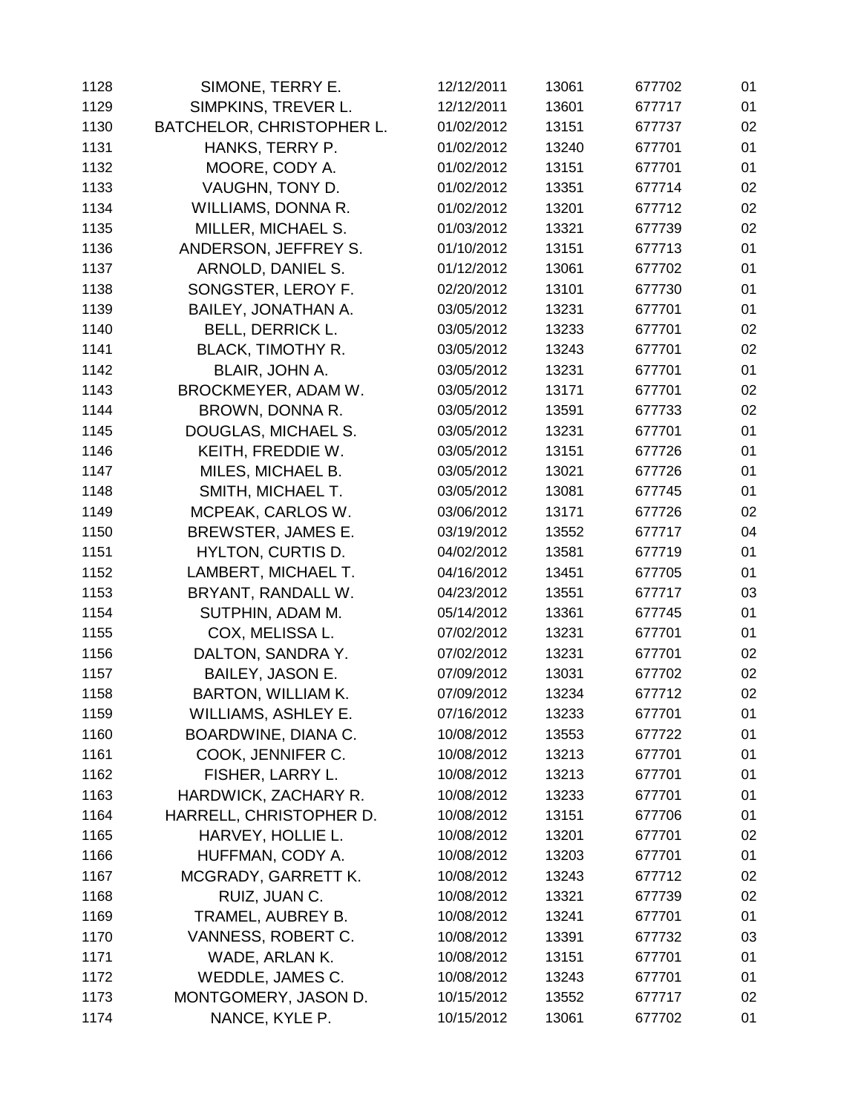| 1128 | SIMONE, TERRY E.          | 12/12/2011 | 13061 | 677702 | 01 |
|------|---------------------------|------------|-------|--------|----|
| 1129 | SIMPKINS, TREVER L.       | 12/12/2011 | 13601 | 677717 | 01 |
| 1130 | BATCHELOR, CHRISTOPHER L. | 01/02/2012 | 13151 | 677737 | 02 |
| 1131 | HANKS, TERRY P.           | 01/02/2012 | 13240 | 677701 | 01 |
| 1132 | MOORE, CODY A.            | 01/02/2012 | 13151 | 677701 | 01 |
| 1133 | VAUGHN, TONY D.           | 01/02/2012 | 13351 | 677714 | 02 |
| 1134 | WILLIAMS, DONNA R.        | 01/02/2012 | 13201 | 677712 | 02 |
| 1135 | MILLER, MICHAEL S.        | 01/03/2012 | 13321 | 677739 | 02 |
| 1136 | ANDERSON, JEFFREY S.      | 01/10/2012 | 13151 | 677713 | 01 |
| 1137 | ARNOLD, DANIEL S.         | 01/12/2012 | 13061 | 677702 | 01 |
| 1138 | SONGSTER, LEROY F.        | 02/20/2012 | 13101 | 677730 | 01 |
| 1139 | BAILEY, JONATHAN A.       | 03/05/2012 | 13231 | 677701 | 01 |
| 1140 | <b>BELL, DERRICK L.</b>   | 03/05/2012 | 13233 | 677701 | 02 |
| 1141 | <b>BLACK, TIMOTHY R.</b>  | 03/05/2012 | 13243 | 677701 | 02 |
| 1142 | BLAIR, JOHN A.            | 03/05/2012 | 13231 | 677701 | 01 |
| 1143 | BROCKMEYER, ADAM W.       | 03/05/2012 | 13171 | 677701 | 02 |
| 1144 | BROWN, DONNA R.           | 03/05/2012 | 13591 | 677733 | 02 |
| 1145 | DOUGLAS, MICHAEL S.       | 03/05/2012 | 13231 | 677701 | 01 |
| 1146 | KEITH, FREDDIE W.         | 03/05/2012 | 13151 | 677726 | 01 |
| 1147 | MILES, MICHAEL B.         | 03/05/2012 | 13021 | 677726 | 01 |
| 1148 | SMITH, MICHAEL T.         | 03/05/2012 | 13081 | 677745 | 01 |
| 1149 | MCPEAK, CARLOS W.         | 03/06/2012 | 13171 | 677726 | 02 |
| 1150 | BREWSTER, JAMES E.        | 03/19/2012 | 13552 | 677717 | 04 |
| 1151 | <b>HYLTON, CURTIS D.</b>  | 04/02/2012 | 13581 | 677719 | 01 |
| 1152 | LAMBERT, MICHAEL T.       | 04/16/2012 | 13451 | 677705 | 01 |
| 1153 | BRYANT, RANDALL W.        | 04/23/2012 | 13551 | 677717 | 03 |
| 1154 | SUTPHIN, ADAM M.          | 05/14/2012 | 13361 | 677745 | 01 |
| 1155 | COX, MELISSA L.           | 07/02/2012 | 13231 | 677701 | 01 |
| 1156 | DALTON, SANDRA Y.         | 07/02/2012 | 13231 | 677701 | 02 |
| 1157 | <b>BAILEY, JASON E.</b>   | 07/09/2012 | 13031 | 677702 | 02 |
| 1158 | <b>BARTON, WILLIAM K.</b> | 07/09/2012 | 13234 | 677712 | 02 |
| 1159 | WILLIAMS, ASHLEY E.       | 07/16/2012 | 13233 | 677701 | 01 |
| 1160 | BOARDWINE, DIANA C.       | 10/08/2012 | 13553 | 677722 | 01 |
| 1161 | COOK, JENNIFER C.         | 10/08/2012 | 13213 | 677701 | 01 |
| 1162 | FISHER, LARRY L.          | 10/08/2012 | 13213 | 677701 | 01 |
| 1163 | HARDWICK, ZACHARY R.      | 10/08/2012 | 13233 | 677701 | 01 |
| 1164 | HARRELL, CHRISTOPHER D.   | 10/08/2012 | 13151 | 677706 | 01 |
| 1165 | HARVEY, HOLLIE L.         | 10/08/2012 | 13201 | 677701 | 02 |
| 1166 | HUFFMAN, CODY A.          | 10/08/2012 | 13203 | 677701 | 01 |
| 1167 | MCGRADY, GARRETT K.       | 10/08/2012 | 13243 | 677712 | 02 |
| 1168 | RUIZ, JUAN C.             | 10/08/2012 | 13321 | 677739 | 02 |
| 1169 | TRAMEL, AUBREY B.         | 10/08/2012 | 13241 | 677701 | 01 |
| 1170 | VANNESS, ROBERT C.        | 10/08/2012 | 13391 | 677732 | 03 |
| 1171 | WADE, ARLAN K.            | 10/08/2012 | 13151 | 677701 | 01 |
| 1172 | WEDDLE, JAMES C.          | 10/08/2012 | 13243 | 677701 | 01 |
| 1173 | MONTGOMERY, JASON D.      | 10/15/2012 | 13552 | 677717 | 02 |
| 1174 | NANCE, KYLE P.            | 10/15/2012 | 13061 | 677702 | 01 |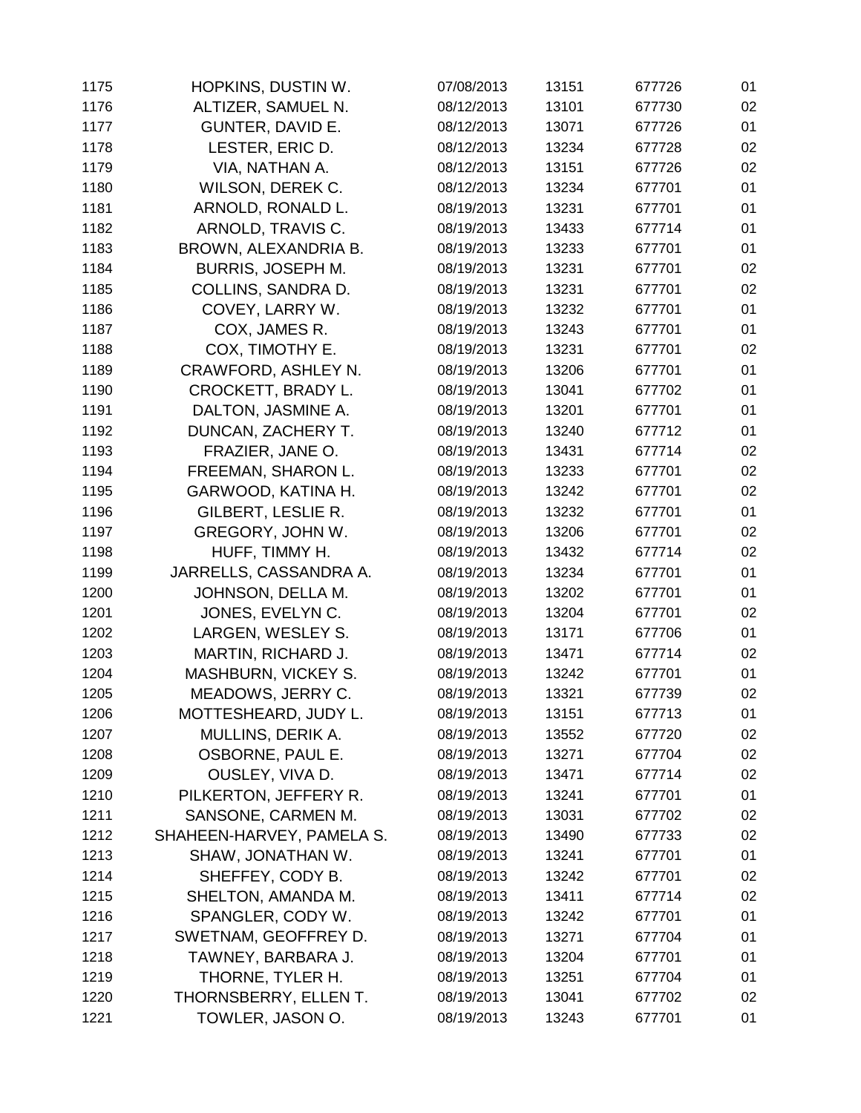| 1175 | HOPKINS, DUSTIN W.         | 07/08/2013 | 13151 | 677726 | 01 |
|------|----------------------------|------------|-------|--------|----|
| 1176 | ALTIZER, SAMUEL N.         | 08/12/2013 | 13101 | 677730 | 02 |
| 1177 | GUNTER, DAVID E.           | 08/12/2013 | 13071 | 677726 | 01 |
| 1178 | LESTER, ERIC D.            | 08/12/2013 | 13234 | 677728 | 02 |
| 1179 | VIA, NATHAN A.             | 08/12/2013 | 13151 | 677726 | 02 |
| 1180 | WILSON, DEREK C.           | 08/12/2013 | 13234 | 677701 | 01 |
| 1181 | ARNOLD, RONALD L.          | 08/19/2013 | 13231 | 677701 | 01 |
| 1182 | ARNOLD, TRAVIS C.          | 08/19/2013 | 13433 | 677714 | 01 |
| 1183 | BROWN, ALEXANDRIA B.       | 08/19/2013 | 13233 | 677701 | 01 |
| 1184 | <b>BURRIS, JOSEPH M.</b>   | 08/19/2013 | 13231 | 677701 | 02 |
| 1185 | COLLINS, SANDRA D.         | 08/19/2013 | 13231 | 677701 | 02 |
| 1186 | COVEY, LARRY W.            | 08/19/2013 | 13232 | 677701 | 01 |
| 1187 | COX, JAMES R.              | 08/19/2013 | 13243 | 677701 | 01 |
| 1188 | COX, TIMOTHY E.            | 08/19/2013 | 13231 | 677701 | 02 |
| 1189 | CRAWFORD, ASHLEY N.        | 08/19/2013 | 13206 | 677701 | 01 |
| 1190 | CROCKETT, BRADY L.         | 08/19/2013 | 13041 | 677702 | 01 |
| 1191 | DALTON, JASMINE A.         | 08/19/2013 | 13201 | 677701 | 01 |
| 1192 | DUNCAN, ZACHERY T.         | 08/19/2013 | 13240 | 677712 | 01 |
| 1193 | FRAZIER, JANE O.           | 08/19/2013 | 13431 | 677714 | 02 |
| 1194 | FREEMAN, SHARON L.         | 08/19/2013 | 13233 | 677701 | 02 |
| 1195 | GARWOOD, KATINA H.         | 08/19/2013 | 13242 | 677701 | 02 |
| 1196 | GILBERT, LESLIE R.         | 08/19/2013 | 13232 | 677701 | 01 |
| 1197 | GREGORY, JOHN W.           | 08/19/2013 | 13206 | 677701 | 02 |
| 1198 | HUFF, TIMMY H.             | 08/19/2013 | 13432 | 677714 | 02 |
| 1199 | JARRELLS, CASSANDRA A.     | 08/19/2013 | 13234 | 677701 | 01 |
| 1200 | JOHNSON, DELLA M.          | 08/19/2013 | 13202 | 677701 | 01 |
| 1201 | JONES, EVELYN C.           | 08/19/2013 | 13204 | 677701 | 02 |
| 1202 | LARGEN, WESLEY S.          | 08/19/2013 | 13171 | 677706 | 01 |
| 1203 | MARTIN, RICHARD J.         | 08/19/2013 | 13471 | 677714 | 02 |
| 1204 | <b>MASHBURN, VICKEY S.</b> | 08/19/2013 | 13242 | 677701 | 01 |
| 1205 | MEADOWS, JERRY C.          | 08/19/2013 | 13321 | 677739 | 02 |
| 1206 | MOTTESHEARD, JUDY L.       | 08/19/2013 | 13151 | 677713 | 01 |
| 1207 | MULLINS, DERIK A.          | 08/19/2013 | 13552 | 677720 | 02 |
| 1208 | OSBORNE, PAUL E.           | 08/19/2013 | 13271 | 677704 | 02 |
| 1209 | OUSLEY, VIVA D.            | 08/19/2013 | 13471 | 677714 | 02 |
| 1210 | PILKERTON, JEFFERY R.      | 08/19/2013 | 13241 | 677701 | 01 |
| 1211 | SANSONE, CARMEN M.         | 08/19/2013 | 13031 | 677702 | 02 |
| 1212 | SHAHEEN-HARVEY, PAMELA S.  | 08/19/2013 | 13490 | 677733 | 02 |
| 1213 | SHAW, JONATHAN W.          | 08/19/2013 | 13241 | 677701 | 01 |
| 1214 | SHEFFEY, CODY B.           | 08/19/2013 | 13242 | 677701 | 02 |
| 1215 | SHELTON, AMANDA M.         | 08/19/2013 | 13411 | 677714 | 02 |
| 1216 | SPANGLER, CODY W.          | 08/19/2013 | 13242 | 677701 | 01 |
| 1217 | SWETNAM, GEOFFREY D.       | 08/19/2013 | 13271 | 677704 | 01 |
| 1218 | TAWNEY, BARBARA J.         | 08/19/2013 | 13204 | 677701 | 01 |
| 1219 | THORNE, TYLER H.           | 08/19/2013 | 13251 | 677704 | 01 |
| 1220 | THORNSBERRY, ELLEN T.      | 08/19/2013 | 13041 | 677702 | 02 |
| 1221 | TOWLER, JASON O.           | 08/19/2013 | 13243 | 677701 | 01 |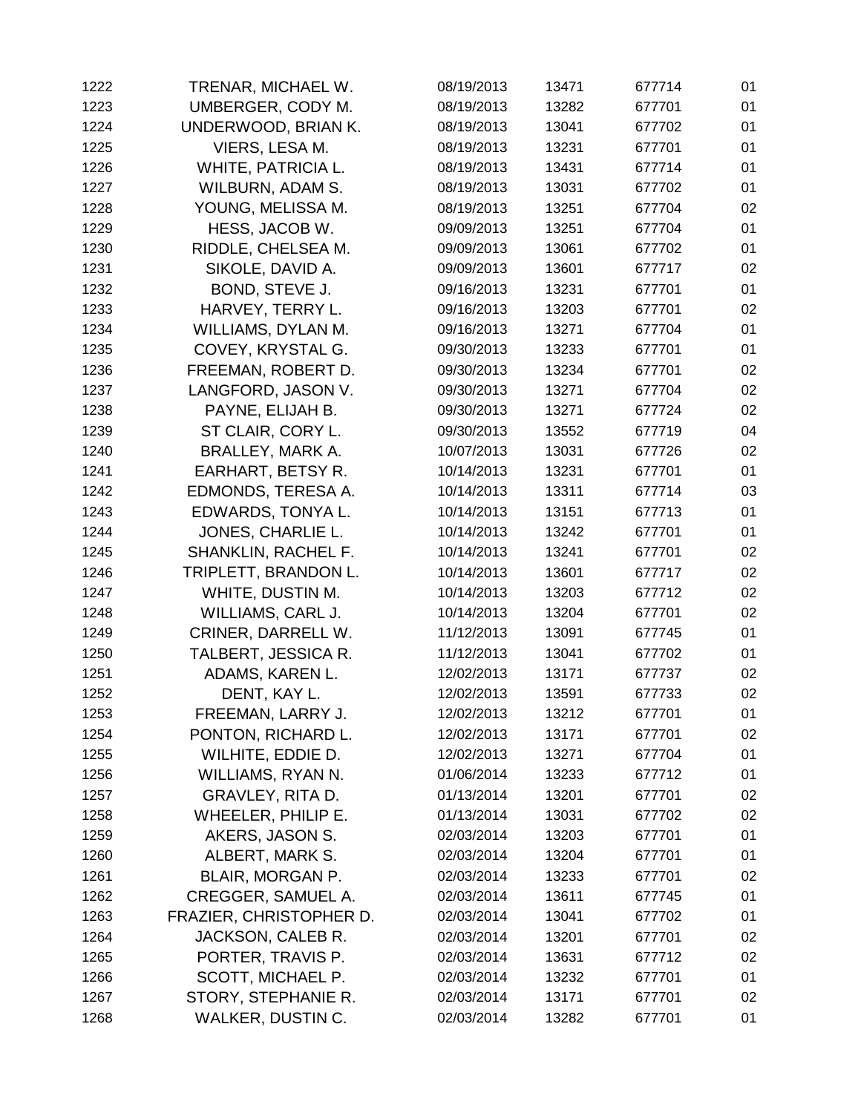| 1222 | TRENAR, MICHAEL W.      | 08/19/2013 | 13471 | 677714 | 01 |
|------|-------------------------|------------|-------|--------|----|
| 1223 | UMBERGER, CODY M.       | 08/19/2013 | 13282 | 677701 | 01 |
| 1224 | UNDERWOOD, BRIAN K.     | 08/19/2013 | 13041 | 677702 | 01 |
| 1225 | VIERS, LESA M.          | 08/19/2013 | 13231 | 677701 | 01 |
| 1226 | WHITE, PATRICIA L.      | 08/19/2013 | 13431 | 677714 | 01 |
| 1227 | WILBURN, ADAM S.        | 08/19/2013 | 13031 | 677702 | 01 |
| 1228 | YOUNG, MELISSA M.       | 08/19/2013 | 13251 | 677704 | 02 |
| 1229 | HESS, JACOB W.          | 09/09/2013 | 13251 | 677704 | 01 |
| 1230 | RIDDLE, CHELSEA M.      | 09/09/2013 | 13061 | 677702 | 01 |
| 1231 | SIKOLE, DAVID A.        | 09/09/2013 | 13601 | 677717 | 02 |
| 1232 | BOND, STEVE J.          | 09/16/2013 | 13231 | 677701 | 01 |
| 1233 | HARVEY, TERRY L.        | 09/16/2013 | 13203 | 677701 | 02 |
| 1234 | WILLIAMS, DYLAN M.      | 09/16/2013 | 13271 | 677704 | 01 |
| 1235 | COVEY, KRYSTAL G.       | 09/30/2013 | 13233 | 677701 | 01 |
| 1236 | FREEMAN, ROBERT D.      | 09/30/2013 | 13234 | 677701 | 02 |
| 1237 | LANGFORD, JASON V.      | 09/30/2013 | 13271 | 677704 | 02 |
| 1238 | PAYNE, ELIJAH B.        | 09/30/2013 | 13271 | 677724 | 02 |
| 1239 | ST CLAIR, CORY L.       | 09/30/2013 | 13552 | 677719 | 04 |
| 1240 | <b>BRALLEY, MARK A.</b> | 10/07/2013 | 13031 | 677726 | 02 |
| 1241 | EARHART, BETSY R.       | 10/14/2013 | 13231 | 677701 | 01 |
| 1242 | EDMONDS, TERESA A.      | 10/14/2013 | 13311 | 677714 | 03 |
| 1243 | EDWARDS, TONYA L.       | 10/14/2013 | 13151 | 677713 | 01 |
| 1244 | JONES, CHARLIE L.       | 10/14/2013 | 13242 | 677701 | 01 |
| 1245 | SHANKLIN, RACHEL F.     | 10/14/2013 | 13241 | 677701 | 02 |
| 1246 | TRIPLETT, BRANDON L.    | 10/14/2013 | 13601 | 677717 | 02 |
| 1247 | WHITE, DUSTIN M.        | 10/14/2013 | 13203 | 677712 | 02 |
| 1248 | WILLIAMS, CARL J.       | 10/14/2013 | 13204 | 677701 | 02 |
| 1249 | CRINER, DARRELL W.      | 11/12/2013 | 13091 | 677745 | 01 |
| 1250 | TALBERT, JESSICA R.     | 11/12/2013 | 13041 | 677702 | 01 |
| 1251 | ADAMS, KAREN L.         | 12/02/2013 | 13171 | 677737 | 02 |
| 1252 | DENT, KAY L.            | 12/02/2013 | 13591 | 677733 | 02 |
| 1253 | FREEMAN, LARRY J.       | 12/02/2013 | 13212 | 677701 | 01 |
| 1254 | PONTON, RICHARD L.      | 12/02/2013 | 13171 | 677701 | 02 |
| 1255 | WILHITE, EDDIE D.       | 12/02/2013 | 13271 | 677704 | 01 |
| 1256 | WILLIAMS, RYAN N.       | 01/06/2014 | 13233 | 677712 | 01 |
| 1257 | GRAVLEY, RITA D.        | 01/13/2014 | 13201 | 677701 | 02 |
| 1258 | WHEELER, PHILIP E.      | 01/13/2014 | 13031 | 677702 | 02 |
| 1259 | AKERS, JASON S.         | 02/03/2014 | 13203 | 677701 | 01 |
| 1260 | ALBERT, MARK S.         | 02/03/2014 | 13204 | 677701 | 01 |
| 1261 | BLAIR, MORGAN P.        | 02/03/2014 | 13233 | 677701 | 02 |
| 1262 | CREGGER, SAMUEL A.      | 02/03/2014 | 13611 | 677745 | 01 |
| 1263 | FRAZIER, CHRISTOPHER D. | 02/03/2014 | 13041 | 677702 | 01 |
| 1264 | JACKSON, CALEB R.       | 02/03/2014 | 13201 | 677701 | 02 |
| 1265 | PORTER, TRAVIS P.       | 02/03/2014 | 13631 | 677712 | 02 |
| 1266 | SCOTT, MICHAEL P.       | 02/03/2014 | 13232 | 677701 | 01 |
| 1267 | STORY, STEPHANIE R.     | 02/03/2014 | 13171 | 677701 | 02 |
| 1268 | WALKER, DUSTIN C.       | 02/03/2014 | 13282 | 677701 | 01 |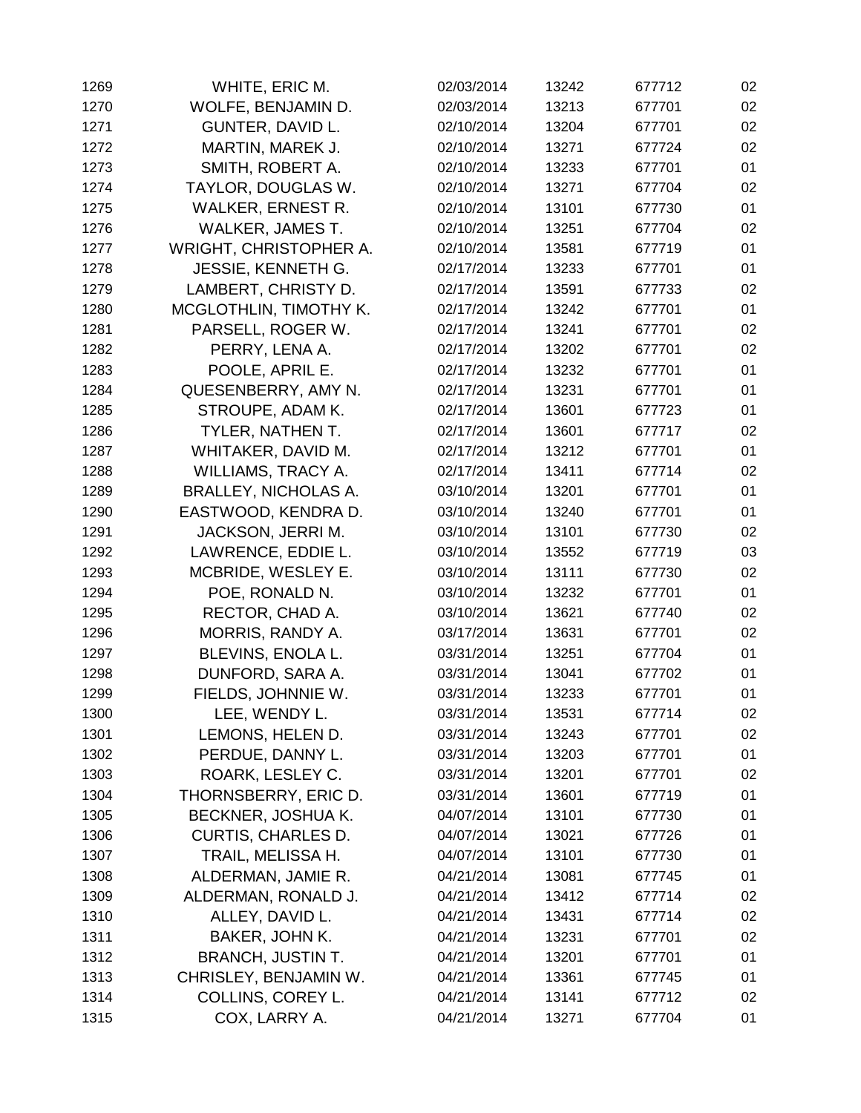| 1269 | WHITE, ERIC M.              | 02/03/2014 | 13242 | 677712 | 02 |
|------|-----------------------------|------------|-------|--------|----|
| 1270 | WOLFE, BENJAMIN D.          | 02/03/2014 | 13213 | 677701 | 02 |
| 1271 | GUNTER, DAVID L.            | 02/10/2014 | 13204 | 677701 | 02 |
| 1272 | MARTIN, MAREK J.            | 02/10/2014 | 13271 | 677724 | 02 |
| 1273 | SMITH, ROBERT A.            | 02/10/2014 | 13233 | 677701 | 01 |
| 1274 | TAYLOR, DOUGLAS W.          | 02/10/2014 | 13271 | 677704 | 02 |
| 1275 | <b>WALKER, ERNEST R.</b>    | 02/10/2014 | 13101 | 677730 | 01 |
| 1276 | WALKER, JAMES T.            | 02/10/2014 | 13251 | 677704 | 02 |
| 1277 | WRIGHT, CHRISTOPHER A.      | 02/10/2014 | 13581 | 677719 | 01 |
| 1278 | <b>JESSIE, KENNETH G.</b>   | 02/17/2014 | 13233 | 677701 | 01 |
| 1279 | LAMBERT, CHRISTY D.         | 02/17/2014 | 13591 | 677733 | 02 |
| 1280 | MCGLOTHLIN, TIMOTHY K.      | 02/17/2014 | 13242 | 677701 | 01 |
| 1281 | PARSELL, ROGER W.           | 02/17/2014 | 13241 | 677701 | 02 |
| 1282 | PERRY, LENA A.              | 02/17/2014 | 13202 | 677701 | 02 |
| 1283 | POOLE, APRIL E.             | 02/17/2014 | 13232 | 677701 | 01 |
| 1284 | QUESENBERRY, AMY N.         | 02/17/2014 | 13231 | 677701 | 01 |
| 1285 | STROUPE, ADAM K.            | 02/17/2014 | 13601 | 677723 | 01 |
| 1286 | TYLER, NATHEN T.            | 02/17/2014 | 13601 | 677717 | 02 |
| 1287 | WHITAKER, DAVID M.          | 02/17/2014 | 13212 | 677701 | 01 |
| 1288 | WILLIAMS, TRACY A.          | 02/17/2014 | 13411 | 677714 | 02 |
| 1289 | <b>BRALLEY, NICHOLAS A.</b> | 03/10/2014 | 13201 | 677701 | 01 |
| 1290 | EASTWOOD, KENDRA D.         | 03/10/2014 | 13240 | 677701 | 01 |
| 1291 | JACKSON, JERRI M.           | 03/10/2014 | 13101 | 677730 | 02 |
| 1292 | LAWRENCE, EDDIE L.          | 03/10/2014 | 13552 | 677719 | 03 |
| 1293 | MCBRIDE, WESLEY E.          | 03/10/2014 | 13111 | 677730 | 02 |
| 1294 | POE, RONALD N.              | 03/10/2014 | 13232 | 677701 | 01 |
| 1295 | RECTOR, CHAD A.             | 03/10/2014 | 13621 | 677740 | 02 |
| 1296 | MORRIS, RANDY A.            | 03/17/2014 | 13631 | 677701 | 02 |
| 1297 | BLEVINS, ENOLA L.           | 03/31/2014 | 13251 | 677704 | 01 |
| 1298 | DUNFORD, SARA A.            | 03/31/2014 | 13041 | 677702 | 01 |
| 1299 | FIELDS, JOHNNIE W.          | 03/31/2014 | 13233 | 677701 | 01 |
| 1300 | LEE, WENDY L.               | 03/31/2014 | 13531 | 677714 | 02 |
| 1301 | LEMONS, HELEN D.            | 03/31/2014 | 13243 | 677701 | 02 |
| 1302 | PERDUE, DANNY L.            | 03/31/2014 | 13203 | 677701 | 01 |
| 1303 | ROARK, LESLEY C.            | 03/31/2014 | 13201 | 677701 | 02 |
| 1304 | THORNSBERRY, ERIC D.        | 03/31/2014 | 13601 | 677719 | 01 |
| 1305 | <b>BECKNER, JOSHUA K.</b>   | 04/07/2014 | 13101 | 677730 | 01 |
| 1306 | <b>CURTIS, CHARLES D.</b>   | 04/07/2014 | 13021 | 677726 | 01 |
| 1307 | TRAIL, MELISSA H.           | 04/07/2014 | 13101 | 677730 | 01 |
| 1308 | ALDERMAN, JAMIE R.          | 04/21/2014 | 13081 | 677745 | 01 |
| 1309 | ALDERMAN, RONALD J.         | 04/21/2014 | 13412 | 677714 | 02 |
| 1310 | ALLEY, DAVID L.             | 04/21/2014 | 13431 | 677714 | 02 |
| 1311 | BAKER, JOHN K.              | 04/21/2014 | 13231 | 677701 | 02 |
| 1312 | <b>BRANCH, JUSTIN T.</b>    | 04/21/2014 | 13201 | 677701 | 01 |
| 1313 | CHRISLEY, BENJAMIN W.       | 04/21/2014 | 13361 | 677745 | 01 |
| 1314 | COLLINS, COREY L.           | 04/21/2014 | 13141 | 677712 | 02 |
| 1315 | COX, LARRY A.               | 04/21/2014 | 13271 | 677704 | 01 |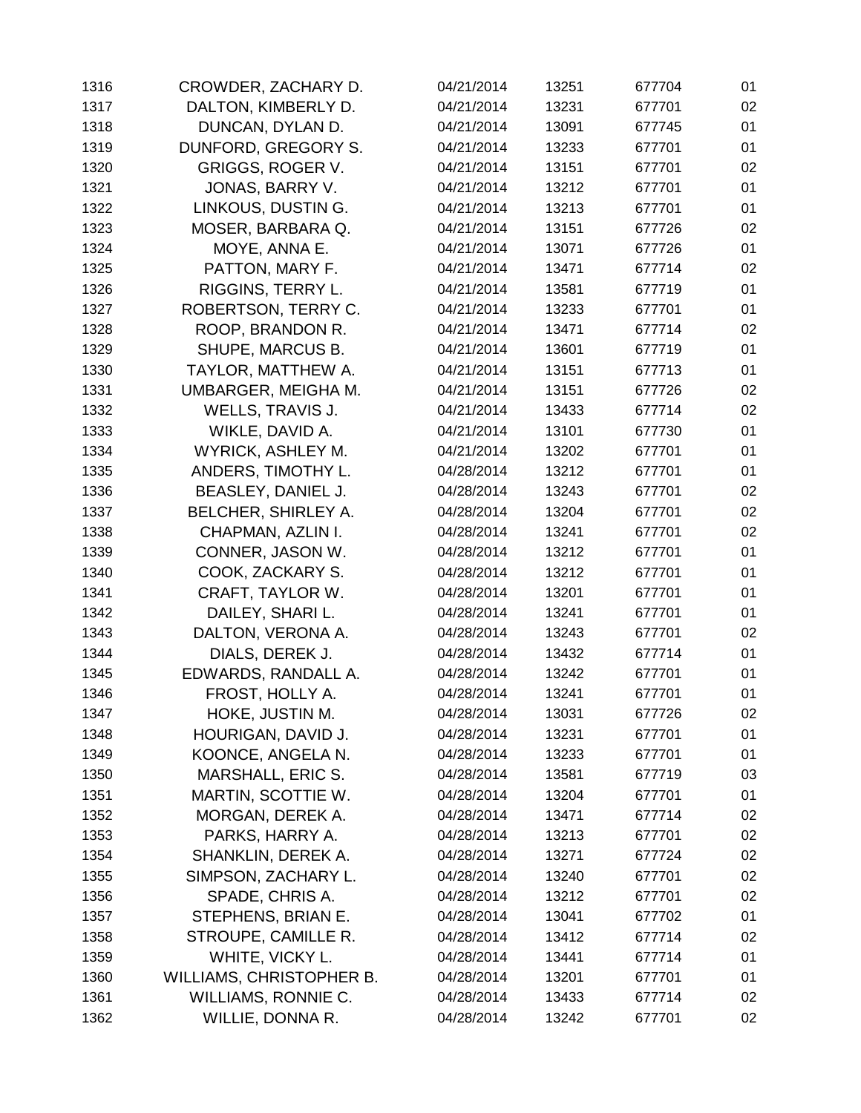| 1316 | CROWDER, ZACHARY D.             | 04/21/2014 | 13251 | 677704 | 01 |
|------|---------------------------------|------------|-------|--------|----|
| 1317 | DALTON, KIMBERLY D.             | 04/21/2014 | 13231 | 677701 | 02 |
| 1318 | DUNCAN, DYLAN D.                | 04/21/2014 | 13091 | 677745 | 01 |
| 1319 | DUNFORD, GREGORY S.             | 04/21/2014 | 13233 | 677701 | 01 |
| 1320 | <b>GRIGGS, ROGER V.</b>         | 04/21/2014 | 13151 | 677701 | 02 |
| 1321 | JONAS, BARRY V.                 | 04/21/2014 | 13212 | 677701 | 01 |
| 1322 | LINKOUS, DUSTIN G.              | 04/21/2014 | 13213 | 677701 | 01 |
| 1323 | MOSER, BARBARA Q.               | 04/21/2014 | 13151 | 677726 | 02 |
| 1324 | MOYE, ANNA E.                   | 04/21/2014 | 13071 | 677726 | 01 |
| 1325 | PATTON, MARY F.                 | 04/21/2014 | 13471 | 677714 | 02 |
| 1326 | RIGGINS, TERRY L.               | 04/21/2014 | 13581 | 677719 | 01 |
| 1327 | ROBERTSON, TERRY C.             | 04/21/2014 | 13233 | 677701 | 01 |
| 1328 | ROOP, BRANDON R.                | 04/21/2014 | 13471 | 677714 | 02 |
| 1329 | SHUPE, MARCUS B.                | 04/21/2014 | 13601 | 677719 | 01 |
| 1330 | TAYLOR, MATTHEW A.              | 04/21/2014 | 13151 | 677713 | 01 |
| 1331 | UMBARGER, MEIGHA M.             | 04/21/2014 | 13151 | 677726 | 02 |
| 1332 | <b>WELLS, TRAVIS J.</b>         | 04/21/2014 | 13433 | 677714 | 02 |
| 1333 | WIKLE, DAVID A.                 | 04/21/2014 | 13101 | 677730 | 01 |
| 1334 | WYRICK, ASHLEY M.               | 04/21/2014 | 13202 | 677701 | 01 |
| 1335 | ANDERS, TIMOTHY L.              | 04/28/2014 | 13212 | 677701 | 01 |
| 1336 | BEASLEY, DANIEL J.              | 04/28/2014 | 13243 | 677701 | 02 |
| 1337 | BELCHER, SHIRLEY A.             | 04/28/2014 | 13204 | 677701 | 02 |
| 1338 | CHAPMAN, AZLIN I.               | 04/28/2014 | 13241 | 677701 | 02 |
| 1339 | CONNER, JASON W.                | 04/28/2014 | 13212 | 677701 | 01 |
| 1340 | COOK, ZACKARY S.                | 04/28/2014 | 13212 | 677701 | 01 |
| 1341 | CRAFT, TAYLOR W.                | 04/28/2014 | 13201 | 677701 | 01 |
| 1342 | DAILEY, SHARI L.                | 04/28/2014 | 13241 | 677701 | 01 |
| 1343 | DALTON, VERONA A.               | 04/28/2014 | 13243 | 677701 | 02 |
| 1344 | DIALS, DEREK J.                 | 04/28/2014 | 13432 | 677714 | 01 |
| 1345 | EDWARDS, RANDALL A.             | 04/28/2014 | 13242 | 677701 | 01 |
| 1346 | FROST, HOLLY A.                 | 04/28/2014 | 13241 | 677701 | 01 |
| 1347 | HOKE, JUSTIN M.                 | 04/28/2014 | 13031 | 677726 | 02 |
| 1348 | HOURIGAN, DAVID J.              | 04/28/2014 | 13231 | 677701 | 01 |
| 1349 | KOONCE, ANGELA N.               | 04/28/2014 | 13233 | 677701 | 01 |
| 1350 | MARSHALL, ERIC S.               | 04/28/2014 | 13581 | 677719 | 03 |
| 1351 | MARTIN, SCOTTIE W.              | 04/28/2014 | 13204 | 677701 | 01 |
| 1352 | MORGAN, DEREK A.                | 04/28/2014 | 13471 | 677714 | 02 |
| 1353 | PARKS, HARRY A.                 | 04/28/2014 | 13213 | 677701 | 02 |
| 1354 | SHANKLIN, DEREK A.              | 04/28/2014 | 13271 | 677724 | 02 |
| 1355 | SIMPSON, ZACHARY L.             | 04/28/2014 | 13240 | 677701 | 02 |
| 1356 | SPADE, CHRIS A.                 | 04/28/2014 | 13212 | 677701 | 02 |
| 1357 | STEPHENS, BRIAN E.              | 04/28/2014 | 13041 | 677702 | 01 |
| 1358 | STROUPE, CAMILLE R.             | 04/28/2014 | 13412 | 677714 | 02 |
| 1359 | WHITE, VICKY L.                 | 04/28/2014 | 13441 | 677714 | 01 |
| 1360 | <b>WILLIAMS, CHRISTOPHER B.</b> | 04/28/2014 | 13201 | 677701 | 01 |
| 1361 | WILLIAMS, RONNIE C.             | 04/28/2014 | 13433 | 677714 | 02 |
| 1362 | WILLIE, DONNA R.                | 04/28/2014 | 13242 | 677701 | 02 |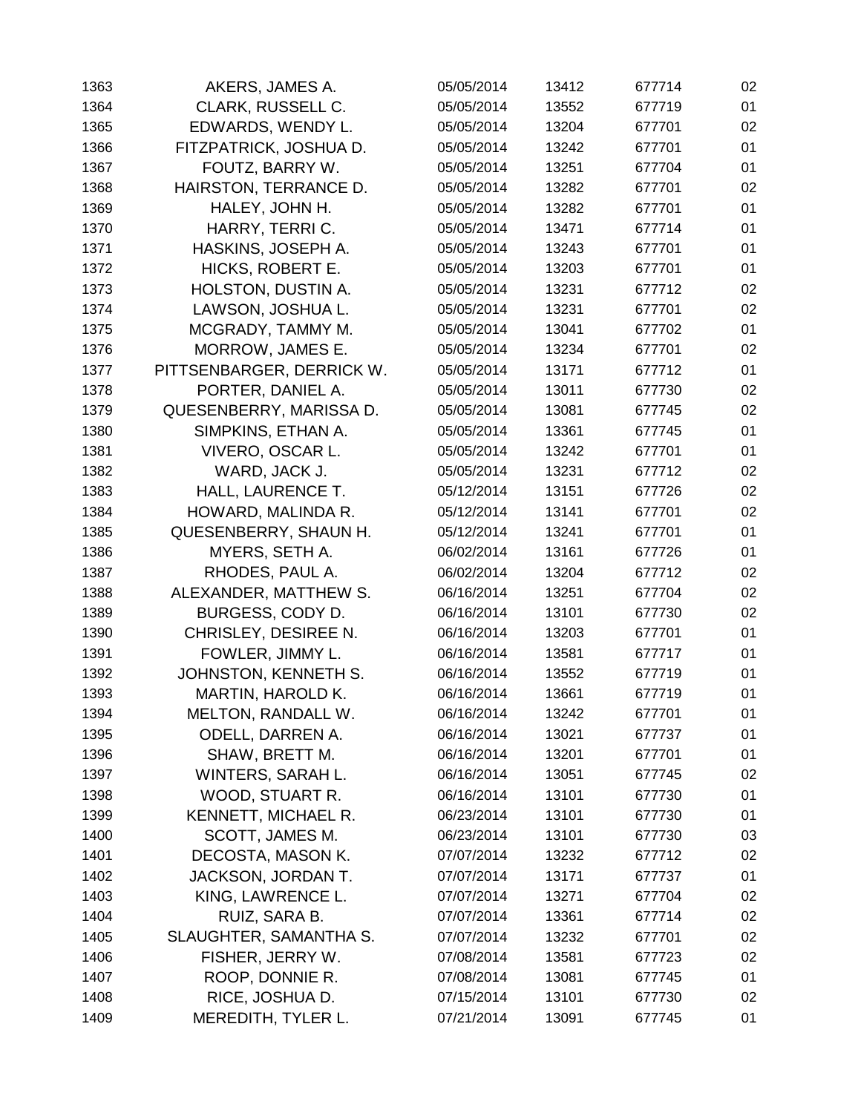| 1363 | AKERS, JAMES A.           | 05/05/2014 | 13412 | 677714 | 02 |
|------|---------------------------|------------|-------|--------|----|
| 1364 | CLARK, RUSSELL C.         | 05/05/2014 | 13552 | 677719 | 01 |
| 1365 | EDWARDS, WENDY L.         | 05/05/2014 | 13204 | 677701 | 02 |
| 1366 | FITZPATRICK, JOSHUA D.    | 05/05/2014 | 13242 | 677701 | 01 |
| 1367 | FOUTZ, BARRY W.           | 05/05/2014 | 13251 | 677704 | 01 |
| 1368 | HAIRSTON, TERRANCE D.     | 05/05/2014 | 13282 | 677701 | 02 |
| 1369 | HALEY, JOHN H.            | 05/05/2014 | 13282 | 677701 | 01 |
| 1370 | HARRY, TERRIC.            | 05/05/2014 | 13471 | 677714 | 01 |
| 1371 | HASKINS, JOSEPH A.        | 05/05/2014 | 13243 | 677701 | 01 |
| 1372 | HICKS, ROBERT E.          | 05/05/2014 | 13203 | 677701 | 01 |
| 1373 | <b>HOLSTON, DUSTIN A.</b> | 05/05/2014 | 13231 | 677712 | 02 |
| 1374 | LAWSON, JOSHUA L.         | 05/05/2014 | 13231 | 677701 | 02 |
| 1375 | MCGRADY, TAMMY M.         | 05/05/2014 | 13041 | 677702 | 01 |
| 1376 | MORROW, JAMES E.          | 05/05/2014 | 13234 | 677701 | 02 |
| 1377 | PITTSENBARGER, DERRICK W. | 05/05/2014 | 13171 | 677712 | 01 |
| 1378 | PORTER, DANIEL A.         | 05/05/2014 | 13011 | 677730 | 02 |
| 1379 | QUESENBERRY, MARISSA D.   | 05/05/2014 | 13081 | 677745 | 02 |
| 1380 | SIMPKINS, ETHAN A.        | 05/05/2014 | 13361 | 677745 | 01 |
| 1381 | VIVERO, OSCAR L.          | 05/05/2014 | 13242 | 677701 | 01 |
| 1382 | WARD, JACK J.             | 05/05/2014 | 13231 | 677712 | 02 |
| 1383 | HALL, LAURENCE T.         | 05/12/2014 | 13151 | 677726 | 02 |
| 1384 | HOWARD, MALINDA R.        | 05/12/2014 | 13141 | 677701 | 02 |
| 1385 | QUESENBERRY, SHAUN H.     | 05/12/2014 | 13241 | 677701 | 01 |
| 1386 | MYERS, SETH A.            | 06/02/2014 | 13161 | 677726 | 01 |
| 1387 | RHODES, PAUL A.           | 06/02/2014 | 13204 | 677712 | 02 |
| 1388 | ALEXANDER, MATTHEW S.     | 06/16/2014 | 13251 | 677704 | 02 |
| 1389 | BURGESS, CODY D.          | 06/16/2014 | 13101 | 677730 | 02 |
| 1390 | CHRISLEY, DESIREE N.      | 06/16/2014 | 13203 | 677701 | 01 |
| 1391 | FOWLER, JIMMY L.          | 06/16/2014 | 13581 | 677717 | 01 |
| 1392 | JOHNSTON, KENNETH S.      | 06/16/2014 | 13552 | 677719 | 01 |
| 1393 | <b>MARTIN, HAROLD K.</b>  | 06/16/2014 | 13661 | 677719 | 01 |
| 1394 | MELTON, RANDALL W.        | 06/16/2014 | 13242 | 677701 | 01 |
| 1395 | <b>ODELL, DARREN A.</b>   | 06/16/2014 | 13021 | 677737 | 01 |
| 1396 | SHAW, BRETT M.            | 06/16/2014 | 13201 | 677701 | 01 |
| 1397 | WINTERS, SARAH L.         | 06/16/2014 | 13051 | 677745 | 02 |
| 1398 | WOOD, STUART R.           | 06/16/2014 | 13101 | 677730 | 01 |
| 1399 | KENNETT, MICHAEL R.       | 06/23/2014 | 13101 | 677730 | 01 |
| 1400 | SCOTT, JAMES M.           | 06/23/2014 | 13101 | 677730 | 03 |
| 1401 | DECOSTA, MASON K.         | 07/07/2014 | 13232 | 677712 | 02 |
| 1402 | JACKSON, JORDAN T.        | 07/07/2014 | 13171 | 677737 | 01 |
| 1403 | KING, LAWRENCE L.         | 07/07/2014 | 13271 | 677704 | 02 |
| 1404 | RUIZ, SARA B.             | 07/07/2014 | 13361 | 677714 | 02 |
| 1405 | SLAUGHTER, SAMANTHA S.    | 07/07/2014 | 13232 | 677701 | 02 |
| 1406 | FISHER, JERRY W.          | 07/08/2014 | 13581 | 677723 | 02 |
| 1407 | ROOP, DONNIE R.           | 07/08/2014 | 13081 | 677745 | 01 |
| 1408 | RICE, JOSHUA D.           | 07/15/2014 | 13101 | 677730 | 02 |
| 1409 | MEREDITH, TYLER L.        | 07/21/2014 | 13091 | 677745 | 01 |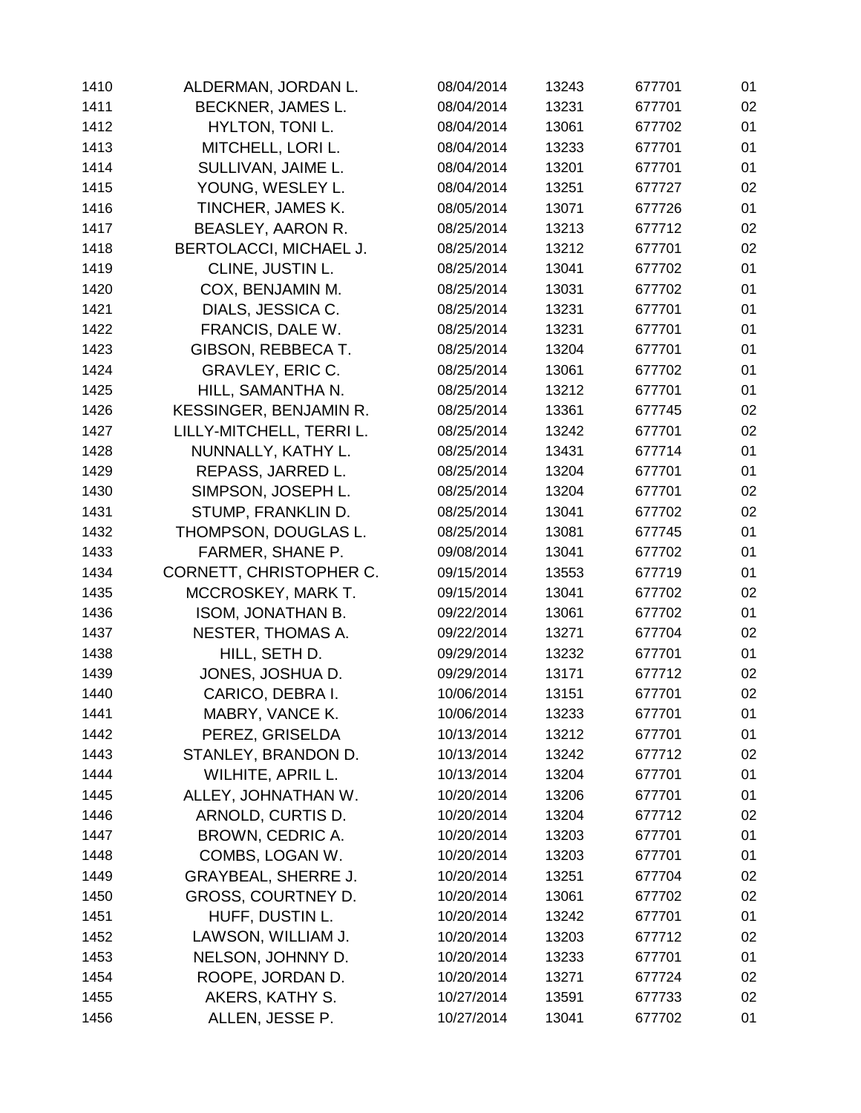| 1410 | ALDERMAN, JORDAN L.           | 08/04/2014 | 13243 | 677701 | 01 |
|------|-------------------------------|------------|-------|--------|----|
| 1411 | BECKNER, JAMES L.             | 08/04/2014 | 13231 | 677701 | 02 |
| 1412 | HYLTON, TONI L.               | 08/04/2014 | 13061 | 677702 | 01 |
| 1413 | MITCHELL, LORI L.             | 08/04/2014 | 13233 | 677701 | 01 |
| 1414 | SULLIVAN, JAIME L.            | 08/04/2014 | 13201 | 677701 | 01 |
| 1415 | YOUNG, WESLEY L.              | 08/04/2014 | 13251 | 677727 | 02 |
| 1416 | TINCHER, JAMES K.             | 08/05/2014 | 13071 | 677726 | 01 |
| 1417 | BEASLEY, AARON R.             | 08/25/2014 | 13213 | 677712 | 02 |
| 1418 | BERTOLACCI, MICHAEL J.        | 08/25/2014 | 13212 | 677701 | 02 |
| 1419 | CLINE, JUSTIN L.              | 08/25/2014 | 13041 | 677702 | 01 |
| 1420 | COX, BENJAMIN M.              | 08/25/2014 | 13031 | 677702 | 01 |
| 1421 | DIALS, JESSICA C.             | 08/25/2014 | 13231 | 677701 | 01 |
| 1422 | FRANCIS, DALE W.              | 08/25/2014 | 13231 | 677701 | 01 |
| 1423 | GIBSON, REBBECA T.            | 08/25/2014 | 13204 | 677701 | 01 |
| 1424 | GRAVLEY, ERIC C.              | 08/25/2014 | 13061 | 677702 | 01 |
| 1425 | HILL, SAMANTHA N.             | 08/25/2014 | 13212 | 677701 | 01 |
| 1426 | <b>KESSINGER, BENJAMIN R.</b> | 08/25/2014 | 13361 | 677745 | 02 |
| 1427 | LILLY-MITCHELL, TERRI L.      | 08/25/2014 | 13242 | 677701 | 02 |
| 1428 | NUNNALLY, KATHY L.            | 08/25/2014 | 13431 | 677714 | 01 |
| 1429 | REPASS, JARRED L.             | 08/25/2014 | 13204 | 677701 | 01 |
| 1430 | SIMPSON, JOSEPH L.            | 08/25/2014 | 13204 | 677701 | 02 |
| 1431 | STUMP, FRANKLIN D.            | 08/25/2014 | 13041 | 677702 | 02 |
| 1432 | THOMPSON, DOUGLAS L.          | 08/25/2014 | 13081 | 677745 | 01 |
| 1433 | FARMER, SHANE P.              | 09/08/2014 | 13041 | 677702 | 01 |
| 1434 | CORNETT, CHRISTOPHER C.       | 09/15/2014 | 13553 | 677719 | 01 |
| 1435 | MCCROSKEY, MARK T.            | 09/15/2014 | 13041 | 677702 | 02 |
| 1436 | <b>ISOM, JONATHAN B.</b>      | 09/22/2014 | 13061 | 677702 | 01 |
| 1437 | NESTER, THOMAS A.             | 09/22/2014 | 13271 | 677704 | 02 |
| 1438 | HILL, SETH D.                 | 09/29/2014 | 13232 | 677701 | 01 |
| 1439 | JONES, JOSHUA D.              | 09/29/2014 | 13171 | 677712 | 02 |
| 1440 | CARICO, DEBRA I.              | 10/06/2014 | 13151 | 677701 | 02 |
| 1441 | MABRY, VANCE K.               | 10/06/2014 | 13233 | 677701 | 01 |
| 1442 | PEREZ, GRISELDA               | 10/13/2014 | 13212 | 677701 | 01 |
| 1443 | STANLEY, BRANDON D.           | 10/13/2014 | 13242 | 677712 | 02 |
| 1444 | WILHITE, APRIL L.             | 10/13/2014 | 13204 | 677701 | 01 |
| 1445 | ALLEY, JOHNATHAN W.           | 10/20/2014 | 13206 | 677701 | 01 |
| 1446 | ARNOLD, CURTIS D.             | 10/20/2014 | 13204 | 677712 | 02 |
| 1447 | BROWN, CEDRIC A.              | 10/20/2014 | 13203 | 677701 | 01 |
| 1448 | COMBS, LOGAN W.               | 10/20/2014 | 13203 | 677701 | 01 |
| 1449 | <b>GRAYBEAL, SHERRE J.</b>    | 10/20/2014 | 13251 | 677704 | 02 |
| 1450 | GROSS, COURTNEY D.            | 10/20/2014 | 13061 | 677702 | 02 |
| 1451 | HUFF, DUSTIN L.               | 10/20/2014 | 13242 | 677701 | 01 |
| 1452 | LAWSON, WILLIAM J.            | 10/20/2014 | 13203 | 677712 | 02 |
| 1453 | NELSON, JOHNNY D.             | 10/20/2014 | 13233 | 677701 | 01 |
| 1454 | ROOPE, JORDAN D.              | 10/20/2014 | 13271 | 677724 | 02 |
| 1455 | AKERS, KATHY S.               | 10/27/2014 | 13591 | 677733 | 02 |
| 1456 | ALLEN, JESSE P.               | 10/27/2014 | 13041 | 677702 | 01 |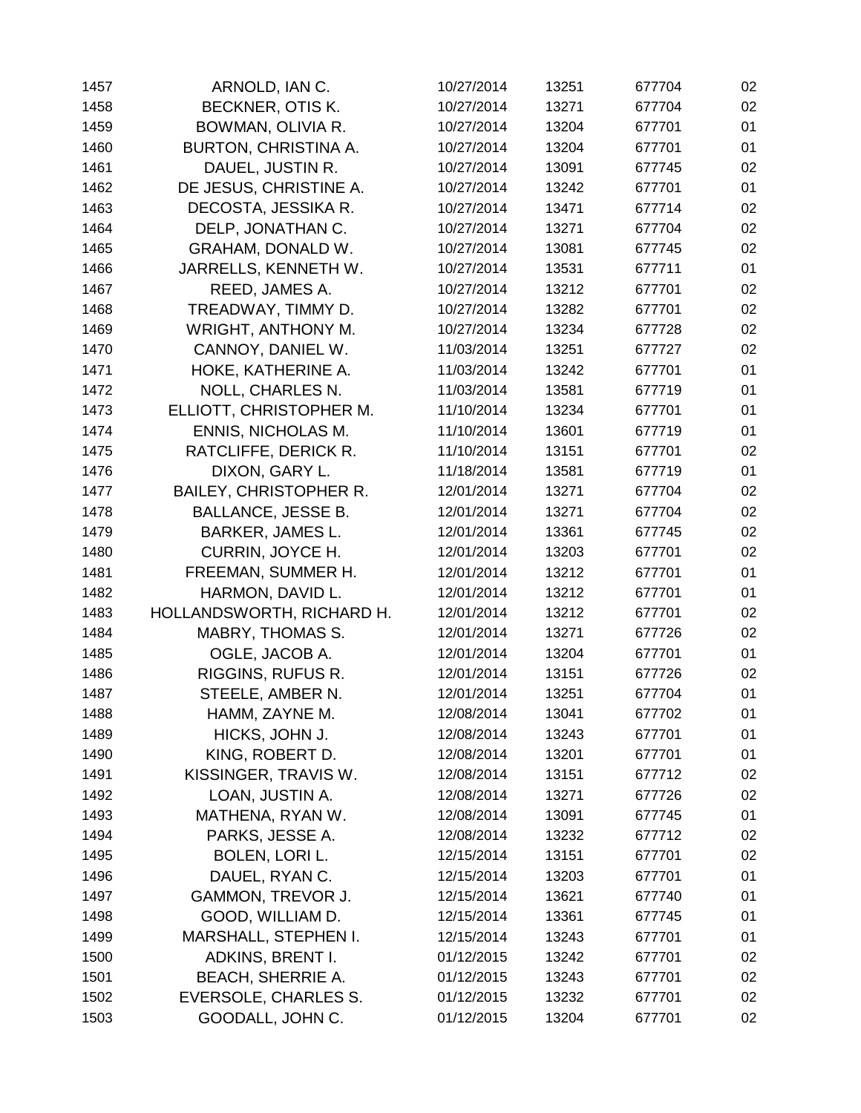| 1457 | ARNOLD, IAN C.                | 10/27/2014 | 13251 | 677704 | 02 |
|------|-------------------------------|------------|-------|--------|----|
| 1458 | BECKNER, OTIS K.              | 10/27/2014 | 13271 | 677704 | 02 |
| 1459 | BOWMAN, OLIVIA R.             | 10/27/2014 | 13204 | 677701 | 01 |
| 1460 | <b>BURTON, CHRISTINA A.</b>   | 10/27/2014 | 13204 | 677701 | 01 |
| 1461 | DAUEL, JUSTIN R.              | 10/27/2014 | 13091 | 677745 | 02 |
| 1462 | DE JESUS, CHRISTINE A.        | 10/27/2014 | 13242 | 677701 | 01 |
| 1463 | DECOSTA, JESSIKA R.           | 10/27/2014 | 13471 | 677714 | 02 |
| 1464 | DELP, JONATHAN C.             | 10/27/2014 | 13271 | 677704 | 02 |
| 1465 | GRAHAM, DONALD W.             | 10/27/2014 | 13081 | 677745 | 02 |
| 1466 | JARRELLS, KENNETH W.          | 10/27/2014 | 13531 | 677711 | 01 |
| 1467 | REED, JAMES A.                | 10/27/2014 | 13212 | 677701 | 02 |
| 1468 | TREADWAY, TIMMY D.            | 10/27/2014 | 13282 | 677701 | 02 |
| 1469 | <b>WRIGHT, ANTHONY M.</b>     | 10/27/2014 | 13234 | 677728 | 02 |
| 1470 | CANNOY, DANIEL W.             | 11/03/2014 | 13251 | 677727 | 02 |
| 1471 | HOKE, KATHERINE A.            | 11/03/2014 | 13242 | 677701 | 01 |
| 1472 | <b>NOLL, CHARLES N.</b>       | 11/03/2014 | 13581 | 677719 | 01 |
| 1473 | ELLIOTT, CHRISTOPHER M.       | 11/10/2014 | 13234 | 677701 | 01 |
| 1474 | <b>ENNIS, NICHOLAS M.</b>     | 11/10/2014 | 13601 | 677719 | 01 |
| 1475 | RATCLIFFE, DERICK R.          | 11/10/2014 | 13151 | 677701 | 02 |
| 1476 | DIXON, GARY L.                | 11/18/2014 | 13581 | 677719 | 01 |
| 1477 | <b>BAILEY, CHRISTOPHER R.</b> | 12/01/2014 | 13271 | 677704 | 02 |
| 1478 | <b>BALLANCE, JESSE B.</b>     | 12/01/2014 | 13271 | 677704 | 02 |
| 1479 | <b>BARKER, JAMES L.</b>       | 12/01/2014 | 13361 | 677745 | 02 |
| 1480 | <b>CURRIN, JOYCE H.</b>       | 12/01/2014 | 13203 | 677701 | 02 |
| 1481 | FREEMAN, SUMMER H.            | 12/01/2014 | 13212 | 677701 | 01 |
| 1482 | HARMON, DAVID L.              | 12/01/2014 | 13212 | 677701 | 01 |
| 1483 | HOLLANDSWORTH, RICHARD H.     | 12/01/2014 | 13212 | 677701 | 02 |
| 1484 | <b>MABRY, THOMAS S.</b>       | 12/01/2014 | 13271 | 677726 | 02 |
| 1485 | OGLE, JACOB A.                | 12/01/2014 | 13204 | 677701 | 01 |
| 1486 | RIGGINS, RUFUS R.             | 12/01/2014 | 13151 | 677726 | 02 |
| 1487 | STEELE, AMBER N.              | 12/01/2014 | 13251 | 677704 | 01 |
| 1488 | HAMM, ZAYNE M.                | 12/08/2014 | 13041 | 677702 | 01 |
| 1489 | HICKS, JOHN J.                | 12/08/2014 | 13243 | 677701 | 01 |
| 1490 | KING, ROBERT D.               | 12/08/2014 | 13201 | 677701 | 01 |
| 1491 | KISSINGER, TRAVIS W.          | 12/08/2014 | 13151 | 677712 | 02 |
| 1492 | LOAN, JUSTIN A.               | 12/08/2014 | 13271 | 677726 | 02 |
| 1493 | MATHENA, RYAN W.              | 12/08/2014 | 13091 | 677745 | 01 |
| 1494 | PARKS, JESSE A.               | 12/08/2014 | 13232 | 677712 | 02 |
| 1495 | BOLEN, LORI L.                | 12/15/2014 | 13151 | 677701 | 02 |
| 1496 | DAUEL, RYAN C.                | 12/15/2014 | 13203 | 677701 | 01 |
| 1497 | <b>GAMMON, TREVOR J.</b>      | 12/15/2014 | 13621 | 677740 | 01 |
| 1498 | GOOD, WILLIAM D.              | 12/15/2014 | 13361 | 677745 | 01 |
| 1499 | <b>MARSHALL, STEPHEN I.</b>   | 12/15/2014 | 13243 | 677701 | 01 |
| 1500 | ADKINS, BRENT I.              | 01/12/2015 | 13242 | 677701 | 02 |
| 1501 | <b>BEACH, SHERRIE A.</b>      | 01/12/2015 | 13243 | 677701 | 02 |
| 1502 | EVERSOLE, CHARLES S.          | 01/12/2015 | 13232 | 677701 | 02 |
| 1503 | GOODALL, JOHN C.              | 01/12/2015 | 13204 | 677701 | 02 |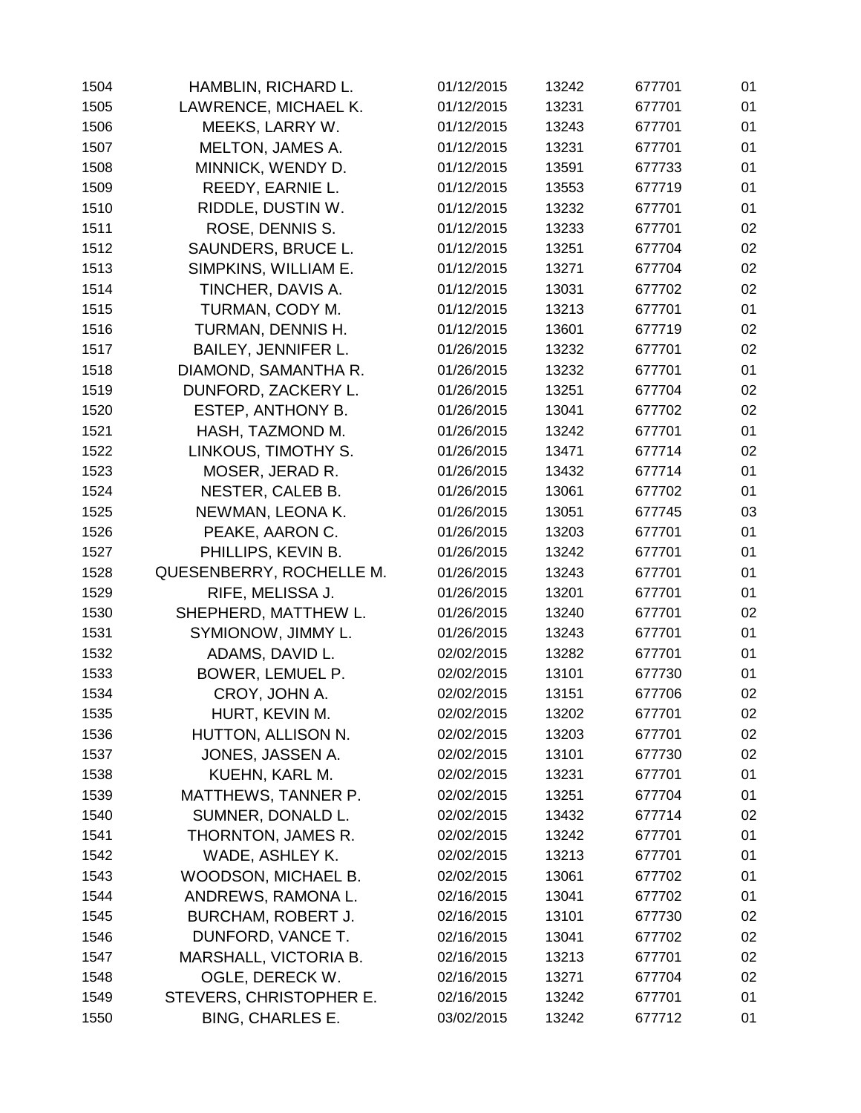| 1504 | HAMBLIN, RICHARD L.       | 01/12/2015 | 13242 | 677701 | 01 |
|------|---------------------------|------------|-------|--------|----|
| 1505 | LAWRENCE, MICHAEL K.      | 01/12/2015 | 13231 | 677701 | 01 |
| 1506 | MEEKS, LARRY W.           | 01/12/2015 | 13243 | 677701 | 01 |
| 1507 | <b>MELTON, JAMES A.</b>   | 01/12/2015 | 13231 | 677701 | 01 |
| 1508 | MINNICK, WENDY D.         | 01/12/2015 | 13591 | 677733 | 01 |
| 1509 | REEDY, EARNIE L.          | 01/12/2015 | 13553 | 677719 | 01 |
| 1510 | RIDDLE, DUSTIN W.         | 01/12/2015 | 13232 | 677701 | 01 |
| 1511 | ROSE, DENNIS S.           | 01/12/2015 | 13233 | 677701 | 02 |
| 1512 | SAUNDERS, BRUCE L.        | 01/12/2015 | 13251 | 677704 | 02 |
| 1513 | SIMPKINS, WILLIAM E.      | 01/12/2015 | 13271 | 677704 | 02 |
| 1514 | TINCHER, DAVIS A.         | 01/12/2015 | 13031 | 677702 | 02 |
| 1515 | TURMAN, CODY M.           | 01/12/2015 | 13213 | 677701 | 01 |
| 1516 | TURMAN, DENNIS H.         | 01/12/2015 | 13601 | 677719 | 02 |
| 1517 | BAILEY, JENNIFER L.       | 01/26/2015 | 13232 | 677701 | 02 |
| 1518 | DIAMOND, SAMANTHA R.      | 01/26/2015 | 13232 | 677701 | 01 |
| 1519 | DUNFORD, ZACKERY L.       | 01/26/2015 | 13251 | 677704 | 02 |
| 1520 | ESTEP, ANTHONY B.         | 01/26/2015 | 13041 | 677702 | 02 |
| 1521 | HASH, TAZMOND M.          | 01/26/2015 | 13242 | 677701 | 01 |
| 1522 | LINKOUS, TIMOTHY S.       | 01/26/2015 | 13471 | 677714 | 02 |
| 1523 | MOSER, JERAD R.           | 01/26/2015 | 13432 | 677714 | 01 |
| 1524 | NESTER, CALEB B.          | 01/26/2015 | 13061 | 677702 | 01 |
| 1525 | NEWMAN, LEONA K.          | 01/26/2015 | 13051 | 677745 | 03 |
| 1526 | PEAKE, AARON C.           | 01/26/2015 | 13203 | 677701 | 01 |
| 1527 | PHILLIPS, KEVIN B.        | 01/26/2015 | 13242 | 677701 | 01 |
| 1528 | QUESENBERRY, ROCHELLE M.  | 01/26/2015 | 13243 | 677701 | 01 |
| 1529 | RIFE, MELISSA J.          | 01/26/2015 | 13201 | 677701 | 01 |
| 1530 | SHEPHERD, MATTHEW L.      | 01/26/2015 | 13240 | 677701 | 02 |
| 1531 | SYMIONOW, JIMMY L.        | 01/26/2015 | 13243 | 677701 | 01 |
| 1532 | ADAMS, DAVID L.           | 02/02/2015 | 13282 | 677701 | 01 |
| 1533 | BOWER, LEMUEL P.          | 02/02/2015 | 13101 | 677730 | 01 |
| 1534 | CROY, JOHN A.             | 02/02/2015 | 13151 | 677706 | 02 |
| 1535 | HURT, KEVIN M.            | 02/02/2015 | 13202 | 677701 | 02 |
| 1536 | HUTTON, ALLISON N.        | 02/02/2015 | 13203 | 677701 | 02 |
| 1537 | JONES, JASSEN A.          | 02/02/2015 | 13101 | 677730 | 02 |
| 1538 | KUEHN, KARL M.            | 02/02/2015 | 13231 | 677701 | 01 |
| 1539 | MATTHEWS, TANNER P.       | 02/02/2015 | 13251 | 677704 | 01 |
| 1540 | SUMNER, DONALD L.         | 02/02/2015 | 13432 | 677714 | 02 |
| 1541 | THORNTON, JAMES R.        | 02/02/2015 | 13242 | 677701 | 01 |
| 1542 | WADE, ASHLEY K.           | 02/02/2015 | 13213 | 677701 | 01 |
| 1543 | WOODSON, MICHAEL B.       | 02/02/2015 | 13061 | 677702 | 01 |
| 1544 | ANDREWS, RAMONA L.        | 02/16/2015 | 13041 | 677702 | 01 |
| 1545 | <b>BURCHAM, ROBERT J.</b> | 02/16/2015 | 13101 | 677730 | 02 |
| 1546 | DUNFORD, VANCE T.         | 02/16/2015 | 13041 | 677702 | 02 |
| 1547 | MARSHALL, VICTORIA B.     | 02/16/2015 | 13213 | 677701 | 02 |
| 1548 | OGLE, DERECK W.           | 02/16/2015 | 13271 | 677704 | 02 |
| 1549 | STEVERS, CHRISTOPHER E.   | 02/16/2015 | 13242 | 677701 | 01 |
| 1550 | <b>BING, CHARLES E.</b>   | 03/02/2015 | 13242 | 677712 | 01 |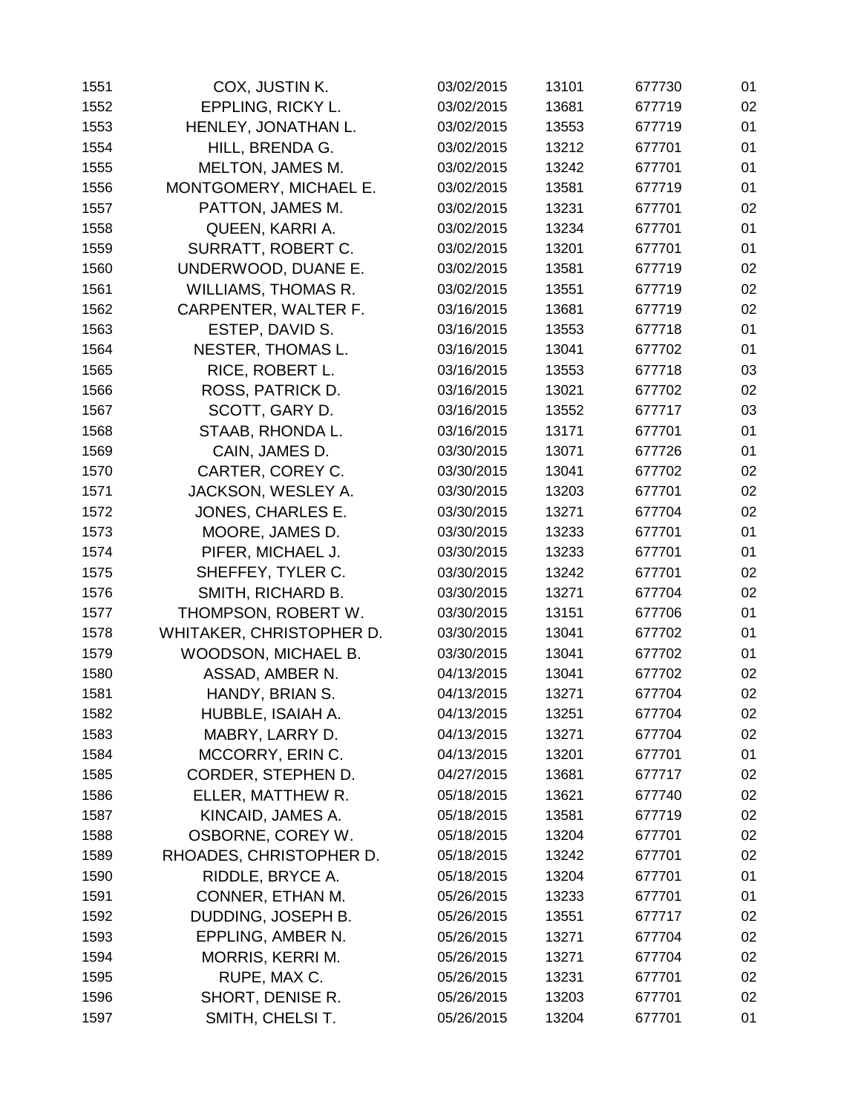| 1551 | COX, JUSTIN K.             | 03/02/2015 | 13101 | 677730 | 01 |
|------|----------------------------|------------|-------|--------|----|
| 1552 | EPPLING, RICKY L.          | 03/02/2015 | 13681 | 677719 | 02 |
| 1553 | HENLEY, JONATHAN L.        | 03/02/2015 | 13553 | 677719 | 01 |
| 1554 | HILL, BRENDA G.            | 03/02/2015 | 13212 | 677701 | 01 |
| 1555 | MELTON, JAMES M.           | 03/02/2015 | 13242 | 677701 | 01 |
| 1556 | MONTGOMERY, MICHAEL E.     | 03/02/2015 | 13581 | 677719 | 01 |
| 1557 | PATTON, JAMES M.           | 03/02/2015 | 13231 | 677701 | 02 |
| 1558 | QUEEN, KARRI A.            | 03/02/2015 | 13234 | 677701 | 01 |
| 1559 | SURRATT, ROBERT C.         | 03/02/2015 | 13201 | 677701 | 01 |
| 1560 | UNDERWOOD, DUANE E.        | 03/02/2015 | 13581 | 677719 | 02 |
| 1561 | <b>WILLIAMS, THOMAS R.</b> | 03/02/2015 | 13551 | 677719 | 02 |
| 1562 | CARPENTER, WALTER F.       | 03/16/2015 | 13681 | 677719 | 02 |
| 1563 | ESTEP, DAVID S.            | 03/16/2015 | 13553 | 677718 | 01 |
| 1564 | NESTER, THOMAS L.          | 03/16/2015 | 13041 | 677702 | 01 |
| 1565 | RICE, ROBERT L.            | 03/16/2015 | 13553 | 677718 | 03 |
| 1566 | ROSS, PATRICK D.           | 03/16/2015 | 13021 | 677702 | 02 |
| 1567 | SCOTT, GARY D.             | 03/16/2015 | 13552 | 677717 | 03 |
| 1568 | STAAB, RHONDA L.           | 03/16/2015 | 13171 | 677701 | 01 |
| 1569 | CAIN, JAMES D.             | 03/30/2015 | 13071 | 677726 | 01 |
| 1570 | CARTER, COREY C.           | 03/30/2015 | 13041 | 677702 | 02 |
| 1571 | JACKSON, WESLEY A.         | 03/30/2015 | 13203 | 677701 | 02 |
| 1572 | JONES, CHARLES E.          | 03/30/2015 | 13271 | 677704 | 02 |
| 1573 | MOORE, JAMES D.            | 03/30/2015 | 13233 | 677701 | 01 |
| 1574 | PIFER, MICHAEL J.          | 03/30/2015 | 13233 | 677701 | 01 |
| 1575 | SHEFFEY, TYLER C.          | 03/30/2015 | 13242 | 677701 | 02 |
| 1576 | SMITH, RICHARD B.          | 03/30/2015 | 13271 | 677704 | 02 |
| 1577 | THOMPSON, ROBERT W.        | 03/30/2015 | 13151 | 677706 | 01 |
| 1578 | WHITAKER, CHRISTOPHER D.   | 03/30/2015 | 13041 | 677702 | 01 |
| 1579 | WOODSON, MICHAEL B.        | 03/30/2015 | 13041 | 677702 | 01 |
| 1580 | ASSAD, AMBER N.            | 04/13/2015 | 13041 | 677702 | 02 |
| 1581 | HANDY, BRIAN S.            | 04/13/2015 | 13271 | 677704 | 02 |
| 1582 | HUBBLE, ISAIAH A.          | 04/13/2015 | 13251 | 677704 | 02 |
| 1583 | MABRY, LARRY D.            | 04/13/2015 | 13271 | 677704 | 02 |
| 1584 | MCCORRY, ERIN C.           | 04/13/2015 | 13201 | 677701 | 01 |
| 1585 | CORDER, STEPHEN D.         | 04/27/2015 | 13681 | 677717 | 02 |
| 1586 | ELLER, MATTHEW R.          | 05/18/2015 | 13621 | 677740 | 02 |
| 1587 | KINCAID, JAMES A.          | 05/18/2015 | 13581 | 677719 | 02 |
| 1588 | OSBORNE, COREY W.          | 05/18/2015 | 13204 | 677701 | 02 |
| 1589 | RHOADES, CHRISTOPHER D.    | 05/18/2015 | 13242 | 677701 | 02 |
| 1590 | RIDDLE, BRYCE A.           | 05/18/2015 | 13204 | 677701 | 01 |
| 1591 | CONNER, ETHAN M.           | 05/26/2015 | 13233 | 677701 | 01 |
| 1592 | DUDDING, JOSEPH B.         | 05/26/2015 | 13551 | 677717 | 02 |
| 1593 | EPPLING, AMBER N.          | 05/26/2015 | 13271 | 677704 | 02 |
| 1594 | MORRIS, KERRI M.           | 05/26/2015 | 13271 | 677704 | 02 |
| 1595 | RUPE, MAX C.               | 05/26/2015 | 13231 | 677701 | 02 |
| 1596 | SHORT, DENISE R.           | 05/26/2015 | 13203 | 677701 | 02 |
| 1597 | SMITH, CHELSI T.           | 05/26/2015 | 13204 | 677701 | 01 |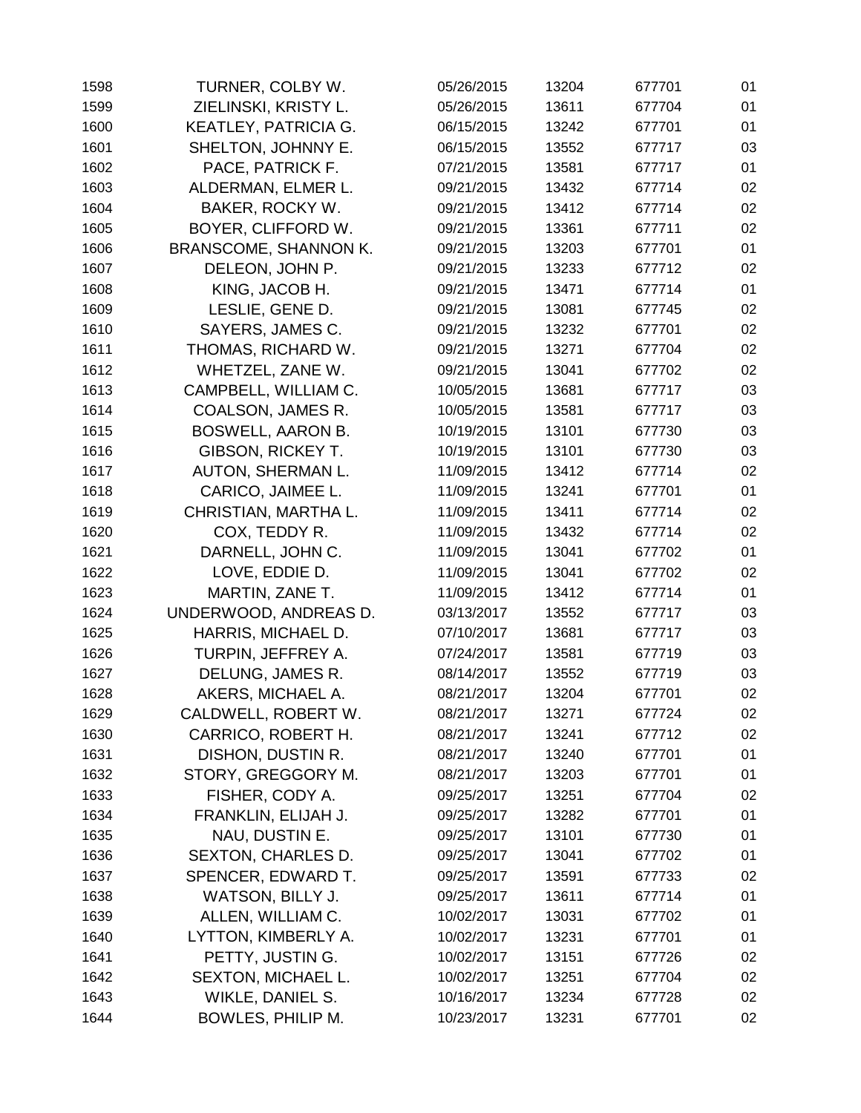| 1598 | TURNER, COLBY W.             | 05/26/2015 | 13204 | 677701 | 01 |
|------|------------------------------|------------|-------|--------|----|
| 1599 | ZIELINSKI, KRISTY L.         | 05/26/2015 | 13611 | 677704 | 01 |
| 1600 | <b>KEATLEY, PATRICIA G.</b>  | 06/15/2015 | 13242 | 677701 | 01 |
| 1601 | SHELTON, JOHNNY E.           | 06/15/2015 | 13552 | 677717 | 03 |
| 1602 | PACE, PATRICK F.             | 07/21/2015 | 13581 | 677717 | 01 |
| 1603 | ALDERMAN, ELMER L.           | 09/21/2015 | 13432 | 677714 | 02 |
| 1604 | BAKER, ROCKY W.              | 09/21/2015 | 13412 | 677714 | 02 |
| 1605 | BOYER, CLIFFORD W.           | 09/21/2015 | 13361 | 677711 | 02 |
| 1606 | <b>BRANSCOME, SHANNON K.</b> | 09/21/2015 | 13203 | 677701 | 01 |
| 1607 | DELEON, JOHN P.              | 09/21/2015 | 13233 | 677712 | 02 |
| 1608 | KING, JACOB H.               | 09/21/2015 | 13471 | 677714 | 01 |
| 1609 | LESLIE, GENE D.              | 09/21/2015 | 13081 | 677745 | 02 |
| 1610 | SAYERS, JAMES C.             | 09/21/2015 | 13232 | 677701 | 02 |
| 1611 | THOMAS, RICHARD W.           | 09/21/2015 | 13271 | 677704 | 02 |
| 1612 | WHETZEL, ZANE W.             | 09/21/2015 | 13041 | 677702 | 02 |
| 1613 | CAMPBELL, WILLIAM C.         | 10/05/2015 | 13681 | 677717 | 03 |
| 1614 | COALSON, JAMES R.            | 10/05/2015 | 13581 | 677717 | 03 |
| 1615 | <b>BOSWELL, AARON B.</b>     | 10/19/2015 | 13101 | 677730 | 03 |
| 1616 | <b>GIBSON, RICKEY T.</b>     | 10/19/2015 | 13101 | 677730 | 03 |
| 1617 | AUTON, SHERMAN L.            | 11/09/2015 | 13412 | 677714 | 02 |
| 1618 | CARICO, JAIMEE L.            | 11/09/2015 | 13241 | 677701 | 01 |
| 1619 | CHRISTIAN, MARTHA L.         | 11/09/2015 | 13411 | 677714 | 02 |
| 1620 | COX, TEDDY R.                | 11/09/2015 | 13432 | 677714 | 02 |
| 1621 | DARNELL, JOHN C.             | 11/09/2015 | 13041 | 677702 | 01 |
| 1622 | LOVE, EDDIE D.               | 11/09/2015 | 13041 | 677702 | 02 |
| 1623 | MARTIN, ZANE T.              | 11/09/2015 | 13412 | 677714 | 01 |
| 1624 | UNDERWOOD, ANDREAS D.        | 03/13/2017 | 13552 | 677717 | 03 |
| 1625 | HARRIS, MICHAEL D.           | 07/10/2017 | 13681 | 677717 | 03 |
| 1626 | TURPIN, JEFFREY A.           | 07/24/2017 | 13581 | 677719 | 03 |
| 1627 | DELUNG, JAMES R.             | 08/14/2017 | 13552 | 677719 | 03 |
| 1628 | AKERS, MICHAEL A.            | 08/21/2017 | 13204 | 677701 | 02 |
| 1629 | CALDWELL, ROBERT W.          | 08/21/2017 | 13271 | 677724 | 02 |
| 1630 | CARRICO, ROBERT H.           | 08/21/2017 | 13241 | 677712 | 02 |
| 1631 | DISHON, DUSTIN R.            | 08/21/2017 | 13240 | 677701 | 01 |
| 1632 | STORY, GREGGORY M.           | 08/21/2017 | 13203 | 677701 | 01 |
| 1633 | FISHER, CODY A.              | 09/25/2017 | 13251 | 677704 | 02 |
| 1634 | FRANKLIN, ELIJAH J.          | 09/25/2017 | 13282 | 677701 | 01 |
| 1635 | NAU, DUSTIN E.               | 09/25/2017 | 13101 | 677730 | 01 |
| 1636 | <b>SEXTON, CHARLES D.</b>    | 09/25/2017 | 13041 | 677702 | 01 |
| 1637 | SPENCER, EDWARD T.           | 09/25/2017 | 13591 | 677733 | 02 |
| 1638 | WATSON, BILLY J.             | 09/25/2017 | 13611 | 677714 | 01 |
| 1639 | ALLEN, WILLIAM C.            | 10/02/2017 | 13031 | 677702 | 01 |
| 1640 | LYTTON, KIMBERLY A.          | 10/02/2017 | 13231 | 677701 | 01 |
| 1641 | PETTY, JUSTIN G.             | 10/02/2017 | 13151 | 677726 | 02 |
| 1642 | SEXTON, MICHAEL L.           | 10/02/2017 | 13251 | 677704 | 02 |
| 1643 | WIKLE, DANIEL S.             | 10/16/2017 | 13234 | 677728 | 02 |
| 1644 | BOWLES, PHILIP M.            | 10/23/2017 | 13231 | 677701 | 02 |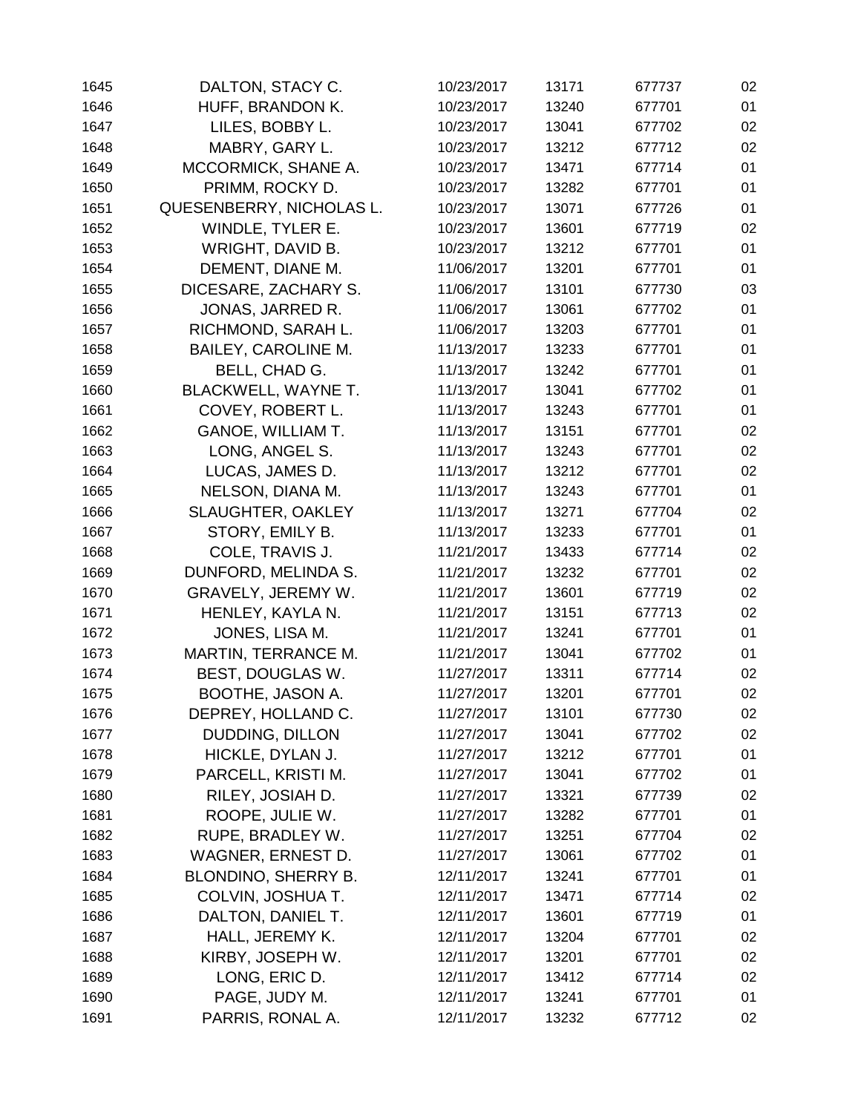| 1645 | DALTON, STACY C.           | 10/23/2017 | 13171 | 677737 | 02 |
|------|----------------------------|------------|-------|--------|----|
| 1646 | HUFF, BRANDON K.           | 10/23/2017 | 13240 | 677701 | 01 |
| 1647 | LILES, BOBBY L.            | 10/23/2017 | 13041 | 677702 | 02 |
| 1648 | MABRY, GARY L.             | 10/23/2017 | 13212 | 677712 | 02 |
| 1649 | MCCORMICK, SHANE A.        | 10/23/2017 | 13471 | 677714 | 01 |
| 1650 | PRIMM, ROCKY D.            | 10/23/2017 | 13282 | 677701 | 01 |
| 1651 | QUESENBERRY, NICHOLAS L.   | 10/23/2017 | 13071 | 677726 | 01 |
| 1652 | WINDLE, TYLER E.           | 10/23/2017 | 13601 | 677719 | 02 |
| 1653 | WRIGHT, DAVID B.           | 10/23/2017 | 13212 | 677701 | 01 |
| 1654 | DEMENT, DIANE M.           | 11/06/2017 | 13201 | 677701 | 01 |
| 1655 | DICESARE, ZACHARY S.       | 11/06/2017 | 13101 | 677730 | 03 |
| 1656 | JONAS, JARRED R.           | 11/06/2017 | 13061 | 677702 | 01 |
| 1657 | RICHMOND, SARAH L.         | 11/06/2017 | 13203 | 677701 | 01 |
| 1658 | <b>BAILEY, CAROLINE M.</b> | 11/13/2017 | 13233 | 677701 | 01 |
| 1659 | BELL, CHAD G.              | 11/13/2017 | 13242 | 677701 | 01 |
| 1660 | <b>BLACKWELL, WAYNE T.</b> | 11/13/2017 | 13041 | 677702 | 01 |
| 1661 | COVEY, ROBERT L.           | 11/13/2017 | 13243 | 677701 | 01 |
| 1662 | GANOE, WILLIAM T.          | 11/13/2017 | 13151 | 677701 | 02 |
| 1663 | LONG, ANGEL S.             | 11/13/2017 | 13243 | 677701 | 02 |
| 1664 | LUCAS, JAMES D.            | 11/13/2017 | 13212 | 677701 | 02 |
| 1665 | NELSON, DIANA M.           | 11/13/2017 | 13243 | 677701 | 01 |
| 1666 | <b>SLAUGHTER, OAKLEY</b>   | 11/13/2017 | 13271 | 677704 | 02 |
| 1667 | STORY, EMILY B.            | 11/13/2017 | 13233 | 677701 | 01 |
| 1668 | COLE, TRAVIS J.            | 11/21/2017 | 13433 | 677714 | 02 |
| 1669 | DUNFORD, MELINDA S.        | 11/21/2017 | 13232 | 677701 | 02 |
| 1670 | GRAVELY, JEREMY W.         | 11/21/2017 | 13601 | 677719 | 02 |
| 1671 | HENLEY, KAYLA N.           | 11/21/2017 | 13151 | 677713 | 02 |
| 1672 | JONES, LISA M.             | 11/21/2017 | 13241 | 677701 | 01 |
| 1673 | MARTIN, TERRANCE M.        | 11/21/2017 | 13041 | 677702 | 01 |
| 1674 | BEST, DOUGLAS W.           | 11/27/2017 | 13311 | 677714 | 02 |
| 1675 | BOOTHE, JASON A.           | 11/27/2017 | 13201 | 677701 | 02 |
| 1676 | DEPREY, HOLLAND C.         | 11/27/2017 | 13101 | 677730 | 02 |
| 1677 | DUDDING, DILLON            | 11/27/2017 | 13041 | 677702 | 02 |
| 1678 | HICKLE, DYLAN J.           | 11/27/2017 | 13212 | 677701 | 01 |
| 1679 | PARCELL, KRISTI M.         | 11/27/2017 | 13041 | 677702 | 01 |
| 1680 | RILEY, JOSIAH D.           | 11/27/2017 | 13321 | 677739 | 02 |
| 1681 | ROOPE, JULIE W.            | 11/27/2017 | 13282 | 677701 | 01 |
| 1682 | RUPE, BRADLEY W.           | 11/27/2017 | 13251 | 677704 | 02 |
| 1683 | WAGNER, ERNEST D.          | 11/27/2017 | 13061 | 677702 | 01 |
| 1684 | BLONDINO, SHERRY B.        | 12/11/2017 | 13241 | 677701 | 01 |
| 1685 | COLVIN, JOSHUA T.          | 12/11/2017 | 13471 | 677714 | 02 |
| 1686 | DALTON, DANIEL T.          | 12/11/2017 | 13601 | 677719 | 01 |
| 1687 | HALL, JEREMY K.            | 12/11/2017 | 13204 | 677701 | 02 |
| 1688 | KIRBY, JOSEPH W.           | 12/11/2017 | 13201 | 677701 | 02 |
| 1689 | LONG, ERIC D.              | 12/11/2017 | 13412 | 677714 | 02 |
| 1690 | PAGE, JUDY M.              | 12/11/2017 | 13241 | 677701 | 01 |
| 1691 | PARRIS, RONAL A.           | 12/11/2017 | 13232 | 677712 | 02 |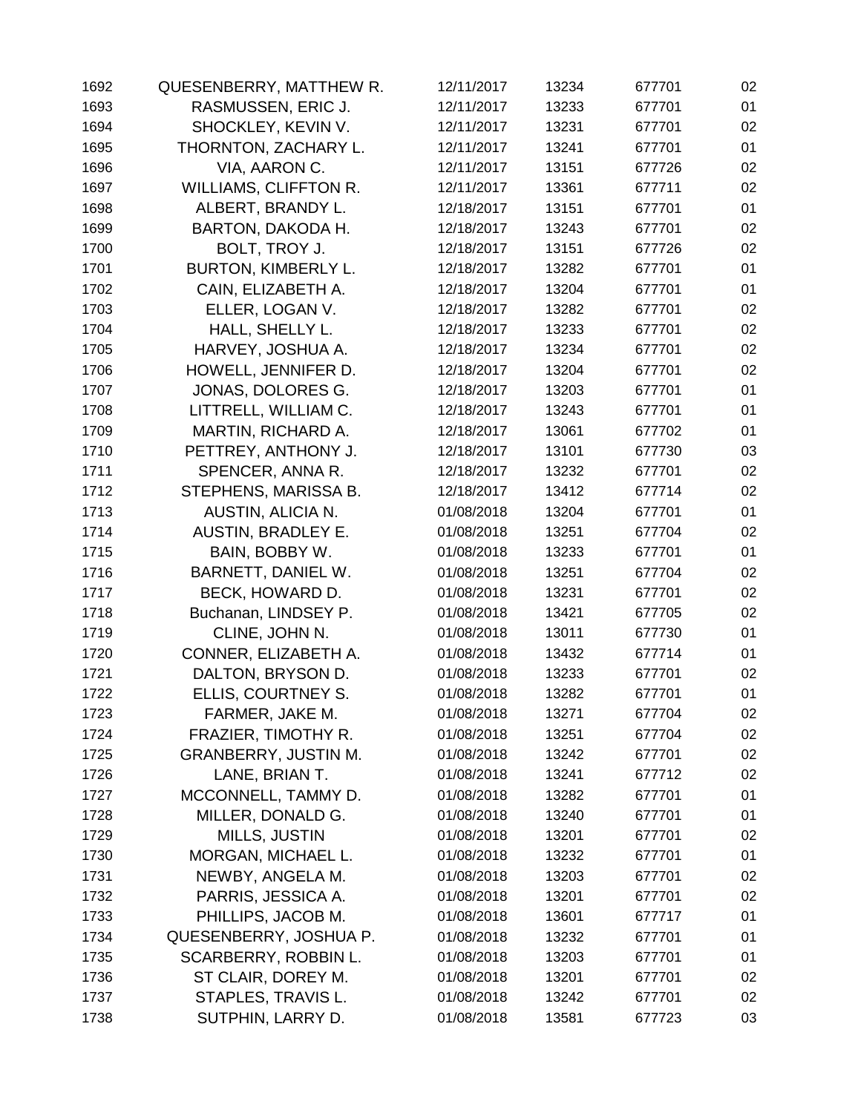| 1692 | QUESENBERRY, MATTHEW R.      | 12/11/2017 | 13234 | 677701 | 02 |
|------|------------------------------|------------|-------|--------|----|
| 1693 | RASMUSSEN, ERIC J.           | 12/11/2017 | 13233 | 677701 | 01 |
| 1694 | SHOCKLEY, KEVIN V.           | 12/11/2017 | 13231 | 677701 | 02 |
| 1695 | THORNTON, ZACHARY L.         | 12/11/2017 | 13241 | 677701 | 01 |
| 1696 | VIA, AARON C.                | 12/11/2017 | 13151 | 677726 | 02 |
| 1697 | <b>WILLIAMS, CLIFFTON R.</b> | 12/11/2017 | 13361 | 677711 | 02 |
| 1698 | ALBERT, BRANDY L.            | 12/18/2017 | 13151 | 677701 | 01 |
| 1699 | BARTON, DAKODA H.            | 12/18/2017 | 13243 | 677701 | 02 |
| 1700 | BOLT, TROY J.                | 12/18/2017 | 13151 | 677726 | 02 |
| 1701 | <b>BURTON, KIMBERLY L.</b>   | 12/18/2017 | 13282 | 677701 | 01 |
| 1702 | CAIN, ELIZABETH A.           | 12/18/2017 | 13204 | 677701 | 01 |
| 1703 | ELLER, LOGAN V.              | 12/18/2017 | 13282 | 677701 | 02 |
| 1704 | HALL, SHELLY L.              | 12/18/2017 | 13233 | 677701 | 02 |
| 1705 | HARVEY, JOSHUA A.            | 12/18/2017 | 13234 | 677701 | 02 |
| 1706 | HOWELL, JENNIFER D.          | 12/18/2017 | 13204 | 677701 | 02 |
| 1707 | JONAS, DOLORES G.            | 12/18/2017 | 13203 | 677701 | 01 |
| 1708 | LITTRELL, WILLIAM C.         | 12/18/2017 | 13243 | 677701 | 01 |
| 1709 | MARTIN, RICHARD A.           | 12/18/2017 | 13061 | 677702 | 01 |
| 1710 | PETTREY, ANTHONY J.          | 12/18/2017 | 13101 | 677730 | 03 |
| 1711 | SPENCER, ANNA R.             | 12/18/2017 | 13232 | 677701 | 02 |
| 1712 | STEPHENS, MARISSA B.         | 12/18/2017 | 13412 | 677714 | 02 |
| 1713 | AUSTIN, ALICIA N.            | 01/08/2018 | 13204 | 677701 | 01 |
| 1714 | AUSTIN, BRADLEY E.           | 01/08/2018 | 13251 | 677704 | 02 |
| 1715 | BAIN, BOBBY W.               | 01/08/2018 | 13233 | 677701 | 01 |
| 1716 | BARNETT, DANIEL W.           | 01/08/2018 | 13251 | 677704 | 02 |
| 1717 | BECK, HOWARD D.              | 01/08/2018 | 13231 | 677701 | 02 |
| 1718 | Buchanan, LINDSEY P.         | 01/08/2018 | 13421 | 677705 | 02 |
| 1719 | CLINE, JOHN N.               | 01/08/2018 | 13011 | 677730 | 01 |
| 1720 | CONNER, ELIZABETH A.         | 01/08/2018 | 13432 | 677714 | 01 |
| 1721 | DALTON, BRYSON D.            | 01/08/2018 | 13233 | 677701 | 02 |
| 1722 | ELLIS, COURTNEY S.           | 01/08/2018 | 13282 | 677701 | 01 |
| 1723 | FARMER, JAKE M.              | 01/08/2018 | 13271 | 677704 | 02 |
| 1724 | FRAZIER, TIMOTHY R.          | 01/08/2018 | 13251 | 677704 | 02 |
| 1725 | <b>GRANBERRY, JUSTIN M.</b>  | 01/08/2018 | 13242 | 677701 | 02 |
| 1726 | LANE, BRIAN T.               | 01/08/2018 | 13241 | 677712 | 02 |
| 1727 | MCCONNELL, TAMMY D.          | 01/08/2018 | 13282 | 677701 | 01 |
| 1728 | MILLER, DONALD G.            | 01/08/2018 | 13240 | 677701 | 01 |
| 1729 | MILLS, JUSTIN                | 01/08/2018 | 13201 | 677701 | 02 |
| 1730 | MORGAN, MICHAEL L.           | 01/08/2018 | 13232 | 677701 | 01 |
| 1731 | NEWBY, ANGELA M.             | 01/08/2018 | 13203 | 677701 | 02 |
| 1732 | PARRIS, JESSICA A.           | 01/08/2018 | 13201 | 677701 | 02 |
| 1733 | PHILLIPS, JACOB M.           | 01/08/2018 | 13601 | 677717 | 01 |
| 1734 | QUESENBERRY, JOSHUA P.       | 01/08/2018 | 13232 | 677701 | 01 |
| 1735 | SCARBERRY, ROBBIN L.         | 01/08/2018 | 13203 | 677701 | 01 |
| 1736 | ST CLAIR, DOREY M.           | 01/08/2018 | 13201 | 677701 | 02 |
| 1737 | STAPLES, TRAVIS L.           | 01/08/2018 | 13242 | 677701 | 02 |
| 1738 | SUTPHIN, LARRY D.            | 01/08/2018 | 13581 | 677723 | 03 |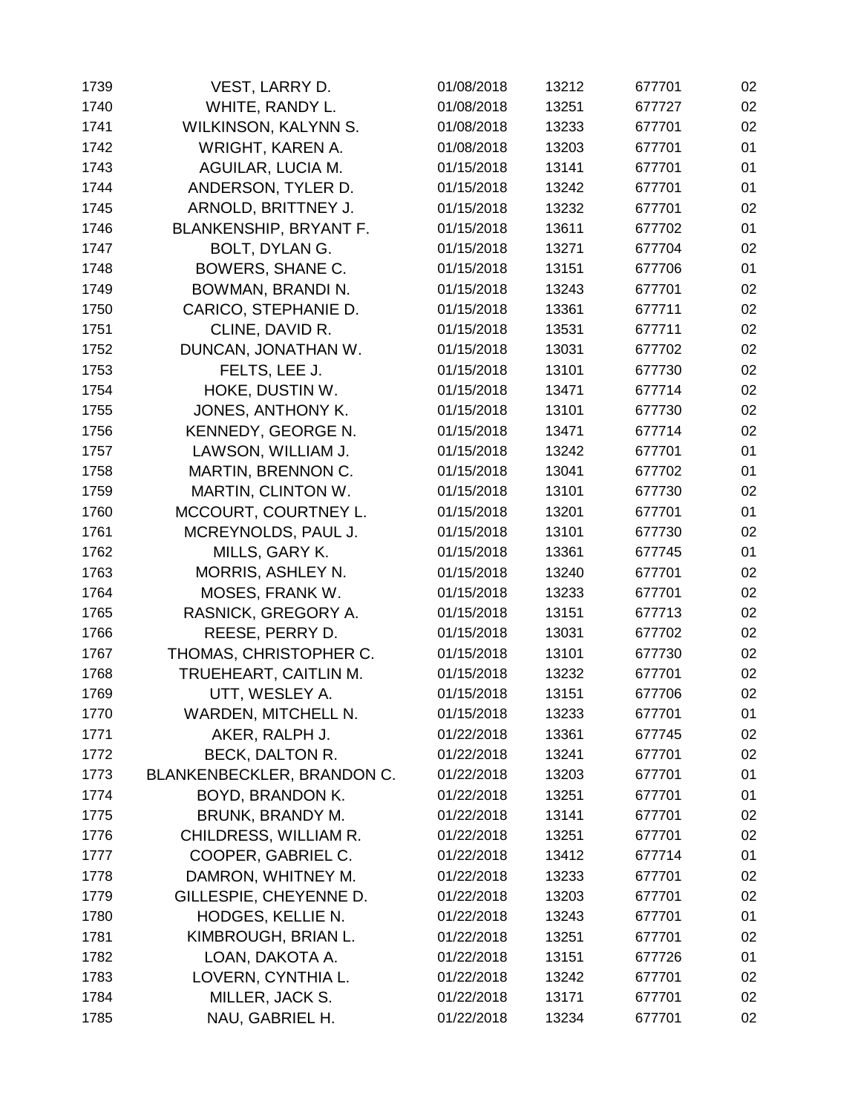| 1739 | VEST, LARRY D.                | 01/08/2018 | 13212 | 677701 | 02 |
|------|-------------------------------|------------|-------|--------|----|
| 1740 | WHITE, RANDY L.               | 01/08/2018 | 13251 | 677727 | 02 |
| 1741 | WILKINSON, KALYNN S.          | 01/08/2018 | 13233 | 677701 | 02 |
| 1742 | WRIGHT, KAREN A.              | 01/08/2018 | 13203 | 677701 | 01 |
| 1743 | AGUILAR, LUCIA M.             | 01/15/2018 | 13141 | 677701 | 01 |
| 1744 | ANDERSON, TYLER D.            | 01/15/2018 | 13242 | 677701 | 01 |
| 1745 | ARNOLD, BRITTNEY J.           | 01/15/2018 | 13232 | 677701 | 02 |
| 1746 | <b>BLANKENSHIP, BRYANT F.</b> | 01/15/2018 | 13611 | 677702 | 01 |
| 1747 | BOLT, DYLAN G.                | 01/15/2018 | 13271 | 677704 | 02 |
| 1748 | BOWERS, SHANE C.              | 01/15/2018 | 13151 | 677706 | 01 |
| 1749 | BOWMAN, BRANDI N.             | 01/15/2018 | 13243 | 677701 | 02 |
| 1750 | CARICO, STEPHANIE D.          | 01/15/2018 | 13361 | 677711 | 02 |
| 1751 | CLINE, DAVID R.               | 01/15/2018 | 13531 | 677711 | 02 |
| 1752 | DUNCAN, JONATHAN W.           | 01/15/2018 | 13031 | 677702 | 02 |
| 1753 | FELTS, LEE J.                 | 01/15/2018 | 13101 | 677730 | 02 |
| 1754 | HOKE, DUSTIN W.               | 01/15/2018 | 13471 | 677714 | 02 |
| 1755 | JONES, ANTHONY K.             | 01/15/2018 | 13101 | 677730 | 02 |
| 1756 | KENNEDY, GEORGE N.            | 01/15/2018 | 13471 | 677714 | 02 |
| 1757 | LAWSON, WILLIAM J.            | 01/15/2018 | 13242 | 677701 | 01 |
| 1758 | <b>MARTIN, BRENNON C.</b>     | 01/15/2018 | 13041 | 677702 | 01 |
| 1759 | MARTIN, CLINTON W.            | 01/15/2018 | 13101 | 677730 | 02 |
| 1760 | MCCOURT, COURTNEY L.          | 01/15/2018 | 13201 | 677701 | 01 |
| 1761 | MCREYNOLDS, PAUL J.           | 01/15/2018 | 13101 | 677730 | 02 |
| 1762 | MILLS, GARY K.                | 01/15/2018 | 13361 | 677745 | 01 |
| 1763 | MORRIS, ASHLEY N.             | 01/15/2018 | 13240 | 677701 | 02 |
| 1764 | MOSES, FRANK W.               | 01/15/2018 | 13233 | 677701 | 02 |
| 1765 | RASNICK, GREGORY A.           | 01/15/2018 | 13151 | 677713 | 02 |
| 1766 | REESE, PERRY D.               | 01/15/2018 | 13031 | 677702 | 02 |
| 1767 | THOMAS, CHRISTOPHER C.        | 01/15/2018 | 13101 | 677730 | 02 |
| 1768 | TRUEHEART, CAITLIN M.         | 01/15/2018 | 13232 | 677701 | 02 |
| 1769 | UTT, WESLEY A.                | 01/15/2018 | 13151 | 677706 | 02 |
| 1770 | WARDEN, MITCHELL N.           | 01/15/2018 | 13233 | 677701 | 01 |
| 1771 | AKER, RALPH J.                | 01/22/2018 | 13361 | 677745 | 02 |
| 1772 | BECK, DALTON R.               | 01/22/2018 | 13241 | 677701 | 02 |
| 1773 | BLANKENBECKLER, BRANDON C.    | 01/22/2018 | 13203 | 677701 | 01 |
| 1774 | BOYD, BRANDON K.              | 01/22/2018 | 13251 | 677701 | 01 |
| 1775 | BRUNK, BRANDY M.              | 01/22/2018 | 13141 | 677701 | 02 |
| 1776 | CHILDRESS, WILLIAM R.         | 01/22/2018 | 13251 | 677701 | 02 |
| 1777 | COOPER, GABRIEL C.            | 01/22/2018 | 13412 | 677714 | 01 |
| 1778 | DAMRON, WHITNEY M.            | 01/22/2018 | 13233 | 677701 | 02 |
| 1779 | GILLESPIE, CHEYENNE D.        | 01/22/2018 | 13203 | 677701 | 02 |
| 1780 | HODGES, KELLIE N.             | 01/22/2018 | 13243 | 677701 | 01 |
| 1781 | KIMBROUGH, BRIAN L.           | 01/22/2018 | 13251 | 677701 | 02 |
| 1782 | LOAN, DAKOTA A.               | 01/22/2018 | 13151 | 677726 | 01 |
| 1783 | LOVERN, CYNTHIA L.            | 01/22/2018 | 13242 | 677701 | 02 |
| 1784 | MILLER, JACK S.               | 01/22/2018 | 13171 | 677701 | 02 |
| 1785 | NAU, GABRIEL H.               | 01/22/2018 | 13234 | 677701 | 02 |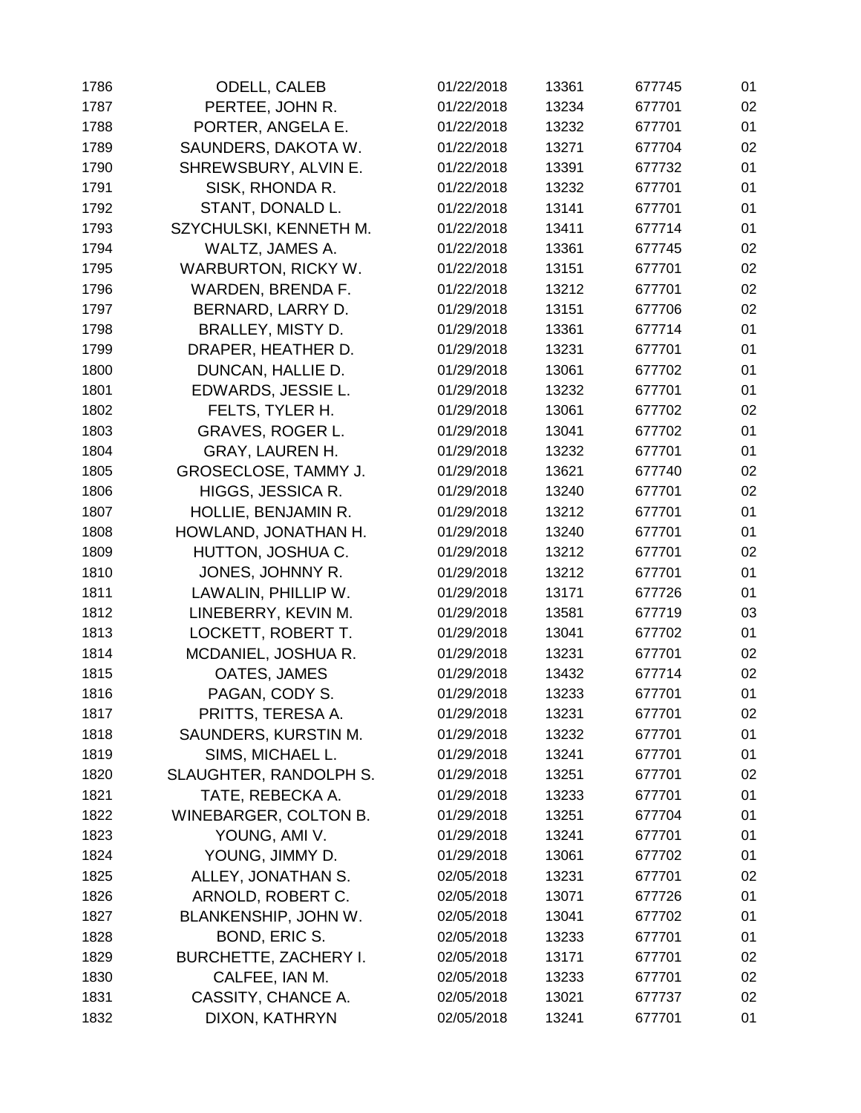| 1786 | <b>ODELL, CALEB</b>          | 01/22/2018 | 13361 | 677745 | 01 |
|------|------------------------------|------------|-------|--------|----|
| 1787 | PERTEE, JOHN R.              | 01/22/2018 | 13234 | 677701 | 02 |
| 1788 | PORTER, ANGELA E.            | 01/22/2018 | 13232 | 677701 | 01 |
| 1789 | SAUNDERS, DAKOTA W.          | 01/22/2018 | 13271 | 677704 | 02 |
| 1790 | SHREWSBURY, ALVIN E.         | 01/22/2018 | 13391 | 677732 | 01 |
| 1791 | SISK, RHONDA R.              | 01/22/2018 | 13232 | 677701 | 01 |
| 1792 | STANT, DONALD L.             | 01/22/2018 | 13141 | 677701 | 01 |
| 1793 | SZYCHULSKI, KENNETH M.       | 01/22/2018 | 13411 | 677714 | 01 |
| 1794 | WALTZ, JAMES A.              | 01/22/2018 | 13361 | 677745 | 02 |
| 1795 | <b>WARBURTON, RICKY W.</b>   | 01/22/2018 | 13151 | 677701 | 02 |
| 1796 | WARDEN, BRENDA F.            | 01/22/2018 | 13212 | 677701 | 02 |
| 1797 | BERNARD, LARRY D.            | 01/29/2018 | 13151 | 677706 | 02 |
| 1798 | BRALLEY, MISTY D.            | 01/29/2018 | 13361 | 677714 | 01 |
| 1799 | DRAPER, HEATHER D.           | 01/29/2018 | 13231 | 677701 | 01 |
| 1800 | DUNCAN, HALLIE D.            | 01/29/2018 | 13061 | 677702 | 01 |
| 1801 | EDWARDS, JESSIE L.           | 01/29/2018 | 13232 | 677701 | 01 |
| 1802 | FELTS, TYLER H.              | 01/29/2018 | 13061 | 677702 | 02 |
| 1803 | <b>GRAVES, ROGER L.</b>      | 01/29/2018 | 13041 | 677702 | 01 |
| 1804 | <b>GRAY, LAUREN H.</b>       | 01/29/2018 | 13232 | 677701 | 01 |
| 1805 | GROSECLOSE, TAMMY J.         | 01/29/2018 | 13621 | 677740 | 02 |
| 1806 | HIGGS, JESSICA R.            | 01/29/2018 | 13240 | 677701 | 02 |
| 1807 | HOLLIE, BENJAMIN R.          | 01/29/2018 | 13212 | 677701 | 01 |
| 1808 | HOWLAND, JONATHAN H.         | 01/29/2018 | 13240 | 677701 | 01 |
| 1809 | HUTTON, JOSHUA C.            | 01/29/2018 | 13212 | 677701 | 02 |
| 1810 | JONES, JOHNNY R.             | 01/29/2018 | 13212 | 677701 | 01 |
| 1811 | LAWALIN, PHILLIP W.          | 01/29/2018 | 13171 | 677726 | 01 |
| 1812 | LINEBERRY, KEVIN M.          | 01/29/2018 | 13581 | 677719 | 03 |
| 1813 | LOCKETT, ROBERT T.           | 01/29/2018 | 13041 | 677702 | 01 |
| 1814 | MCDANIEL, JOSHUA R.          | 01/29/2018 | 13231 | 677701 | 02 |
| 1815 | OATES, JAMES                 | 01/29/2018 | 13432 | 677714 | 02 |
| 1816 | PAGAN, CODY S.               | 01/29/2018 | 13233 | 677701 | 01 |
| 1817 | PRITTS, TERESA A.            | 01/29/2018 | 13231 | 677701 | 02 |
| 1818 | SAUNDERS, KURSTIN M.         | 01/29/2018 | 13232 | 677701 | 01 |
| 1819 | SIMS, MICHAEL L.             | 01/29/2018 | 13241 | 677701 | 01 |
| 1820 | SLAUGHTER, RANDOLPH S.       | 01/29/2018 | 13251 | 677701 | 02 |
| 1821 | TATE, REBECKA A.             | 01/29/2018 | 13233 | 677701 | 01 |
| 1822 | <b>WINEBARGER, COLTON B.</b> | 01/29/2018 | 13251 | 677704 | 01 |
| 1823 | YOUNG, AMI V.                | 01/29/2018 | 13241 | 677701 | 01 |
| 1824 | YOUNG, JIMMY D.              | 01/29/2018 | 13061 | 677702 | 01 |
| 1825 | ALLEY, JONATHAN S.           | 02/05/2018 | 13231 | 677701 | 02 |
| 1826 | ARNOLD, ROBERT C.            | 02/05/2018 | 13071 | 677726 | 01 |
| 1827 | BLANKENSHIP, JOHN W.         | 02/05/2018 | 13041 | 677702 | 01 |
| 1828 | BOND, ERIC S.                | 02/05/2018 | 13233 | 677701 | 01 |
| 1829 | <b>BURCHETTE, ZACHERY I.</b> | 02/05/2018 | 13171 | 677701 | 02 |
| 1830 | CALFEE, IAN M.               | 02/05/2018 | 13233 | 677701 | 02 |
| 1831 | CASSITY, CHANCE A.           | 02/05/2018 | 13021 | 677737 | 02 |
| 1832 | DIXON, KATHRYN               | 02/05/2018 | 13241 | 677701 | 01 |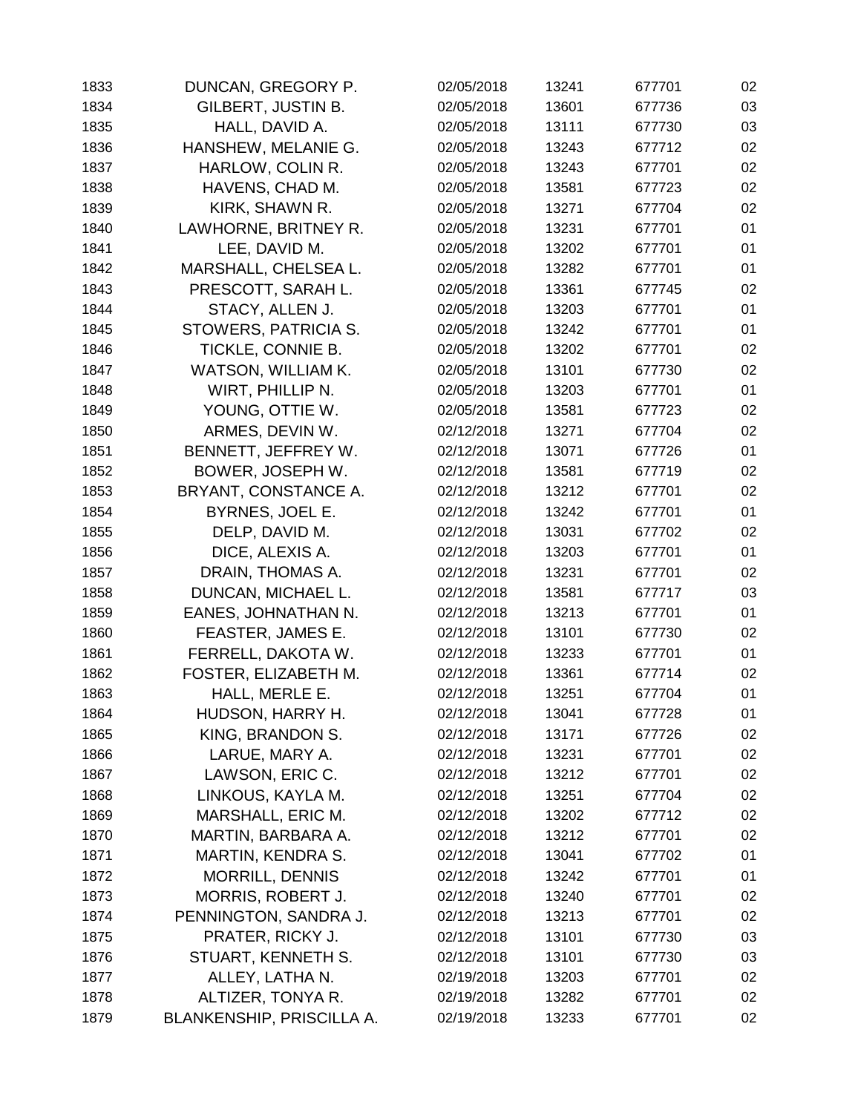| 1833 | DUNCAN, GREGORY P.        | 02/05/2018 | 13241 | 677701 | 02 |
|------|---------------------------|------------|-------|--------|----|
| 1834 | GILBERT, JUSTIN B.        | 02/05/2018 | 13601 | 677736 | 03 |
| 1835 | HALL, DAVID A.            | 02/05/2018 | 13111 | 677730 | 03 |
| 1836 | HANSHEW, MELANIE G.       | 02/05/2018 | 13243 | 677712 | 02 |
| 1837 | HARLOW, COLIN R.          | 02/05/2018 | 13243 | 677701 | 02 |
| 1838 | HAVENS, CHAD M.           | 02/05/2018 | 13581 | 677723 | 02 |
| 1839 | KIRK, SHAWN R.            | 02/05/2018 | 13271 | 677704 | 02 |
| 1840 | LAWHORNE, BRITNEY R.      | 02/05/2018 | 13231 | 677701 | 01 |
| 1841 | LEE, DAVID M.             | 02/05/2018 | 13202 | 677701 | 01 |
| 1842 | MARSHALL, CHELSEA L.      | 02/05/2018 | 13282 | 677701 | 01 |
| 1843 | PRESCOTT, SARAH L.        | 02/05/2018 | 13361 | 677745 | 02 |
| 1844 | STACY, ALLEN J.           | 02/05/2018 | 13203 | 677701 | 01 |
| 1845 | STOWERS, PATRICIA S.      | 02/05/2018 | 13242 | 677701 | 01 |
| 1846 | TICKLE, CONNIE B.         | 02/05/2018 | 13202 | 677701 | 02 |
| 1847 | WATSON, WILLIAM K.        | 02/05/2018 | 13101 | 677730 | 02 |
| 1848 | WIRT, PHILLIP N.          | 02/05/2018 | 13203 | 677701 | 01 |
| 1849 | YOUNG, OTTIE W.           | 02/05/2018 | 13581 | 677723 | 02 |
| 1850 | ARMES, DEVIN W.           | 02/12/2018 | 13271 | 677704 | 02 |
| 1851 | BENNETT, JEFFREY W.       | 02/12/2018 | 13071 | 677726 | 01 |
| 1852 | BOWER, JOSEPH W.          | 02/12/2018 | 13581 | 677719 | 02 |
| 1853 | BRYANT, CONSTANCE A.      | 02/12/2018 | 13212 | 677701 | 02 |
| 1854 | BYRNES, JOEL E.           | 02/12/2018 | 13242 | 677701 | 01 |
| 1855 | DELP, DAVID M.            | 02/12/2018 | 13031 | 677702 | 02 |
| 1856 | DICE, ALEXIS A.           | 02/12/2018 | 13203 | 677701 | 01 |
| 1857 | DRAIN, THOMAS A.          | 02/12/2018 | 13231 | 677701 | 02 |
| 1858 | DUNCAN, MICHAEL L.        | 02/12/2018 | 13581 | 677717 | 03 |
| 1859 | EANES, JOHNATHAN N.       | 02/12/2018 | 13213 | 677701 | 01 |
| 1860 | FEASTER, JAMES E.         | 02/12/2018 | 13101 | 677730 | 02 |
| 1861 | FERRELL, DAKOTA W.        | 02/12/2018 | 13233 | 677701 | 01 |
| 1862 | FOSTER, ELIZABETH M.      | 02/12/2018 | 13361 | 677714 | 02 |
| 1863 | HALL, MERLE E.            | 02/12/2018 | 13251 | 677704 | 01 |
| 1864 | HUDSON, HARRY H.          | 02/12/2018 | 13041 | 677728 | 01 |
| 1865 | KING, BRANDON S.          | 02/12/2018 | 13171 | 677726 | 02 |
| 1866 | LARUE, MARY A.            | 02/12/2018 | 13231 | 677701 | 02 |
| 1867 | LAWSON, ERIC C.           | 02/12/2018 | 13212 | 677701 | 02 |
| 1868 | LINKOUS, KAYLA M.         | 02/12/2018 | 13251 | 677704 | 02 |
| 1869 | MARSHALL, ERIC M.         | 02/12/2018 | 13202 | 677712 | 02 |
| 1870 | MARTIN, BARBARA A.        | 02/12/2018 | 13212 | 677701 | 02 |
| 1871 | <b>MARTIN, KENDRA S.</b>  | 02/12/2018 | 13041 | 677702 | 01 |
| 1872 | <b>MORRILL, DENNIS</b>    | 02/12/2018 | 13242 | 677701 | 01 |
| 1873 | MORRIS, ROBERT J.         | 02/12/2018 | 13240 | 677701 | 02 |
| 1874 | PENNINGTON, SANDRA J.     | 02/12/2018 | 13213 | 677701 | 02 |
| 1875 | PRATER, RICKY J.          | 02/12/2018 | 13101 | 677730 | 03 |
| 1876 | STUART, KENNETH S.        | 02/12/2018 | 13101 | 677730 | 03 |
| 1877 | ALLEY, LATHA N.           | 02/19/2018 | 13203 | 677701 | 02 |
| 1878 | ALTIZER, TONYA R.         | 02/19/2018 | 13282 | 677701 | 02 |
| 1879 | BLANKENSHIP, PRISCILLA A. | 02/19/2018 | 13233 | 677701 | 02 |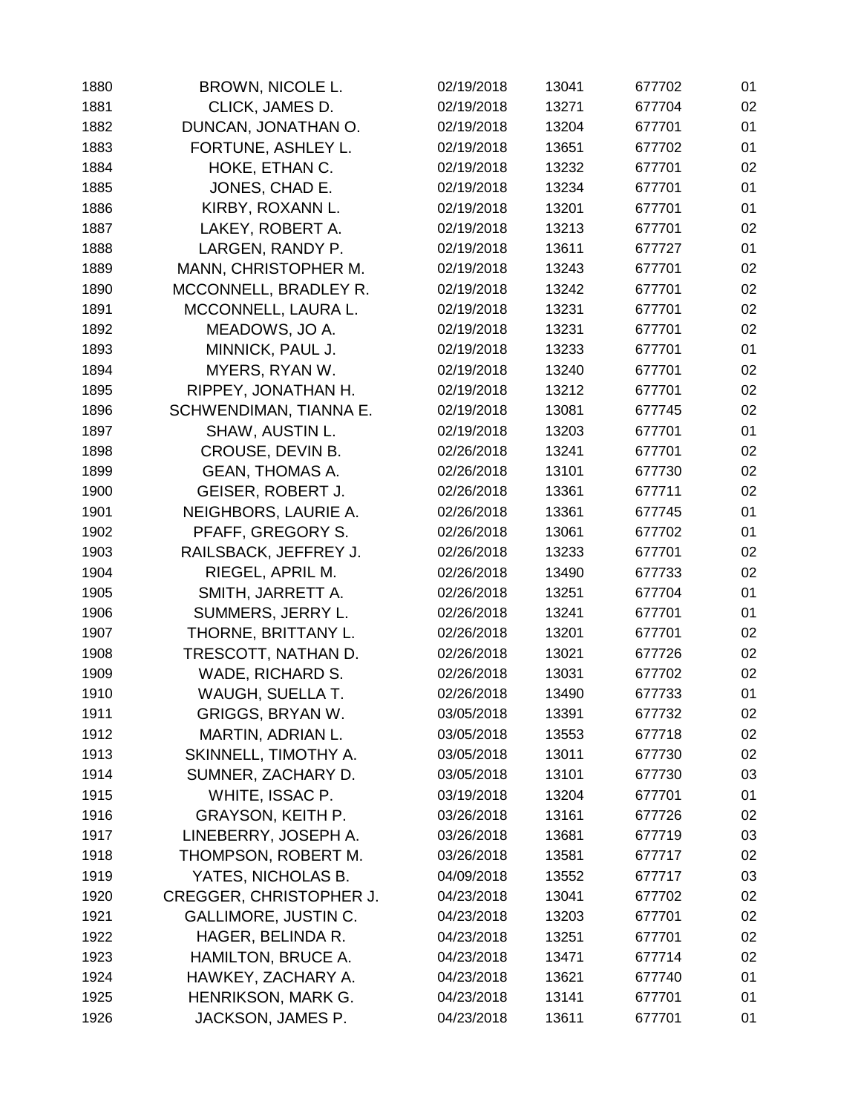| 1880 | BROWN, NICOLE L.               | 02/19/2018 | 13041 | 677702 | 01 |
|------|--------------------------------|------------|-------|--------|----|
| 1881 | CLICK, JAMES D.                | 02/19/2018 | 13271 | 677704 | 02 |
| 1882 | DUNCAN, JONATHAN O.            | 02/19/2018 | 13204 | 677701 | 01 |
| 1883 | FORTUNE, ASHLEY L.             | 02/19/2018 | 13651 | 677702 | 01 |
| 1884 | HOKE, ETHAN C.                 | 02/19/2018 | 13232 | 677701 | 02 |
| 1885 | JONES, CHAD E.                 | 02/19/2018 | 13234 | 677701 | 01 |
| 1886 | KIRBY, ROXANN L.               | 02/19/2018 | 13201 | 677701 | 01 |
| 1887 | LAKEY, ROBERT A.               | 02/19/2018 | 13213 | 677701 | 02 |
| 1888 | LARGEN, RANDY P.               | 02/19/2018 | 13611 | 677727 | 01 |
| 1889 | MANN, CHRISTOPHER M.           | 02/19/2018 | 13243 | 677701 | 02 |
| 1890 | MCCONNELL, BRADLEY R.          | 02/19/2018 | 13242 | 677701 | 02 |
| 1891 | MCCONNELL, LAURA L.            | 02/19/2018 | 13231 | 677701 | 02 |
| 1892 | MEADOWS, JO A.                 | 02/19/2018 | 13231 | 677701 | 02 |
| 1893 | MINNICK, PAUL J.               | 02/19/2018 | 13233 | 677701 | 01 |
| 1894 | MYERS, RYAN W.                 | 02/19/2018 | 13240 | 677701 | 02 |
| 1895 | RIPPEY, JONATHAN H.            | 02/19/2018 | 13212 | 677701 | 02 |
| 1896 | SCHWENDIMAN, TIANNA E.         | 02/19/2018 | 13081 | 677745 | 02 |
| 1897 | SHAW, AUSTIN L.                | 02/19/2018 | 13203 | 677701 | 01 |
| 1898 | CROUSE, DEVIN B.               | 02/26/2018 | 13241 | 677701 | 02 |
| 1899 | <b>GEAN, THOMAS A.</b>         | 02/26/2018 | 13101 | 677730 | 02 |
| 1900 | GEISER, ROBERT J.              | 02/26/2018 | 13361 | 677711 | 02 |
| 1901 | NEIGHBORS, LAURIE A.           | 02/26/2018 | 13361 | 677745 | 01 |
| 1902 | PFAFF, GREGORY S.              | 02/26/2018 | 13061 | 677702 | 01 |
| 1903 | RAILSBACK, JEFFREY J.          | 02/26/2018 | 13233 | 677701 | 02 |
| 1904 | RIEGEL, APRIL M.               | 02/26/2018 | 13490 | 677733 | 02 |
| 1905 | SMITH, JARRETT A.              | 02/26/2018 | 13251 | 677704 | 01 |
| 1906 | SUMMERS, JERRY L.              | 02/26/2018 | 13241 | 677701 | 01 |
| 1907 | THORNE, BRITTANY L.            | 02/26/2018 | 13201 | 677701 | 02 |
| 1908 | TRESCOTT, NATHAN D.            | 02/26/2018 | 13021 | 677726 | 02 |
| 1909 | WADE, RICHARD S.               | 02/26/2018 | 13031 | 677702 | 02 |
| 1910 | WAUGH, SUELLA T.               | 02/26/2018 | 13490 | 677733 | 01 |
| 1911 | <b>GRIGGS, BRYAN W.</b>        | 03/05/2018 | 13391 | 677732 | 02 |
| 1912 | MARTIN, ADRIAN L.              | 03/05/2018 | 13553 | 677718 | 02 |
| 1913 | SKINNELL, TIMOTHY A.           | 03/05/2018 | 13011 | 677730 | 02 |
| 1914 | SUMNER, ZACHARY D.             | 03/05/2018 | 13101 | 677730 | 03 |
| 1915 | WHITE, ISSAC P.                | 03/19/2018 | 13204 | 677701 | 01 |
| 1916 | <b>GRAYSON, KEITH P.</b>       | 03/26/2018 | 13161 | 677726 | 02 |
| 1917 | LINEBERRY, JOSEPH A.           | 03/26/2018 | 13681 | 677719 | 03 |
| 1918 | THOMPSON, ROBERT M.            | 03/26/2018 | 13581 | 677717 | 02 |
| 1919 | YATES, NICHOLAS B.             | 04/09/2018 | 13552 | 677717 | 03 |
| 1920 | <b>CREGGER, CHRISTOPHER J.</b> | 04/23/2018 | 13041 | 677702 | 02 |
| 1921 | <b>GALLIMORE, JUSTIN C.</b>    | 04/23/2018 | 13203 | 677701 | 02 |
| 1922 | HAGER, BELINDA R.              | 04/23/2018 | 13251 | 677701 | 02 |
| 1923 | HAMILTON, BRUCE A.             | 04/23/2018 | 13471 | 677714 | 02 |
| 1924 | HAWKEY, ZACHARY A.             | 04/23/2018 | 13621 | 677740 | 01 |
| 1925 | HENRIKSON, MARK G.             | 04/23/2018 | 13141 | 677701 | 01 |
| 1926 | JACKSON, JAMES P.              | 04/23/2018 | 13611 | 677701 | 01 |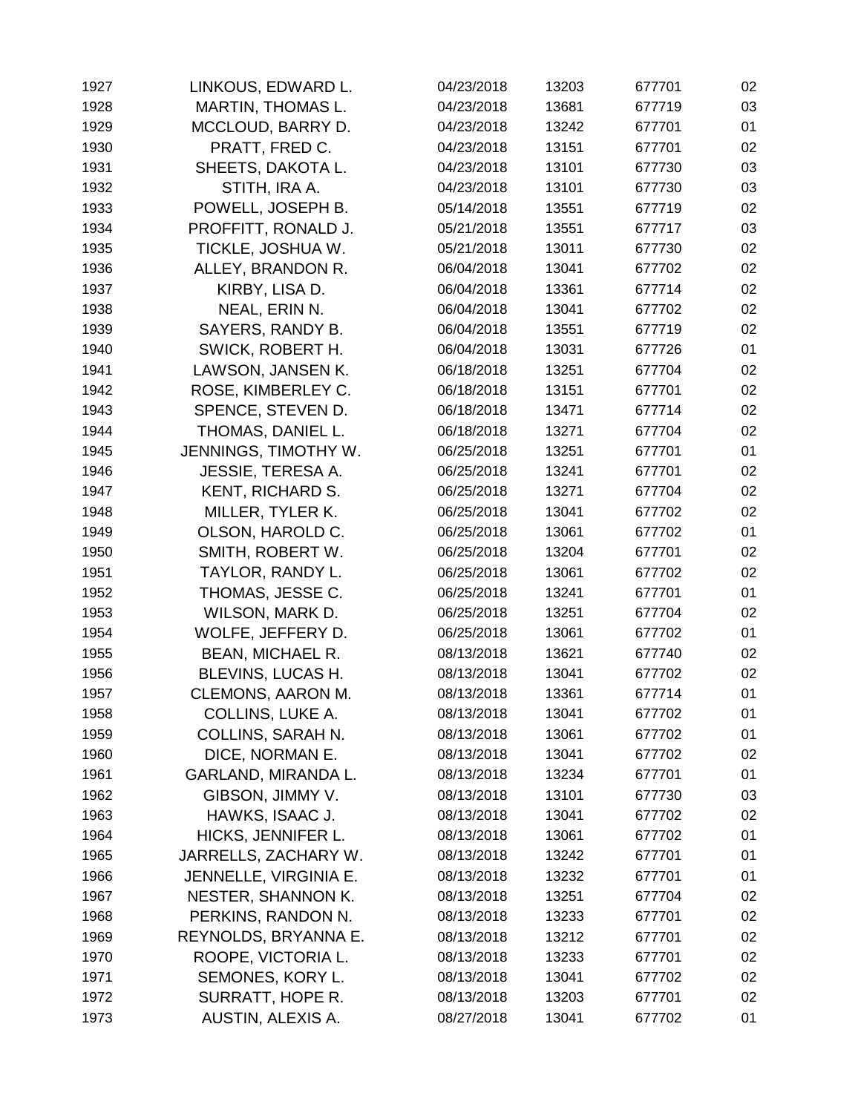| 1927 | LINKOUS, EDWARD L.       | 04/23/2018 | 13203 | 677701 | 02 |
|------|--------------------------|------------|-------|--------|----|
| 1928 | <b>MARTIN, THOMAS L.</b> | 04/23/2018 | 13681 | 677719 | 03 |
| 1929 | MCCLOUD, BARRY D.        | 04/23/2018 | 13242 | 677701 | 01 |
| 1930 | PRATT, FRED C.           | 04/23/2018 | 13151 | 677701 | 02 |
| 1931 | SHEETS, DAKOTA L.        | 04/23/2018 | 13101 | 677730 | 03 |
| 1932 | STITH, IRA A.            | 04/23/2018 | 13101 | 677730 | 03 |
| 1933 | POWELL, JOSEPH B.        | 05/14/2018 | 13551 | 677719 | 02 |
| 1934 | PROFFITT, RONALD J.      | 05/21/2018 | 13551 | 677717 | 03 |
| 1935 | TICKLE, JOSHUA W.        | 05/21/2018 | 13011 | 677730 | 02 |
| 1936 | ALLEY, BRANDON R.        | 06/04/2018 | 13041 | 677702 | 02 |
| 1937 | KIRBY, LISA D.           | 06/04/2018 | 13361 | 677714 | 02 |
| 1938 | NEAL, ERIN N.            | 06/04/2018 | 13041 | 677702 | 02 |
| 1939 | SAYERS, RANDY B.         | 06/04/2018 | 13551 | 677719 | 02 |
| 1940 | SWICK, ROBERT H.         | 06/04/2018 | 13031 | 677726 | 01 |
| 1941 | LAWSON, JANSEN K.        | 06/18/2018 | 13251 | 677704 | 02 |
| 1942 | ROSE, KIMBERLEY C.       | 06/18/2018 | 13151 | 677701 | 02 |
| 1943 | SPENCE, STEVEN D.        | 06/18/2018 | 13471 | 677714 | 02 |
| 1944 | THOMAS, DANIEL L.        | 06/18/2018 | 13271 | 677704 | 02 |
| 1945 | JENNINGS, TIMOTHY W.     | 06/25/2018 | 13251 | 677701 | 01 |
| 1946 | <b>JESSIE, TERESA A.</b> | 06/25/2018 | 13241 | 677701 | 02 |
| 1947 | <b>KENT, RICHARD S.</b>  | 06/25/2018 | 13271 | 677704 | 02 |
| 1948 | MILLER, TYLER K.         | 06/25/2018 | 13041 | 677702 | 02 |
| 1949 | OLSON, HAROLD C.         | 06/25/2018 | 13061 | 677702 | 01 |
| 1950 | SMITH, ROBERT W.         | 06/25/2018 | 13204 | 677701 | 02 |
| 1951 | TAYLOR, RANDY L.         | 06/25/2018 | 13061 | 677702 | 02 |
| 1952 | THOMAS, JESSE C.         | 06/25/2018 | 13241 | 677701 | 01 |
| 1953 | WILSON, MARK D.          | 06/25/2018 | 13251 | 677704 | 02 |
| 1954 | WOLFE, JEFFERY D.        | 06/25/2018 | 13061 | 677702 | 01 |
| 1955 | <b>BEAN, MICHAEL R.</b>  | 08/13/2018 | 13621 | 677740 | 02 |
| 1956 | BLEVINS, LUCAS H.        | 08/13/2018 | 13041 | 677702 | 02 |
| 1957 | CLEMONS, AARON M.        | 08/13/2018 | 13361 | 677714 | 01 |
| 1958 | COLLINS, LUKE A.         | 08/13/2018 | 13041 | 677702 | 01 |
| 1959 | <b>COLLINS, SARAH N.</b> | 08/13/2018 | 13061 | 677702 | 01 |
| 1960 | DICE, NORMAN E.          | 08/13/2018 | 13041 | 677702 | 02 |
| 1961 | GARLAND, MIRANDA L.      | 08/13/2018 | 13234 | 677701 | 01 |
| 1962 | GIBSON, JIMMY V.         | 08/13/2018 | 13101 | 677730 | 03 |
| 1963 | HAWKS, ISAAC J.          | 08/13/2018 | 13041 | 677702 | 02 |
| 1964 | HICKS, JENNIFER L.       | 08/13/2018 | 13061 | 677702 | 01 |
| 1965 | JARRELLS, ZACHARY W.     | 08/13/2018 | 13242 | 677701 | 01 |
| 1966 | JENNELLE, VIRGINIA E.    | 08/13/2018 | 13232 | 677701 | 01 |
| 1967 | NESTER, SHANNON K.       | 08/13/2018 | 13251 | 677704 | 02 |
| 1968 | PERKINS, RANDON N.       | 08/13/2018 | 13233 | 677701 | 02 |
| 1969 | REYNOLDS, BRYANNA E.     | 08/13/2018 | 13212 | 677701 | 02 |
| 1970 | ROOPE, VICTORIA L.       | 08/13/2018 | 13233 | 677701 | 02 |
| 1971 | SEMONES, KORY L.         | 08/13/2018 | 13041 | 677702 | 02 |
| 1972 | SURRATT, HOPE R.         | 08/13/2018 | 13203 | 677701 | 02 |
| 1973 | AUSTIN, ALEXIS A.        | 08/27/2018 | 13041 | 677702 | 01 |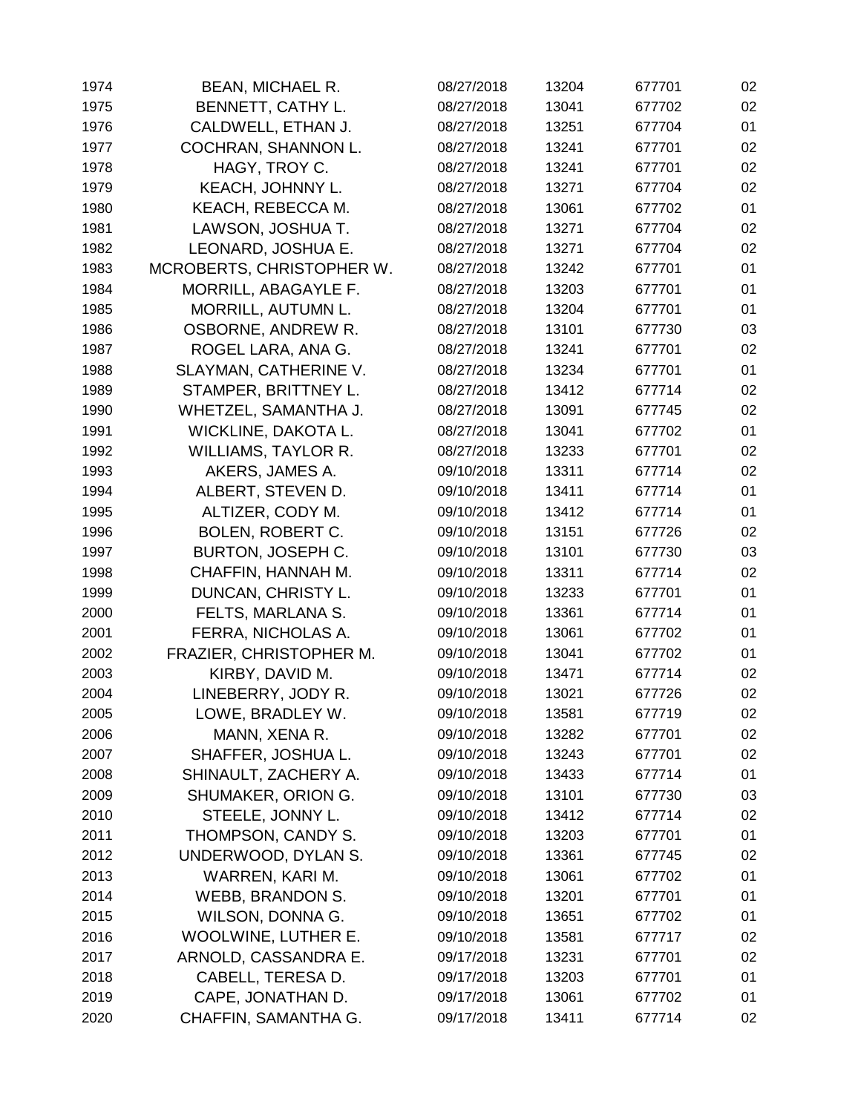| 1974 | <b>BEAN, MICHAEL R.</b>    | 08/27/2018 | 13204 | 677701 | 02 |
|------|----------------------------|------------|-------|--------|----|
| 1975 | BENNETT, CATHY L.          | 08/27/2018 | 13041 | 677702 | 02 |
| 1976 | CALDWELL, ETHAN J.         | 08/27/2018 | 13251 | 677704 | 01 |
| 1977 | COCHRAN, SHANNON L.        | 08/27/2018 | 13241 | 677701 | 02 |
| 1978 | HAGY, TROY C.              | 08/27/2018 | 13241 | 677701 | 02 |
| 1979 | KEACH, JOHNNY L.           | 08/27/2018 | 13271 | 677704 | 02 |
| 1980 | KEACH, REBECCA M.          | 08/27/2018 | 13061 | 677702 | 01 |
| 1981 | LAWSON, JOSHUA T.          | 08/27/2018 | 13271 | 677704 | 02 |
| 1982 | LEONARD, JOSHUA E.         | 08/27/2018 | 13271 | 677704 | 02 |
| 1983 | MCROBERTS, CHRISTOPHER W.  | 08/27/2018 | 13242 | 677701 | 01 |
| 1984 | MORRILL, ABAGAYLE F.       | 08/27/2018 | 13203 | 677701 | 01 |
| 1985 | <b>MORRILL, AUTUMN L.</b>  | 08/27/2018 | 13204 | 677701 | 01 |
| 1986 | OSBORNE, ANDREW R.         | 08/27/2018 | 13101 | 677730 | 03 |
| 1987 | ROGEL LARA, ANA G.         | 08/27/2018 | 13241 | 677701 | 02 |
| 1988 | SLAYMAN, CATHERINE V.      | 08/27/2018 | 13234 | 677701 | 01 |
| 1989 | STAMPER, BRITTNEY L.       | 08/27/2018 | 13412 | 677714 | 02 |
| 1990 | WHETZEL, SAMANTHA J.       | 08/27/2018 | 13091 | 677745 | 02 |
| 1991 | WICKLINE, DAKOTA L.        | 08/27/2018 | 13041 | 677702 | 01 |
| 1992 | <b>WILLIAMS, TAYLOR R.</b> | 08/27/2018 | 13233 | 677701 | 02 |
| 1993 | AKERS, JAMES A.            | 09/10/2018 | 13311 | 677714 | 02 |
| 1994 | ALBERT, STEVEN D.          | 09/10/2018 | 13411 | 677714 | 01 |
| 1995 | ALTIZER, CODY M.           | 09/10/2018 | 13412 | 677714 | 01 |
| 1996 | <b>BOLEN, ROBERT C.</b>    | 09/10/2018 | 13151 | 677726 | 02 |
| 1997 | BURTON, JOSEPH C.          | 09/10/2018 | 13101 | 677730 | 03 |
| 1998 | CHAFFIN, HANNAH M.         | 09/10/2018 | 13311 | 677714 | 02 |
| 1999 | DUNCAN, CHRISTY L.         | 09/10/2018 | 13233 | 677701 | 01 |
| 2000 | FELTS, MARLANA S.          | 09/10/2018 | 13361 | 677714 | 01 |
| 2001 | FERRA, NICHOLAS A.         | 09/10/2018 | 13061 | 677702 | 01 |
| 2002 | FRAZIER, CHRISTOPHER M.    | 09/10/2018 | 13041 | 677702 | 01 |
| 2003 | KIRBY, DAVID M.            | 09/10/2018 | 13471 | 677714 | 02 |
| 2004 | LINEBERRY, JODY R.         | 09/10/2018 | 13021 | 677726 | 02 |
| 2005 | LOWE, BRADLEY W.           | 09/10/2018 | 13581 | 677719 | 02 |
| 2006 | MANN, XENA R.              | 09/10/2018 | 13282 | 677701 | 02 |
| 2007 | SHAFFER, JOSHUA L.         | 09/10/2018 | 13243 | 677701 | 02 |
| 2008 | SHINAULT, ZACHERY A.       | 09/10/2018 | 13433 | 677714 | 01 |
| 2009 | SHUMAKER, ORION G.         | 09/10/2018 | 13101 | 677730 | 03 |
| 2010 | STEELE, JONNY L.           | 09/10/2018 | 13412 | 677714 | 02 |
| 2011 | THOMPSON, CANDY S.         | 09/10/2018 | 13203 | 677701 | 01 |
| 2012 | UNDERWOOD, DYLAN S.        | 09/10/2018 | 13361 | 677745 | 02 |
| 2013 | WARREN, KARI M.            | 09/10/2018 | 13061 | 677702 | 01 |
| 2014 | WEBB, BRANDON S.           | 09/10/2018 | 13201 | 677701 | 01 |
| 2015 | WILSON, DONNA G.           | 09/10/2018 | 13651 | 677702 | 01 |
| 2016 | WOOLWINE, LUTHER E.        | 09/10/2018 | 13581 | 677717 | 02 |
| 2017 | ARNOLD, CASSANDRA E.       | 09/17/2018 | 13231 | 677701 | 02 |
| 2018 | CABELL, TERESA D.          | 09/17/2018 | 13203 | 677701 | 01 |
| 2019 | CAPE, JONATHAN D.          | 09/17/2018 | 13061 | 677702 | 01 |
| 2020 | CHAFFIN, SAMANTHA G.       | 09/17/2018 | 13411 | 677714 | 02 |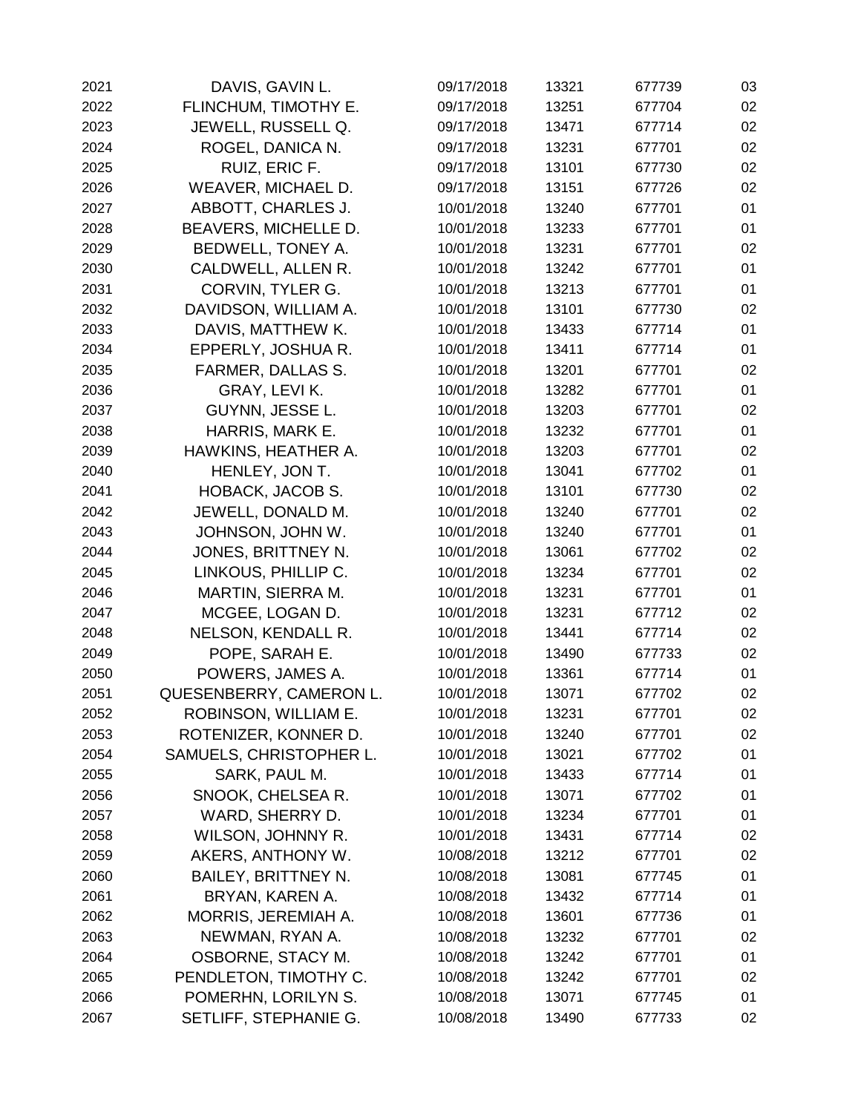| 2021 | DAVIS, GAVIN L.            | 09/17/2018 | 13321 | 677739 | 03 |
|------|----------------------------|------------|-------|--------|----|
| 2022 | FLINCHUM, TIMOTHY E.       | 09/17/2018 | 13251 | 677704 | 02 |
| 2023 | JEWELL, RUSSELL Q.         | 09/17/2018 | 13471 | 677714 | 02 |
| 2024 | ROGEL, DANICA N.           | 09/17/2018 | 13231 | 677701 | 02 |
| 2025 | RUIZ, ERIC F.              | 09/17/2018 | 13101 | 677730 | 02 |
| 2026 | WEAVER, MICHAEL D.         | 09/17/2018 | 13151 | 677726 | 02 |
| 2027 | ABBOTT, CHARLES J.         | 10/01/2018 | 13240 | 677701 | 01 |
| 2028 | BEAVERS, MICHELLE D.       | 10/01/2018 | 13233 | 677701 | 01 |
| 2029 | BEDWELL, TONEY A.          | 10/01/2018 | 13231 | 677701 | 02 |
| 2030 | CALDWELL, ALLEN R.         | 10/01/2018 | 13242 | 677701 | 01 |
| 2031 | CORVIN, TYLER G.           | 10/01/2018 | 13213 | 677701 | 01 |
| 2032 | DAVIDSON, WILLIAM A.       | 10/01/2018 | 13101 | 677730 | 02 |
| 2033 | DAVIS, MATTHEW K.          | 10/01/2018 | 13433 | 677714 | 01 |
| 2034 | EPPERLY, JOSHUA R.         | 10/01/2018 | 13411 | 677714 | 01 |
| 2035 | FARMER, DALLAS S.          | 10/01/2018 | 13201 | 677701 | 02 |
| 2036 | GRAY, LEVI K.              | 10/01/2018 | 13282 | 677701 | 01 |
| 2037 | GUYNN, JESSE L.            | 10/01/2018 | 13203 | 677701 | 02 |
| 2038 | HARRIS, MARK E.            | 10/01/2018 | 13232 | 677701 | 01 |
| 2039 | HAWKINS, HEATHER A.        | 10/01/2018 | 13203 | 677701 | 02 |
| 2040 | HENLEY, JON T.             | 10/01/2018 | 13041 | 677702 | 01 |
| 2041 | <b>HOBACK, JACOB S.</b>    | 10/01/2018 | 13101 | 677730 | 02 |
| 2042 | JEWELL, DONALD M.          | 10/01/2018 | 13240 | 677701 | 02 |
| 2043 | JOHNSON, JOHN W.           | 10/01/2018 | 13240 | 677701 | 01 |
| 2044 | JONES, BRITTNEY N.         | 10/01/2018 | 13061 | 677702 | 02 |
| 2045 | LINKOUS, PHILLIP C.        | 10/01/2018 | 13234 | 677701 | 02 |
| 2046 | MARTIN, SIERRA M.          | 10/01/2018 | 13231 | 677701 | 01 |
| 2047 | MCGEE, LOGAN D.            | 10/01/2018 | 13231 | 677712 | 02 |
| 2048 | NELSON, KENDALL R.         | 10/01/2018 | 13441 | 677714 | 02 |
| 2049 | POPE, SARAH E.             | 10/01/2018 | 13490 | 677733 | 02 |
| 2050 | POWERS, JAMES A.           | 10/01/2018 | 13361 | 677714 | 01 |
| 2051 | QUESENBERRY, CAMERON L.    | 10/01/2018 | 13071 | 677702 | 02 |
| 2052 | ROBINSON, WILLIAM E.       | 10/01/2018 | 13231 | 677701 | 02 |
| 2053 | ROTENIZER, KONNER D.       | 10/01/2018 | 13240 | 677701 | 02 |
| 2054 | SAMUELS, CHRISTOPHER L.    | 10/01/2018 | 13021 | 677702 | 01 |
| 2055 | SARK, PAUL M.              | 10/01/2018 | 13433 | 677714 | 01 |
| 2056 | SNOOK, CHELSEA R.          | 10/01/2018 | 13071 | 677702 | 01 |
| 2057 | WARD, SHERRY D.            | 10/01/2018 | 13234 | 677701 | 01 |
| 2058 | WILSON, JOHNNY R.          | 10/01/2018 | 13431 | 677714 | 02 |
| 2059 | AKERS, ANTHONY W.          | 10/08/2018 | 13212 | 677701 | 02 |
| 2060 | <b>BAILEY, BRITTNEY N.</b> | 10/08/2018 | 13081 | 677745 | 01 |
| 2061 | BRYAN, KAREN A.            | 10/08/2018 | 13432 | 677714 | 01 |
| 2062 | MORRIS, JEREMIAH A.        | 10/08/2018 | 13601 | 677736 | 01 |
| 2063 | NEWMAN, RYAN A.            | 10/08/2018 | 13232 | 677701 | 02 |
| 2064 | OSBORNE, STACY M.          | 10/08/2018 | 13242 | 677701 | 01 |
| 2065 | PENDLETON, TIMOTHY C.      | 10/08/2018 | 13242 | 677701 | 02 |
| 2066 | POMERHN, LORILYN S.        | 10/08/2018 | 13071 | 677745 | 01 |
| 2067 | SETLIFF, STEPHANIE G.      | 10/08/2018 | 13490 | 677733 | 02 |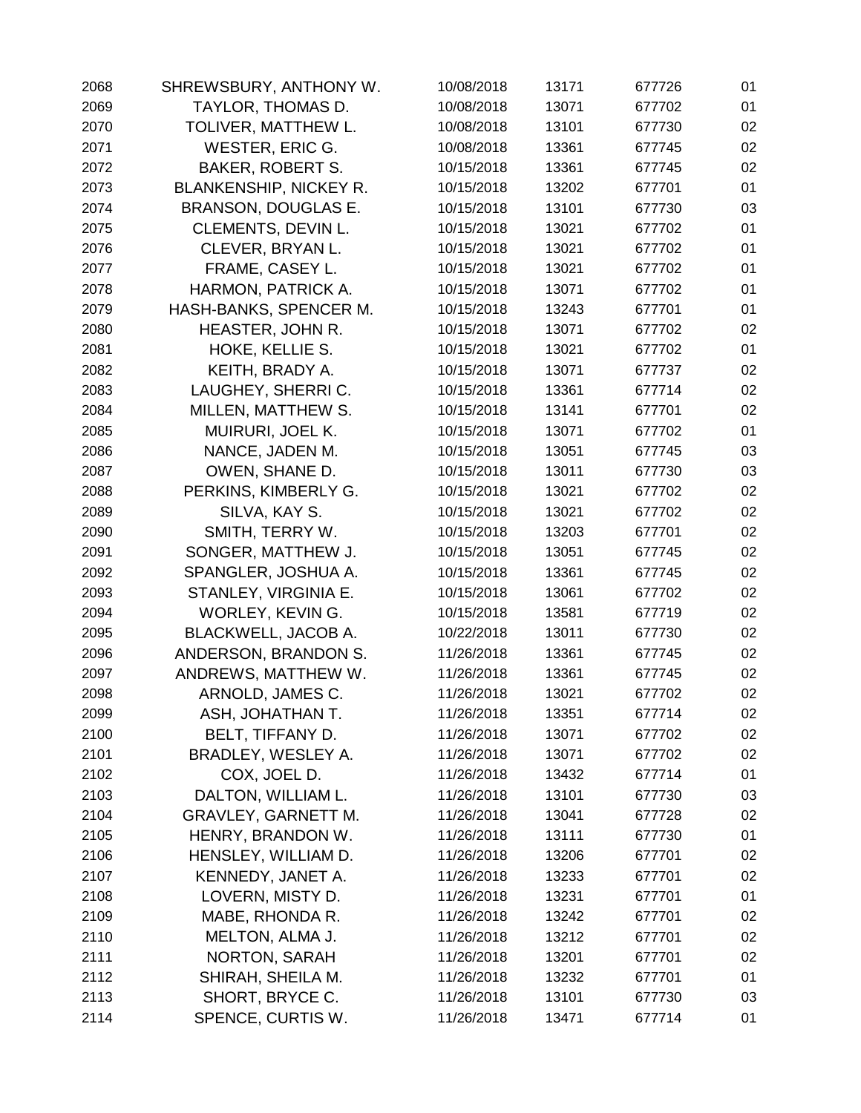| 2068 | SHREWSBURY, ANTHONY W.        | 10/08/2018 | 13171 | 677726 | 01 |
|------|-------------------------------|------------|-------|--------|----|
| 2069 | TAYLOR, THOMAS D.             | 10/08/2018 | 13071 | 677702 | 01 |
| 2070 | TOLIVER, MATTHEW L.           | 10/08/2018 | 13101 | 677730 | 02 |
| 2071 | WESTER, ERIC G.               | 10/08/2018 | 13361 | 677745 | 02 |
| 2072 | <b>BAKER, ROBERT S.</b>       | 10/15/2018 | 13361 | 677745 | 02 |
| 2073 | <b>BLANKENSHIP, NICKEY R.</b> | 10/15/2018 | 13202 | 677701 | 01 |
| 2074 | BRANSON, DOUGLAS E.           | 10/15/2018 | 13101 | 677730 | 03 |
| 2075 | CLEMENTS, DEVIN L.            | 10/15/2018 | 13021 | 677702 | 01 |
| 2076 | CLEVER, BRYAN L.              | 10/15/2018 | 13021 | 677702 | 01 |
| 2077 | FRAME, CASEY L.               | 10/15/2018 | 13021 | 677702 | 01 |
| 2078 | HARMON, PATRICK A.            | 10/15/2018 | 13071 | 677702 | 01 |
| 2079 | HASH-BANKS, SPENCER M.        | 10/15/2018 | 13243 | 677701 | 01 |
| 2080 | HEASTER, JOHN R.              | 10/15/2018 | 13071 | 677702 | 02 |
| 2081 | HOKE, KELLIE S.               | 10/15/2018 | 13021 | 677702 | 01 |
| 2082 | KEITH, BRADY A.               | 10/15/2018 | 13071 | 677737 | 02 |
| 2083 | LAUGHEY, SHERRIC.             | 10/15/2018 | 13361 | 677714 | 02 |
| 2084 | MILLEN, MATTHEW S.            | 10/15/2018 | 13141 | 677701 | 02 |
| 2085 | MUIRURI, JOEL K.              | 10/15/2018 | 13071 | 677702 | 01 |
| 2086 | NANCE, JADEN M.               | 10/15/2018 | 13051 | 677745 | 03 |
| 2087 | OWEN, SHANE D.                | 10/15/2018 | 13011 | 677730 | 03 |
| 2088 | PERKINS, KIMBERLY G.          | 10/15/2018 | 13021 | 677702 | 02 |
| 2089 | SILVA, KAY S.                 | 10/15/2018 | 13021 | 677702 | 02 |
| 2090 | SMITH, TERRY W.               | 10/15/2018 | 13203 | 677701 | 02 |
| 2091 | SONGER, MATTHEW J.            | 10/15/2018 | 13051 | 677745 | 02 |
| 2092 | SPANGLER, JOSHUA A.           | 10/15/2018 | 13361 | 677745 | 02 |
| 2093 | STANLEY, VIRGINIA E.          | 10/15/2018 | 13061 | 677702 | 02 |
| 2094 | WORLEY, KEVIN G.              | 10/15/2018 | 13581 | 677719 | 02 |
| 2095 | BLACKWELL, JACOB A.           | 10/22/2018 | 13011 | 677730 | 02 |
| 2096 | ANDERSON, BRANDON S.          | 11/26/2018 | 13361 | 677745 | 02 |
| 2097 | ANDREWS, MATTHEW W.           | 11/26/2018 | 13361 | 677745 | 02 |
| 2098 | ARNOLD, JAMES C.              | 11/26/2018 | 13021 | 677702 | 02 |
| 2099 | ASH, JOHATHAN T.              | 11/26/2018 | 13351 | 677714 | 02 |
| 2100 | BELT, TIFFANY D.              | 11/26/2018 | 13071 | 677702 | 02 |
| 2101 | BRADLEY, WESLEY A.            | 11/26/2018 | 13071 | 677702 | 02 |
| 2102 | COX, JOEL D.                  | 11/26/2018 | 13432 | 677714 | 01 |
| 2103 | DALTON, WILLIAM L.            | 11/26/2018 | 13101 | 677730 | 03 |
| 2104 | <b>GRAVLEY, GARNETT M.</b>    | 11/26/2018 | 13041 | 677728 | 02 |
| 2105 | HENRY, BRANDON W.             | 11/26/2018 | 13111 | 677730 | 01 |
| 2106 | HENSLEY, WILLIAM D.           | 11/26/2018 | 13206 | 677701 | 02 |
| 2107 | KENNEDY, JANET A.             | 11/26/2018 | 13233 | 677701 | 02 |
| 2108 | LOVERN, MISTY D.              | 11/26/2018 | 13231 | 677701 | 01 |
| 2109 | MABE, RHONDA R.               | 11/26/2018 | 13242 | 677701 | 02 |
| 2110 | MELTON, ALMA J.               | 11/26/2018 | 13212 | 677701 | 02 |
| 2111 | <b>NORTON, SARAH</b>          | 11/26/2018 | 13201 | 677701 | 02 |
| 2112 | SHIRAH, SHEILA M.             | 11/26/2018 | 13232 | 677701 | 01 |
| 2113 | SHORT, BRYCE C.               | 11/26/2018 | 13101 | 677730 | 03 |
| 2114 | SPENCE, CURTIS W.             | 11/26/2018 | 13471 | 677714 | 01 |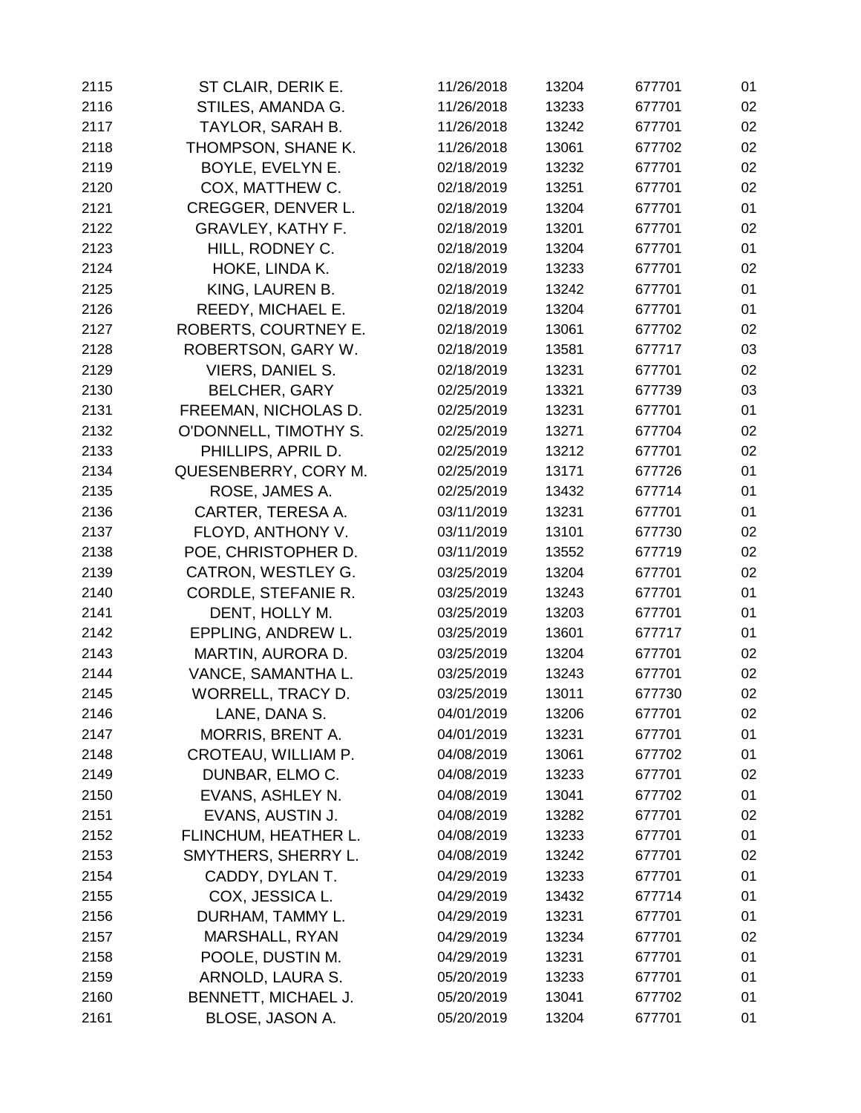| 2115 | ST CLAIR, DERIK E.        | 11/26/2018 | 13204 | 677701 | 01 |
|------|---------------------------|------------|-------|--------|----|
| 2116 | STILES, AMANDA G.         | 11/26/2018 | 13233 | 677701 | 02 |
| 2117 | TAYLOR, SARAH B.          | 11/26/2018 | 13242 | 677701 | 02 |
| 2118 | THOMPSON, SHANE K.        | 11/26/2018 | 13061 | 677702 | 02 |
| 2119 | BOYLE, EVELYN E.          | 02/18/2019 | 13232 | 677701 | 02 |
| 2120 | COX, MATTHEW C.           | 02/18/2019 | 13251 | 677701 | 02 |
| 2121 | <b>CREGGER, DENVER L.</b> | 02/18/2019 | 13204 | 677701 | 01 |
| 2122 | <b>GRAVLEY, KATHY F.</b>  | 02/18/2019 | 13201 | 677701 | 02 |
| 2123 | HILL, RODNEY C.           | 02/18/2019 | 13204 | 677701 | 01 |
| 2124 | HOKE, LINDA K.            | 02/18/2019 | 13233 | 677701 | 02 |
| 2125 | KING, LAUREN B.           | 02/18/2019 | 13242 | 677701 | 01 |
| 2126 | REEDY, MICHAEL E.         | 02/18/2019 | 13204 | 677701 | 01 |
| 2127 | ROBERTS, COURTNEY E.      | 02/18/2019 | 13061 | 677702 | 02 |
| 2128 | ROBERTSON, GARY W.        | 02/18/2019 | 13581 | 677717 | 03 |
| 2129 | <b>VIERS, DANIEL S.</b>   | 02/18/2019 | 13231 | 677701 | 02 |
| 2130 | <b>BELCHER, GARY</b>      | 02/25/2019 | 13321 | 677739 | 03 |
| 2131 | FREEMAN, NICHOLAS D.      | 02/25/2019 | 13231 | 677701 | 01 |
| 2132 | O'DONNELL, TIMOTHY S.     | 02/25/2019 | 13271 | 677704 | 02 |
| 2133 | PHILLIPS, APRIL D.        | 02/25/2019 | 13212 | 677701 | 02 |
| 2134 | QUESENBERRY, CORY M.      | 02/25/2019 | 13171 | 677726 | 01 |
| 2135 | ROSE, JAMES A.            | 02/25/2019 | 13432 | 677714 | 01 |
| 2136 | CARTER, TERESA A.         | 03/11/2019 | 13231 | 677701 | 01 |
| 2137 | FLOYD, ANTHONY V.         | 03/11/2019 | 13101 | 677730 | 02 |
| 2138 | POE, CHRISTOPHER D.       | 03/11/2019 | 13552 | 677719 | 02 |
| 2139 | CATRON, WESTLEY G.        | 03/25/2019 | 13204 | 677701 | 02 |
| 2140 | CORDLE, STEFANIE R.       | 03/25/2019 | 13243 | 677701 | 01 |
| 2141 | DENT, HOLLY M.            | 03/25/2019 | 13203 | 677701 | 01 |
| 2142 | EPPLING, ANDREW L.        | 03/25/2019 | 13601 | 677717 | 01 |
| 2143 | MARTIN, AURORA D.         | 03/25/2019 | 13204 | 677701 | 02 |
| 2144 | VANCE, SAMANTHA L.        | 03/25/2019 | 13243 | 677701 | 02 |
| 2145 | WORRELL, TRACY D.         | 03/25/2019 | 13011 | 677730 | 02 |
| 2146 | LANE, DANA S.             | 04/01/2019 | 13206 | 677701 | 02 |
| 2147 | <b>MORRIS, BRENT A.</b>   | 04/01/2019 | 13231 | 677701 | 01 |
| 2148 | CROTEAU, WILLIAM P.       | 04/08/2019 | 13061 | 677702 | 01 |
| 2149 | DUNBAR, ELMO C.           | 04/08/2019 | 13233 | 677701 | 02 |
| 2150 | EVANS, ASHLEY N.          | 04/08/2019 | 13041 | 677702 | 01 |
| 2151 | EVANS, AUSTIN J.          | 04/08/2019 | 13282 | 677701 | 02 |
| 2152 | FLINCHUM, HEATHER L.      | 04/08/2019 | 13233 | 677701 | 01 |
| 2153 | SMYTHERS, SHERRY L.       | 04/08/2019 | 13242 | 677701 | 02 |
| 2154 | CADDY, DYLAN T.           | 04/29/2019 | 13233 | 677701 | 01 |
| 2155 | COX, JESSICA L.           | 04/29/2019 | 13432 | 677714 | 01 |
| 2156 | DURHAM, TAMMY L.          | 04/29/2019 | 13231 | 677701 | 01 |
| 2157 | MARSHALL, RYAN            | 04/29/2019 | 13234 | 677701 | 02 |
| 2158 | POOLE, DUSTIN M.          | 04/29/2019 | 13231 | 677701 | 01 |
| 2159 | ARNOLD, LAURA S.          | 05/20/2019 | 13233 | 677701 | 01 |
| 2160 | BENNETT, MICHAEL J.       | 05/20/2019 | 13041 | 677702 | 01 |
| 2161 | BLOSE, JASON A.           | 05/20/2019 | 13204 | 677701 | 01 |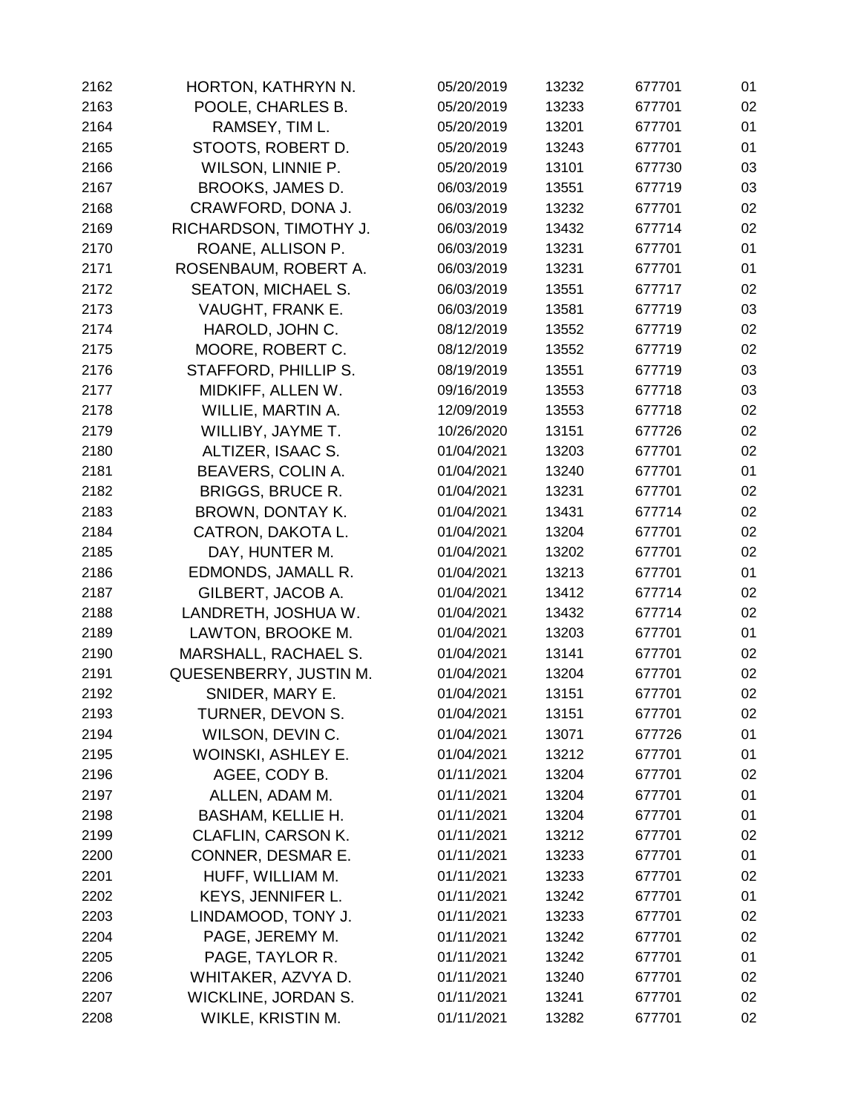| 2162 | HORTON, KATHRYN N.         | 05/20/2019 | 13232 | 677701 | 01 |
|------|----------------------------|------------|-------|--------|----|
| 2163 | POOLE, CHARLES B.          | 05/20/2019 | 13233 | 677701 | 02 |
| 2164 | RAMSEY, TIM L.             | 05/20/2019 | 13201 | 677701 | 01 |
| 2165 | STOOTS, ROBERT D.          | 05/20/2019 | 13243 | 677701 | 01 |
| 2166 | WILSON, LINNIE P.          | 05/20/2019 | 13101 | 677730 | 03 |
| 2167 | BROOKS, JAMES D.           | 06/03/2019 | 13551 | 677719 | 03 |
| 2168 | CRAWFORD, DONA J.          | 06/03/2019 | 13232 | 677701 | 02 |
| 2169 | RICHARDSON, TIMOTHY J.     | 06/03/2019 | 13432 | 677714 | 02 |
| 2170 | ROANE, ALLISON P.          | 06/03/2019 | 13231 | 677701 | 01 |
| 2171 | ROSENBAUM, ROBERT A.       | 06/03/2019 | 13231 | 677701 | 01 |
| 2172 | <b>SEATON, MICHAEL S.</b>  | 06/03/2019 | 13551 | 677717 | 02 |
| 2173 | VAUGHT, FRANK E.           | 06/03/2019 | 13581 | 677719 | 03 |
| 2174 | HAROLD, JOHN C.            | 08/12/2019 | 13552 | 677719 | 02 |
| 2175 | MOORE, ROBERT C.           | 08/12/2019 | 13552 | 677719 | 02 |
| 2176 | STAFFORD, PHILLIP S.       | 08/19/2019 | 13551 | 677719 | 03 |
| 2177 | MIDKIFF, ALLEN W.          | 09/16/2019 | 13553 | 677718 | 03 |
| 2178 | WILLIE, MARTIN A.          | 12/09/2019 | 13553 | 677718 | 02 |
| 2179 | WILLIBY, JAYME T.          | 10/26/2020 | 13151 | 677726 | 02 |
| 2180 | ALTIZER, ISAAC S.          | 01/04/2021 | 13203 | 677701 | 02 |
| 2181 | BEAVERS, COLIN A.          | 01/04/2021 | 13240 | 677701 | 01 |
| 2182 | <b>BRIGGS, BRUCE R.</b>    | 01/04/2021 | 13231 | 677701 | 02 |
| 2183 | BROWN, DONTAY K.           | 01/04/2021 | 13431 | 677714 | 02 |
| 2184 | CATRON, DAKOTA L.          | 01/04/2021 | 13204 | 677701 | 02 |
| 2185 | DAY, HUNTER M.             | 01/04/2021 | 13202 | 677701 | 02 |
| 2186 | EDMONDS, JAMALL R.         | 01/04/2021 | 13213 | 677701 | 01 |
| 2187 | GILBERT, JACOB A.          | 01/04/2021 | 13412 | 677714 | 02 |
| 2188 | LANDRETH, JOSHUA W.        | 01/04/2021 | 13432 | 677714 | 02 |
| 2189 | LAWTON, BROOKE M.          | 01/04/2021 | 13203 | 677701 | 01 |
| 2190 | MARSHALL, RACHAEL S.       | 01/04/2021 | 13141 | 677701 | 02 |
| 2191 | QUESENBERRY, JUSTIN M.     | 01/04/2021 | 13204 | 677701 | 02 |
| 2192 | SNIDER, MARY E.            | 01/04/2021 | 13151 | 677701 | 02 |
| 2193 | TURNER, DEVON S.           | 01/04/2021 | 13151 | 677701 | 02 |
| 2194 | WILSON, DEVIN C.           | 01/04/2021 | 13071 | 677726 | 01 |
| 2195 | WOINSKI, ASHLEY E.         | 01/04/2021 | 13212 | 677701 | 01 |
| 2196 | AGEE, CODY B.              | 01/11/2021 | 13204 | 677701 | 02 |
| 2197 | ALLEN, ADAM M.             | 01/11/2021 | 13204 | 677701 | 01 |
| 2198 | <b>BASHAM, KELLIE H.</b>   | 01/11/2021 | 13204 | 677701 | 01 |
| 2199 | CLAFLIN, CARSON K.         | 01/11/2021 | 13212 | 677701 | 02 |
| 2200 | CONNER, DESMAR E.          | 01/11/2021 | 13233 | 677701 | 01 |
| 2201 | HUFF, WILLIAM M.           | 01/11/2021 | 13233 | 677701 | 02 |
| 2202 | KEYS, JENNIFER L.          | 01/11/2021 | 13242 | 677701 | 01 |
| 2203 | LINDAMOOD, TONY J.         | 01/11/2021 | 13233 | 677701 | 02 |
| 2204 | PAGE, JEREMY M.            | 01/11/2021 | 13242 | 677701 | 02 |
| 2205 | PAGE, TAYLOR R.            | 01/11/2021 | 13242 | 677701 | 01 |
| 2206 | WHITAKER, AZVYA D.         | 01/11/2021 | 13240 | 677701 | 02 |
| 2207 | <b>WICKLINE, JORDAN S.</b> | 01/11/2021 | 13241 | 677701 | 02 |
| 2208 | WIKLE, KRISTIN M.          | 01/11/2021 | 13282 | 677701 | 02 |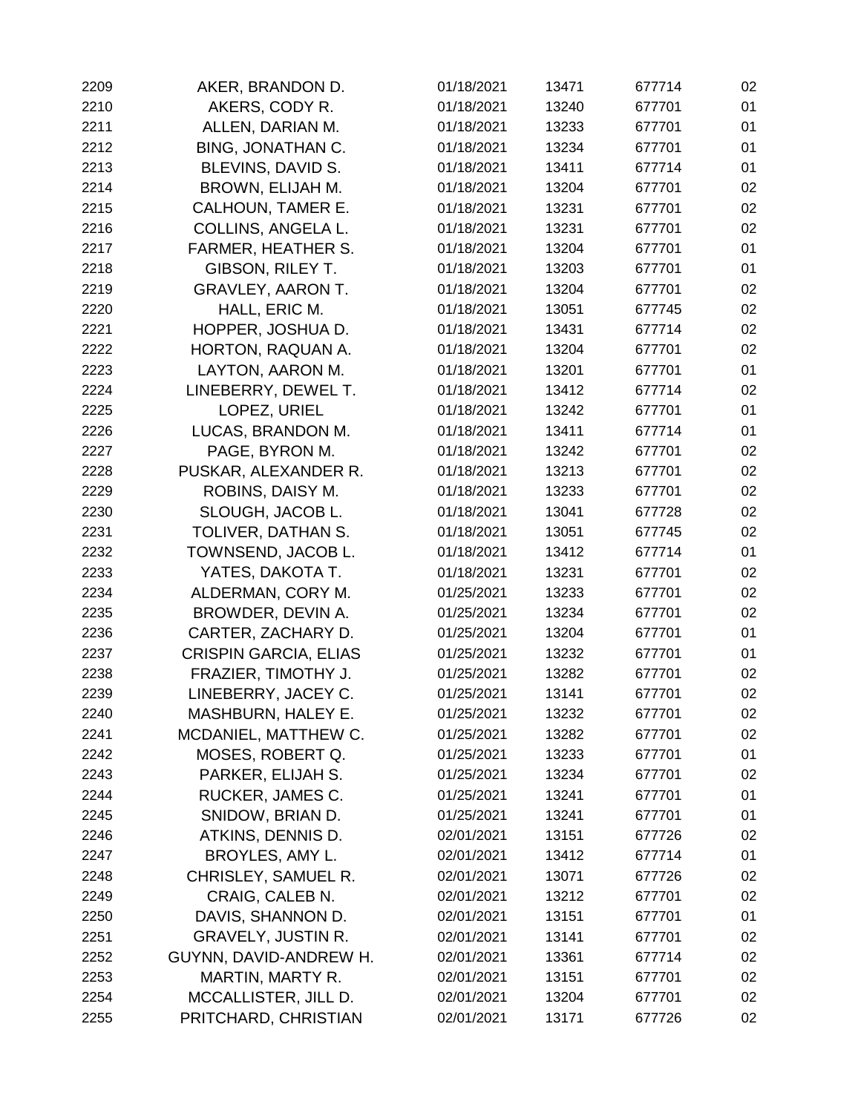| 2209 | AKER, BRANDON D.             | 01/18/2021 | 13471 | 677714 | 02 |
|------|------------------------------|------------|-------|--------|----|
| 2210 | AKERS, CODY R.               | 01/18/2021 | 13240 | 677701 | 01 |
| 2211 | ALLEN, DARIAN M.             | 01/18/2021 | 13233 | 677701 | 01 |
| 2212 | <b>BING, JONATHAN C.</b>     | 01/18/2021 | 13234 | 677701 | 01 |
| 2213 | BLEVINS, DAVID S.            | 01/18/2021 | 13411 | 677714 | 01 |
| 2214 | BROWN, ELIJAH M.             | 01/18/2021 | 13204 | 677701 | 02 |
| 2215 | CALHOUN, TAMER E.            | 01/18/2021 | 13231 | 677701 | 02 |
| 2216 | COLLINS, ANGELA L.           | 01/18/2021 | 13231 | 677701 | 02 |
| 2217 | <b>FARMER, HEATHER S.</b>    | 01/18/2021 | 13204 | 677701 | 01 |
| 2218 | GIBSON, RILEY T.             | 01/18/2021 | 13203 | 677701 | 01 |
| 2219 | <b>GRAVLEY, AARON T.</b>     | 01/18/2021 | 13204 | 677701 | 02 |
| 2220 | HALL, ERIC M.                | 01/18/2021 | 13051 | 677745 | 02 |
| 2221 | HOPPER, JOSHUA D.            | 01/18/2021 | 13431 | 677714 | 02 |
| 2222 | HORTON, RAQUAN A.            | 01/18/2021 | 13204 | 677701 | 02 |
| 2223 | LAYTON, AARON M.             | 01/18/2021 | 13201 | 677701 | 01 |
| 2224 | LINEBERRY, DEWEL T.          | 01/18/2021 | 13412 | 677714 | 02 |
| 2225 | LOPEZ, URIEL                 | 01/18/2021 | 13242 | 677701 | 01 |
| 2226 | LUCAS, BRANDON M.            | 01/18/2021 | 13411 | 677714 | 01 |
| 2227 | PAGE, BYRON M.               | 01/18/2021 | 13242 | 677701 | 02 |
| 2228 | PUSKAR, ALEXANDER R.         | 01/18/2021 | 13213 | 677701 | 02 |
| 2229 | ROBINS, DAISY M.             | 01/18/2021 | 13233 | 677701 | 02 |
| 2230 | SLOUGH, JACOB L.             | 01/18/2021 | 13041 | 677728 | 02 |
| 2231 | TOLIVER, DATHAN S.           | 01/18/2021 | 13051 | 677745 | 02 |
| 2232 | TOWNSEND, JACOB L.           | 01/18/2021 | 13412 | 677714 | 01 |
| 2233 | YATES, DAKOTA T.             | 01/18/2021 | 13231 | 677701 | 02 |
| 2234 | ALDERMAN, CORY M.            | 01/25/2021 | 13233 | 677701 | 02 |
| 2235 | BROWDER, DEVIN A.            | 01/25/2021 | 13234 | 677701 | 02 |
| 2236 | CARTER, ZACHARY D.           | 01/25/2021 | 13204 | 677701 | 01 |
| 2237 | <b>CRISPIN GARCIA, ELIAS</b> | 01/25/2021 | 13232 | 677701 | 01 |
| 2238 | FRAZIER, TIMOTHY J.          | 01/25/2021 | 13282 | 677701 | 02 |
| 2239 | LINEBERRY, JACEY C.          | 01/25/2021 | 13141 | 677701 | 02 |
| 2240 | <b>MASHBURN, HALEY E.</b>    | 01/25/2021 | 13232 | 677701 | 02 |
| 2241 | MCDANIEL, MATTHEW C.         | 01/25/2021 | 13282 | 677701 | 02 |
| 2242 | MOSES, ROBERT Q.             | 01/25/2021 | 13233 | 677701 | 01 |
| 2243 | PARKER, ELIJAH S.            | 01/25/2021 | 13234 | 677701 | 02 |
| 2244 | RUCKER, JAMES C.             | 01/25/2021 | 13241 | 677701 | 01 |
| 2245 | SNIDOW, BRIAN D.             | 01/25/2021 | 13241 | 677701 | 01 |
| 2246 | ATKINS, DENNIS D.            | 02/01/2021 | 13151 | 677726 | 02 |
| 2247 | <b>BROYLES, AMY L.</b>       | 02/01/2021 | 13412 | 677714 | 01 |
| 2248 | CHRISLEY, SAMUEL R.          | 02/01/2021 | 13071 | 677726 | 02 |
| 2249 | CRAIG, CALEB N.              | 02/01/2021 | 13212 | 677701 | 02 |
| 2250 | DAVIS, SHANNON D.            | 02/01/2021 | 13151 | 677701 | 01 |
| 2251 | <b>GRAVELY, JUSTIN R.</b>    | 02/01/2021 | 13141 | 677701 | 02 |
| 2252 | GUYNN, DAVID-ANDREW H.       | 02/01/2021 | 13361 | 677714 | 02 |
| 2253 | MARTIN, MARTY R.             | 02/01/2021 | 13151 | 677701 | 02 |
| 2254 | MCCALLISTER, JILL D.         | 02/01/2021 | 13204 | 677701 | 02 |
| 2255 | PRITCHARD, CHRISTIAN         | 02/01/2021 | 13171 | 677726 | 02 |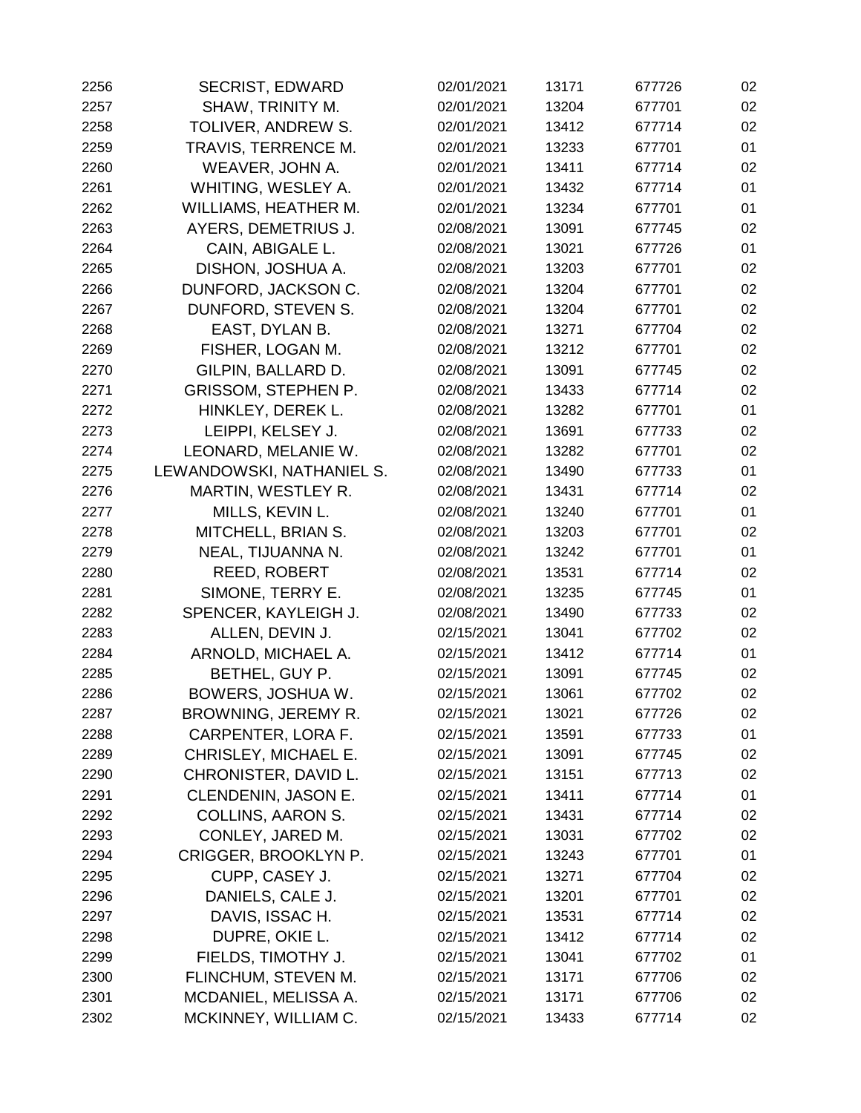| 2256 | <b>SECRIST, EDWARD</b>     | 02/01/2021 | 13171 | 677726 | 02 |
|------|----------------------------|------------|-------|--------|----|
| 2257 | SHAW, TRINITY M.           | 02/01/2021 | 13204 | 677701 | 02 |
| 2258 | TOLIVER, ANDREW S.         | 02/01/2021 | 13412 | 677714 | 02 |
| 2259 | TRAVIS, TERRENCE M.        | 02/01/2021 | 13233 | 677701 | 01 |
| 2260 | WEAVER, JOHN A.            | 02/01/2021 | 13411 | 677714 | 02 |
| 2261 | WHITING, WESLEY A.         | 02/01/2021 | 13432 | 677714 | 01 |
| 2262 | WILLIAMS, HEATHER M.       | 02/01/2021 | 13234 | 677701 | 01 |
| 2263 | <b>AYERS, DEMETRIUS J.</b> | 02/08/2021 | 13091 | 677745 | 02 |
| 2264 | CAIN, ABIGALE L.           | 02/08/2021 | 13021 | 677726 | 01 |
| 2265 | DISHON, JOSHUA A.          | 02/08/2021 | 13203 | 677701 | 02 |
| 2266 | DUNFORD, JACKSON C.        | 02/08/2021 | 13204 | 677701 | 02 |
| 2267 | DUNFORD, STEVEN S.         | 02/08/2021 | 13204 | 677701 | 02 |
| 2268 | EAST, DYLAN B.             | 02/08/2021 | 13271 | 677704 | 02 |
| 2269 | FISHER, LOGAN M.           | 02/08/2021 | 13212 | 677701 | 02 |
| 2270 | GILPIN, BALLARD D.         | 02/08/2021 | 13091 | 677745 | 02 |
| 2271 | <b>GRISSOM, STEPHEN P.</b> | 02/08/2021 | 13433 | 677714 | 02 |
| 2272 | HINKLEY, DEREK L.          | 02/08/2021 | 13282 | 677701 | 01 |
| 2273 | LEIPPI, KELSEY J.          | 02/08/2021 | 13691 | 677733 | 02 |
| 2274 | LEONARD, MELANIE W.        | 02/08/2021 | 13282 | 677701 | 02 |
| 2275 | LEWANDOWSKI, NATHANIEL S.  | 02/08/2021 | 13490 | 677733 | 01 |
| 2276 | MARTIN, WESTLEY R.         | 02/08/2021 | 13431 | 677714 | 02 |
| 2277 | MILLS, KEVIN L.            | 02/08/2021 | 13240 | 677701 | 01 |
| 2278 | MITCHELL, BRIAN S.         | 02/08/2021 | 13203 | 677701 | 02 |
| 2279 | NEAL, TIJUANNA N.          | 02/08/2021 | 13242 | 677701 | 01 |
| 2280 | <b>REED, ROBERT</b>        | 02/08/2021 | 13531 | 677714 | 02 |
| 2281 | SIMONE, TERRY E.           | 02/08/2021 | 13235 | 677745 | 01 |
| 2282 | SPENCER, KAYLEIGH J.       | 02/08/2021 | 13490 | 677733 | 02 |
| 2283 | ALLEN, DEVIN J.            | 02/15/2021 | 13041 | 677702 | 02 |
| 2284 | ARNOLD, MICHAEL A.         | 02/15/2021 | 13412 | 677714 | 01 |
| 2285 | BETHEL, GUY P.             | 02/15/2021 | 13091 | 677745 | 02 |
| 2286 | BOWERS, JOSHUA W.          | 02/15/2021 | 13061 | 677702 | 02 |
| 2287 | BROWNING, JEREMY R.        | 02/15/2021 | 13021 | 677726 | 02 |
| 2288 | CARPENTER, LORA F.         | 02/15/2021 | 13591 | 677733 | 01 |
| 2289 | CHRISLEY, MICHAEL E.       | 02/15/2021 | 13091 | 677745 | 02 |
| 2290 | CHRONISTER, DAVID L.       | 02/15/2021 | 13151 | 677713 | 02 |
| 2291 | CLENDENIN, JASON E.        | 02/15/2021 | 13411 | 677714 | 01 |
| 2292 | <b>COLLINS, AARON S.</b>   | 02/15/2021 | 13431 | 677714 | 02 |
| 2293 | CONLEY, JARED M.           | 02/15/2021 | 13031 | 677702 | 02 |
| 2294 | CRIGGER, BROOKLYN P.       | 02/15/2021 | 13243 | 677701 | 01 |
| 2295 | CUPP, CASEY J.             | 02/15/2021 | 13271 | 677704 | 02 |
| 2296 | DANIELS, CALE J.           | 02/15/2021 | 13201 | 677701 | 02 |
| 2297 | DAVIS, ISSAC H.            | 02/15/2021 | 13531 | 677714 | 02 |
| 2298 | DUPRE, OKIE L.             | 02/15/2021 | 13412 | 677714 | 02 |
| 2299 | FIELDS, TIMOTHY J.         | 02/15/2021 | 13041 | 677702 | 01 |
| 2300 | FLINCHUM, STEVEN M.        | 02/15/2021 | 13171 | 677706 | 02 |
| 2301 | MCDANIEL, MELISSA A.       | 02/15/2021 | 13171 | 677706 | 02 |
| 2302 | MCKINNEY, WILLIAM C.       | 02/15/2021 | 13433 | 677714 | 02 |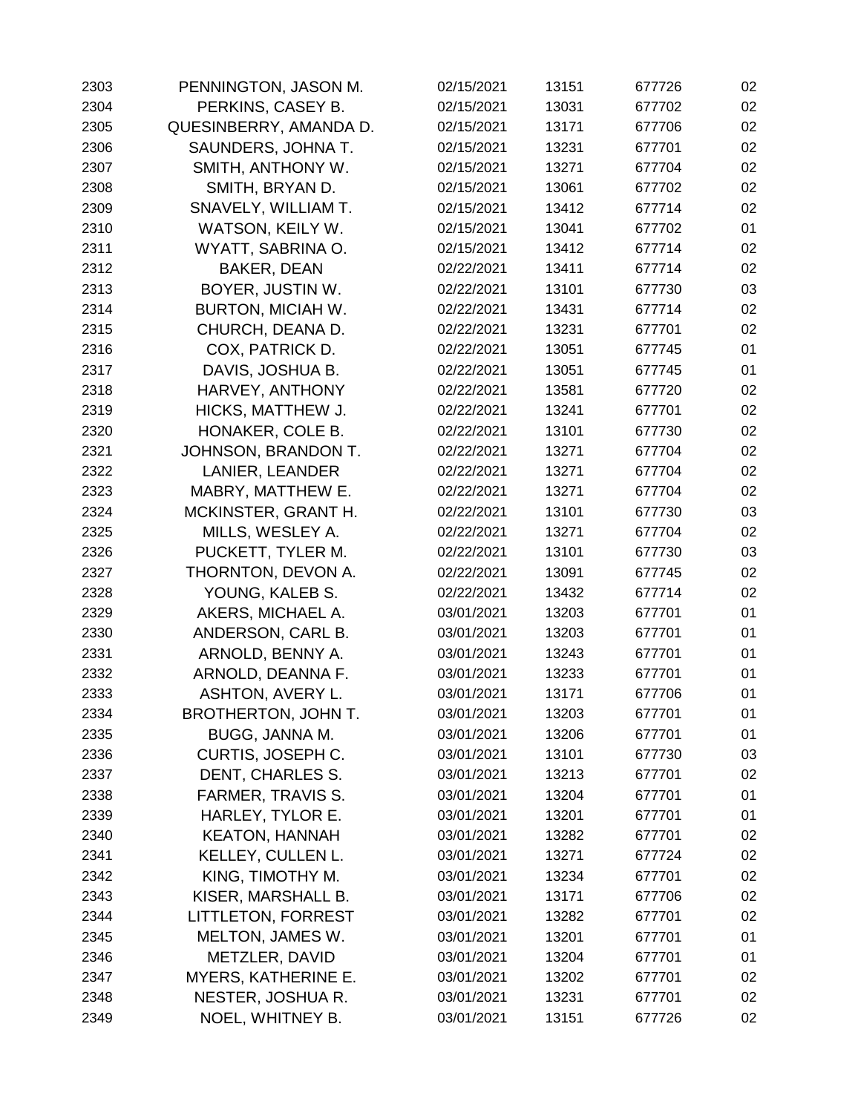| 2303 | PENNINGTON, JASON M.       | 02/15/2021 | 13151 | 677726 | 02 |
|------|----------------------------|------------|-------|--------|----|
| 2304 | PERKINS, CASEY B.          | 02/15/2021 | 13031 | 677702 | 02 |
| 2305 | QUESINBERRY, AMANDA D.     | 02/15/2021 | 13171 | 677706 | 02 |
| 2306 | SAUNDERS, JOHNA T.         | 02/15/2021 | 13231 | 677701 | 02 |
| 2307 | SMITH, ANTHONY W.          | 02/15/2021 | 13271 | 677704 | 02 |
| 2308 | SMITH, BRYAN D.            | 02/15/2021 | 13061 | 677702 | 02 |
| 2309 | SNAVELY, WILLIAM T.        | 02/15/2021 | 13412 | 677714 | 02 |
| 2310 | WATSON, KEILY W.           | 02/15/2021 | 13041 | 677702 | 01 |
| 2311 | WYATT, SABRINA O.          | 02/15/2021 | 13412 | 677714 | 02 |
| 2312 | <b>BAKER, DEAN</b>         | 02/22/2021 | 13411 | 677714 | 02 |
| 2313 | BOYER, JUSTIN W.           | 02/22/2021 | 13101 | 677730 | 03 |
| 2314 | <b>BURTON, MICIAH W.</b>   | 02/22/2021 | 13431 | 677714 | 02 |
| 2315 | CHURCH, DEANA D.           | 02/22/2021 | 13231 | 677701 | 02 |
| 2316 | COX, PATRICK D.            | 02/22/2021 | 13051 | 677745 | 01 |
| 2317 | DAVIS, JOSHUA B.           | 02/22/2021 | 13051 | 677745 | 01 |
| 2318 | HARVEY, ANTHONY            | 02/22/2021 | 13581 | 677720 | 02 |
| 2319 | HICKS, MATTHEW J.          | 02/22/2021 | 13241 | 677701 | 02 |
| 2320 | HONAKER, COLE B.           | 02/22/2021 | 13101 | 677730 | 02 |
| 2321 | JOHNSON, BRANDON T.        | 02/22/2021 | 13271 | 677704 | 02 |
| 2322 | LANIER, LEANDER            | 02/22/2021 | 13271 | 677704 | 02 |
| 2323 | MABRY, MATTHEW E.          | 02/22/2021 | 13271 | 677704 | 02 |
| 2324 | MCKINSTER, GRANT H.        | 02/22/2021 | 13101 | 677730 | 03 |
| 2325 | MILLS, WESLEY A.           | 02/22/2021 | 13271 | 677704 | 02 |
| 2326 | PUCKETT, TYLER M.          | 02/22/2021 | 13101 | 677730 | 03 |
| 2327 | THORNTON, DEVON A.         | 02/22/2021 | 13091 | 677745 | 02 |
| 2328 | YOUNG, KALEB S.            | 02/22/2021 | 13432 | 677714 | 02 |
| 2329 | AKERS, MICHAEL A.          | 03/01/2021 | 13203 | 677701 | 01 |
| 2330 | ANDERSON, CARL B.          | 03/01/2021 | 13203 | 677701 | 01 |
| 2331 | ARNOLD, BENNY A.           | 03/01/2021 | 13243 | 677701 | 01 |
| 2332 | ARNOLD, DEANNA F.          | 03/01/2021 | 13233 | 677701 | 01 |
| 2333 | ASHTON, AVERY L.           | 03/01/2021 | 13171 | 677706 | 01 |
| 2334 | BROTHERTON, JOHN T.        | 03/01/2021 | 13203 | 677701 | 01 |
| 2335 | BUGG, JANNA M.             | 03/01/2021 | 13206 | 677701 | 01 |
| 2336 | <b>CURTIS, JOSEPH C.</b>   | 03/01/2021 | 13101 | 677730 | 03 |
| 2337 | DENT, CHARLES S.           | 03/01/2021 | 13213 | 677701 | 02 |
| 2338 | <b>FARMER, TRAVIS S.</b>   | 03/01/2021 | 13204 | 677701 | 01 |
| 2339 | HARLEY, TYLOR E.           | 03/01/2021 | 13201 | 677701 | 01 |
| 2340 | <b>KEATON, HANNAH</b>      | 03/01/2021 | 13282 | 677701 | 02 |
| 2341 | KELLEY, CULLEN L.          | 03/01/2021 | 13271 | 677724 | 02 |
| 2342 | KING, TIMOTHY M.           | 03/01/2021 | 13234 | 677701 | 02 |
| 2343 | KISER, MARSHALL B.         | 03/01/2021 | 13171 | 677706 | 02 |
| 2344 | <b>LITTLETON, FORREST</b>  | 03/01/2021 | 13282 | 677701 | 02 |
| 2345 | MELTON, JAMES W.           | 03/01/2021 | 13201 | 677701 | 01 |
| 2346 | METZLER, DAVID             | 03/01/2021 | 13204 | 677701 | 01 |
| 2347 | <b>MYERS, KATHERINE E.</b> | 03/01/2021 | 13202 | 677701 | 02 |
| 2348 | NESTER, JOSHUA R.          | 03/01/2021 | 13231 | 677701 | 02 |
| 2349 | NOEL, WHITNEY B.           | 03/01/2021 | 13151 | 677726 | 02 |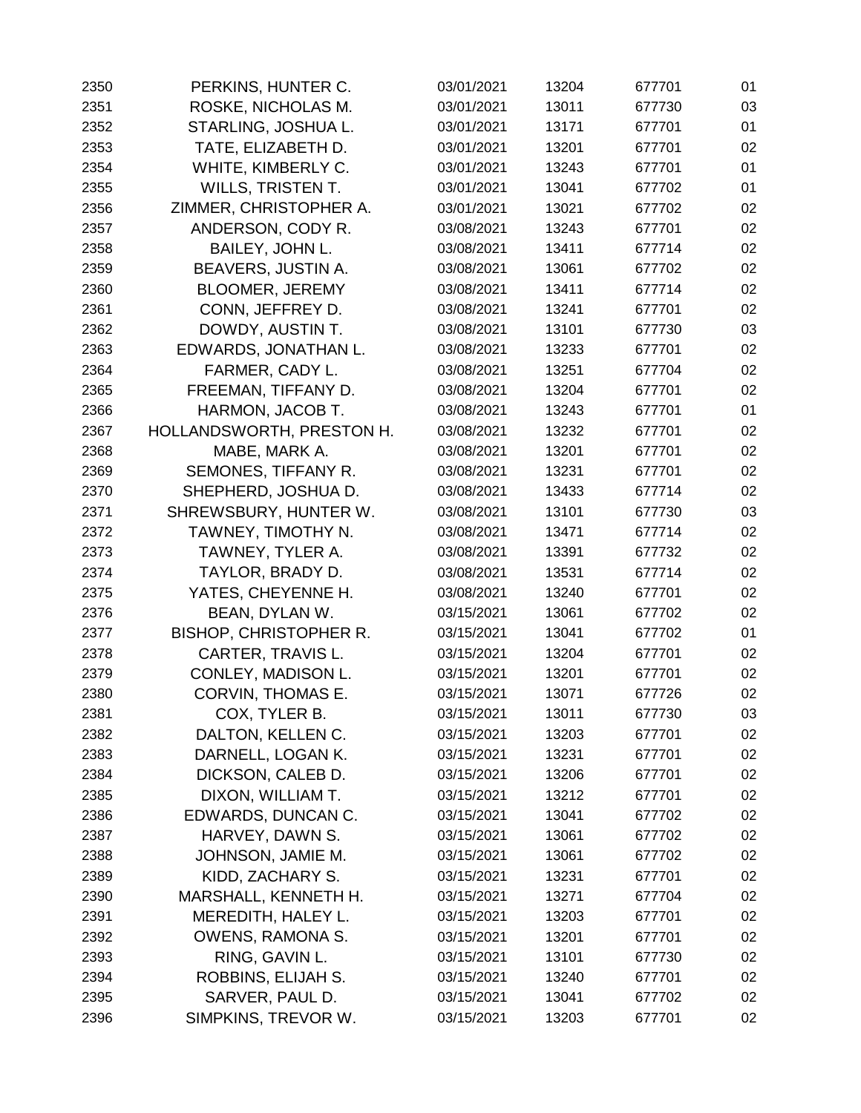| 2350 | PERKINS, HUNTER C.            | 03/01/2021 | 13204 | 677701 | 01 |
|------|-------------------------------|------------|-------|--------|----|
| 2351 | ROSKE, NICHOLAS M.            | 03/01/2021 | 13011 | 677730 | 03 |
| 2352 | STARLING, JOSHUA L.           | 03/01/2021 | 13171 | 677701 | 01 |
| 2353 | TATE, ELIZABETH D.            | 03/01/2021 | 13201 | 677701 | 02 |
| 2354 | WHITE, KIMBERLY C.            | 03/01/2021 | 13243 | 677701 | 01 |
| 2355 | <b>WILLS, TRISTEN T.</b>      | 03/01/2021 | 13041 | 677702 | 01 |
| 2356 | ZIMMER, CHRISTOPHER A.        | 03/01/2021 | 13021 | 677702 | 02 |
| 2357 | ANDERSON, CODY R.             | 03/08/2021 | 13243 | 677701 | 02 |
| 2358 | BAILEY, JOHN L.               | 03/08/2021 | 13411 | 677714 | 02 |
| 2359 | BEAVERS, JUSTIN A.            | 03/08/2021 | 13061 | 677702 | 02 |
| 2360 | <b>BLOOMER, JEREMY</b>        | 03/08/2021 | 13411 | 677714 | 02 |
| 2361 | CONN, JEFFREY D.              | 03/08/2021 | 13241 | 677701 | 02 |
| 2362 | DOWDY, AUSTIN T.              | 03/08/2021 | 13101 | 677730 | 03 |
| 2363 | EDWARDS, JONATHAN L.          | 03/08/2021 | 13233 | 677701 | 02 |
| 2364 | FARMER, CADY L.               | 03/08/2021 | 13251 | 677704 | 02 |
| 2365 | FREEMAN, TIFFANY D.           | 03/08/2021 | 13204 | 677701 | 02 |
| 2366 | HARMON, JACOB T.              | 03/08/2021 | 13243 | 677701 | 01 |
| 2367 | HOLLANDSWORTH, PRESTON H.     | 03/08/2021 | 13232 | 677701 | 02 |
| 2368 | MABE, MARK A.                 | 03/08/2021 | 13201 | 677701 | 02 |
| 2369 | SEMONES, TIFFANY R.           | 03/08/2021 | 13231 | 677701 | 02 |
| 2370 | SHEPHERD, JOSHUA D.           | 03/08/2021 | 13433 | 677714 | 02 |
| 2371 | SHREWSBURY, HUNTER W.         | 03/08/2021 | 13101 | 677730 | 03 |
| 2372 | TAWNEY, TIMOTHY N.            | 03/08/2021 | 13471 | 677714 | 02 |
| 2373 | TAWNEY, TYLER A.              | 03/08/2021 | 13391 | 677732 | 02 |
| 2374 | TAYLOR, BRADY D.              | 03/08/2021 | 13531 | 677714 | 02 |
| 2375 | YATES, CHEYENNE H.            | 03/08/2021 | 13240 | 677701 | 02 |
| 2376 | BEAN, DYLAN W.                | 03/15/2021 | 13061 | 677702 | 02 |
| 2377 | <b>BISHOP, CHRISTOPHER R.</b> | 03/15/2021 | 13041 | 677702 | 01 |
| 2378 | CARTER, TRAVIS L.             | 03/15/2021 | 13204 | 677701 | 02 |
| 2379 | CONLEY, MADISON L.            | 03/15/2021 | 13201 | 677701 | 02 |
| 2380 | <b>CORVIN, THOMAS E.</b>      | 03/15/2021 | 13071 | 677726 | 02 |
| 2381 | COX, TYLER B.                 | 03/15/2021 | 13011 | 677730 | 03 |
| 2382 | DALTON, KELLEN C.             | 03/15/2021 | 13203 | 677701 | 02 |
| 2383 | DARNELL, LOGAN K.             | 03/15/2021 | 13231 | 677701 | 02 |
| 2384 | DICKSON, CALEB D.             | 03/15/2021 | 13206 | 677701 | 02 |
| 2385 | DIXON, WILLIAM T.             | 03/15/2021 | 13212 | 677701 | 02 |
| 2386 | EDWARDS, DUNCAN C.            | 03/15/2021 | 13041 | 677702 | 02 |
| 2387 | HARVEY, DAWN S.               | 03/15/2021 | 13061 | 677702 | 02 |
| 2388 | JOHNSON, JAMIE M.             | 03/15/2021 | 13061 | 677702 | 02 |
| 2389 | KIDD, ZACHARY S.              | 03/15/2021 | 13231 | 677701 | 02 |
| 2390 | MARSHALL, KENNETH H.          | 03/15/2021 | 13271 | 677704 | 02 |
| 2391 | MEREDITH, HALEY L.            | 03/15/2021 | 13203 | 677701 | 02 |
| 2392 | OWENS, RAMONA S.              | 03/15/2021 | 13201 | 677701 | 02 |
| 2393 | RING, GAVIN L.                | 03/15/2021 | 13101 | 677730 | 02 |
| 2394 | ROBBINS, ELIJAH S.            | 03/15/2021 | 13240 | 677701 | 02 |
| 2395 | SARVER, PAUL D.               | 03/15/2021 | 13041 | 677702 | 02 |
| 2396 | SIMPKINS, TREVOR W.           | 03/15/2021 | 13203 | 677701 | 02 |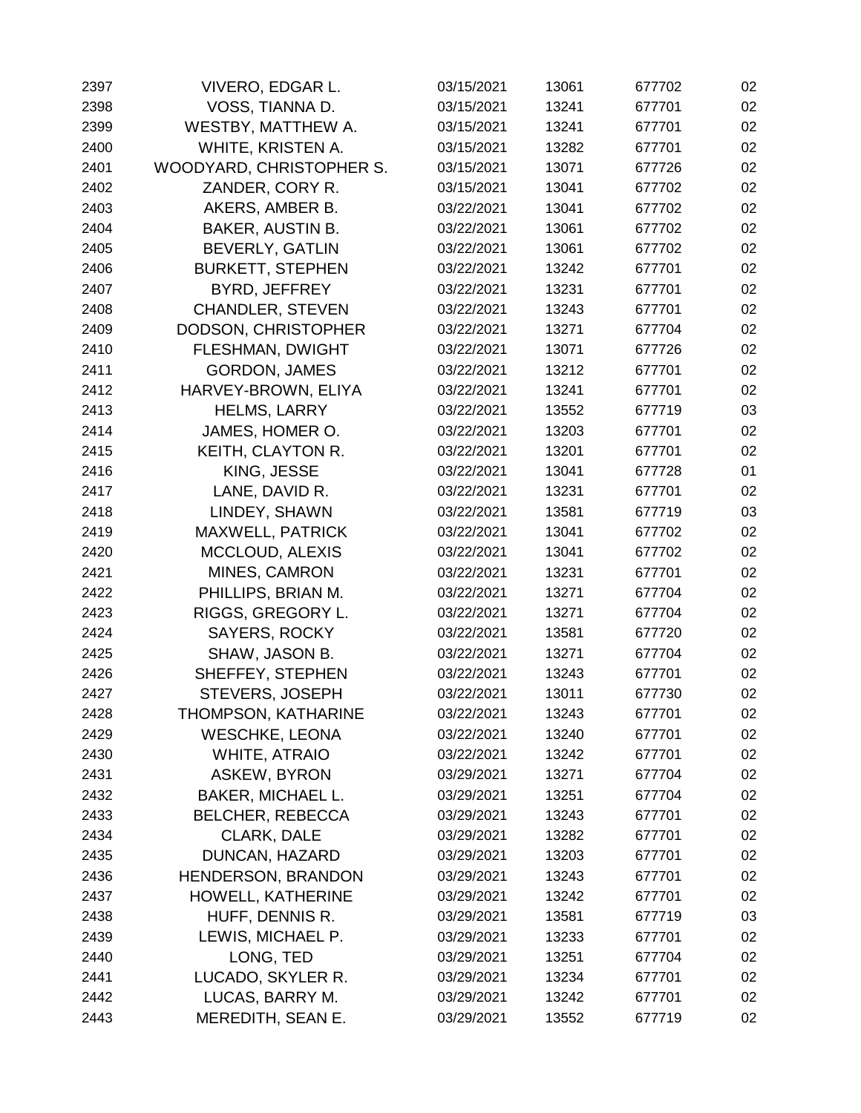| 2397 | VIVERO, EDGAR L.          | 03/15/2021 | 13061 | 677702 | 02 |
|------|---------------------------|------------|-------|--------|----|
| 2398 | VOSS, TIANNA D.           | 03/15/2021 | 13241 | 677701 | 02 |
| 2399 | WESTBY, MATTHEW A.        | 03/15/2021 | 13241 | 677701 | 02 |
| 2400 | WHITE, KRISTEN A.         | 03/15/2021 | 13282 | 677701 | 02 |
| 2401 | WOODYARD, CHRISTOPHER S.  | 03/15/2021 | 13071 | 677726 | 02 |
| 2402 | ZANDER, CORY R.           | 03/15/2021 | 13041 | 677702 | 02 |
| 2403 | AKERS, AMBER B.           | 03/22/2021 | 13041 | 677702 | 02 |
| 2404 | BAKER, AUSTIN B.          | 03/22/2021 | 13061 | 677702 | 02 |
| 2405 | <b>BEVERLY, GATLIN</b>    | 03/22/2021 | 13061 | 677702 | 02 |
| 2406 | <b>BURKETT, STEPHEN</b>   | 03/22/2021 | 13242 | 677701 | 02 |
| 2407 | BYRD, JEFFREY             | 03/22/2021 | 13231 | 677701 | 02 |
| 2408 | <b>CHANDLER, STEVEN</b>   | 03/22/2021 | 13243 | 677701 | 02 |
| 2409 | DODSON, CHRISTOPHER       | 03/22/2021 | 13271 | 677704 | 02 |
| 2410 | FLESHMAN, DWIGHT          | 03/22/2021 | 13071 | 677726 | 02 |
| 2411 | <b>GORDON, JAMES</b>      | 03/22/2021 | 13212 | 677701 | 02 |
| 2412 | HARVEY-BROWN, ELIYA       | 03/22/2021 | 13241 | 677701 | 02 |
| 2413 | <b>HELMS, LARRY</b>       | 03/22/2021 | 13552 | 677719 | 03 |
| 2414 | JAMES, HOMER O.           | 03/22/2021 | 13203 | 677701 | 02 |
| 2415 | KEITH, CLAYTON R.         | 03/22/2021 | 13201 | 677701 | 02 |
| 2416 | KING, JESSE               | 03/22/2021 | 13041 | 677728 | 01 |
| 2417 | LANE, DAVID R.            | 03/22/2021 | 13231 | 677701 | 02 |
| 2418 | LINDEY, SHAWN             | 03/22/2021 | 13581 | 677719 | 03 |
| 2419 | <b>MAXWELL, PATRICK</b>   | 03/22/2021 | 13041 | 677702 | 02 |
| 2420 | <b>MCCLOUD, ALEXIS</b>    | 03/22/2021 | 13041 | 677702 | 02 |
| 2421 | MINES, CAMRON             | 03/22/2021 | 13231 | 677701 | 02 |
| 2422 | PHILLIPS, BRIAN M.        | 03/22/2021 | 13271 | 677704 | 02 |
| 2423 | RIGGS, GREGORY L.         | 03/22/2021 | 13271 | 677704 | 02 |
| 2424 | <b>SAYERS, ROCKY</b>      | 03/22/2021 | 13581 | 677720 | 02 |
| 2425 | SHAW, JASON B.            | 03/22/2021 | 13271 | 677704 | 02 |
| 2426 | SHEFFEY, STEPHEN          | 03/22/2021 | 13243 | 677701 | 02 |
| 2427 | <b>STEVERS, JOSEPH</b>    | 03/22/2021 | 13011 | 677730 | 02 |
| 2428 | THOMPSON, KATHARINE       | 03/22/2021 | 13243 | 677701 | 02 |
| 2429 | <b>WESCHKE, LEONA</b>     | 03/22/2021 | 13240 | 677701 | 02 |
| 2430 | <b>WHITE, ATRAIO</b>      | 03/22/2021 | 13242 | 677701 | 02 |
| 2431 | <b>ASKEW, BYRON</b>       | 03/29/2021 | 13271 | 677704 | 02 |
| 2432 | BAKER, MICHAEL L.         | 03/29/2021 | 13251 | 677704 | 02 |
| 2433 | <b>BELCHER, REBECCA</b>   | 03/29/2021 | 13243 | 677701 | 02 |
| 2434 | <b>CLARK, DALE</b>        | 03/29/2021 | 13282 | 677701 | 02 |
| 2435 | DUNCAN, HAZARD            | 03/29/2021 | 13203 | 677701 | 02 |
| 2436 | <b>HENDERSON, BRANDON</b> | 03/29/2021 | 13243 | 677701 | 02 |
| 2437 | HOWELL, KATHERINE         | 03/29/2021 | 13242 | 677701 | 02 |
| 2438 | HUFF, DENNIS R.           | 03/29/2021 | 13581 | 677719 | 03 |
| 2439 | LEWIS, MICHAEL P.         | 03/29/2021 | 13233 | 677701 | 02 |
| 2440 | LONG, TED                 | 03/29/2021 | 13251 | 677704 | 02 |
| 2441 | LUCADO, SKYLER R.         | 03/29/2021 | 13234 | 677701 | 02 |
| 2442 | LUCAS, BARRY M.           | 03/29/2021 | 13242 | 677701 | 02 |
| 2443 | MEREDITH, SEAN E.         | 03/29/2021 | 13552 | 677719 | 02 |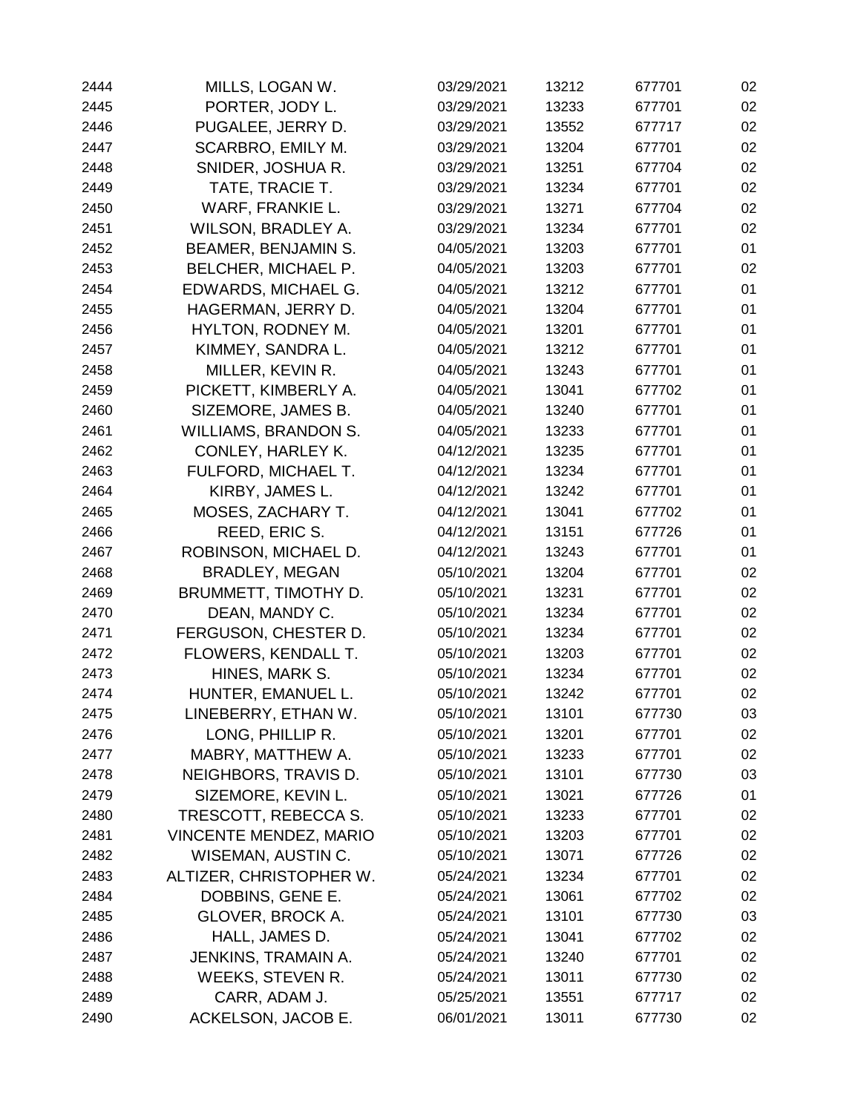| 2444 | MILLS, LOGAN W.               | 03/29/2021 | 13212 | 677701 | 02 |
|------|-------------------------------|------------|-------|--------|----|
| 2445 | PORTER, JODY L.               | 03/29/2021 | 13233 | 677701 | 02 |
| 2446 | PUGALEE, JERRY D.             | 03/29/2021 | 13552 | 677717 | 02 |
| 2447 | SCARBRO, EMILY M.             | 03/29/2021 | 13204 | 677701 | 02 |
| 2448 | SNIDER, JOSHUA R.             | 03/29/2021 | 13251 | 677704 | 02 |
| 2449 | TATE, TRACIE T.               | 03/29/2021 | 13234 | 677701 | 02 |
| 2450 | WARF, FRANKIE L.              | 03/29/2021 | 13271 | 677704 | 02 |
| 2451 | WILSON, BRADLEY A.            | 03/29/2021 | 13234 | 677701 | 02 |
| 2452 | <b>BEAMER, BENJAMIN S.</b>    | 04/05/2021 | 13203 | 677701 | 01 |
| 2453 | <b>BELCHER, MICHAEL P.</b>    | 04/05/2021 | 13203 | 677701 | 02 |
| 2454 | EDWARDS, MICHAEL G.           | 04/05/2021 | 13212 | 677701 | 01 |
| 2455 | HAGERMAN, JERRY D.            | 04/05/2021 | 13204 | 677701 | 01 |
| 2456 | HYLTON, RODNEY M.             | 04/05/2021 | 13201 | 677701 | 01 |
| 2457 | KIMMEY, SANDRA L.             | 04/05/2021 | 13212 | 677701 | 01 |
| 2458 | MILLER, KEVIN R.              | 04/05/2021 | 13243 | 677701 | 01 |
| 2459 | PICKETT, KIMBERLY A.          | 04/05/2021 | 13041 | 677702 | 01 |
| 2460 | SIZEMORE, JAMES B.            | 04/05/2021 | 13240 | 677701 | 01 |
| 2461 | <b>WILLIAMS, BRANDON S.</b>   | 04/05/2021 | 13233 | 677701 | 01 |
| 2462 | <b>CONLEY, HARLEY K.</b>      | 04/12/2021 | 13235 | 677701 | 01 |
| 2463 | FULFORD, MICHAEL T.           | 04/12/2021 | 13234 | 677701 | 01 |
| 2464 | KIRBY, JAMES L.               | 04/12/2021 | 13242 | 677701 | 01 |
| 2465 | MOSES, ZACHARY T.             | 04/12/2021 | 13041 | 677702 | 01 |
| 2466 | REED, ERIC S.                 | 04/12/2021 | 13151 | 677726 | 01 |
| 2467 | ROBINSON, MICHAEL D.          | 04/12/2021 | 13243 | 677701 | 01 |
| 2468 | <b>BRADLEY, MEGAN</b>         | 05/10/2021 | 13204 | 677701 | 02 |
| 2469 | BRUMMETT, TIMOTHY D.          | 05/10/2021 | 13231 | 677701 | 02 |
| 2470 | DEAN, MANDY C.                | 05/10/2021 | 13234 | 677701 | 02 |
| 2471 | FERGUSON, CHESTER D.          | 05/10/2021 | 13234 | 677701 | 02 |
| 2472 | FLOWERS, KENDALL T.           | 05/10/2021 | 13203 | 677701 | 02 |
| 2473 | HINES, MARK S.                | 05/10/2021 | 13234 | 677701 | 02 |
| 2474 | HUNTER, EMANUEL L.            | 05/10/2021 | 13242 | 677701 | 02 |
| 2475 | LINEBERRY, ETHAN W.           | 05/10/2021 | 13101 | 677730 | 03 |
| 2476 | LONG, PHILLIP R.              | 05/10/2021 | 13201 | 677701 | 02 |
| 2477 | MABRY, MATTHEW A.             | 05/10/2021 | 13233 | 677701 | 02 |
| 2478 | NEIGHBORS, TRAVIS D.          | 05/10/2021 | 13101 | 677730 | 03 |
| 2479 | SIZEMORE, KEVIN L.            | 05/10/2021 | 13021 | 677726 | 01 |
| 2480 | TRESCOTT, REBECCA S.          | 05/10/2021 | 13233 | 677701 | 02 |
| 2481 | <b>VINCENTE MENDEZ, MARIO</b> | 05/10/2021 | 13203 | 677701 | 02 |
| 2482 | WISEMAN, AUSTIN C.            | 05/10/2021 | 13071 | 677726 | 02 |
| 2483 | ALTIZER, CHRISTOPHER W.       | 05/24/2021 | 13234 | 677701 | 02 |
| 2484 | DOBBINS, GENE E.              | 05/24/2021 | 13061 | 677702 | 02 |
| 2485 | GLOVER, BROCK A.              | 05/24/2021 | 13101 | 677730 | 03 |
| 2486 | HALL, JAMES D.                | 05/24/2021 | 13041 | 677702 | 02 |
| 2487 | JENKINS, TRAMAIN A.           | 05/24/2021 | 13240 | 677701 | 02 |
| 2488 | WEEKS, STEVEN R.              | 05/24/2021 | 13011 | 677730 | 02 |
| 2489 | CARR, ADAM J.                 | 05/25/2021 | 13551 | 677717 | 02 |
| 2490 | ACKELSON, JACOB E.            | 06/01/2021 | 13011 | 677730 | 02 |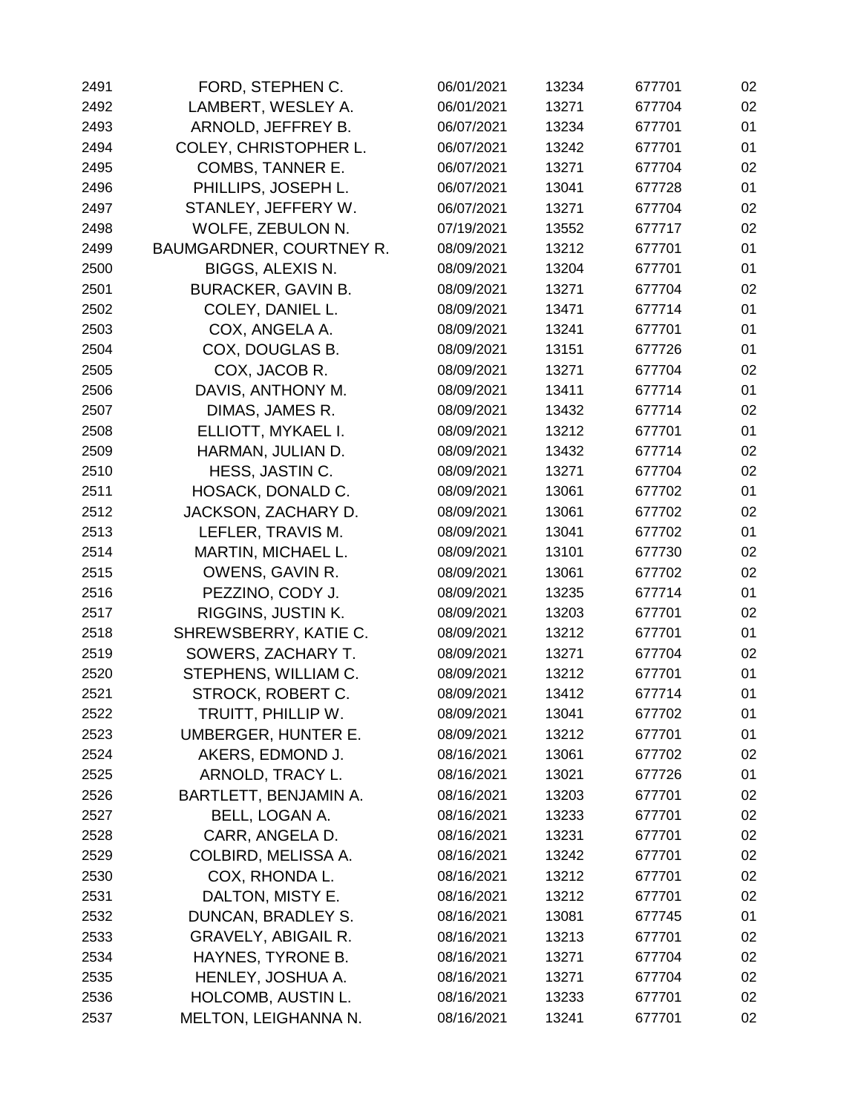| 2491 | FORD, STEPHEN C.           | 06/01/2021 | 13234 | 677701 | 02 |
|------|----------------------------|------------|-------|--------|----|
| 2492 | LAMBERT, WESLEY A.         | 06/01/2021 | 13271 | 677704 | 02 |
| 2493 | ARNOLD, JEFFREY B.         | 06/07/2021 | 13234 | 677701 | 01 |
| 2494 | COLEY, CHRISTOPHER L.      | 06/07/2021 | 13242 | 677701 | 01 |
| 2495 | COMBS, TANNER E.           | 06/07/2021 | 13271 | 677704 | 02 |
| 2496 | PHILLIPS, JOSEPH L.        | 06/07/2021 | 13041 | 677728 | 01 |
| 2497 | STANLEY, JEFFERY W.        | 06/07/2021 | 13271 | 677704 | 02 |
| 2498 | WOLFE, ZEBULON N.          | 07/19/2021 | 13552 | 677717 | 02 |
| 2499 | BAUMGARDNER, COURTNEY R.   | 08/09/2021 | 13212 | 677701 | 01 |
| 2500 | BIGGS, ALEXIS N.           | 08/09/2021 | 13204 | 677701 | 01 |
| 2501 | <b>BURACKER, GAVIN B.</b>  | 08/09/2021 | 13271 | 677704 | 02 |
| 2502 | COLEY, DANIEL L.           | 08/09/2021 | 13471 | 677714 | 01 |
| 2503 | COX, ANGELA A.             | 08/09/2021 | 13241 | 677701 | 01 |
| 2504 | COX, DOUGLAS B.            | 08/09/2021 | 13151 | 677726 | 01 |
| 2505 | COX, JACOB R.              | 08/09/2021 | 13271 | 677704 | 02 |
| 2506 | DAVIS, ANTHONY M.          | 08/09/2021 | 13411 | 677714 | 01 |
| 2507 | DIMAS, JAMES R.            | 08/09/2021 | 13432 | 677714 | 02 |
| 2508 | ELLIOTT, MYKAEL I.         | 08/09/2021 | 13212 | 677701 | 01 |
| 2509 | HARMAN, JULIAN D.          | 08/09/2021 | 13432 | 677714 | 02 |
| 2510 | HESS, JASTIN C.            | 08/09/2021 | 13271 | 677704 | 02 |
| 2511 | HOSACK, DONALD C.          | 08/09/2021 | 13061 | 677702 | 01 |
| 2512 | JACKSON, ZACHARY D.        | 08/09/2021 | 13061 | 677702 | 02 |
| 2513 | LEFLER, TRAVIS M.          | 08/09/2021 | 13041 | 677702 | 01 |
| 2514 | MARTIN, MICHAEL L.         | 08/09/2021 | 13101 | 677730 | 02 |
| 2515 | OWENS, GAVIN R.            | 08/09/2021 | 13061 | 677702 | 02 |
| 2516 | PEZZINO, CODY J.           | 08/09/2021 | 13235 | 677714 | 01 |
| 2517 | RIGGINS, JUSTIN K.         | 08/09/2021 | 13203 | 677701 | 02 |
| 2518 | SHREWSBERRY, KATIE C.      | 08/09/2021 | 13212 | 677701 | 01 |
| 2519 | SOWERS, ZACHARY T.         | 08/09/2021 | 13271 | 677704 | 02 |
| 2520 | STEPHENS, WILLIAM C.       | 08/09/2021 | 13212 | 677701 | 01 |
| 2521 | STROCK, ROBERT C.          | 08/09/2021 | 13412 | 677714 | 01 |
| 2522 | TRUITT, PHILLIP W.         | 08/09/2021 | 13041 | 677702 | 01 |
| 2523 | UMBERGER, HUNTER E.        | 08/09/2021 | 13212 | 677701 | 01 |
| 2524 | AKERS, EDMOND J.           | 08/16/2021 | 13061 | 677702 | 02 |
| 2525 | ARNOLD, TRACY L.           | 08/16/2021 | 13021 | 677726 | 01 |
| 2526 | BARTLETT, BENJAMIN A.      | 08/16/2021 | 13203 | 677701 | 02 |
| 2527 | BELL, LOGAN A.             | 08/16/2021 | 13233 | 677701 | 02 |
| 2528 | CARR, ANGELA D.            | 08/16/2021 | 13231 | 677701 | 02 |
| 2529 | COLBIRD, MELISSA A.        | 08/16/2021 | 13242 | 677701 | 02 |
| 2530 | COX, RHONDA L.             | 08/16/2021 | 13212 | 677701 | 02 |
| 2531 | DALTON, MISTY E.           | 08/16/2021 | 13212 | 677701 | 02 |
| 2532 | DUNCAN, BRADLEY S.         | 08/16/2021 | 13081 | 677745 | 01 |
| 2533 | <b>GRAVELY, ABIGAIL R.</b> | 08/16/2021 | 13213 | 677701 | 02 |
| 2534 | HAYNES, TYRONE B.          | 08/16/2021 | 13271 | 677704 | 02 |
| 2535 | HENLEY, JOSHUA A.          | 08/16/2021 | 13271 | 677704 | 02 |
| 2536 | HOLCOMB, AUSTIN L.         | 08/16/2021 | 13233 | 677701 | 02 |
| 2537 | MELTON, LEIGHANNA N.       | 08/16/2021 | 13241 | 677701 | 02 |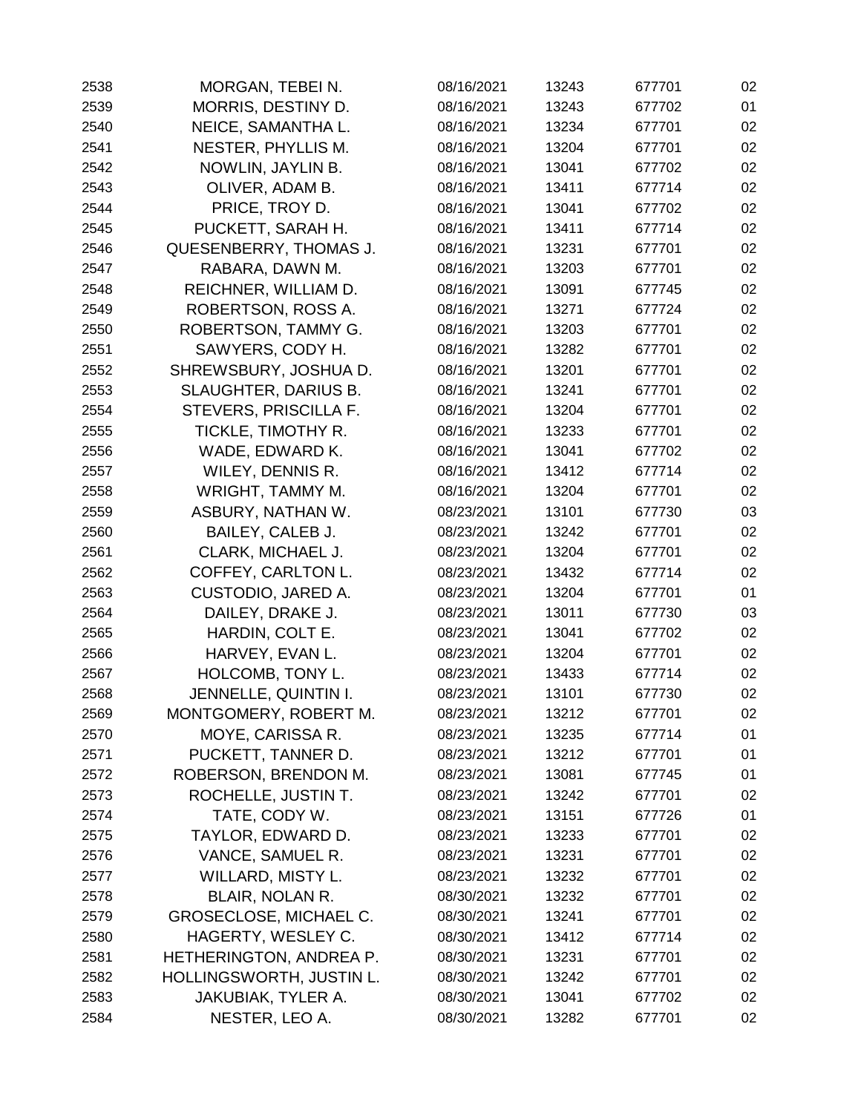| 2538 | MORGAN, TEBEI N.              | 08/16/2021 | 13243 | 677701 | 02 |
|------|-------------------------------|------------|-------|--------|----|
| 2539 | MORRIS, DESTINY D.            | 08/16/2021 | 13243 | 677702 | 01 |
| 2540 | NEICE, SAMANTHA L.            | 08/16/2021 | 13234 | 677701 | 02 |
| 2541 | NESTER, PHYLLIS M.            | 08/16/2021 | 13204 | 677701 | 02 |
| 2542 | NOWLIN, JAYLIN B.             | 08/16/2021 | 13041 | 677702 | 02 |
| 2543 | OLIVER, ADAM B.               | 08/16/2021 | 13411 | 677714 | 02 |
| 2544 | PRICE, TROY D.                | 08/16/2021 | 13041 | 677702 | 02 |
| 2545 | PUCKETT, SARAH H.             | 08/16/2021 | 13411 | 677714 | 02 |
| 2546 | QUESENBERRY, THOMAS J.        | 08/16/2021 | 13231 | 677701 | 02 |
| 2547 | RABARA, DAWN M.               | 08/16/2021 | 13203 | 677701 | 02 |
| 2548 | REICHNER, WILLIAM D.          | 08/16/2021 | 13091 | 677745 | 02 |
| 2549 | ROBERTSON, ROSS A.            | 08/16/2021 | 13271 | 677724 | 02 |
| 2550 | ROBERTSON, TAMMY G.           | 08/16/2021 | 13203 | 677701 | 02 |
| 2551 | SAWYERS, CODY H.              | 08/16/2021 | 13282 | 677701 | 02 |
| 2552 | SHREWSBURY, JOSHUA D.         | 08/16/2021 | 13201 | 677701 | 02 |
| 2553 | SLAUGHTER, DARIUS B.          | 08/16/2021 | 13241 | 677701 | 02 |
| 2554 | STEVERS, PRISCILLA F.         | 08/16/2021 | 13204 | 677701 | 02 |
| 2555 | TICKLE, TIMOTHY R.            | 08/16/2021 | 13233 | 677701 | 02 |
| 2556 | WADE, EDWARD K.               | 08/16/2021 | 13041 | 677702 | 02 |
| 2557 | WILEY, DENNIS R.              | 08/16/2021 | 13412 | 677714 | 02 |
| 2558 | WRIGHT, TAMMY M.              | 08/16/2021 | 13204 | 677701 | 02 |
| 2559 | ASBURY, NATHAN W.             | 08/23/2021 | 13101 | 677730 | 03 |
| 2560 | BAILEY, CALEB J.              | 08/23/2021 | 13242 | 677701 | 02 |
| 2561 | CLARK, MICHAEL J.             | 08/23/2021 | 13204 | 677701 | 02 |
| 2562 | COFFEY, CARLTON L.            | 08/23/2021 | 13432 | 677714 | 02 |
| 2563 | CUSTODIO, JARED A.            | 08/23/2021 | 13204 | 677701 | 01 |
| 2564 | DAILEY, DRAKE J.              | 08/23/2021 | 13011 | 677730 | 03 |
| 2565 | HARDIN, COLT E.               | 08/23/2021 | 13041 | 677702 | 02 |
| 2566 | HARVEY, EVAN L.               | 08/23/2021 | 13204 | 677701 | 02 |
| 2567 | HOLCOMB, TONY L.              | 08/23/2021 | 13433 | 677714 | 02 |
| 2568 | JENNELLE, QUINTIN I.          | 08/23/2021 | 13101 | 677730 | 02 |
| 2569 | MONTGOMERY, ROBERT M.         | 08/23/2021 | 13212 | 677701 | 02 |
| 2570 | MOYE, CARISSA R.              | 08/23/2021 | 13235 | 677714 | 01 |
| 2571 | PUCKETT, TANNER D.            | 08/23/2021 | 13212 | 677701 | 01 |
| 2572 | ROBERSON, BRENDON M.          | 08/23/2021 | 13081 | 677745 | 01 |
| 2573 | ROCHELLE, JUSTIN T.           | 08/23/2021 | 13242 | 677701 | 02 |
| 2574 | TATE, CODY W.                 | 08/23/2021 | 13151 | 677726 | 01 |
| 2575 | TAYLOR, EDWARD D.             | 08/23/2021 | 13233 | 677701 | 02 |
| 2576 | VANCE, SAMUEL R.              | 08/23/2021 | 13231 | 677701 | 02 |
| 2577 | WILLARD, MISTY L.             | 08/23/2021 | 13232 | 677701 | 02 |
| 2578 | <b>BLAIR, NOLAN R.</b>        | 08/30/2021 | 13232 | 677701 | 02 |
| 2579 | <b>GROSECLOSE, MICHAEL C.</b> | 08/30/2021 | 13241 | 677701 | 02 |
| 2580 | HAGERTY, WESLEY C.            | 08/30/2021 | 13412 | 677714 | 02 |
| 2581 | HETHERINGTON, ANDREA P.       | 08/30/2021 | 13231 | 677701 | 02 |
| 2582 | HOLLINGSWORTH, JUSTIN L.      | 08/30/2021 | 13242 | 677701 | 02 |
| 2583 | JAKUBIAK, TYLER A.            | 08/30/2021 | 13041 | 677702 | 02 |
| 2584 | NESTER, LEO A.                | 08/30/2021 | 13282 | 677701 | 02 |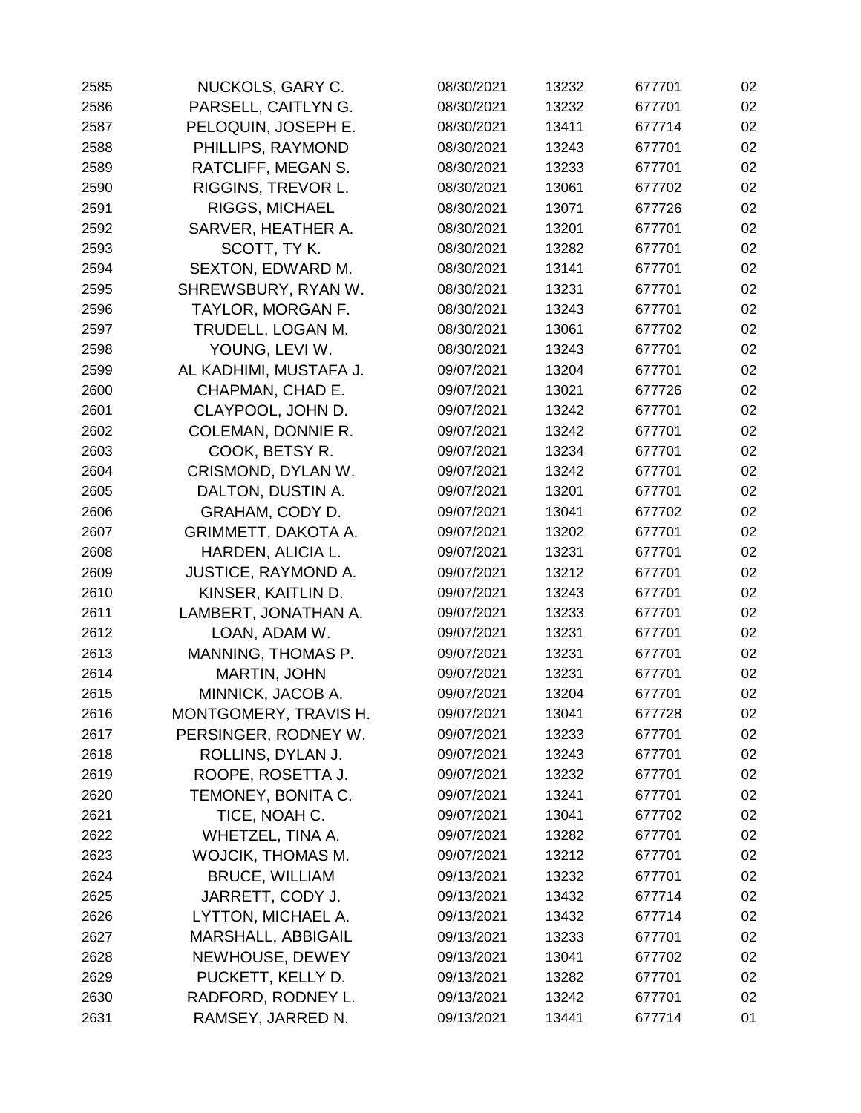| 2585 | NUCKOLS, GARY C.           | 08/30/2021 | 13232 | 677701 | 02 |
|------|----------------------------|------------|-------|--------|----|
| 2586 | PARSELL, CAITLYN G.        | 08/30/2021 | 13232 | 677701 | 02 |
| 2587 | PELOQUIN, JOSEPH E.        | 08/30/2021 | 13411 | 677714 | 02 |
| 2588 | PHILLIPS, RAYMOND          | 08/30/2021 | 13243 | 677701 | 02 |
| 2589 | RATCLIFF, MEGAN S.         | 08/30/2021 | 13233 | 677701 | 02 |
| 2590 | RIGGINS, TREVOR L.         | 08/30/2021 | 13061 | 677702 | 02 |
| 2591 | <b>RIGGS, MICHAEL</b>      | 08/30/2021 | 13071 | 677726 | 02 |
| 2592 | SARVER, HEATHER A.         | 08/30/2021 | 13201 | 677701 | 02 |
| 2593 | SCOTT, TYK.                | 08/30/2021 | 13282 | 677701 | 02 |
| 2594 | SEXTON, EDWARD M.          | 08/30/2021 | 13141 | 677701 | 02 |
| 2595 | SHREWSBURY, RYAN W.        | 08/30/2021 | 13231 | 677701 | 02 |
| 2596 | TAYLOR, MORGAN F.          | 08/30/2021 | 13243 | 677701 | 02 |
| 2597 | TRUDELL, LOGAN M.          | 08/30/2021 | 13061 | 677702 | 02 |
| 2598 | YOUNG, LEVI W.             | 08/30/2021 | 13243 | 677701 | 02 |
| 2599 | AL KADHIMI, MUSTAFA J.     | 09/07/2021 | 13204 | 677701 | 02 |
| 2600 | CHAPMAN, CHAD E.           | 09/07/2021 | 13021 | 677726 | 02 |
| 2601 | CLAYPOOL, JOHN D.          | 09/07/2021 | 13242 | 677701 | 02 |
| 2602 | <b>COLEMAN, DONNIE R.</b>  | 09/07/2021 | 13242 | 677701 | 02 |
| 2603 | COOK, BETSY R.             | 09/07/2021 | 13234 | 677701 | 02 |
| 2604 | CRISMOND, DYLAN W.         | 09/07/2021 | 13242 | 677701 | 02 |
| 2605 | DALTON, DUSTIN A.          | 09/07/2021 | 13201 | 677701 | 02 |
| 2606 | GRAHAM, CODY D.            | 09/07/2021 | 13041 | 677702 | 02 |
| 2607 | GRIMMETT, DAKOTA A.        | 09/07/2021 | 13202 | 677701 | 02 |
| 2608 | HARDEN, ALICIA L.          | 09/07/2021 | 13231 | 677701 | 02 |
| 2609 | <b>JUSTICE, RAYMOND A.</b> | 09/07/2021 | 13212 | 677701 | 02 |
| 2610 | KINSER, KAITLIN D.         | 09/07/2021 | 13243 | 677701 | 02 |
| 2611 | LAMBERT, JONATHAN A.       | 09/07/2021 | 13233 | 677701 | 02 |
| 2612 | LOAN, ADAM W.              | 09/07/2021 | 13231 | 677701 | 02 |
| 2613 | MANNING, THOMAS P.         | 09/07/2021 | 13231 | 677701 | 02 |
| 2614 | <b>MARTIN, JOHN</b>        | 09/07/2021 | 13231 | 677701 | 02 |
| 2615 | MINNICK, JACOB A.          | 09/07/2021 | 13204 | 677701 | 02 |
| 2616 | MONTGOMERY, TRAVIS H.      | 09/07/2021 | 13041 | 677728 | 02 |
| 2617 | PERSINGER, RODNEY W.       | 09/07/2021 | 13233 | 677701 | 02 |
| 2618 | ROLLINS, DYLAN J.          | 09/07/2021 | 13243 | 677701 | 02 |
| 2619 | ROOPE, ROSETTA J.          | 09/07/2021 | 13232 | 677701 | 02 |
| 2620 | TEMONEY, BONITA C.         | 09/07/2021 | 13241 | 677701 | 02 |
| 2621 | TICE, NOAH C.              | 09/07/2021 | 13041 | 677702 | 02 |
| 2622 | WHETZEL, TINA A.           | 09/07/2021 | 13282 | 677701 | 02 |
| 2623 | <b>WOJCIK, THOMAS M.</b>   | 09/07/2021 | 13212 | 677701 | 02 |
| 2624 | <b>BRUCE, WILLIAM</b>      | 09/13/2021 | 13232 | 677701 | 02 |
| 2625 | JARRETT, CODY J.           | 09/13/2021 | 13432 | 677714 | 02 |
| 2626 | LYTTON, MICHAEL A.         | 09/13/2021 | 13432 | 677714 | 02 |
| 2627 | MARSHALL, ABBIGAIL         | 09/13/2021 | 13233 | 677701 | 02 |
| 2628 | NEWHOUSE, DEWEY            | 09/13/2021 | 13041 | 677702 | 02 |
| 2629 | PUCKETT, KELLY D.          | 09/13/2021 | 13282 | 677701 | 02 |
| 2630 | RADFORD, RODNEY L.         | 09/13/2021 | 13242 | 677701 | 02 |
| 2631 | RAMSEY, JARRED N.          | 09/13/2021 | 13441 | 677714 | 01 |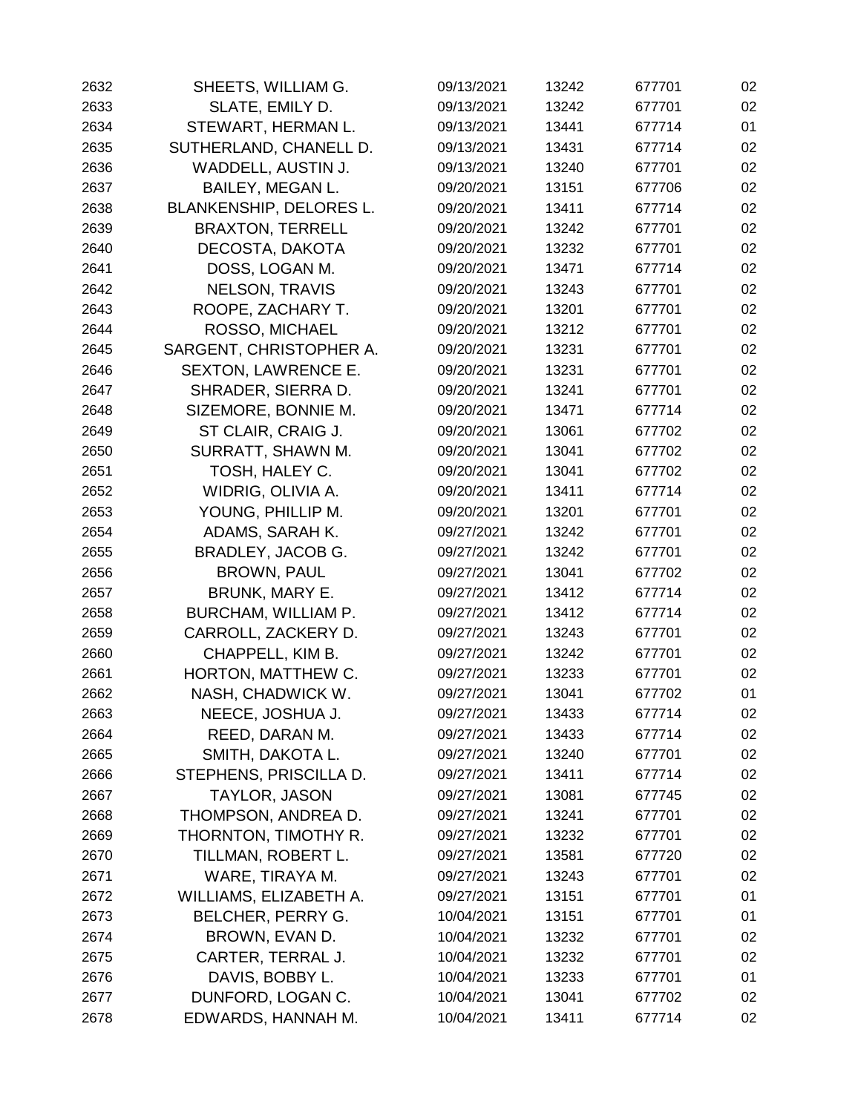| 2632 | SHEETS, WILLIAM G.         | 09/13/2021 | 13242 | 677701 | 02 |
|------|----------------------------|------------|-------|--------|----|
| 2633 | SLATE, EMILY D.            | 09/13/2021 | 13242 | 677701 | 02 |
| 2634 | STEWART, HERMAN L.         | 09/13/2021 | 13441 | 677714 | 01 |
| 2635 | SUTHERLAND, CHANELL D.     | 09/13/2021 | 13431 | 677714 | 02 |
| 2636 | WADDELL, AUSTIN J.         | 09/13/2021 | 13240 | 677701 | 02 |
| 2637 | BAILEY, MEGAN L.           | 09/20/2021 | 13151 | 677706 | 02 |
| 2638 | BLANKENSHIP, DELORES L.    | 09/20/2021 | 13411 | 677714 | 02 |
| 2639 | <b>BRAXTON, TERRELL</b>    | 09/20/2021 | 13242 | 677701 | 02 |
| 2640 | DECOSTA, DAKOTA            | 09/20/2021 | 13232 | 677701 | 02 |
| 2641 | DOSS, LOGAN M.             | 09/20/2021 | 13471 | 677714 | 02 |
| 2642 | <b>NELSON, TRAVIS</b>      | 09/20/2021 | 13243 | 677701 | 02 |
| 2643 | ROOPE, ZACHARY T.          | 09/20/2021 | 13201 | 677701 | 02 |
| 2644 | ROSSO, MICHAEL             | 09/20/2021 | 13212 | 677701 | 02 |
| 2645 | SARGENT, CHRISTOPHER A.    | 09/20/2021 | 13231 | 677701 | 02 |
| 2646 | <b>SEXTON, LAWRENCE E.</b> | 09/20/2021 | 13231 | 677701 | 02 |
| 2647 | SHRADER, SIERRA D.         | 09/20/2021 | 13241 | 677701 | 02 |
| 2648 | SIZEMORE, BONNIE M.        | 09/20/2021 | 13471 | 677714 | 02 |
| 2649 | ST CLAIR, CRAIG J.         | 09/20/2021 | 13061 | 677702 | 02 |
| 2650 | SURRATT, SHAWN M.          | 09/20/2021 | 13041 | 677702 | 02 |
| 2651 | TOSH, HALEY C.             | 09/20/2021 | 13041 | 677702 | 02 |
| 2652 | WIDRIG, OLIVIA A.          | 09/20/2021 | 13411 | 677714 | 02 |
| 2653 | YOUNG, PHILLIP M.          | 09/20/2021 | 13201 | 677701 | 02 |
| 2654 | ADAMS, SARAH K.            | 09/27/2021 | 13242 | 677701 | 02 |
| 2655 | BRADLEY, JACOB G.          | 09/27/2021 | 13242 | 677701 | 02 |
| 2656 | <b>BROWN, PAUL</b>         | 09/27/2021 | 13041 | 677702 | 02 |
| 2657 | <b>BRUNK, MARY E.</b>      | 09/27/2021 | 13412 | 677714 | 02 |
| 2658 | BURCHAM, WILLIAM P.        | 09/27/2021 | 13412 | 677714 | 02 |
| 2659 | CARROLL, ZACKERY D.        | 09/27/2021 | 13243 | 677701 | 02 |
| 2660 | CHAPPELL, KIM B.           | 09/27/2021 | 13242 | 677701 | 02 |
| 2661 | HORTON, MATTHEW C.         | 09/27/2021 | 13233 | 677701 | 02 |
| 2662 | NASH, CHADWICK W.          | 09/27/2021 | 13041 | 677702 | 01 |
| 2663 | NEECE, JOSHUA J.           | 09/27/2021 | 13433 | 677714 | 02 |
| 2664 | REED, DARAN M.             | 09/27/2021 | 13433 | 677714 | 02 |
| 2665 | SMITH, DAKOTA L.           | 09/27/2021 | 13240 | 677701 | 02 |
| 2666 | STEPHENS, PRISCILLA D.     | 09/27/2021 | 13411 | 677714 | 02 |
| 2667 | <b>TAYLOR, JASON</b>       | 09/27/2021 | 13081 | 677745 | 02 |
| 2668 | THOMPSON, ANDREA D.        | 09/27/2021 | 13241 | 677701 | 02 |
| 2669 | THORNTON, TIMOTHY R.       | 09/27/2021 | 13232 | 677701 | 02 |
| 2670 | TILLMAN, ROBERT L.         | 09/27/2021 | 13581 | 677720 | 02 |
| 2671 | WARE, TIRAYA M.            | 09/27/2021 | 13243 | 677701 | 02 |
| 2672 | WILLIAMS, ELIZABETH A.     | 09/27/2021 | 13151 | 677701 | 01 |
| 2673 | BELCHER, PERRY G.          | 10/04/2021 | 13151 | 677701 | 01 |
| 2674 | BROWN, EVAN D.             | 10/04/2021 | 13232 | 677701 | 02 |
| 2675 | CARTER, TERRAL J.          | 10/04/2021 | 13232 | 677701 | 02 |
| 2676 | DAVIS, BOBBY L.            | 10/04/2021 | 13233 | 677701 | 01 |
| 2677 | DUNFORD, LOGAN C.          | 10/04/2021 | 13041 | 677702 | 02 |
| 2678 | EDWARDS, HANNAH M.         | 10/04/2021 | 13411 | 677714 | 02 |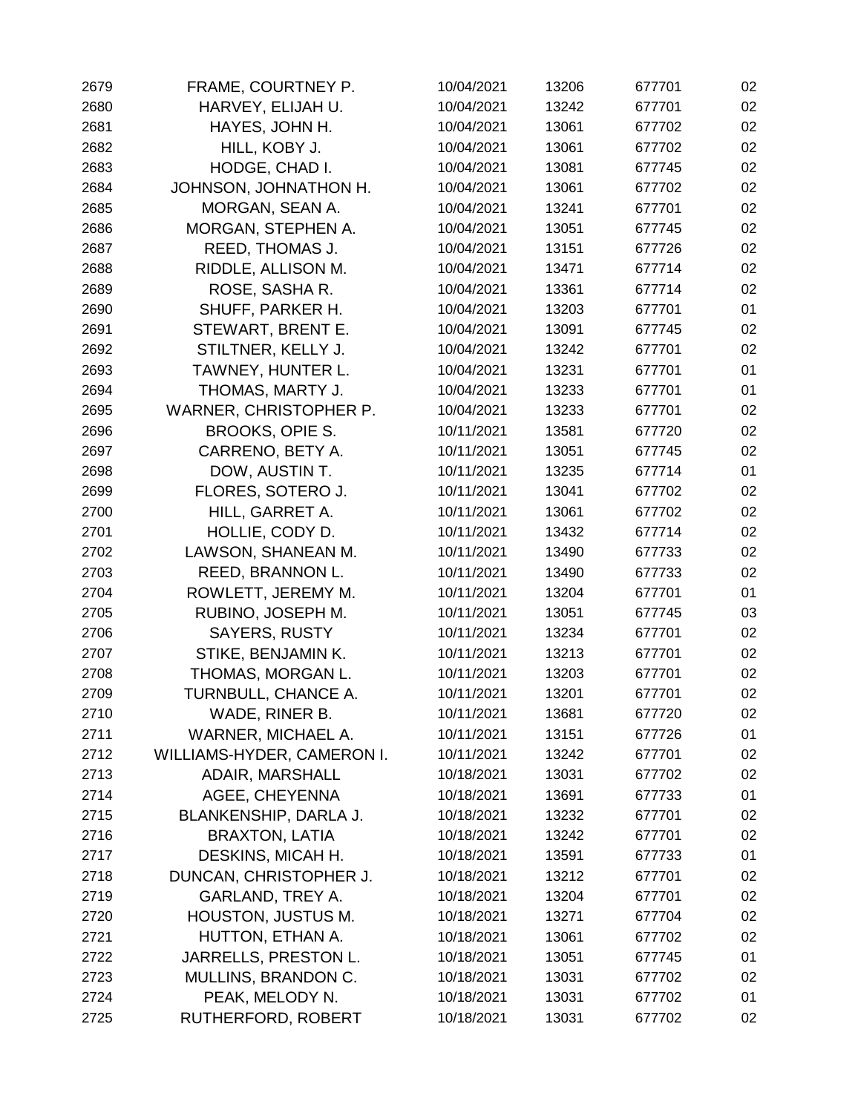| 2679 | FRAME, COURTNEY P.         | 10/04/2021 | 13206 | 677701 | 02 |
|------|----------------------------|------------|-------|--------|----|
| 2680 | HARVEY, ELIJAH U.          | 10/04/2021 | 13242 | 677701 | 02 |
| 2681 | HAYES, JOHN H.             | 10/04/2021 | 13061 | 677702 | 02 |
| 2682 | HILL, KOBY J.              | 10/04/2021 | 13061 | 677702 | 02 |
| 2683 | HODGE, CHAD I.             | 10/04/2021 | 13081 | 677745 | 02 |
| 2684 | JOHNSON, JOHNATHON H.      | 10/04/2021 | 13061 | 677702 | 02 |
| 2685 | MORGAN, SEAN A.            | 10/04/2021 | 13241 | 677701 | 02 |
| 2686 | MORGAN, STEPHEN A.         | 10/04/2021 | 13051 | 677745 | 02 |
| 2687 | REED, THOMAS J.            | 10/04/2021 | 13151 | 677726 | 02 |
| 2688 | RIDDLE, ALLISON M.         | 10/04/2021 | 13471 | 677714 | 02 |
| 2689 | ROSE, SASHA R.             | 10/04/2021 | 13361 | 677714 | 02 |
| 2690 | SHUFF, PARKER H.           | 10/04/2021 | 13203 | 677701 | 01 |
| 2691 | STEWART, BRENT E.          | 10/04/2021 | 13091 | 677745 | 02 |
| 2692 | STILTNER, KELLY J.         | 10/04/2021 | 13242 | 677701 | 02 |
| 2693 | TAWNEY, HUNTER L.          | 10/04/2021 | 13231 | 677701 | 01 |
| 2694 | THOMAS, MARTY J.           | 10/04/2021 | 13233 | 677701 | 01 |
| 2695 | WARNER, CHRISTOPHER P.     | 10/04/2021 | 13233 | 677701 | 02 |
| 2696 | BROOKS, OPIE S.            | 10/11/2021 | 13581 | 677720 | 02 |
| 2697 | CARRENO, BETY A.           | 10/11/2021 | 13051 | 677745 | 02 |
| 2698 | DOW, AUSTIN T.             | 10/11/2021 | 13235 | 677714 | 01 |
| 2699 | FLORES, SOTERO J.          | 10/11/2021 | 13041 | 677702 | 02 |
| 2700 | HILL, GARRET A.            | 10/11/2021 | 13061 | 677702 | 02 |
| 2701 | HOLLIE, CODY D.            | 10/11/2021 | 13432 | 677714 | 02 |
| 2702 | LAWSON, SHANEAN M.         | 10/11/2021 | 13490 | 677733 | 02 |
| 2703 | REED, BRANNON L.           | 10/11/2021 | 13490 | 677733 | 02 |
| 2704 | ROWLETT, JEREMY M.         | 10/11/2021 | 13204 | 677701 | 01 |
| 2705 | RUBINO, JOSEPH M.          | 10/11/2021 | 13051 | 677745 | 03 |
| 2706 | <b>SAYERS, RUSTY</b>       | 10/11/2021 | 13234 | 677701 | 02 |
| 2707 | STIKE, BENJAMIN K.         | 10/11/2021 | 13213 | 677701 | 02 |
| 2708 | THOMAS, MORGAN L.          | 10/11/2021 | 13203 | 677701 | 02 |
| 2709 | TURNBULL, CHANCE A.        | 10/11/2021 | 13201 | 677701 | 02 |
| 2710 | WADE, RINER B.             | 10/11/2021 | 13681 | 677720 | 02 |
| 2711 | WARNER, MICHAEL A.         | 10/11/2021 | 13151 | 677726 | 01 |
| 2712 | WILLIAMS-HYDER, CAMERON I. | 10/11/2021 | 13242 | 677701 | 02 |
| 2713 | <b>ADAIR, MARSHALL</b>     | 10/18/2021 | 13031 | 677702 | 02 |
| 2714 | AGEE, CHEYENNA             | 10/18/2021 | 13691 | 677733 | 01 |
| 2715 | BLANKENSHIP, DARLA J.      | 10/18/2021 | 13232 | 677701 | 02 |
| 2716 | <b>BRAXTON, LATIA</b>      | 10/18/2021 | 13242 | 677701 | 02 |
| 2717 | DESKINS, MICAH H.          | 10/18/2021 | 13591 | 677733 | 01 |
| 2718 | DUNCAN, CHRISTOPHER J.     | 10/18/2021 | 13212 | 677701 | 02 |
| 2719 | GARLAND, TREY A.           | 10/18/2021 | 13204 | 677701 | 02 |
| 2720 | <b>HOUSTON, JUSTUS M.</b>  | 10/18/2021 | 13271 | 677704 | 02 |
| 2721 | HUTTON, ETHAN A.           | 10/18/2021 | 13061 | 677702 | 02 |
| 2722 | JARRELLS, PRESTON L.       | 10/18/2021 | 13051 | 677745 | 01 |
| 2723 | MULLINS, BRANDON C.        | 10/18/2021 | 13031 | 677702 | 02 |
| 2724 | PEAK, MELODY N.            | 10/18/2021 | 13031 | 677702 | 01 |
| 2725 | RUTHERFORD, ROBERT         | 10/18/2021 | 13031 | 677702 | 02 |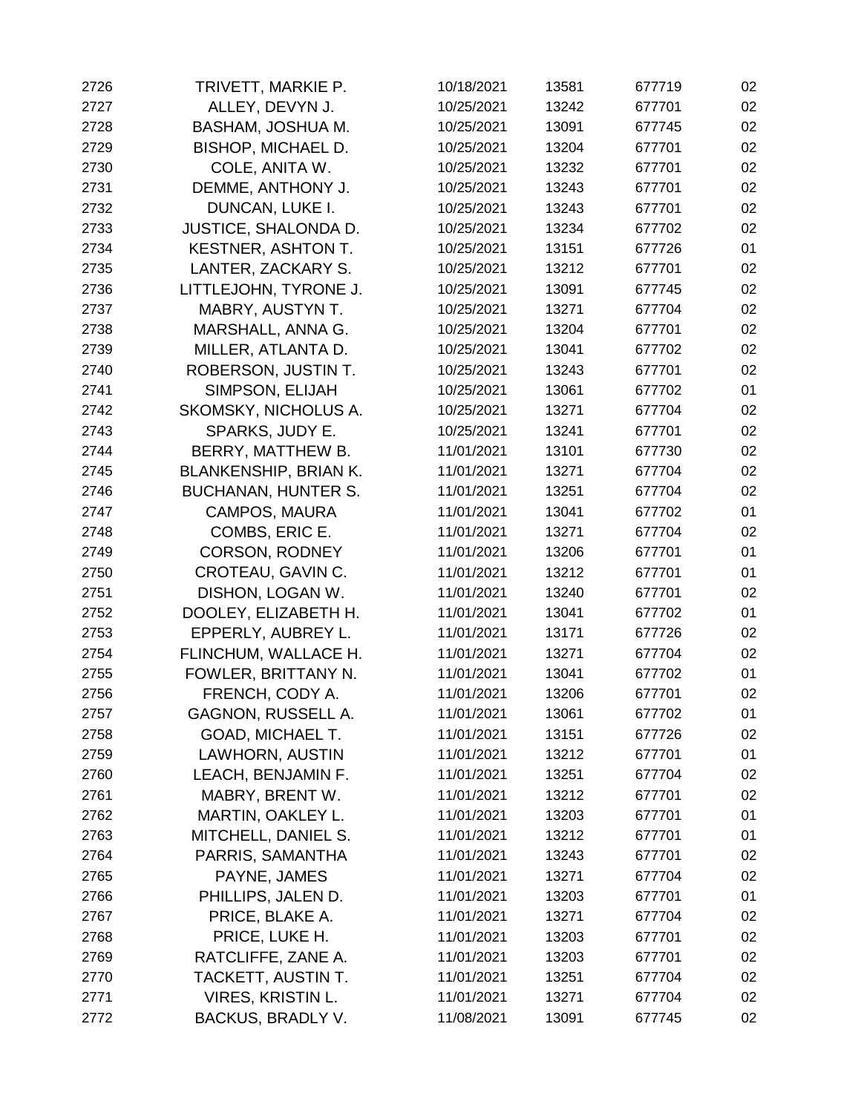| 2726 | TRIVETT, MARKIE P.           | 10/18/2021 | 13581 | 677719 | 02 |
|------|------------------------------|------------|-------|--------|----|
| 2727 | ALLEY, DEVYN J.              | 10/25/2021 | 13242 | 677701 | 02 |
| 2728 | BASHAM, JOSHUA M.            | 10/25/2021 | 13091 | 677745 | 02 |
| 2729 | <b>BISHOP, MICHAEL D.</b>    | 10/25/2021 | 13204 | 677701 | 02 |
| 2730 | COLE, ANITA W.               | 10/25/2021 | 13232 | 677701 | 02 |
| 2731 | DEMME, ANTHONY J.            | 10/25/2021 | 13243 | 677701 | 02 |
| 2732 | DUNCAN, LUKE I.              | 10/25/2021 | 13243 | 677701 | 02 |
| 2733 | JUSTICE, SHALONDA D.         | 10/25/2021 | 13234 | 677702 | 02 |
| 2734 | <b>KESTNER, ASHTON T.</b>    | 10/25/2021 | 13151 | 677726 | 01 |
| 2735 | LANTER, ZACKARY S.           | 10/25/2021 | 13212 | 677701 | 02 |
| 2736 | LITTLEJOHN, TYRONE J.        | 10/25/2021 | 13091 | 677745 | 02 |
| 2737 | MABRY, AUSTYN T.             | 10/25/2021 | 13271 | 677704 | 02 |
| 2738 | MARSHALL, ANNA G.            | 10/25/2021 | 13204 | 677701 | 02 |
| 2739 | MILLER, ATLANTA D.           | 10/25/2021 | 13041 | 677702 | 02 |
| 2740 | ROBERSON, JUSTIN T.          | 10/25/2021 | 13243 | 677701 | 02 |
| 2741 | SIMPSON, ELIJAH              | 10/25/2021 | 13061 | 677702 | 01 |
| 2742 | SKOMSKY, NICHOLUS A.         | 10/25/2021 | 13271 | 677704 | 02 |
| 2743 | SPARKS, JUDY E.              | 10/25/2021 | 13241 | 677701 | 02 |
| 2744 | BERRY, MATTHEW B.            | 11/01/2021 | 13101 | 677730 | 02 |
| 2745 | <b>BLANKENSHIP, BRIAN K.</b> | 11/01/2021 | 13271 | 677704 | 02 |
| 2746 | <b>BUCHANAN, HUNTER S.</b>   | 11/01/2021 | 13251 | 677704 | 02 |
| 2747 | <b>CAMPOS, MAURA</b>         | 11/01/2021 | 13041 | 677702 | 01 |
| 2748 | COMBS, ERIC E.               | 11/01/2021 | 13271 | 677704 | 02 |
| 2749 | <b>CORSON, RODNEY</b>        | 11/01/2021 | 13206 | 677701 | 01 |
| 2750 | CROTEAU, GAVIN C.            | 11/01/2021 | 13212 | 677701 | 01 |
| 2751 | DISHON, LOGAN W.             | 11/01/2021 | 13240 | 677701 | 02 |
| 2752 | DOOLEY, ELIZABETH H.         | 11/01/2021 | 13041 | 677702 | 01 |
| 2753 | EPPERLY, AUBREY L.           | 11/01/2021 | 13171 | 677726 | 02 |
| 2754 | FLINCHUM, WALLACE H.         | 11/01/2021 | 13271 | 677704 | 02 |
| 2755 | FOWLER, BRITTANY N.          | 11/01/2021 | 13041 | 677702 | 01 |
| 2756 | FRENCH, CODY A.              | 11/01/2021 | 13206 | 677701 | 02 |
| 2757 | GAGNON, RUSSELL A.           | 11/01/2021 | 13061 | 677702 | 01 |
| 2758 | GOAD, MICHAEL T.             | 11/01/2021 | 13151 | 677726 | 02 |
| 2759 | LAWHORN, AUSTIN              | 11/01/2021 | 13212 | 677701 | 01 |
| 2760 | LEACH, BENJAMIN F.           | 11/01/2021 | 13251 | 677704 | 02 |
| 2761 | MABRY, BRENT W.              | 11/01/2021 | 13212 | 677701 | 02 |
| 2762 | MARTIN, OAKLEY L.            | 11/01/2021 | 13203 | 677701 | 01 |
| 2763 | MITCHELL, DANIEL S.          | 11/01/2021 | 13212 | 677701 | 01 |
| 2764 | PARRIS, SAMANTHA             | 11/01/2021 | 13243 | 677701 | 02 |
| 2765 | PAYNE, JAMES                 | 11/01/2021 | 13271 | 677704 | 02 |
| 2766 | PHILLIPS, JALEN D.           | 11/01/2021 | 13203 | 677701 | 01 |
| 2767 | PRICE, BLAKE A.              | 11/01/2021 | 13271 | 677704 | 02 |
| 2768 | PRICE, LUKE H.               | 11/01/2021 | 13203 | 677701 | 02 |
| 2769 | RATCLIFFE, ZANE A.           | 11/01/2021 | 13203 | 677701 | 02 |
| 2770 | TACKETT, AUSTIN T.           | 11/01/2021 | 13251 | 677704 | 02 |
| 2771 | VIRES, KRISTIN L.            | 11/01/2021 | 13271 | 677704 | 02 |
| 2772 | BACKUS, BRADLY V.            | 11/08/2021 | 13091 | 677745 | 02 |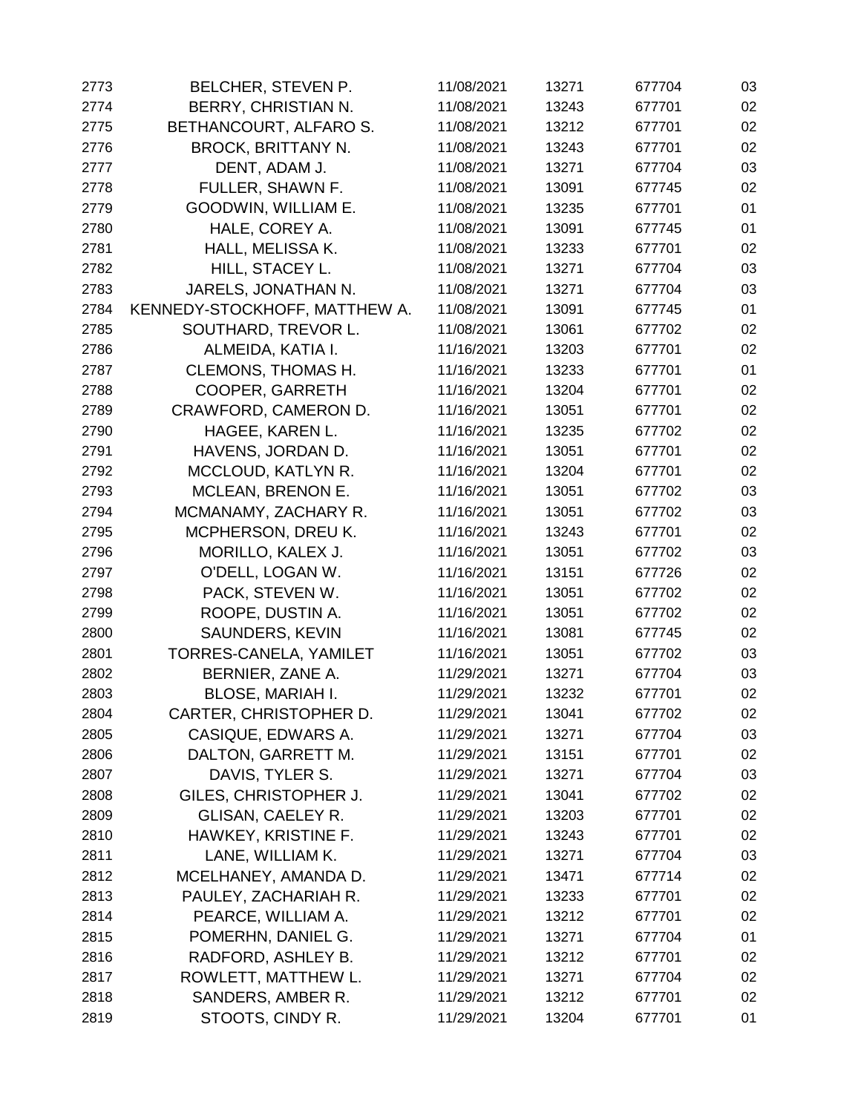| 2773 | BELCHER, STEVEN P.            | 11/08/2021 | 13271 | 677704 | 03 |
|------|-------------------------------|------------|-------|--------|----|
| 2774 | BERRY, CHRISTIAN N.           | 11/08/2021 | 13243 | 677701 | 02 |
| 2775 | BETHANCOURT, ALFARO S.        | 11/08/2021 | 13212 | 677701 | 02 |
| 2776 | <b>BROCK, BRITTANY N.</b>     | 11/08/2021 | 13243 | 677701 | 02 |
| 2777 | DENT, ADAM J.                 | 11/08/2021 | 13271 | 677704 | 03 |
| 2778 | FULLER, SHAWN F.              | 11/08/2021 | 13091 | 677745 | 02 |
| 2779 | GOODWIN, WILLIAM E.           | 11/08/2021 | 13235 | 677701 | 01 |
| 2780 | HALE, COREY A.                | 11/08/2021 | 13091 | 677745 | 01 |
| 2781 | HALL, MELISSA K.              | 11/08/2021 | 13233 | 677701 | 02 |
| 2782 | HILL, STACEY L.               | 11/08/2021 | 13271 | 677704 | 03 |
| 2783 | JARELS, JONATHAN N.           | 11/08/2021 | 13271 | 677704 | 03 |
| 2784 | KENNEDY-STOCKHOFF, MATTHEW A. | 11/08/2021 | 13091 | 677745 | 01 |
| 2785 | SOUTHARD, TREVOR L.           | 11/08/2021 | 13061 | 677702 | 02 |
| 2786 | ALMEIDA, KATIA I.             | 11/16/2021 | 13203 | 677701 | 02 |
| 2787 | <b>CLEMONS, THOMAS H.</b>     | 11/16/2021 | 13233 | 677701 | 01 |
| 2788 | COOPER, GARRETH               | 11/16/2021 | 13204 | 677701 | 02 |
| 2789 | CRAWFORD, CAMERON D.          | 11/16/2021 | 13051 | 677701 | 02 |
| 2790 | HAGEE, KAREN L.               | 11/16/2021 | 13235 | 677702 | 02 |
| 2791 | HAVENS, JORDAN D.             | 11/16/2021 | 13051 | 677701 | 02 |
| 2792 | MCCLOUD, KATLYN R.            | 11/16/2021 | 13204 | 677701 | 02 |
| 2793 | MCLEAN, BRENON E.             | 11/16/2021 | 13051 | 677702 | 03 |
| 2794 | MCMANAMY, ZACHARY R.          | 11/16/2021 | 13051 | 677702 | 03 |
| 2795 | MCPHERSON, DREU K.            | 11/16/2021 | 13243 | 677701 | 02 |
| 2796 | MORILLO, KALEX J.             | 11/16/2021 | 13051 | 677702 | 03 |
| 2797 | O'DELL, LOGAN W.              | 11/16/2021 | 13151 | 677726 | 02 |
| 2798 | PACK, STEVEN W.               | 11/16/2021 | 13051 | 677702 | 02 |
| 2799 | ROOPE, DUSTIN A.              | 11/16/2021 | 13051 | 677702 | 02 |
| 2800 | SAUNDERS, KEVIN               | 11/16/2021 | 13081 | 677745 | 02 |
| 2801 | TORRES-CANELA, YAMILET        | 11/16/2021 | 13051 | 677702 | 03 |
| 2802 | BERNIER, ZANE A.              | 11/29/2021 | 13271 | 677704 | 03 |
| 2803 | <b>BLOSE, MARIAH I.</b>       | 11/29/2021 | 13232 | 677701 | 02 |
| 2804 | CARTER, CHRISTOPHER D.        | 11/29/2021 | 13041 | 677702 | 02 |
| 2805 | CASIQUE, EDWARS A.            | 11/29/2021 | 13271 | 677704 | 03 |
| 2806 | DALTON, GARRETT M.            | 11/29/2021 | 13151 | 677701 | 02 |
| 2807 | DAVIS, TYLER S.               | 11/29/2021 | 13271 | 677704 | 03 |
| 2808 | GILES, CHRISTOPHER J.         | 11/29/2021 | 13041 | 677702 | 02 |
| 2809 | <b>GLISAN, CAELEY R.</b>      | 11/29/2021 | 13203 | 677701 | 02 |
| 2810 | HAWKEY, KRISTINE F.           | 11/29/2021 | 13243 | 677701 | 02 |
| 2811 | LANE, WILLIAM K.              | 11/29/2021 | 13271 | 677704 | 03 |
| 2812 | MCELHANEY, AMANDA D.          | 11/29/2021 | 13471 | 677714 | 02 |
| 2813 | PAULEY, ZACHARIAH R.          | 11/29/2021 | 13233 | 677701 | 02 |
| 2814 | PEARCE, WILLIAM A.            | 11/29/2021 | 13212 | 677701 | 02 |
| 2815 | POMERHN, DANIEL G.            | 11/29/2021 | 13271 | 677704 | 01 |
| 2816 | RADFORD, ASHLEY B.            | 11/29/2021 | 13212 | 677701 | 02 |
| 2817 | ROWLETT, MATTHEW L.           | 11/29/2021 | 13271 | 677704 | 02 |
| 2818 | SANDERS, AMBER R.             | 11/29/2021 | 13212 | 677701 | 02 |
| 2819 | STOOTS, CINDY R.              | 11/29/2021 | 13204 | 677701 | 01 |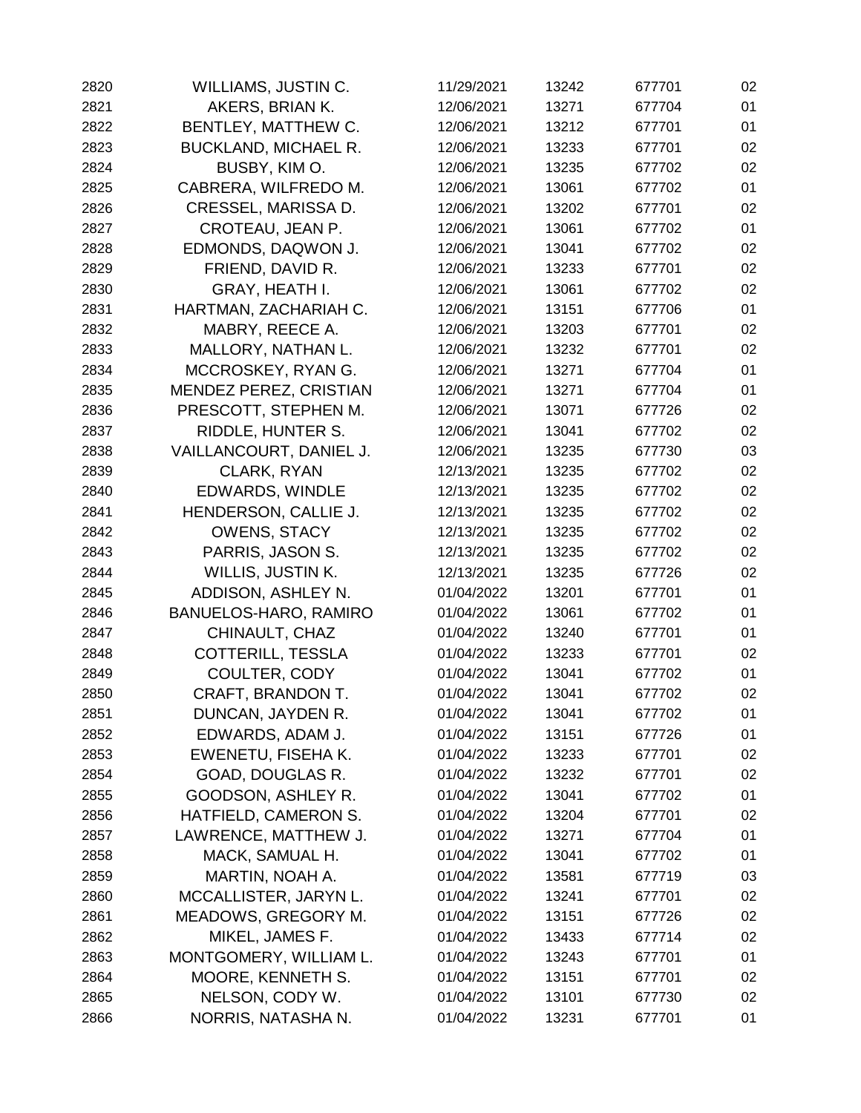| 2820 | WILLIAMS, JUSTIN C.         | 11/29/2021 | 13242 | 677701 | 02 |
|------|-----------------------------|------------|-------|--------|----|
| 2821 | AKERS, BRIAN K.             | 12/06/2021 | 13271 | 677704 | 01 |
| 2822 | BENTLEY, MATTHEW C.         | 12/06/2021 | 13212 | 677701 | 01 |
| 2823 | <b>BUCKLAND, MICHAEL R.</b> | 12/06/2021 | 13233 | 677701 | 02 |
| 2824 | BUSBY, KIM O.               | 12/06/2021 | 13235 | 677702 | 02 |
| 2825 | CABRERA, WILFREDO M.        | 12/06/2021 | 13061 | 677702 | 01 |
| 2826 | CRESSEL, MARISSA D.         | 12/06/2021 | 13202 | 677701 | 02 |
| 2827 | CROTEAU, JEAN P.            | 12/06/2021 | 13061 | 677702 | 01 |
| 2828 | EDMONDS, DAQWON J.          | 12/06/2021 | 13041 | 677702 | 02 |
| 2829 | FRIEND, DAVID R.            | 12/06/2021 | 13233 | 677701 | 02 |
| 2830 | GRAY, HEATH I.              | 12/06/2021 | 13061 | 677702 | 02 |
| 2831 | HARTMAN, ZACHARIAH C.       | 12/06/2021 | 13151 | 677706 | 01 |
| 2832 | MABRY, REECE A.             | 12/06/2021 | 13203 | 677701 | 02 |
| 2833 | MALLORY, NATHAN L.          | 12/06/2021 | 13232 | 677701 | 02 |
| 2834 | MCCROSKEY, RYAN G.          | 12/06/2021 | 13271 | 677704 | 01 |
| 2835 | MENDEZ PEREZ, CRISTIAN      | 12/06/2021 | 13271 | 677704 | 01 |
| 2836 | PRESCOTT, STEPHEN M.        | 12/06/2021 | 13071 | 677726 | 02 |
| 2837 | RIDDLE, HUNTER S.           | 12/06/2021 | 13041 | 677702 | 02 |
| 2838 | VAILLANCOURT, DANIEL J.     | 12/06/2021 | 13235 | 677730 | 03 |
| 2839 | CLARK, RYAN                 | 12/13/2021 | 13235 | 677702 | 02 |
| 2840 | EDWARDS, WINDLE             | 12/13/2021 | 13235 | 677702 | 02 |
| 2841 | HENDERSON, CALLIE J.        | 12/13/2021 | 13235 | 677702 | 02 |
| 2842 | <b>OWENS, STACY</b>         | 12/13/2021 | 13235 | 677702 | 02 |
| 2843 | PARRIS, JASON S.            | 12/13/2021 | 13235 | 677702 | 02 |
| 2844 | WILLIS, JUSTIN K.           | 12/13/2021 | 13235 | 677726 | 02 |
| 2845 | ADDISON, ASHLEY N.          | 01/04/2022 | 13201 | 677701 | 01 |
| 2846 | BANUELOS-HARO, RAMIRO       | 01/04/2022 | 13061 | 677702 | 01 |
| 2847 | CHINAULT, CHAZ              | 01/04/2022 | 13240 | 677701 | 01 |
| 2848 | <b>COTTERILL, TESSLA</b>    | 01/04/2022 | 13233 | 677701 | 02 |
| 2849 | COULTER, CODY               | 01/04/2022 | 13041 | 677702 | 01 |
| 2850 | CRAFT, BRANDON T.           | 01/04/2022 | 13041 | 677702 | 02 |
| 2851 | DUNCAN, JAYDEN R.           | 01/04/2022 | 13041 | 677702 | 01 |
| 2852 | EDWARDS, ADAM J.            | 01/04/2022 | 13151 | 677726 | 01 |
| 2853 | EWENETU, FISEHA K.          | 01/04/2022 | 13233 | 677701 | 02 |
| 2854 | GOAD, DOUGLAS R.            | 01/04/2022 | 13232 | 677701 | 02 |
| 2855 | GOODSON, ASHLEY R.          | 01/04/2022 | 13041 | 677702 | 01 |
| 2856 | HATFIELD, CAMERON S.        | 01/04/2022 | 13204 | 677701 | 02 |
| 2857 | LAWRENCE, MATTHEW J.        | 01/04/2022 | 13271 | 677704 | 01 |
| 2858 | MACK, SAMUAL H.             | 01/04/2022 | 13041 | 677702 | 01 |
| 2859 | MARTIN, NOAH A.             | 01/04/2022 | 13581 | 677719 | 03 |
| 2860 | MCCALLISTER, JARYN L.       | 01/04/2022 | 13241 | 677701 | 02 |
| 2861 | MEADOWS, GREGORY M.         | 01/04/2022 | 13151 | 677726 | 02 |
| 2862 | MIKEL, JAMES F.             | 01/04/2022 | 13433 | 677714 | 02 |
| 2863 | MONTGOMERY, WILLIAM L.      | 01/04/2022 | 13243 | 677701 | 01 |
| 2864 | MOORE, KENNETH S.           | 01/04/2022 | 13151 | 677701 | 02 |
| 2865 | NELSON, CODY W.             | 01/04/2022 | 13101 | 677730 | 02 |
| 2866 | NORRIS, NATASHA N.          | 01/04/2022 | 13231 | 677701 | 01 |